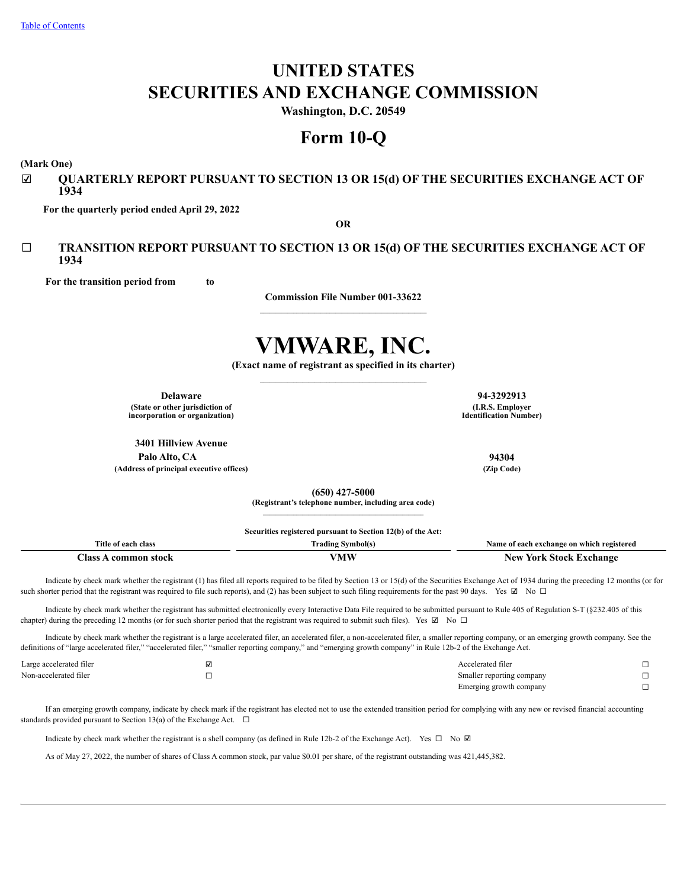# **UNITED STATES SECURITIES AND EXCHANGE COMMISSION**

**Washington, D.C. 20549**

## **Form 10-Q**

**(Mark One)**

## ☑ **QUARTERLY REPORT PURSUANT TO SECTION 13 OR 15(d) OF THE SECURITIES EXCHANGE ACT OF 1934**

**For the quarterly period ended April 29, 2022**

**OR**

## ☐ **TRANSITION REPORT PURSUANT TO SECTION 13 OR 15(d) OF THE SECURITIES EXCHANGE ACT OF 1934**

**For the transition period from to**

**Commission File Number 001-33622**

# **VMWARE, INC.**

**(Exact name of registrant as specified in its charter)**

**Delaware 94-3292913 (State or other jurisdiction of**

**incorporation or organization)**

**3401 Hillview Avenue Palo Alto, CA 94304**

**(Address of principal executive offices) (Zip Code)**

**(650) 427-5000**

**(Registrant's telephone number, including area code)**  $\mathcal{L}_\text{max} = \mathcal{L}_\text{max} = \mathcal{L}_\text{max} = \mathcal{L}_\text{max} = \mathcal{L}_\text{max} = \mathcal{L}_\text{max}$ 

**Securities registered pursuant to Section 12(b) of the Act:**

| Title                             | $\sim$            | ı which registered                |
|-----------------------------------|-------------------|-----------------------------------|
| class                             | <i>s</i> vmbol(s) | Vame                              |
| at each                           | radıns            | °change on                        |
|                                   |                   | $\mathbf{A}$                      |
| ~-<br>Aass<br>uoet.<br>m∩۱<br>ллп | TAT A             | New<br>'ehange<br>∡or⊵<br>.stoel: |

Indicate by check mark whether the registrant (1) has filed all reports required to be filed by Section 13 or 15(d) of the Securities Exchange Act of 1934 during the preceding 12 months (or for such shorter period that the registrant was required to file such reports), and (2) has been subject to such filing requirements for the past 90 days. Yes  $\boxtimes$  No  $\Box$ 

Indicate by check mark whether the registrant has submitted electronically every Interactive Data File required to be submitted pursuant to Rule 405 of Regulation S-T (§232.405 of this chapter) during the preceding 12 months (or for such shorter period that the registrant was required to submit such files). Yes  $\boxtimes$  No  $\Box$ 

Indicate by check mark whether the registrant is a large accelerated filer, an accelerated filer, a non-accelerated filer, a smaller reporting company, or an emerging growth company. See the definitions of "large accelerated filer," "accelerated filer," "smaller reporting company," and "emerging growth company" in Rule 12b-2 of the Exchange Act.

| Large accelerated filer | ⊻  | Accelerated filer         |  |
|-------------------------|----|---------------------------|--|
| Non-accelerated filer   | -- | Smaller reporting company |  |
|                         |    | Emerging growth company   |  |

If an emerging growth company, indicate by check mark if the registrant has elected not to use the extended transition period for complying with any new or revised financial accounting standards provided pursuant to Section 13(a) of the Exchange Act.  $\Box$ 

Indicate by check mark whether the registrant is a shell company (as defined in Rule 12b-2 of the Exchange Act). Yes ☐ No ☑

<span id="page-0-0"></span>As of May 27, 2022, the number of shares of Class A common stock, par value \$0.01 per share, of the registrant outstanding was 421,445,382.

**(I.R.S. Employer Identification Number)**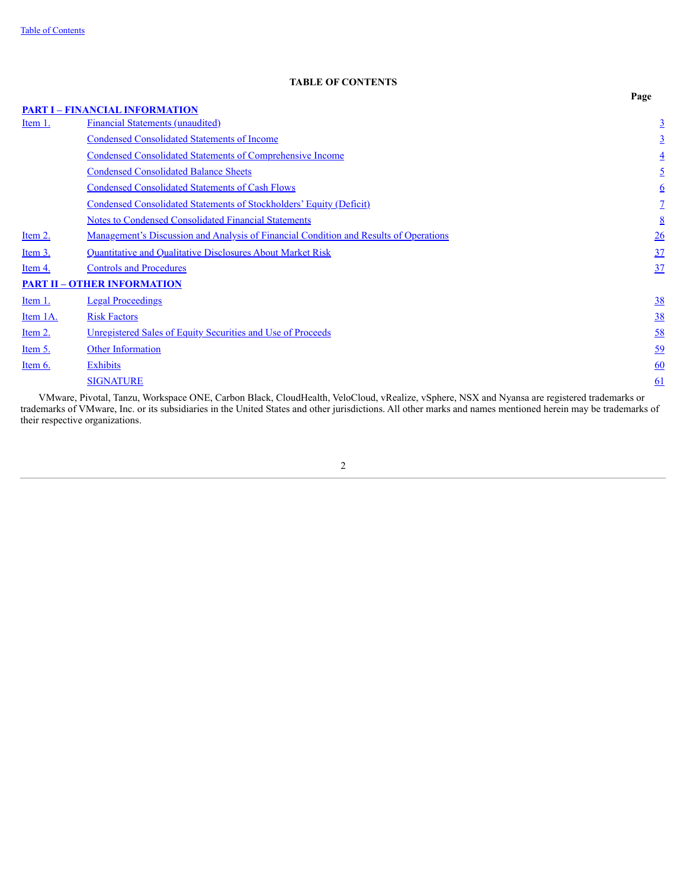## **TABLE OF CONTENTS**

|                |                                                                                                                                    | Page      |
|----------------|------------------------------------------------------------------------------------------------------------------------------------|-----------|
|                | <b>PART I - FINANCIAL INFORMATION</b>                                                                                              |           |
| <u>Item 1.</u> | <b>Financial Statements (unaudited)</b>                                                                                            |           |
|                | <b>Condensed Consolidated Statements of Income</b>                                                                                 |           |
|                | <b>Condensed Consolidated Statements of Comprehensive Income</b>                                                                   |           |
|                | <b>Condensed Consolidated Balance Sheets</b>                                                                                       |           |
|                | <b>Condensed Consolidated Statements of Cash Flows</b>                                                                             | <u>6</u>  |
|                | Condensed Consolidated Statements of Stockholders' Equity (Deficit)                                                                |           |
|                | <b>Notes to Condensed Consolidated Financial Statements</b>                                                                        | 8         |
| Item 2.        | <u>Management's Discussion and Analysis of Financial Condition and Results of Operations</u>                                       | <u>26</u> |
| Item 3.        | Quantitative and Qualitative Disclosures About Market Risk                                                                         | 37        |
| Item 4.        | <b>Controls and Procedures</b>                                                                                                     | 37        |
|                | <b>PART II - OTHER INFORMATION</b>                                                                                                 |           |
| Item 1.        | <b>Legal Proceedings</b>                                                                                                           | <u>38</u> |
| Item 1A.       | <b>Risk Factors</b>                                                                                                                | <u>38</u> |
| Item 2.        | <b>Unregistered Sales of Equity Securities and Use of Proceeds</b>                                                                 | <u>58</u> |
| Item 5.        | <b>Other Information</b>                                                                                                           | <u>59</u> |
| Item 6.        | <b>Exhibits</b>                                                                                                                    | 60        |
|                | <b>SIGNATURE</b>                                                                                                                   | 61        |
|                | VMware Piyotal Tanzu Workspace ONE Carbon Black CloudHealth VeloCloud yRealize ySphere NSX and Nyansa are registered trademarks or |           |

<span id="page-1-0"></span>VMware, Pivotal, Tanzu, Workspace ONE, Carbon Black, CloudHealth, VeloCloud, vRealize, vSphere, NSX and Nyansa are registered trademarks or trademarks of VMware, Inc. or its subsidiaries in the United States and other jurisdictions. All other marks and names mentioned herein may be trademarks of their respective organizations.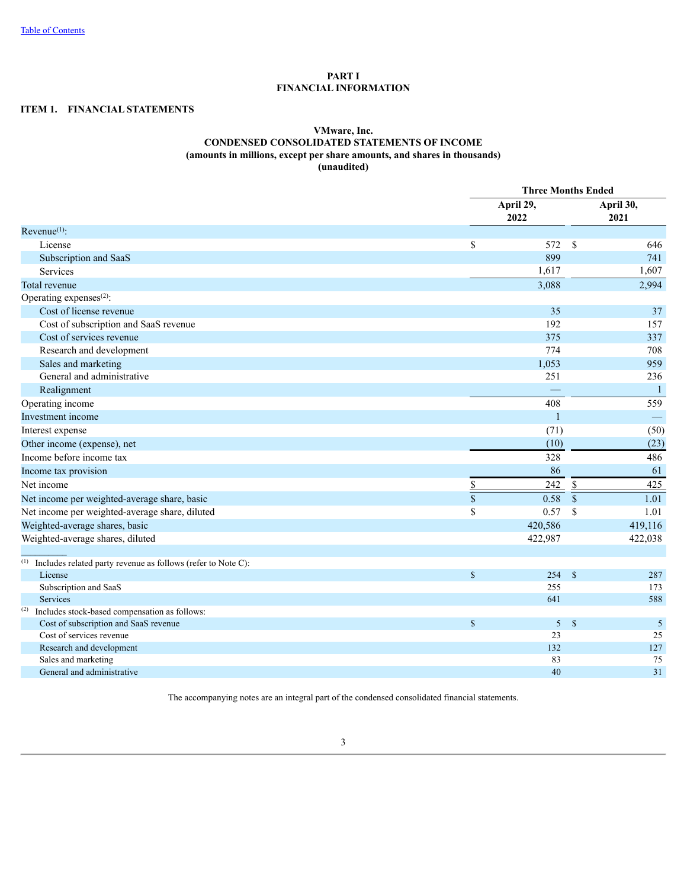## **PART I FINANCIAL INFORMATION**

## <span id="page-2-1"></span><span id="page-2-0"></span>**ITEM 1. FINANCIAL STATEMENTS**

## **VMware, Inc. CONDENSED CONSOLIDATED STATEMENTS OF INCOME (amounts in millions, except per share amounts, and shares in thousands) (unaudited)**

|                                                                     |                         | <b>Three Months Ended</b> |                    |                |  |  |
|---------------------------------------------------------------------|-------------------------|---------------------------|--------------------|----------------|--|--|
|                                                                     |                         | April 29,<br>2022         |                    |                |  |  |
| $Revenue(1)$ :                                                      |                         |                           |                    |                |  |  |
| License                                                             | $\mathbb{S}$            | 572                       | \$                 | 646            |  |  |
| Subscription and SaaS                                               |                         | 899                       |                    | 741            |  |  |
| Services                                                            |                         | 1,617                     |                    | 1,607          |  |  |
| Total revenue                                                       |                         | 3,088                     |                    | 2,994          |  |  |
| Operating expenses <sup>(2)</sup> :                                 |                         |                           |                    |                |  |  |
| Cost of license revenue                                             |                         | 35                        |                    | 37             |  |  |
| Cost of subscription and SaaS revenue                               |                         | 192                       |                    | 157            |  |  |
| Cost of services revenue                                            |                         | 375                       |                    | 337            |  |  |
| Research and development                                            |                         | 774                       |                    | 708            |  |  |
| Sales and marketing                                                 |                         | 1,053                     |                    | 959            |  |  |
| General and administrative                                          |                         | 251                       |                    | 236            |  |  |
| Realignment                                                         |                         |                           |                    | $\overline{1}$ |  |  |
| Operating income                                                    |                         | 408                       |                    | 559            |  |  |
| Investment income                                                   |                         | $\mathbf{1}$              |                    |                |  |  |
| Interest expense                                                    |                         | (71)                      |                    | (50)           |  |  |
| Other income (expense), net                                         |                         | (10)                      |                    | (23)           |  |  |
| Income before income tax                                            |                         | 328                       |                    | 486            |  |  |
| Income tax provision                                                |                         | 86                        |                    | 61             |  |  |
| Net income                                                          | \$                      | 242                       | $\frac{1}{2}$      | 425            |  |  |
| Net income per weighted-average share, basic                        | $\overline{\mathbb{S}}$ | 0.58                      | $\sqrt{\ }$        | 1.01           |  |  |
| Net income per weighted-average share, diluted                      | \$                      | 0.57                      | $\mathbf S$        | 1.01           |  |  |
| Weighted-average shares, basic                                      |                         | 420,586                   |                    | 419,116        |  |  |
| Weighted-average shares, diluted                                    |                         | 422,987                   |                    | 422,038        |  |  |
|                                                                     |                         |                           |                    |                |  |  |
| Includes related party revenue as follows (refer to Note C):<br>(1) |                         |                           |                    |                |  |  |
| License                                                             | $\mathbb{S}$            | 254S                      |                    | 287            |  |  |
| Subscription and SaaS                                               |                         | 255                       |                    | 173            |  |  |
| Services                                                            |                         | 641                       |                    | 588            |  |  |
| (2)<br>Includes stock-based compensation as follows:                |                         |                           |                    |                |  |  |
| Cost of subscription and SaaS revenue                               | $\mathbb{S}$            | 5                         | $\mathbf{\hat{s}}$ | 5              |  |  |
| Cost of services revenue                                            |                         | 23                        |                    | 25             |  |  |
| Research and development                                            |                         | 132                       |                    | 127            |  |  |
| Sales and marketing<br>General and administrative                   |                         | 83<br>40                  |                    | 75<br>31       |  |  |
|                                                                     |                         |                           |                    |                |  |  |

<span id="page-2-2"></span>The accompanying notes are an integral part of the condensed consolidated financial statements.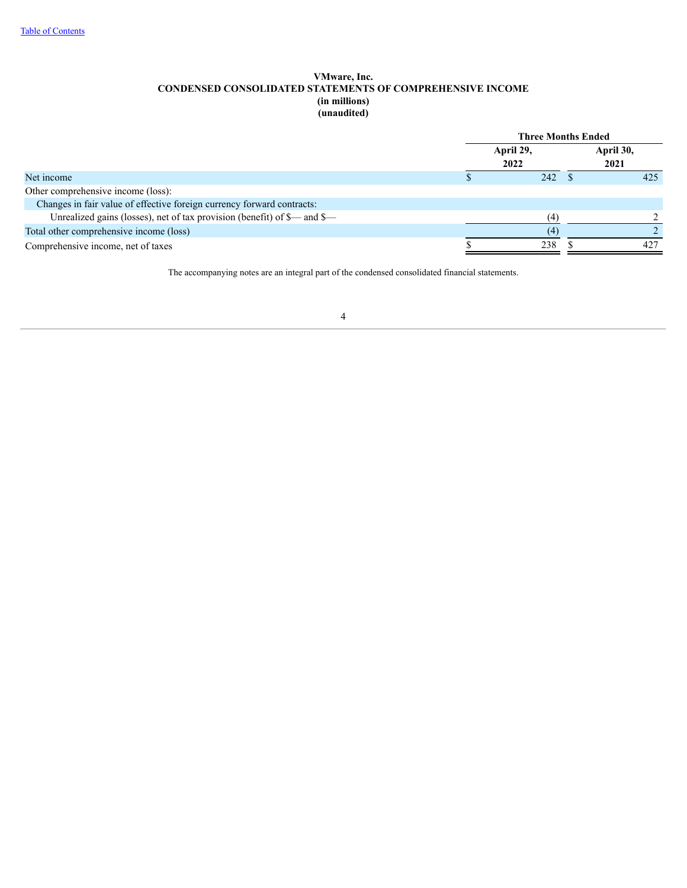## **VMware, Inc. CONDENSED CONSOLIDATED STATEMENTS OF COMPREHENSIVE INCOME (in millions) (unaudited)**

|                                                                          | <b>Three Months Ended</b> |                   |  |                   |  |
|--------------------------------------------------------------------------|---------------------------|-------------------|--|-------------------|--|
|                                                                          |                           | April 29,<br>2022 |  | April 30,<br>2021 |  |
| Net income                                                               |                           | 242               |  | 425               |  |
| Other comprehensive income (loss):                                       |                           |                   |  |                   |  |
| Changes in fair value of effective foreign currency forward contracts:   |                           |                   |  |                   |  |
| Unrealized gains (losses), net of tax provision (benefit) of \$— and \$— |                           | (4)               |  |                   |  |
| Total other comprehensive income (loss)                                  |                           | (4)               |  |                   |  |
| Comprehensive income, net of taxes                                       |                           | 238               |  | 427               |  |

<span id="page-3-0"></span>The accompanying notes are an integral part of the condensed consolidated financial statements.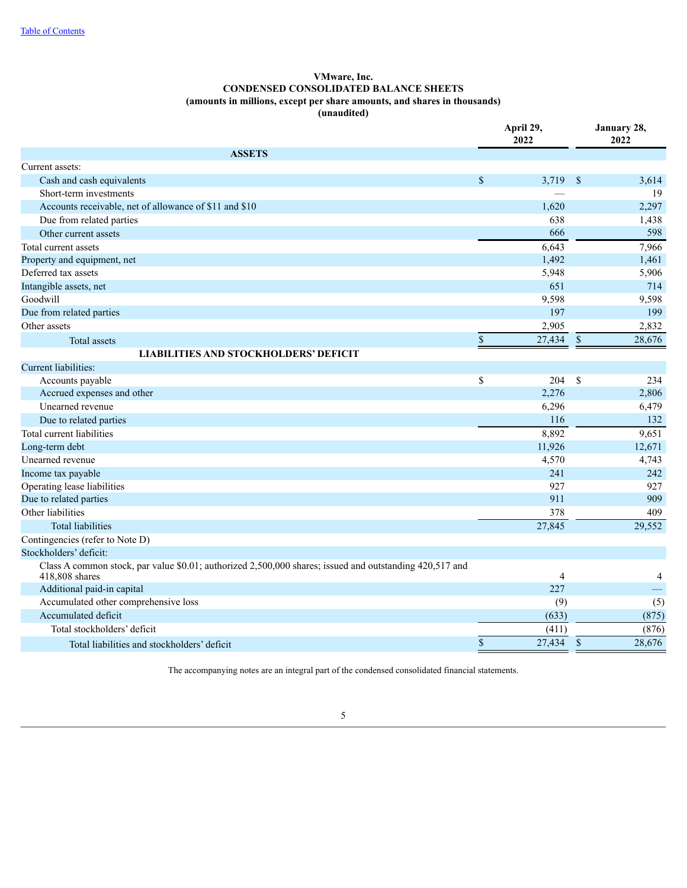## **VMware, Inc. CONDENSED CONSOLIDATED BALANCE SHEETS (amounts in millions, except per share amounts, and shares in thousands) (unaudited)**

|                                                                                                                           | April 29,<br>2022 |                |               | January 28,<br>2022 |  |  |
|---------------------------------------------------------------------------------------------------------------------------|-------------------|----------------|---------------|---------------------|--|--|
| <b>ASSETS</b>                                                                                                             |                   |                |               |                     |  |  |
| Current assets:                                                                                                           |                   |                |               |                     |  |  |
| Cash and cash equivalents                                                                                                 | \$                | 3,719          | <sup>S</sup>  | 3,614               |  |  |
| Short-term investments                                                                                                    |                   |                |               | 19                  |  |  |
| Accounts receivable, net of allowance of \$11 and \$10                                                                    |                   | 1,620          |               | 2,297               |  |  |
| Due from related parties                                                                                                  |                   | 638            |               | 1,438               |  |  |
| Other current assets                                                                                                      |                   | 666            |               | 598                 |  |  |
| Total current assets                                                                                                      |                   | 6,643          |               | 7,966               |  |  |
| Property and equipment, net                                                                                               |                   | 1,492          |               | 1,461               |  |  |
| Deferred tax assets                                                                                                       |                   | 5,948          |               | 5,906               |  |  |
| Intangible assets, net                                                                                                    |                   | 651            |               | 714                 |  |  |
| Goodwill                                                                                                                  |                   | 9,598          |               | 9,598               |  |  |
| Due from related parties                                                                                                  |                   | 197            |               | 199                 |  |  |
| Other assets                                                                                                              |                   | 2,905          |               | 2,832               |  |  |
| Total assets                                                                                                              | $\sqrt{\ }$       | 27,434         | $\sqrt{\ }$   | 28,676              |  |  |
| <b>LIABILITIES AND STOCKHOLDERS' DEFICIT</b>                                                                              |                   |                |               |                     |  |  |
| Current liabilities:                                                                                                      |                   |                |               |                     |  |  |
| Accounts payable                                                                                                          | \$                | 204            | -S            | 234                 |  |  |
| Accrued expenses and other                                                                                                |                   | 2,276          |               | 2,806               |  |  |
| Unearned revenue                                                                                                          |                   | 6,296          |               | 6,479               |  |  |
| Due to related parties                                                                                                    |                   | 116            |               | 132                 |  |  |
| Total current liabilities                                                                                                 |                   | 8,892          |               | 9,651               |  |  |
| Long-term debt                                                                                                            |                   | 11,926         |               | 12,671              |  |  |
| Unearned revenue                                                                                                          |                   | 4,570          |               | 4,743               |  |  |
| Income tax payable                                                                                                        |                   | 241            |               | 242                 |  |  |
| Operating lease liabilities                                                                                               |                   | 927            |               | 927                 |  |  |
| Due to related parties                                                                                                    |                   | 911            |               | 909                 |  |  |
| Other liabilities                                                                                                         |                   | 378            |               | 409                 |  |  |
| <b>Total liabilities</b>                                                                                                  |                   | 27,845         |               | 29,552              |  |  |
| Contingencies (refer to Note D)                                                                                           |                   |                |               |                     |  |  |
| Stockholders' deficit:                                                                                                    |                   |                |               |                     |  |  |
| Class A common stock, par value \$0.01; authorized 2,500,000 shares; issued and outstanding 420,517 and<br>418,808 shares |                   | $\overline{4}$ |               | 4                   |  |  |
| Additional paid-in capital                                                                                                |                   | 227            |               |                     |  |  |
| Accumulated other comprehensive loss                                                                                      |                   | (9)            |               | (5)                 |  |  |
| Accumulated deficit                                                                                                       |                   | (633)          |               | (875)               |  |  |
| Total stockholders' deficit                                                                                               |                   | (411)          |               | (876)               |  |  |
| Total liabilities and stockholders' deficit                                                                               | $\,$              | 27,434         | $\mathcal{S}$ | 28,676              |  |  |
|                                                                                                                           |                   |                |               |                     |  |  |

<span id="page-4-0"></span>The accompanying notes are an integral part of the condensed consolidated financial statements.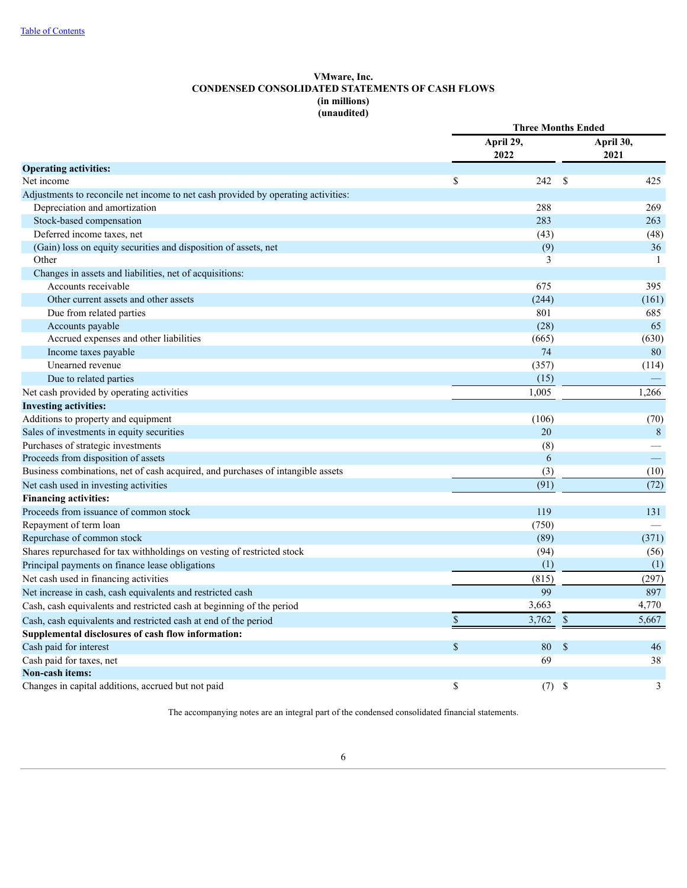## **VMware, Inc. CONDENSED CONSOLIDATED STATEMENTS OF CASH FLOWS (in millions) (unaudited)**

|                                                                                   |    | <b>Three Months Ended</b> |               |                   |
|-----------------------------------------------------------------------------------|----|---------------------------|---------------|-------------------|
|                                                                                   |    | April 29,<br>2022         |               | April 30,<br>2021 |
| <b>Operating activities:</b>                                                      |    |                           |               |                   |
| Net income                                                                        | \$ | 242                       | <sup>\$</sup> | 425               |
| Adjustments to reconcile net income to net cash provided by operating activities: |    |                           |               |                   |
| Depreciation and amortization                                                     |    | 288                       |               | 269               |
| Stock-based compensation                                                          |    | 283                       |               | 263               |
| Deferred income taxes, net                                                        |    | (43)                      |               | (48)              |
| (Gain) loss on equity securities and disposition of assets, net                   |    | (9)                       |               | 36                |
| Other                                                                             |    | 3                         |               | -1                |
| Changes in assets and liabilities, net of acquisitions:                           |    |                           |               |                   |
| Accounts receivable                                                               |    | 675                       |               | 395               |
| Other current assets and other assets                                             |    | (244)                     |               | (161)             |
| Due from related parties                                                          |    | 801                       |               | 685               |
| Accounts payable                                                                  |    | (28)                      |               | 65                |
| Accrued expenses and other liabilities                                            |    | (665)                     |               | (630)             |
| Income taxes payable                                                              |    | 74                        |               | 80                |
| Unearned revenue                                                                  |    | (357)                     |               | (114)             |
| Due to related parties                                                            |    | (15)                      |               |                   |
| Net cash provided by operating activities                                         |    | 1.005                     |               | 1,266             |
| <b>Investing activities:</b>                                                      |    |                           |               |                   |
| Additions to property and equipment                                               |    | (106)                     |               | (70)              |
| Sales of investments in equity securities                                         |    | 20                        |               | 8                 |
| Purchases of strategic investments                                                |    | (8)                       |               |                   |
| Proceeds from disposition of assets                                               |    | 6                         |               | $\frac{1}{2}$     |
| Business combinations, net of cash acquired, and purchases of intangible assets   |    | (3)                       |               | (10)              |
| Net cash used in investing activities                                             |    | (91)                      |               | (72)              |
| <b>Financing activities:</b>                                                      |    |                           |               |                   |
| Proceeds from issuance of common stock                                            |    | 119                       |               | 131               |
| Repayment of term loan                                                            |    | (750)                     |               |                   |
| Repurchase of common stock                                                        |    | (89)                      |               | (371)             |
| Shares repurchased for tax withholdings on vesting of restricted stock            |    | (94)                      |               | (56)              |
| Principal payments on finance lease obligations                                   |    | (1)                       |               | (1)               |
| Net cash used in financing activities                                             |    | (815)                     |               | (297)             |
| Net increase in cash, cash equivalents and restricted cash                        |    | 99                        |               | 897               |
| Cash, cash equivalents and restricted cash at beginning of the period             |    | 3,663                     |               | 4,770             |
| Cash, cash equivalents and restricted cash at end of the period                   | \$ | 3,762                     | \$            | 5,667             |
| Supplemental disclosures of cash flow information:                                |    |                           |               |                   |
| Cash paid for interest                                                            | \$ | 80                        | \$            | 46                |
| Cash paid for taxes, net                                                          |    | 69                        |               | 38                |
| Non-cash items:                                                                   |    |                           |               |                   |
| Changes in capital additions, accrued but not paid                                | \$ | (7)                       | \$            | 3                 |

<span id="page-5-0"></span>The accompanying notes are an integral part of the condensed consolidated financial statements.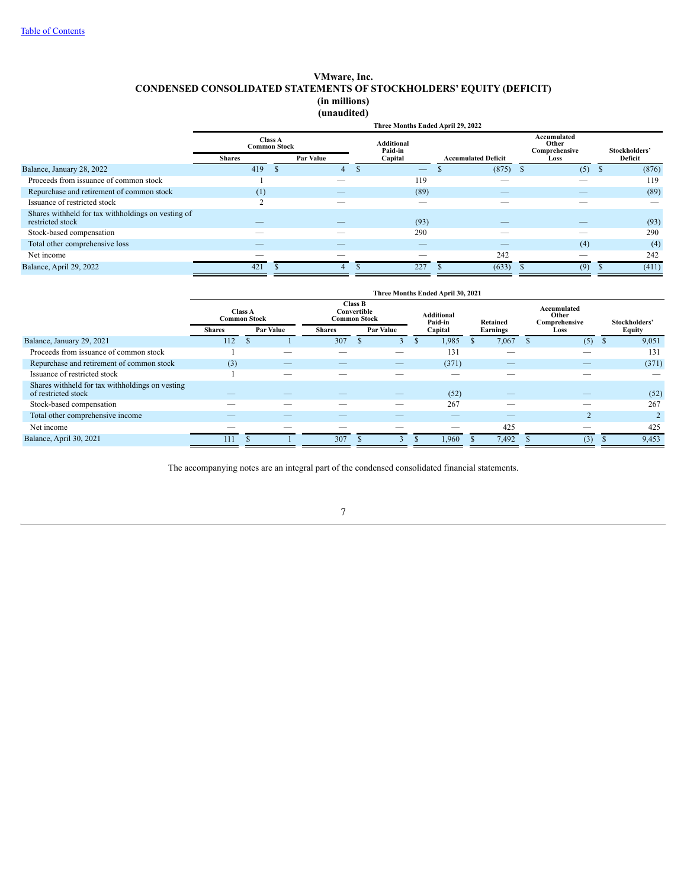## **VMware, Inc. CONDENSED CONSOLIDATED STATEMENTS OF STOCKHOLDERS' EQUITY (DEFICIT) (in millions) (unaudited)**

|                                                                        |                                                                            |  |                                         | Three Months Ended April 29, 2022 |                                               |                          |             |
|------------------------------------------------------------------------|----------------------------------------------------------------------------|--|-----------------------------------------|-----------------------------------|-----------------------------------------------|--------------------------|-------------|
|                                                                        | <b>Class A</b><br><b>Common Stock</b><br><b>Par Value</b><br><b>Shares</b> |  | <b>Additional</b><br>Paid-in<br>Capital | <b>Accumulated Deficit</b>        | Accumulated<br>Other<br>Comprehensive<br>Loss | Stockholders'<br>Deficit |             |
| Balance, January 28, 2022                                              | 419                                                                        |  | 4                                       | $\overline{\phantom{m}}$          | (875)                                         | (5)                      | (876)<br>-8 |
| Proceeds from issuance of common stock                                 |                                                                            |  |                                         | 119                               |                                               | __                       | 119         |
| Repurchase and retirement of common stock                              | (1)                                                                        |  |                                         | (89)                              | __                                            | __                       | (89)        |
| Issuance of restricted stock                                           | $\sim$                                                                     |  |                                         |                                   |                                               |                          |             |
| Shares withheld for tax withholdings on vesting of<br>restricted stock |                                                                            |  |                                         | (93)                              |                                               |                          | (93)        |
| Stock-based compensation                                               |                                                                            |  |                                         | 290                               |                                               |                          | 290         |
| Total other comprehensive loss                                         |                                                                            |  |                                         |                                   |                                               | (4)                      | (4)         |
| Net income                                                             |                                                                            |  |                                         |                                   | 242                                           | __                       | 242         |
| Balance, April 29, 2022                                                | 421                                                                        |  |                                         | 227                               | (633)                                         | (9)                      | (411)       |

|                                                                        | Three Months Ended April 30, 2021     |  |                  |                                                                                      |   |                  |    |         |                 |          |  |                                       |  |                |
|------------------------------------------------------------------------|---------------------------------------|--|------------------|--------------------------------------------------------------------------------------|---|------------------|----|---------|-----------------|----------|--|---------------------------------------|--|----------------|
|                                                                        | <b>Class A</b><br><b>Common Stock</b> |  |                  | <b>Class B</b><br>Convertible<br><b>Additional</b><br><b>Common Stock</b><br>Paid-in |   |                  |    |         | <b>Retained</b> |          |  | Accumulated<br>Other<br>Comprehensive |  | Stockholders'  |
|                                                                        | <b>Shares</b>                         |  | <b>Par Value</b> | <b>Shares</b>                                                                        |   | <b>Par Value</b> |    | Capital |                 | Earnings |  | Loss                                  |  | <b>Equity</b>  |
| Balance, January 29, 2021                                              | 112                                   |  |                  | 307                                                                                  | S | 3                | J. | 1,985   |                 | 7,067    |  | (5)                                   |  | 9,051          |
| Proceeds from issuance of common stock                                 |                                       |  |                  |                                                                                      |   | __               |    | 131     |                 |          |  |                                       |  | 131            |
| Repurchase and retirement of common stock                              | (3)                                   |  |                  | __                                                                                   |   |                  |    | (371)   |                 |          |  | $-$                                   |  | (371)          |
| Issuance of restricted stock                                           |                                       |  |                  |                                                                                      |   |                  |    |         |                 |          |  |                                       |  |                |
| Shares withheld for tax withholdings on vesting<br>of restricted stock |                                       |  |                  |                                                                                      |   |                  |    | (52)    |                 |          |  |                                       |  | (52)           |
| Stock-based compensation                                               | __                                    |  |                  |                                                                                      |   | __               |    | 267     |                 |          |  |                                       |  | 267            |
| Total other comprehensive income                                       |                                       |  |                  |                                                                                      |   |                  |    | __      |                 | __       |  |                                       |  | $\overline{2}$ |
| Net income                                                             | __                                    |  |                  |                                                                                      |   |                  |    |         |                 | 425      |  |                                       |  | 425            |
| Balance, April 30, 2021                                                | 111                                   |  |                  | 307                                                                                  |   | J.               |    | 1,960   |                 | 7,492    |  | (3)                                   |  | 9,453          |

<span id="page-6-0"></span>The accompanying notes are an integral part of the condensed consolidated financial statements.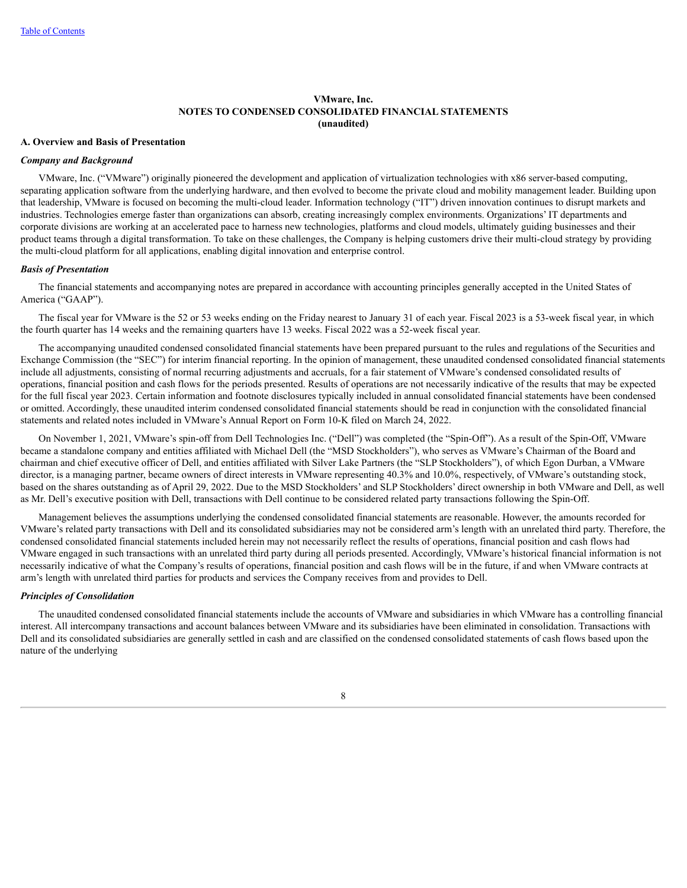## **A. Overview and Basis of Presentation**

## *Company and Background*

VMware, Inc. ("VMware") originally pioneered the development and application of virtualization technologies with x86 server-based computing, separating application software from the underlying hardware, and then evolved to become the private cloud and mobility management leader. Building upon that leadership, VMware is focused on becoming the multi-cloud leader. Information technology ("IT") driven innovation continues to disrupt markets and industries. Technologies emerge faster than organizations can absorb, creating increasingly complex environments. Organizations' IT departments and corporate divisions are working at an accelerated pace to harness new technologies, platforms and cloud models, ultimately guiding businesses and their product teams through a digital transformation. To take on these challenges, the Company is helping customers drive their multi-cloud strategy by providing the multi-cloud platform for all applications, enabling digital innovation and enterprise control.

## *Basis of Presentation*

The financial statements and accompanying notes are prepared in accordance with accounting principles generally accepted in the United States of America ("GAAP").

The fiscal year for VMware is the 52 or 53 weeks ending on the Friday nearest to January 31 of each year. Fiscal 2023 is a 53-week fiscal year, in which the fourth quarter has 14 weeks and the remaining quarters have 13 weeks. Fiscal 2022 was a 52-week fiscal year.

The accompanying unaudited condensed consolidated financial statements have been prepared pursuant to the rules and regulations of the Securities and Exchange Commission (the "SEC") for interim financial reporting. In the opinion of management, these unaudited condensed consolidated financial statements include all adjustments, consisting of normal recurring adjustments and accruals, for a fair statement of VMware's condensed consolidated results of operations, financial position and cash flows for the periods presented. Results of operations are not necessarily indicative of the results that may be expected for the full fiscal year 2023. Certain information and footnote disclosures typically included in annual consolidated financial statements have been condensed or omitted. Accordingly, these unaudited interim condensed consolidated financial statements should be read in conjunction with the consolidated financial statements and related notes included in VMware's Annual Report on Form 10-K filed on March 24, 2022.

On November 1, 2021, VMware's spin-off from Dell Technologies Inc. ("Dell") was completed (the "Spin-Off"). As a result of the Spin-Off, VMware became a standalone company and entities affiliated with Michael Dell (the "MSD Stockholders"), who serves as VMware's Chairman of the Board and chairman and chief executive officer of Dell, and entities affiliated with Silver Lake Partners (the "SLP Stockholders"), of which Egon Durban, a VMware director, is a managing partner, became owners of direct interests in VMware representing 40.3% and 10.0%, respectively, of VMware's outstanding stock, based on the shares outstanding as of April 29, 2022. Due to the MSD Stockholders' and SLP Stockholders' direct ownership in both VMware and Dell, as well as Mr. Dell's executive position with Dell, transactions with Dell continue to be considered related party transactions following the Spin-Off.

Management believes the assumptions underlying the condensed consolidated financial statements are reasonable. However, the amounts recorded for VMware's related party transactions with Dell and its consolidated subsidiaries may not be considered arm's length with an unrelated third party. Therefore, the condensed consolidated financial statements included herein may not necessarily reflect the results of operations, financial position and cash flows had VMware engaged in such transactions with an unrelated third party during all periods presented. Accordingly, VMware's historical financial information is not necessarily indicative of what the Company's results of operations, financial position and cash flows will be in the future, if and when VMware contracts at arm's length with unrelated third parties for products and services the Company receives from and provides to Dell.

## *Principles of Consolidation*

The unaudited condensed consolidated financial statements include the accounts of VMware and subsidiaries in which VMware has a controlling financial interest. All intercompany transactions and account balances between VMware and its subsidiaries have been eliminated in consolidation. Transactions with Dell and its consolidated subsidiaries are generally settled in cash and are classified on the condensed consolidated statements of cash flows based upon the nature of the underlying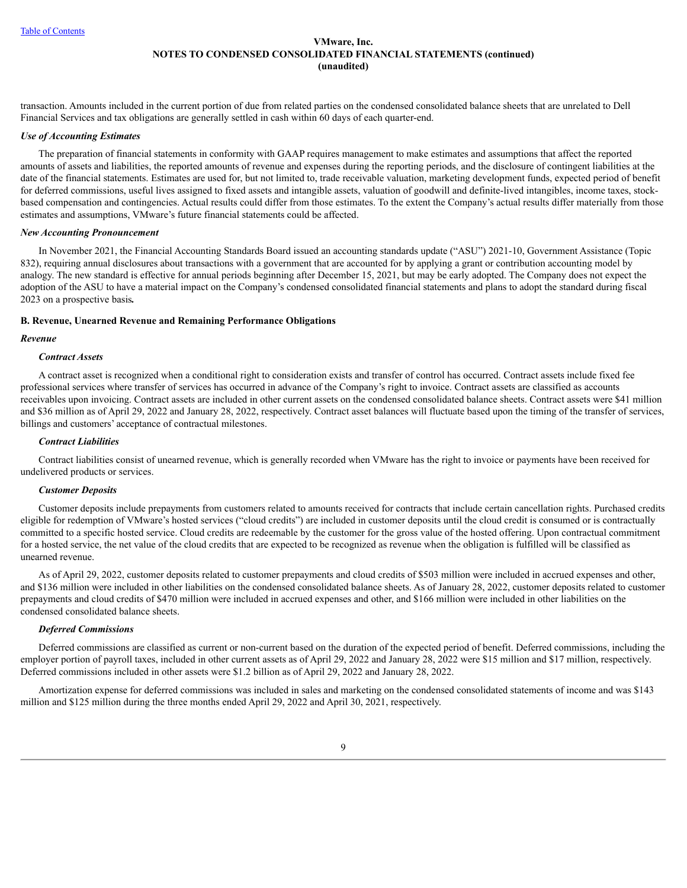transaction. Amounts included in the current portion of due from related parties on the condensed consolidated balance sheets that are unrelated to Dell Financial Services and tax obligations are generally settled in cash within 60 days of each quarter-end.

## *Use of Accounting Estimates*

The preparation of financial statements in conformity with GAAP requires management to make estimates and assumptions that affect the reported amounts of assets and liabilities, the reported amounts of revenue and expenses during the reporting periods, and the disclosure of contingent liabilities at the date of the financial statements. Estimates are used for, but not limited to, trade receivable valuation, marketing development funds, expected period of benefit for deferred commissions, useful lives assigned to fixed assets and intangible assets, valuation of goodwill and definite-lived intangibles, income taxes, stockbased compensation and contingencies. Actual results could differ from those estimates. To the extent the Company's actual results differ materially from those estimates and assumptions, VMware's future financial statements could be affected.

## *New Accounting Pronouncement*

In November 2021, the Financial Accounting Standards Board issued an accounting standards update ("ASU") 2021-10, Government Assistance (Topic 832), requiring annual disclosures about transactions with a government that are accounted for by applying a grant or contribution accounting model by analogy. The new standard is effective for annual periods beginning after December 15, 2021, but may be early adopted. The Company does not expect the adoption of the ASU to have a material impact on the Company's condensed consolidated financial statements and plans to adopt the standard during fiscal 2023 on a prospective basis*.*

## **B. Revenue, Unearned Revenue and Remaining Performance Obligations**

#### *Revenue*

## *Contract Assets*

A contract asset is recognized when a conditional right to consideration exists and transfer of control has occurred. Contract assets include fixed fee professional services where transfer of services has occurred in advance of the Company's right to invoice. Contract assets are classified as accounts receivables upon invoicing. Contract assets are included in other current assets on the condensed consolidated balance sheets. Contract assets were \$41 million and \$36 million as of April 29, 2022 and January 28, 2022, respectively. Contract asset balances will fluctuate based upon the timing of the transfer of services, billings and customers' acceptance of contractual milestones.

#### *Contract Liabilities*

Contract liabilities consist of unearned revenue, which is generally recorded when VMware has the right to invoice or payments have been received for undelivered products or services.

#### *Customer Deposits*

Customer deposits include prepayments from customers related to amounts received for contracts that include certain cancellation rights. Purchased credits eligible for redemption of VMware's hosted services ("cloud credits") are included in customer deposits until the cloud credit is consumed or is contractually committed to a specific hosted service. Cloud credits are redeemable by the customer for the gross value of the hosted offering. Upon contractual commitment for a hosted service, the net value of the cloud credits that are expected to be recognized as revenue when the obligation is fulfilled will be classified as unearned revenue.

As of April 29, 2022, customer deposits related to customer prepayments and cloud credits of \$503 million were included in accrued expenses and other, and \$136 million were included in other liabilities on the condensed consolidated balance sheets. As of January 28, 2022, customer deposits related to customer prepayments and cloud credits of \$470 million were included in accrued expenses and other, and \$166 million were included in other liabilities on the condensed consolidated balance sheets.

## *Deferred Commissions*

Deferred commissions are classified as current or non-current based on the duration of the expected period of benefit. Deferred commissions, including the employer portion of payroll taxes, included in other current assets as of April 29, 2022 and January 28, 2022 were \$15 million and \$17 million, respectively. Deferred commissions included in other assets were \$1.2 billion as of April 29, 2022 and January 28, 2022.

Amortization expense for deferred commissions was included in sales and marketing on the condensed consolidated statements of income and was \$143 million and \$125 million during the three months ended April 29, 2022 and April 30, 2021, respectively.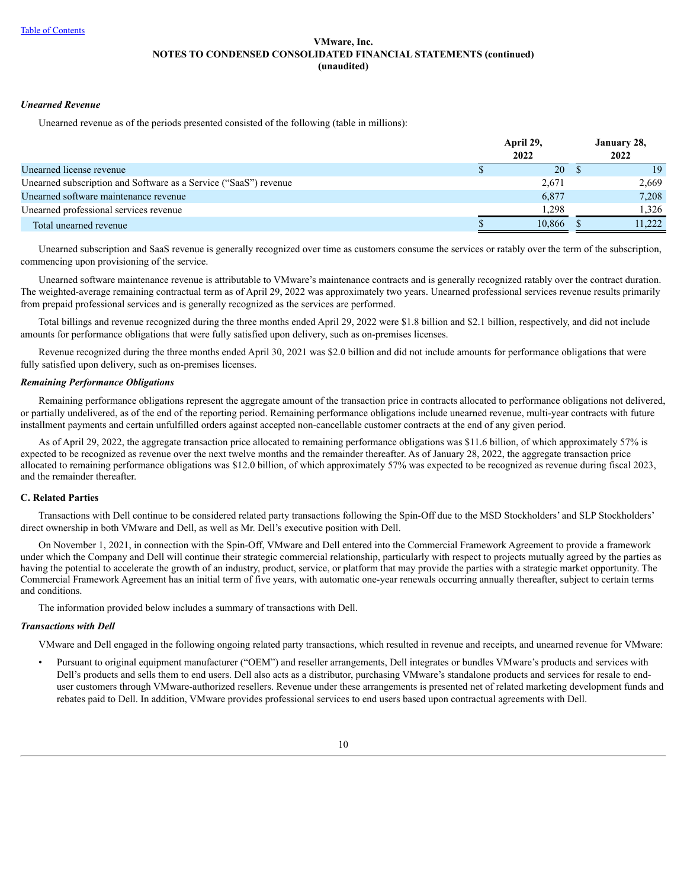## *Unearned Revenue*

Unearned revenue as of the periods presented consisted of the following (table in millions):

|                                                                  | April 29,<br>2022 |  |        |  |  |
|------------------------------------------------------------------|-------------------|--|--------|--|--|
| Unearned license revenue                                         | 20                |  | 19     |  |  |
| Unearned subscription and Software as a Service ("SaaS") revenue | 2,671             |  | 2,669  |  |  |
| Unearned software maintenance revenue                            | 6,877             |  | 7,208  |  |  |
| Unearned professional services revenue                           | 1.298             |  | 1.326  |  |  |
| Total unearned revenue                                           | 10.866            |  | 11.222 |  |  |

Unearned subscription and SaaS revenue is generally recognized over time as customers consume the services or ratably over the term of the subscription, commencing upon provisioning of the service.

Unearned software maintenance revenue is attributable to VMware's maintenance contracts and is generally recognized ratably over the contract duration. The weighted-average remaining contractual term as of April 29, 2022 was approximately two years. Unearned professional services revenue results primarily from prepaid professional services and is generally recognized as the services are performed.

Total billings and revenue recognized during the three months ended April 29, 2022 were \$1.8 billion and \$2.1 billion, respectively, and did not include amounts for performance obligations that were fully satisfied upon delivery, such as on-premises licenses.

Revenue recognized during the three months ended April 30, 2021 was \$2.0 billion and did not include amounts for performance obligations that were fully satisfied upon delivery, such as on-premises licenses.

## *Remaining Performance Obligations*

Remaining performance obligations represent the aggregate amount of the transaction price in contracts allocated to performance obligations not delivered, or partially undelivered, as of the end of the reporting period. Remaining performance obligations include unearned revenue, multi-year contracts with future installment payments and certain unfulfilled orders against accepted non-cancellable customer contracts at the end of any given period.

As of April 29, 2022, the aggregate transaction price allocated to remaining performance obligations was \$11.6 billion, of which approximately 57% is expected to be recognized as revenue over the next twelve months and the remainder thereafter. As of January 28, 2022, the aggregate transaction price allocated to remaining performance obligations was \$12.0 billion, of which approximately 57% was expected to be recognized as revenue during fiscal 2023, and the remainder thereafter.

## **C. Related Parties**

Transactions with Dell continue to be considered related party transactions following the Spin-Off due to the MSD Stockholders' and SLP Stockholders' direct ownership in both VMware and Dell, as well as Mr. Dell's executive position with Dell.

On November 1, 2021, in connection with the Spin-Off, VMware and Dell entered into the Commercial Framework Agreement to provide a framework under which the Company and Dell will continue their strategic commercial relationship, particularly with respect to projects mutually agreed by the parties as having the potential to accelerate the growth of an industry, product, service, or platform that may provide the parties with a strategic market opportunity. The Commercial Framework Agreement has an initial term of five years, with automatic one-year renewals occurring annually thereafter, subject to certain terms and conditions.

The information provided below includes a summary of transactions with Dell.

#### *Transactions with Dell*

VMware and Dell engaged in the following ongoing related party transactions, which resulted in revenue and receipts, and unearned revenue for VMware:

• Pursuant to original equipment manufacturer ("OEM") and reseller arrangements, Dell integrates or bundles VMware's products and services with Dell's products and sells them to end users. Dell also acts as a distributor, purchasing VMware's standalone products and services for resale to enduser customers through VMware-authorized resellers. Revenue under these arrangements is presented net of related marketing development funds and rebates paid to Dell. In addition, VMware provides professional services to end users based upon contractual agreements with Dell.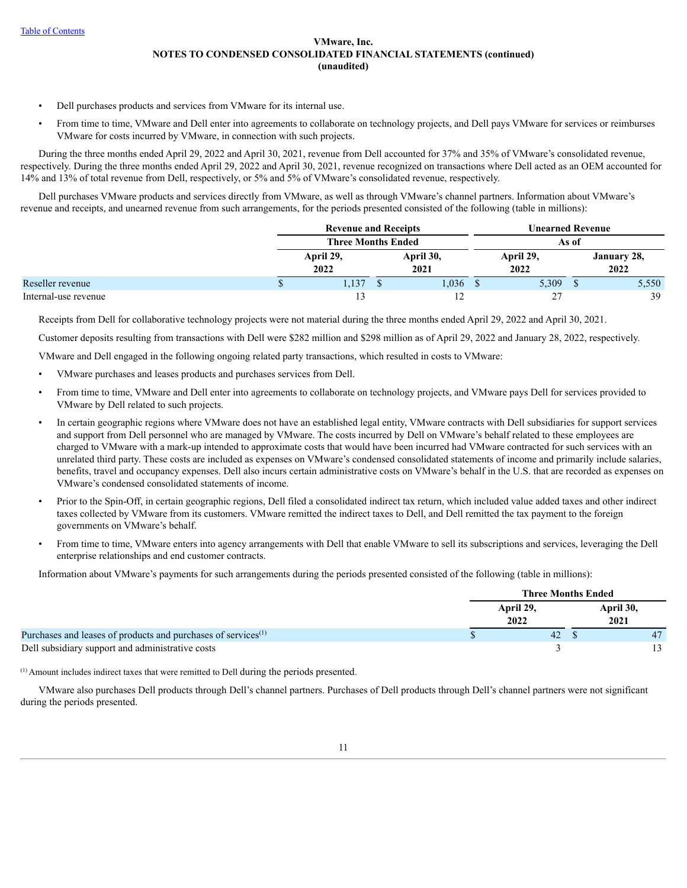- Dell purchases products and services from VMware for its internal use.
- From time to time, VMware and Dell enter into agreements to collaborate on technology projects, and Dell pays VMware for services or reimburses VMware for costs incurred by VMware, in connection with such projects.

During the three months ended April 29, 2022 and April 30, 2021, revenue from Dell accounted for 37% and 35% of VMware's consolidated revenue, respectively. During the three months ended April 29, 2022 and April 30, 2021, revenue recognized on transactions where Dell acted as an OEM accounted for 14% and 13% of total revenue from Dell, respectively, or 5% and 5% of VMware's consolidated revenue, respectively.

Dell purchases VMware products and services directly from VMware, as well as through VMware's channel partners. Information about VMware's revenue and receipts, and unearned revenue from such arrangements, for the periods presented consisted of the following (table in millions):

|                      | <b>Revenue and Receipts</b> |  |                   | Unearned Revenue |                   |  |                     |  |  |
|----------------------|-----------------------------|--|-------------------|------------------|-------------------|--|---------------------|--|--|
|                      | <b>Three Months Ended</b>   |  |                   |                  |                   |  |                     |  |  |
|                      | April 29,<br>2022           |  | April 30,<br>2021 |                  | April 29,<br>2022 |  | January 28,<br>2022 |  |  |
| Reseller revenue     | 1,137                       |  | 1,036             |                  | 5,309             |  | 5,550               |  |  |
| Internal-use revenue |                             |  |                   |                  | 27<br>∼           |  | 39                  |  |  |

Receipts from Dell for collaborative technology projects were not material during the three months ended April 29, 2022 and April 30, 2021.

Customer deposits resulting from transactions with Dell were \$282 million and \$298 million as of April 29, 2022 and January 28, 2022, respectively.

VMware and Dell engaged in the following ongoing related party transactions, which resulted in costs to VMware:

- VMware purchases and leases products and purchases services from Dell.
- From time to time, VMware and Dell enter into agreements to collaborate on technology projects, and VMware pays Dell for services provided to VMware by Dell related to such projects.
- In certain geographic regions where VMware does not have an established legal entity, VMware contracts with Dell subsidiaries for support services and support from Dell personnel who are managed by VMware. The costs incurred by Dell on VMware's behalf related to these employees are charged to VMware with a mark-up intended to approximate costs that would have been incurred had VMware contracted for such services with an unrelated third party. These costs are included as expenses on VMware's condensed consolidated statements of income and primarily include salaries, benefits, travel and occupancy expenses. Dell also incurs certain administrative costs on VMware's behalf in the U.S. that are recorded as expenses on VMware's condensed consolidated statements of income.
- Prior to the Spin-Off, in certain geographic regions, Dell filed a consolidated indirect tax return, which included value added taxes and other indirect taxes collected by VMware from its customers. VMware remitted the indirect taxes to Dell, and Dell remitted the tax payment to the foreign governments on VMware's behalf.
- From time to time, VMware enters into agency arrangements with Dell that enable VMware to sell its subscriptions and services, leveraging the Dell enterprise relationships and end customer contracts.

Information about VMware's payments for such arrangements during the periods presented consisted of the following (table in millions):

|                                                                           |                   | <b>Three Months Ended</b> |  |
|---------------------------------------------------------------------------|-------------------|---------------------------|--|
|                                                                           | April 29,<br>2022 | April 30,<br>2021         |  |
| Purchases and leases of products and purchases of services <sup>(1)</sup> | 42                |                           |  |
| Dell subsidiary support and administrative costs                          |                   |                           |  |

 $<sup>(1)</sup>$  Amount includes indirect taxes that were remitted to Dell during the periods presented.</sup>

VMware also purchases Dell products through Dell's channel partners. Purchases of Dell products through Dell's channel partners were not significant during the periods presented.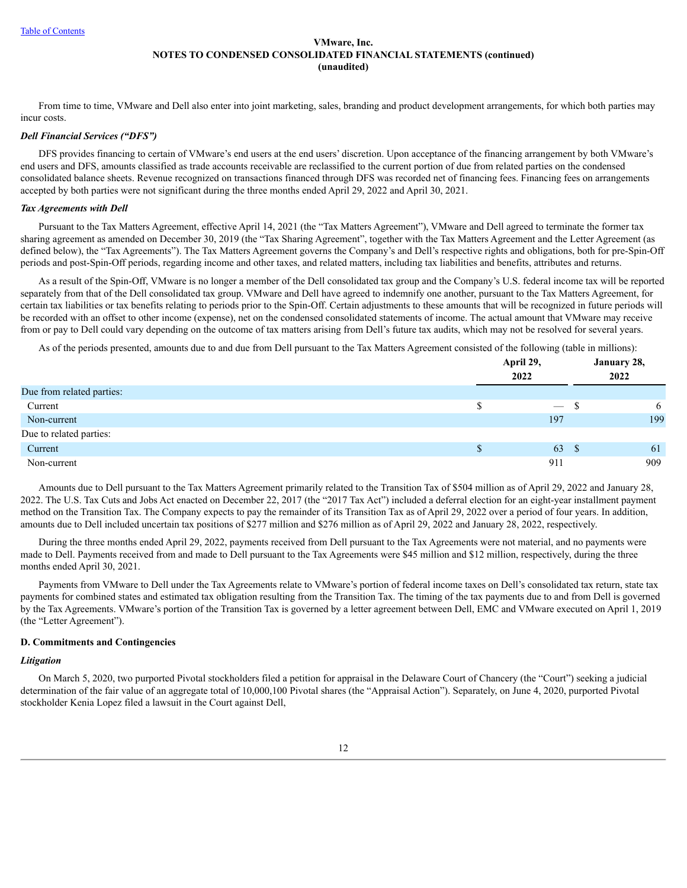From time to time, VMware and Dell also enter into joint marketing, sales, branding and product development arrangements, for which both parties may incur costs.

## *Dell Financial Services ("DFS")*

DFS provides financing to certain of VMware's end users at the end users' discretion. Upon acceptance of the financing arrangement by both VMware's end users and DFS, amounts classified as trade accounts receivable are reclassified to the current portion of due from related parties on the condensed consolidated balance sheets. Revenue recognized on transactions financed through DFS was recorded net of financing fees. Financing fees on arrangements accepted by both parties were not significant during the three months ended April 29, 2022 and April 30, 2021.

#### *Tax Agreements with Dell*

Pursuant to the Tax Matters Agreement, effective April 14, 2021 (the "Tax Matters Agreement"), VMware and Dell agreed to terminate the former tax sharing agreement as amended on December 30, 2019 (the "Tax Sharing Agreement", together with the Tax Matters Agreement and the Letter Agreement (as defined below), the "Tax Agreements"). The Tax Matters Agreement governs the Company's and Dell's respective rights and obligations, both for pre-Spin-Off periods and post-Spin-Off periods, regarding income and other taxes, and related matters, including tax liabilities and benefits, attributes and returns.

As a result of the Spin-Off, VMware is no longer a member of the Dell consolidated tax group and the Company's U.S. federal income tax will be reported separately from that of the Dell consolidated tax group. VMware and Dell have agreed to indemnify one another, pursuant to the Tax Matters Agreement, for certain tax liabilities or tax benefits relating to periods prior to the Spin-Off. Certain adjustments to these amounts that will be recognized in future periods will be recorded with an offset to other income (expense), net on the condensed consolidated statements of income. The actual amount that VMware may receive from or pay to Dell could vary depending on the outcome of tax matters arising from Dell's future tax audits, which may not be resolved for several years.

As of the periods presented, amounts due to and due from Dell pursuant to the Tax Matters Agreement consisted of the following (table in millions):

|                           | April 29,                     | January 28, |  |
|---------------------------|-------------------------------|-------------|--|
|                           | 2022                          | 2022        |  |
| Due from related parties: |                               |             |  |
| Current                   | $\overline{\phantom{a}}$<br>ъ | 6           |  |
| Non-current               | 197                           | 199         |  |
| Due to related parties:   |                               |             |  |
| Current                   | 63<br>-S                      | 61          |  |
| Non-current               | 911                           | 909         |  |

Amounts due to Dell pursuant to the Tax Matters Agreement primarily related to the Transition Tax of \$504 million as of April 29, 2022 and January 28, 2022. The U.S. Tax Cuts and Jobs Act enacted on December 22, 2017 (the "2017 Tax Act") included a deferral election for an eight-year installment payment method on the Transition Tax. The Company expects to pay the remainder of its Transition Tax as of April 29, 2022 over a period of four years. In addition, amounts due to Dell included uncertain tax positions of \$277 million and \$276 million as of April 29, 2022 and January 28, 2022, respectively.

During the three months ended April 29, 2022, payments received from Dell pursuant to the Tax Agreements were not material, and no payments were made to Dell. Payments received from and made to Dell pursuant to the Tax Agreements were \$45 million and \$12 million, respectively, during the three months ended April 30, 2021.

Payments from VMware to Dell under the Tax Agreements relate to VMware's portion of federal income taxes on Dell's consolidated tax return, state tax payments for combined states and estimated tax obligation resulting from the Transition Tax. The timing of the tax payments due to and from Dell is governed by the Tax Agreements. VMware's portion of the Transition Tax is governed by a letter agreement between Dell, EMC and VMware executed on April 1, 2019 (the "Letter Agreement").

#### **D. Commitments and Contingencies**

#### *Litigation*

On March 5, 2020, two purported Pivotal stockholders filed a petition for appraisal in the Delaware Court of Chancery (the "Court") seeking a judicial determination of the fair value of an aggregate total of 10,000,100 Pivotal shares (the "Appraisal Action"). Separately, on June 4, 2020, purported Pivotal stockholder Kenia Lopez filed a lawsuit in the Court against Dell,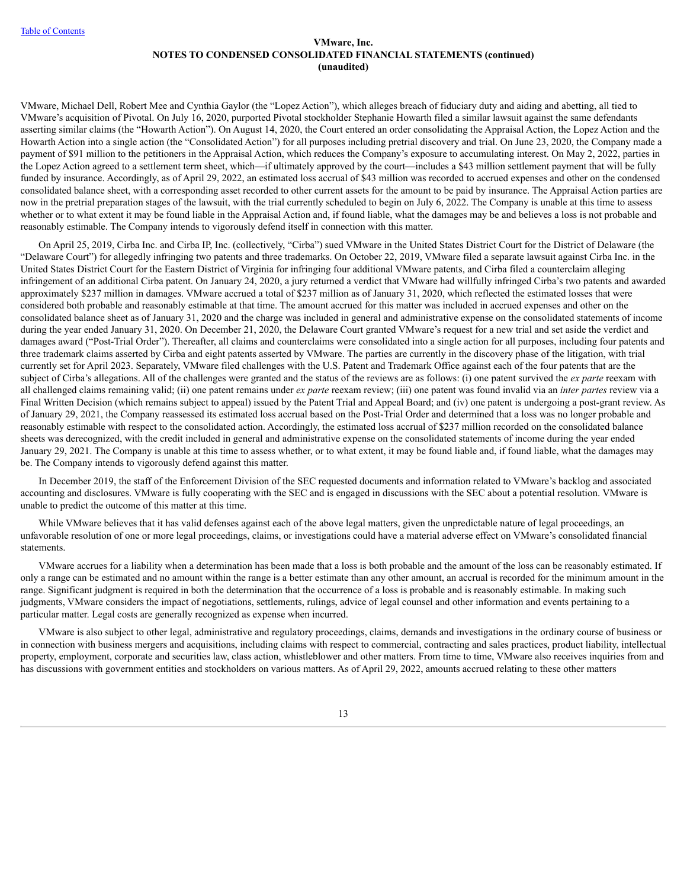VMware, Michael Dell, Robert Mee and Cynthia Gaylor (the "Lopez Action"), which alleges breach of fiduciary duty and aiding and abetting, all tied to VMware's acquisition of Pivotal. On July 16, 2020, purported Pivotal stockholder Stephanie Howarth filed a similar lawsuit against the same defendants asserting similar claims (the "Howarth Action"). On August 14, 2020, the Court entered an order consolidating the Appraisal Action, the Lopez Action and the Howarth Action into a single action (the "Consolidated Action") for all purposes including pretrial discovery and trial. On June 23, 2020, the Company made a payment of \$91 million to the petitioners in the Appraisal Action, which reduces the Company's exposure to accumulating interest. On May 2, 2022, parties in the Lopez Action agreed to a settlement term sheet, which—if ultimately approved by the court—includes a \$43 million settlement payment that will be fully funded by insurance. Accordingly, as of April 29, 2022, an estimated loss accrual of \$43 million was recorded to accrued expenses and other on the condensed consolidated balance sheet, with a corresponding asset recorded to other current assets for the amount to be paid by insurance. The Appraisal Action parties are now in the pretrial preparation stages of the lawsuit, with the trial currently scheduled to begin on July 6, 2022. The Company is unable at this time to assess whether or to what extent it may be found liable in the Appraisal Action and, if found liable, what the damages may be and believes a loss is not probable and reasonably estimable. The Company intends to vigorously defend itself in connection with this matter.

On April 25, 2019, Cirba Inc. and Cirba IP, Inc. (collectively, "Cirba") sued VMware in the United States District Court for the District of Delaware (the "Delaware Court") for allegedly infringing two patents and three trademarks. On October 22, 2019, VMware filed a separate lawsuit against Cirba Inc. in the United States District Court for the Eastern District of Virginia for infringing four additional VMware patents, and Cirba filed a counterclaim alleging infringement of an additional Cirba patent. On January 24, 2020, a jury returned a verdict that VMware had willfully infringed Cirba's two patents and awarded approximately \$237 million in damages. VMware accrued a total of \$237 million as of January 31, 2020, which reflected the estimated losses that were considered both probable and reasonably estimable at that time. The amount accrued for this matter was included in accrued expenses and other on the consolidated balance sheet as of January 31, 2020 and the charge was included in general and administrative expense on the consolidated statements of income during the year ended January 31, 2020. On December 21, 2020, the Delaware Court granted VMware's request for a new trial and set aside the verdict and damages award ("Post-Trial Order"). Thereafter, all claims and counterclaims were consolidated into a single action for all purposes, including four patents and three trademark claims asserted by Cirba and eight patents asserted by VMware. The parties are currently in the discovery phase of the litigation, with trial currently set for April 2023. Separately, VMware filed challenges with the U.S. Patent and Trademark Office against each of the four patents that are the subject of Cirba's allegations. All of the challenges were granted and the status of the reviews are as follows: (i) one patent survived the *ex parte* reexam with all challenged claims remaining valid; (ii) one patent remains under *ex parte* reexam review; (iii) one patent was found invalid via an *inter partes* review via a Final Written Decision (which remains subject to appeal) issued by the Patent Trial and Appeal Board; and (iv) one patent is undergoing a post-grant review. As of January 29, 2021, the Company reassessed its estimated loss accrual based on the Post-Trial Order and determined that a loss was no longer probable and reasonably estimable with respect to the consolidated action. Accordingly, the estimated loss accrual of \$237 million recorded on the consolidated balance sheets was derecognized, with the credit included in general and administrative expense on the consolidated statements of income during the year ended January 29, 2021. The Company is unable at this time to assess whether, or to what extent, it may be found liable and, if found liable, what the damages may be. The Company intends to vigorously defend against this matter.

In December 2019, the staff of the Enforcement Division of the SEC requested documents and information related to VMware's backlog and associated accounting and disclosures. VMware is fully cooperating with the SEC and is engaged in discussions with the SEC about a potential resolution. VMware is unable to predict the outcome of this matter at this time.

While VMware believes that it has valid defenses against each of the above legal matters, given the unpredictable nature of legal proceedings, an unfavorable resolution of one or more legal proceedings, claims, or investigations could have a material adverse effect on VMware's consolidated financial statements.

VMware accrues for a liability when a determination has been made that a loss is both probable and the amount of the loss can be reasonably estimated. If only a range can be estimated and no amount within the range is a better estimate than any other amount, an accrual is recorded for the minimum amount in the range. Significant judgment is required in both the determination that the occurrence of a loss is probable and is reasonably estimable. In making such judgments, VMware considers the impact of negotiations, settlements, rulings, advice of legal counsel and other information and events pertaining to a particular matter. Legal costs are generally recognized as expense when incurred.

VMware is also subject to other legal, administrative and regulatory proceedings, claims, demands and investigations in the ordinary course of business or in connection with business mergers and acquisitions, including claims with respect to commercial, contracting and sales practices, product liability, intellectual property, employment, corporate and securities law, class action, whistleblower and other matters. From time to time, VMware also receives inquiries from and has discussions with government entities and stockholders on various matters. As of April 29, 2022, amounts accrued relating to these other matters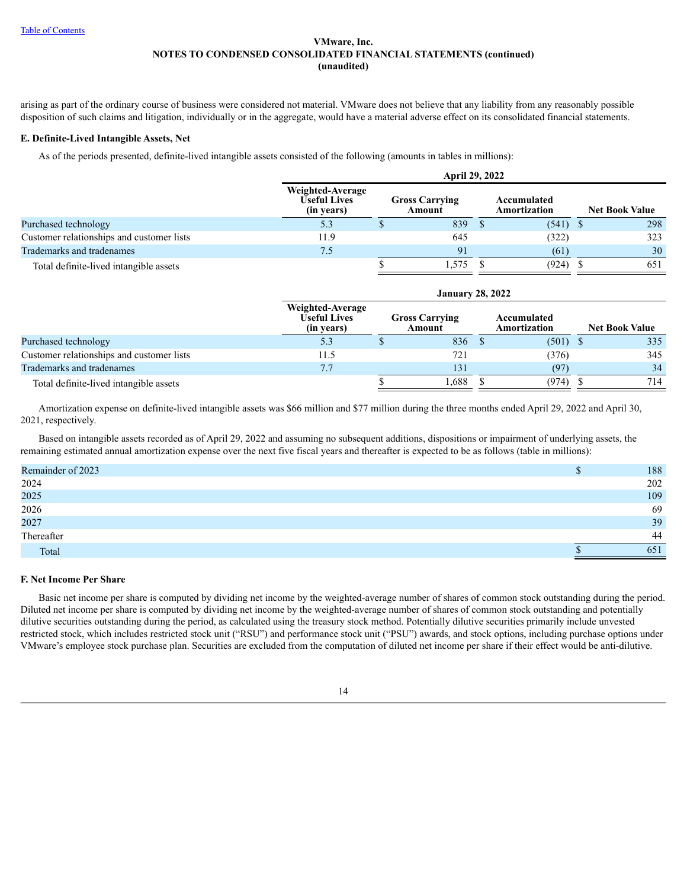arising as part of the ordinary course of business were considered not material. VMware does not believe that any liability from any reasonably possible disposition of such claims and litigation, individually or in the aggregate, would have a material adverse effect on its consolidated financial statements.

## **E. Definite-Lived Intangible Assets, Net**

As of the periods presented, definite-lived intangible assets consisted of the following (amounts in tables in millions):

|                                           |                                                | <b>April 29, 2022</b> |                                 |  |                             |  |                       |
|-------------------------------------------|------------------------------------------------|-----------------------|---------------------------------|--|-----------------------------|--|-----------------------|
|                                           | Weighted-Average<br>Useful Lives<br>(in years) |                       | <b>Gross Carrying</b><br>Amount |  | Accumulated<br>Amortization |  | <b>Net Book Value</b> |
| Purchased technology                      | 5.3                                            |                       | 839                             |  | (541)                       |  | 298                   |
| Customer relationships and customer lists | 11.9                                           |                       | 645                             |  | (322)                       |  | 323                   |
| Trademarks and tradenames                 | 7.5                                            |                       | 91                              |  | (61)                        |  | 30                    |
| Total definite-lived intangible assets    |                                                |                       | .575                            |  | (924)                       |  | 651                   |

|                                           |                                                       | <b>January 28, 2022</b> |                                 |  |                             |  |                       |  |
|-------------------------------------------|-------------------------------------------------------|-------------------------|---------------------------------|--|-----------------------------|--|-----------------------|--|
|                                           | Weighted-Average<br><b>Useful Lives</b><br>(in years) |                         | <b>Gross Carrying</b><br>Amount |  | Accumulated<br>Amortization |  | <b>Net Book Value</b> |  |
| Purchased technology                      |                                                       |                         | 836                             |  | $(501)$ \$                  |  | 335                   |  |
| Customer relationships and customer lists | 11.5                                                  |                         | 721                             |  | (376)                       |  | 345                   |  |
| Trademarks and tradenames                 | 7.7                                                   |                         | 131                             |  | (97)                        |  | 34                    |  |
| Total definite-lived intangible assets    |                                                       |                         | .688                            |  | (974)                       |  | 714                   |  |

Amortization expense on definite-lived intangible assets was \$66 million and \$77 million during the three months ended April 29, 2022 and April 30, 2021, respectively.

Based on intangible assets recorded as of April 29, 2022 and assuming no subsequent additions, dispositions or impairment of underlying assets, the remaining estimated annual amortization expense over the next five fiscal years and thereafter is expected to be as follows (table in millions):

| Remainder of 2023 | 188 |
|-------------------|-----|
| 2024              | 202 |
| 2025              | 109 |
| 2026              | 69  |
| 2027              | 39  |
| Thereafter        | 44  |
| Total             | 651 |

## **F. Net Income Per Share**

Basic net income per share is computed by dividing net income by the weighted-average number of shares of common stock outstanding during the period. Diluted net income per share is computed by dividing net income by the weighted-average number of shares of common stock outstanding and potentially dilutive securities outstanding during the period, as calculated using the treasury stock method. Potentially dilutive securities primarily include unvested restricted stock, which includes restricted stock unit ("RSU") and performance stock unit ("PSU") awards, and stock options, including purchase options under VMware's employee stock purchase plan. Securities are excluded from the computation of diluted net income per share if their effect would be anti-dilutive.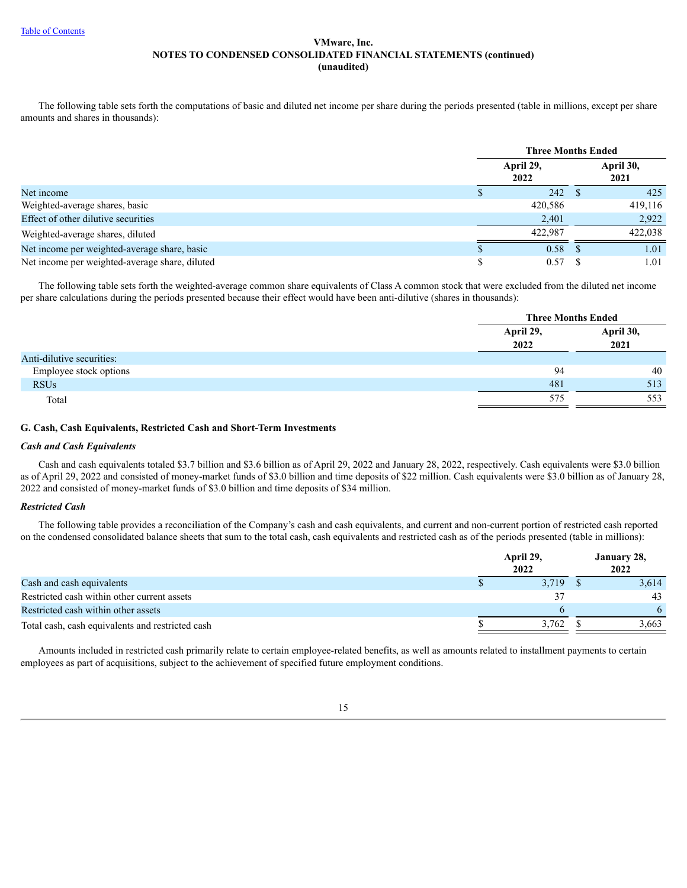The following table sets forth the computations of basic and diluted net income per share during the periods presented (table in millions, except per share amounts and shares in thousands):

|                                                | <b>Three Months Ended</b> |  |                   |  |
|------------------------------------------------|---------------------------|--|-------------------|--|
|                                                | April 29,<br>2022         |  | April 30,<br>2021 |  |
| Net income                                     | 242                       |  | 425               |  |
| Weighted-average shares, basic                 | 420,586                   |  | 419,116           |  |
| Effect of other dilutive securities            | 2,401                     |  | 2,922             |  |
| Weighted-average shares, diluted               | 422.987                   |  | 422,038           |  |
| Net income per weighted-average share, basic   | 0.58                      |  | 1.01              |  |
| Net income per weighted-average share, diluted | 0.57                      |  | 1.01              |  |

The following table sets forth the weighted-average common share equivalents of Class A common stock that were excluded from the diluted net income per share calculations during the periods presented because their effect would have been anti-dilutive (shares in thousands):

|                           | <b>Three Months Ended</b> |                   |  |
|---------------------------|---------------------------|-------------------|--|
|                           | April 29,<br>2022         | April 30,<br>2021 |  |
| Anti-dilutive securities: |                           |                   |  |
| Employee stock options    | 94                        | 40                |  |
| <b>RSUs</b>               | 481                       | 513               |  |
| Total                     | 575                       | 553               |  |

## **G. Cash, Cash Equivalents, Restricted Cash and Short-Term Investments**

#### *Cash and Cash Equivalents*

Cash and cash equivalents totaled \$3.7 billion and \$3.6 billion as of April 29, 2022 and January 28, 2022, respectively. Cash equivalents were \$3.0 billion as of April 29, 2022 and consisted of money-market funds of \$3.0 billion and time deposits of \$22 million. Cash equivalents were \$3.0 billion as of January 28, 2022 and consisted of money-market funds of \$3.0 billion and time deposits of \$34 million.

## *Restricted Cash*

The following table provides a reconciliation of the Company's cash and cash equivalents, and current and non-current portion of restricted cash reported on the condensed consolidated balance sheets that sum to the total cash, cash equivalents and restricted cash as of the periods presented (table in millions):

|                                                  | April 29,<br>2022 | January 28,<br>2022 |       |  |
|--------------------------------------------------|-------------------|---------------------|-------|--|
| Cash and cash equivalents                        | 3.719             |                     | 3,614 |  |
| Restricted cash within other current assets      |                   |                     | 43    |  |
| Restricted cash within other assets              |                   |                     |       |  |
| Total cash, cash equivalents and restricted cash | 3,762             |                     | 3.663 |  |

Amounts included in restricted cash primarily relate to certain employee-related benefits, as well as amounts related to installment payments to certain employees as part of acquisitions, subject to the achievement of specified future employment conditions.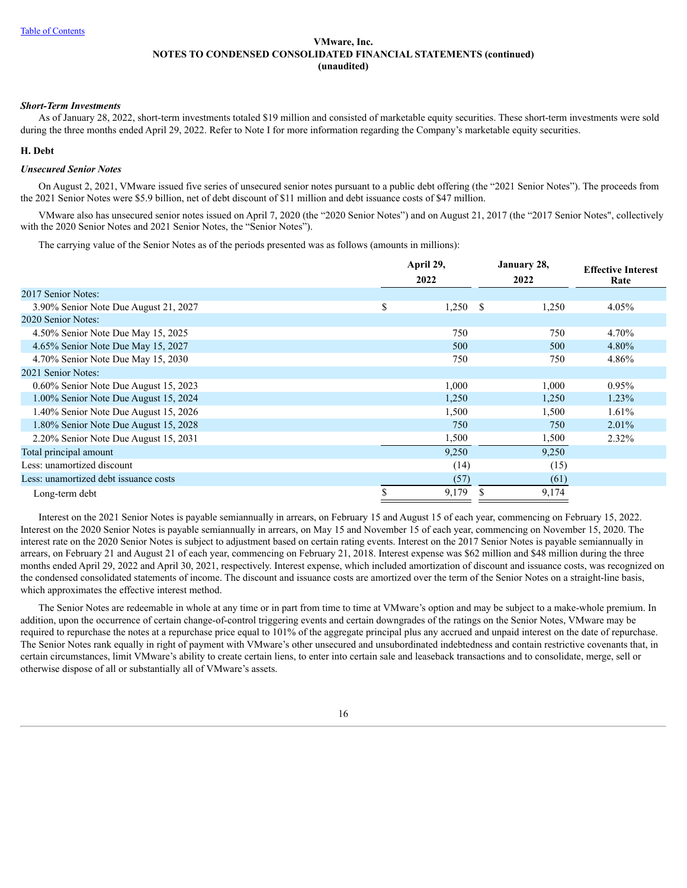#### *Short-Term Investments*

As of January 28, 2022, short-term investments totaled \$19 million and consisted of marketable equity securities. These short-term investments were sold during the three months ended April 29, 2022. Refer to Note I for more information regarding the Company's marketable equity securities.

#### **H. Debt**

## *Unsecured Senior Notes*

On August 2, 2021, VMware issued five series of unsecured senior notes pursuant to a public debt offering (the "2021 Senior Notes"). The proceeds from the 2021 Senior Notes were \$5.9 billion, net of debt discount of \$11 million and debt issuance costs of \$47 million.

VMware also has unsecured senior notes issued on April 7, 2020 (the "2020 Senior Notes") and on August 21, 2017 (the "2017 Senior Notes", collectively with the 2020 Senior Notes and 2021 Senior Notes, the "Senior Notes").

The carrying value of the Senior Notes as of the periods presented was as follows (amounts in millions):

|                                       | April 29,   | January 28,  | <b>Effective Interest</b> |
|---------------------------------------|-------------|--------------|---------------------------|
|                                       | 2022        | 2022         | Rate                      |
| 2017 Senior Notes:                    |             |              |                           |
| 3.90% Senior Note Due August 21, 2027 | \$<br>1,250 | -S<br>1,250  | 4.05%                     |
| 2020 Senior Notes:                    |             |              |                           |
| 4.50% Senior Note Due May 15, 2025    | 750         | 750          | 4.70%                     |
| 4.65% Senior Note Due May 15, 2027    | 500         | 500          | 4.80%                     |
| 4.70% Senior Note Due May 15, 2030    | 750         | 750          | 4.86%                     |
| 2021 Senior Notes:                    |             |              |                           |
| 0.60% Senior Note Due August 15, 2023 | 1,000       | 1,000        | 0.95%                     |
| 1.00% Senior Note Due August 15, 2024 | 1,250       | 1,250        | 1.23%                     |
| 1.40% Senior Note Due August 15, 2026 | 1,500       | 1,500        | 1.61%                     |
| 1.80% Senior Note Due August 15, 2028 | 750         | 750          | 2.01%                     |
| 2.20% Senior Note Due August 15, 2031 | 1,500       | 1,500        | 2.32%                     |
| Total principal amount                | 9,250       | 9,250        |                           |
| Less: unamortized discount            | (14)        | (15)         |                           |
| Less: unamortized debt issuance costs | (57)        | (61)         |                           |
| Long-term debt                        | \$<br>9,179 | \$.<br>9,174 |                           |

Interest on the 2021 Senior Notes is payable semiannually in arrears, on February 15 and August 15 of each year, commencing on February 15, 2022. Interest on the 2020 Senior Notes is payable semiannually in arrears, on May 15 and November 15 of each year, commencing on November 15, 2020. The interest rate on the 2020 Senior Notes is subject to adjustment based on certain rating events. Interest on the 2017 Senior Notes is payable semiannually in arrears, on February 21 and August 21 of each year, commencing on February 21, 2018. Interest expense was \$62 million and \$48 million during the three months ended April 29, 2022 and April 30, 2021, respectively. Interest expense, which included amortization of discount and issuance costs, was recognized on the condensed consolidated statements of income. The discount and issuance costs are amortized over the term of the Senior Notes on a straight-line basis, which approximates the effective interest method.

The Senior Notes are redeemable in whole at any time or in part from time to time at VMware's option and may be subject to a make-whole premium. In addition, upon the occurrence of certain change-of-control triggering events and certain downgrades of the ratings on the Senior Notes, VMware may be required to repurchase the notes at a repurchase price equal to 101% of the aggregate principal plus any accrued and unpaid interest on the date of repurchase. The Senior Notes rank equally in right of payment with VMware's other unsecured and unsubordinated indebtedness and contain restrictive covenants that, in certain circumstances, limit VMware's ability to create certain liens, to enter into certain sale and leaseback transactions and to consolidate, merge, sell or otherwise dispose of all or substantially all of VMware's assets.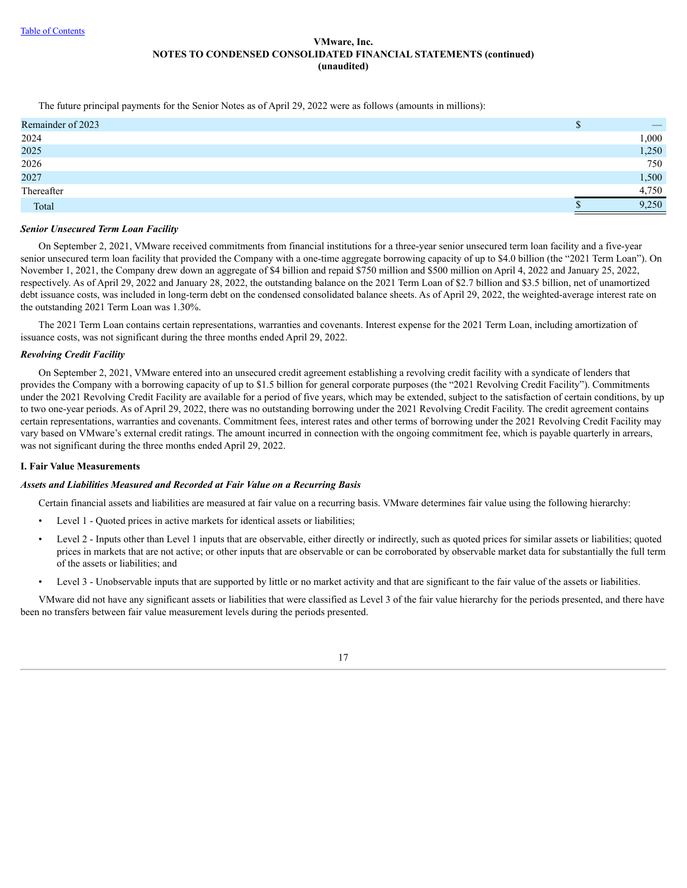The future principal payments for the Senior Notes as of April 29, 2022 were as follows (amounts in millions):

| Remainder of 2023 | w |       |
|-------------------|---|-------|
| 2024              |   | 1,000 |
| 2025              |   | 1,250 |
| 2026              |   | 750   |
| 2027              |   | 1,500 |
| Thereafter        |   | 4,750 |
| Total             |   | 9,250 |

## *Senior Unsecured Term Loan Facility*

On September 2, 2021, VMware received commitments from financial institutions for a three-year senior unsecured term loan facility and a five-year senior unsecured term loan facility that provided the Company with a one-time aggregate borrowing capacity of up to \$4.0 billion (the "2021 Term Loan"). On November 1, 2021, the Company drew down an aggregate of \$4 billion and repaid \$750 million and \$500 million on April 4, 2022 and January 25, 2022, respectively. As of April 29, 2022 and January 28, 2022, the outstanding balance on the 2021 Term Loan of \$2.7 billion and \$3.5 billion, net of unamortized debt issuance costs, was included in long-term debt on the condensed consolidated balance sheets. As of April 29, 2022, the weighted-average interest rate on the outstanding 2021 Term Loan was 1.30%.

The 2021 Term Loan contains certain representations, warranties and covenants. Interest expense for the 2021 Term Loan, including amortization of issuance costs, was not significant during the three months ended April 29, 2022.

## *Revolving Credit Facility*

On September 2, 2021, VMware entered into an unsecured credit agreement establishing a revolving credit facility with a syndicate of lenders that provides the Company with a borrowing capacity of up to \$1.5 billion for general corporate purposes (the "2021 Revolving Credit Facility"). Commitments under the 2021 Revolving Credit Facility are available for a period of five years, which may be extended, subject to the satisfaction of certain conditions, by up to two one-year periods. As of April 29, 2022, there was no outstanding borrowing under the 2021 Revolving Credit Facility. The credit agreement contains certain representations, warranties and covenants. Commitment fees, interest rates and other terms of borrowing under the 2021 Revolving Credit Facility may vary based on VMware's external credit ratings. The amount incurred in connection with the ongoing commitment fee, which is payable quarterly in arrears, was not significant during the three months ended April 29, 2022.

#### **I. Fair Value Measurements**

#### *Assets and Liabilities Measured and Recorded at Fair Value on a Recurring Basis*

Certain financial assets and liabilities are measured at fair value on a recurring basis. VMware determines fair value using the following hierarchy:

- Level 1 Quoted prices in active markets for identical assets or liabilities;
- Level 2 Inputs other than Level 1 inputs that are observable, either directly or indirectly, such as quoted prices for similar assets or liabilities; quoted prices in markets that are not active; or other inputs that are observable or can be corroborated by observable market data for substantially the full term of the assets or liabilities; and
- Level 3 Unobservable inputs that are supported by little or no market activity and that are significant to the fair value of the assets or liabilities.

VMware did not have any significant assets or liabilities that were classified as Level 3 of the fair value hierarchy for the periods presented, and there have been no transfers between fair value measurement levels during the periods presented.

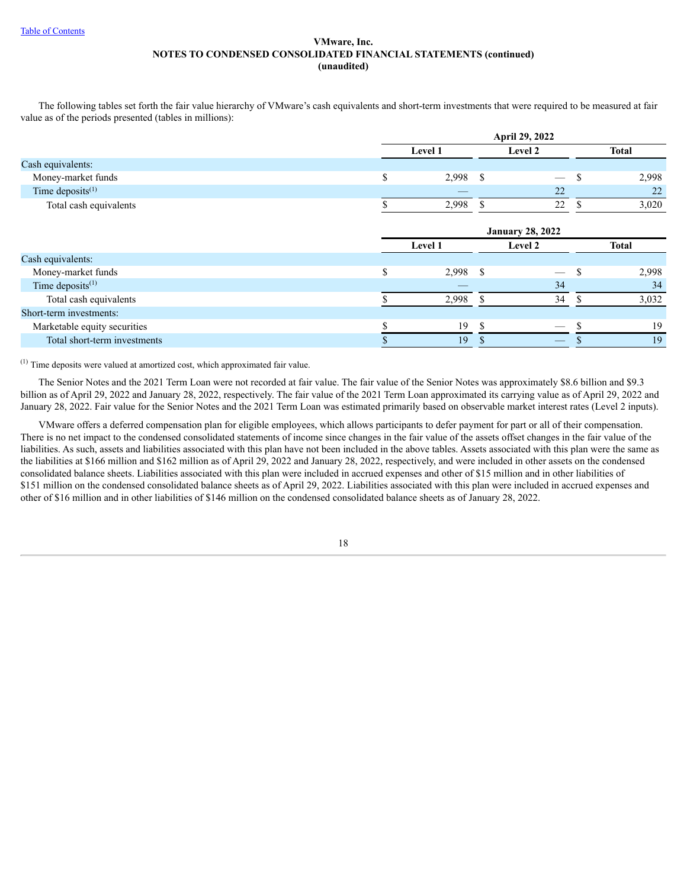The following tables set forth the fair value hierarchy of VMware's cash equivalents and short-term investments that were required to be measured at fair value as of the periods presented (tables in millions):

|                              | April 29, 2022          |                                 |               |              |  |
|------------------------------|-------------------------|---------------------------------|---------------|--------------|--|
|                              | Level 1                 | Level 2                         |               | <b>Total</b> |  |
| Cash equivalents:            |                         |                                 |               |              |  |
| Money-market funds           | \$<br>2,998             | -S                              | -S            | 2,998        |  |
| Time deposits $(1)$          |                         | 22                              |               | 22           |  |
| Total cash equivalents       | 2,998                   | 22<br><sup>\$</sup>             | \$.           | 3,020        |  |
|                              | <b>January 28, 2022</b> |                                 |               |              |  |
|                              |                         |                                 |               |              |  |
|                              | Level 1                 | Level 2                         |               | <b>Total</b> |  |
| Cash equivalents:            |                         |                                 |               |              |  |
| Money-market funds           | \$<br>2,998             | -\$<br>$\overline{\phantom{0}}$ | -\$           | 2,998        |  |
| Time deposits $(1)$          |                         | 34                              |               | 34           |  |
| Total cash equivalents       | 2,998                   | 34<br>-S                        | <sup>\$</sup> | 3,032        |  |
| Short-term investments:      |                         |                                 |               |              |  |
| Marketable equity securities | 19                      | <sup>\$</sup>                   |               | 19           |  |

 $(1)$  Time deposits were valued at amortized cost, which approximated fair value.

The Senior Notes and the 2021 Term Loan were not recorded at fair value. The fair value of the Senior Notes was approximately \$8.6 billion and \$9.3 billion as of April 29, 2022 and January 28, 2022, respectively. The fair value of the 2021 Term Loan approximated its carrying value as of April 29, 2022 and January 28, 2022. Fair value for the Senior Notes and the 2021 Term Loan was estimated primarily based on observable market interest rates (Level 2 inputs).

VMware offers a deferred compensation plan for eligible employees, which allows participants to defer payment for part or all of their compensation. There is no net impact to the condensed consolidated statements of income since changes in the fair value of the assets offset changes in the fair value of the liabilities. As such, assets and liabilities associated with this plan have not been included in the above tables. Assets associated with this plan were the same as the liabilities at \$166 million and \$162 million as of April 29, 2022 and January 28, 2022, respectively, and were included in other assets on the condensed consolidated balance sheets. Liabilities associated with this plan were included in accrued expenses and other of \$15 million and in other liabilities of \$151 million on the condensed consolidated balance sheets as of April 29, 2022. Liabilities associated with this plan were included in accrued expenses and other of \$16 million and in other liabilities of \$146 million on the condensed consolidated balance sheets as of January 28, 2022.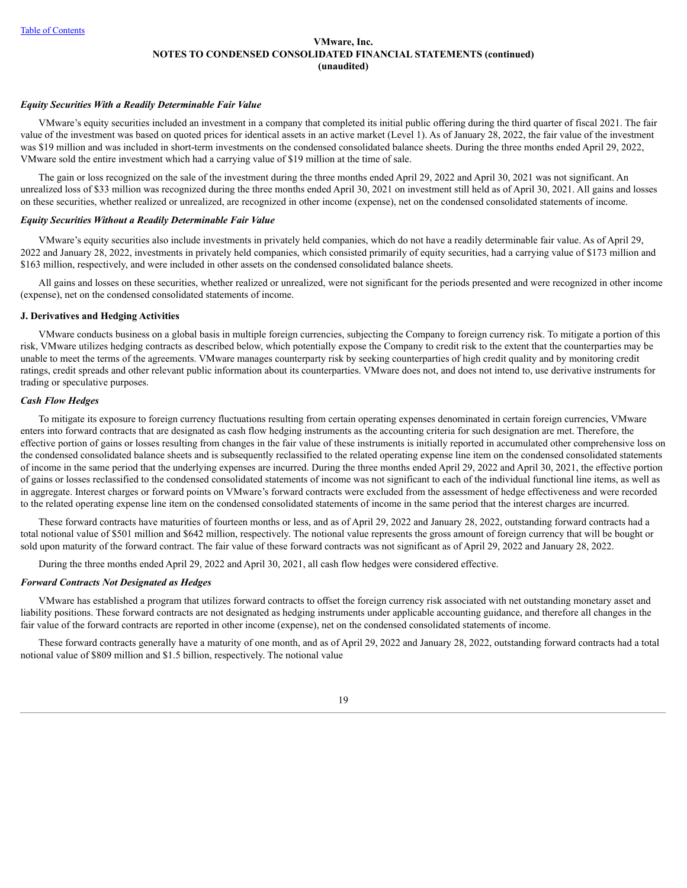## *Equity Securities With a Readily Determinable Fair Value*

VMware's equity securities included an investment in a company that completed its initial public offering during the third quarter of fiscal 2021. The fair value of the investment was based on quoted prices for identical assets in an active market (Level 1). As of January 28, 2022, the fair value of the investment was \$19 million and was included in short-term investments on the condensed consolidated balance sheets. During the three months ended April 29, 2022, VMware sold the entire investment which had a carrying value of \$19 million at the time of sale.

The gain or loss recognized on the sale of the investment during the three months ended April 29, 2022 and April 30, 2021 was not significant. An unrealized loss of \$33 million was recognized during the three months ended April 30, 2021 on investment still held as of April 30, 2021. All gains and losses on these securities, whether realized or unrealized, are recognized in other income (expense), net on the condensed consolidated statements of income.

## *Equity Securities Without a Readily Determinable Fair Value*

VMware's equity securities also include investments in privately held companies, which do not have a readily determinable fair value. As of April 29, 2022 and January 28, 2022, investments in privately held companies, which consisted primarily of equity securities, had a carrying value of \$173 million and \$163 million, respectively, and were included in other assets on the condensed consolidated balance sheets.

All gains and losses on these securities, whether realized or unrealized, were not significant for the periods presented and were recognized in other income (expense), net on the condensed consolidated statements of income.

#### **J. Derivatives and Hedging Activities**

VMware conducts business on a global basis in multiple foreign currencies, subjecting the Company to foreign currency risk. To mitigate a portion of this risk, VMware utilizes hedging contracts as described below, which potentially expose the Company to credit risk to the extent that the counterparties may be unable to meet the terms of the agreements. VMware manages counterparty risk by seeking counterparties of high credit quality and by monitoring credit ratings, credit spreads and other relevant public information about its counterparties. VMware does not, and does not intend to, use derivative instruments for trading or speculative purposes.

#### *Cash Flow Hedges*

To mitigate its exposure to foreign currency fluctuations resulting from certain operating expenses denominated in certain foreign currencies, VMware enters into forward contracts that are designated as cash flow hedging instruments as the accounting criteria for such designation are met. Therefore, the effective portion of gains or losses resulting from changes in the fair value of these instruments is initially reported in accumulated other comprehensive loss on the condensed consolidated balance sheets and is subsequently reclassified to the related operating expense line item on the condensed consolidated statements of income in the same period that the underlying expenses are incurred. During the three months ended April 29, 2022 and April 30, 2021, the effective portion of gains or losses reclassified to the condensed consolidated statements of income was not significant to each of the individual functional line items, as well as in aggregate. Interest charges or forward points on VMware's forward contracts were excluded from the assessment of hedge effectiveness and were recorded to the related operating expense line item on the condensed consolidated statements of income in the same period that the interest charges are incurred.

These forward contracts have maturities of fourteen months or less, and as of April 29, 2022 and January 28, 2022, outstanding forward contracts had a total notional value of \$501 million and \$642 million, respectively. The notional value represents the gross amount of foreign currency that will be bought or sold upon maturity of the forward contract. The fair value of these forward contracts was not significant as of April 29, 2022 and January 28, 2022.

During the three months ended April 29, 2022 and April 30, 2021, all cash flow hedges were considered effective.

#### *Forward Contracts Not Designated as Hedges*

VMware has established a program that utilizes forward contracts to offset the foreign currency risk associated with net outstanding monetary asset and liability positions. These forward contracts are not designated as hedging instruments under applicable accounting guidance, and therefore all changes in the fair value of the forward contracts are reported in other income (expense), net on the condensed consolidated statements of income.

These forward contracts generally have a maturity of one month, and as of April 29, 2022 and January 28, 2022, outstanding forward contracts had a total notional value of \$809 million and \$1.5 billion, respectively. The notional value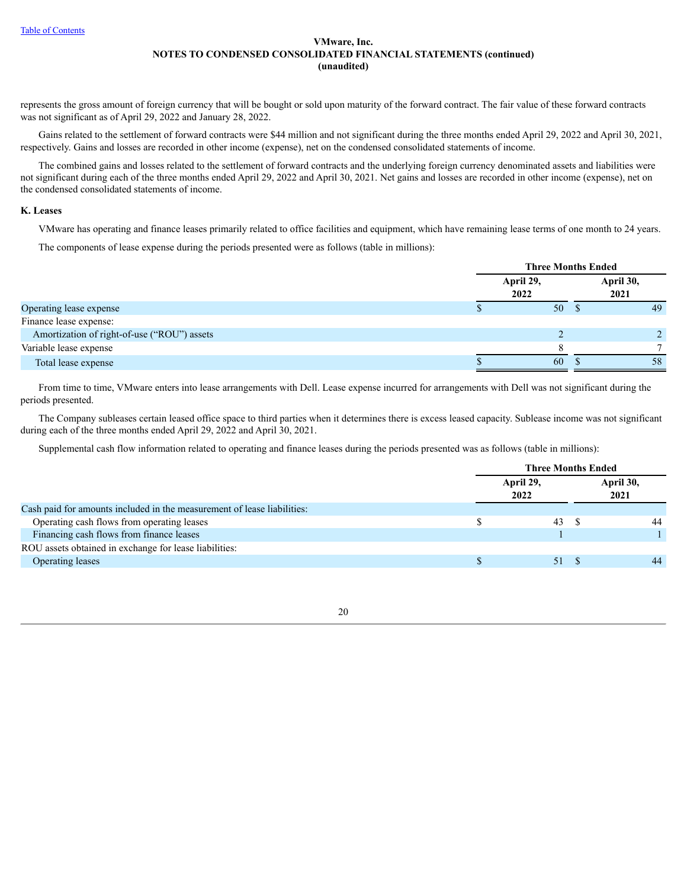represents the gross amount of foreign currency that will be bought or sold upon maturity of the forward contract. The fair value of these forward contracts was not significant as of April 29, 2022 and January 28, 2022.

Gains related to the settlement of forward contracts were \$44 million and not significant during the three months ended April 29, 2022 and April 30, 2021, respectively. Gains and losses are recorded in other income (expense), net on the condensed consolidated statements of income.

The combined gains and losses related to the settlement of forward contracts and the underlying foreign currency denominated assets and liabilities were not significant during each of the three months ended April 29, 2022 and April 30, 2021. Net gains and losses are recorded in other income (expense), net on the condensed consolidated statements of income.

#### **K. Leases**

VMware has operating and finance leases primarily related to office facilities and equipment, which have remaining lease terms of one month to 24 years.

The components of lease expense during the periods presented were as follows (table in millions):

|                                             |                   | <b>Three Months Ended</b> |                   |  |  |
|---------------------------------------------|-------------------|---------------------------|-------------------|--|--|
|                                             | April 29,<br>2022 |                           | April 30,<br>2021 |  |  |
| Operating lease expense                     |                   | 50                        | 49                |  |  |
| Finance lease expense:                      |                   |                           |                   |  |  |
| Amortization of right-of-use ("ROU") assets |                   |                           |                   |  |  |
| Variable lease expense                      |                   |                           |                   |  |  |
| Total lease expense                         |                   | 60                        | 58                |  |  |
|                                             |                   |                           |                   |  |  |

From time to time, VMware enters into lease arrangements with Dell. Lease expense incurred for arrangements with Dell was not significant during the periods presented.

The Company subleases certain leased office space to third parties when it determines there is excess leased capacity. Sublease income was not significant during each of the three months ended April 29, 2022 and April 30, 2021.

Supplemental cash flow information related to operating and finance leases during the periods presented was as follows (table in millions):

|                                                                         | <b>Three Months Ended</b> |  |                   |  |  |
|-------------------------------------------------------------------------|---------------------------|--|-------------------|--|--|
|                                                                         | April 29,<br>2022         |  | April 30,<br>2021 |  |  |
| Cash paid for amounts included in the measurement of lease liabilities: |                           |  |                   |  |  |
| Operating cash flows from operating leases                              | 43                        |  | 44                |  |  |
| Financing cash flows from finance leases                                |                           |  |                   |  |  |
| ROU assets obtained in exchange for lease liabilities:                  |                           |  |                   |  |  |
| <b>Operating leases</b>                                                 | 51                        |  | 44                |  |  |
|                                                                         |                           |  |                   |  |  |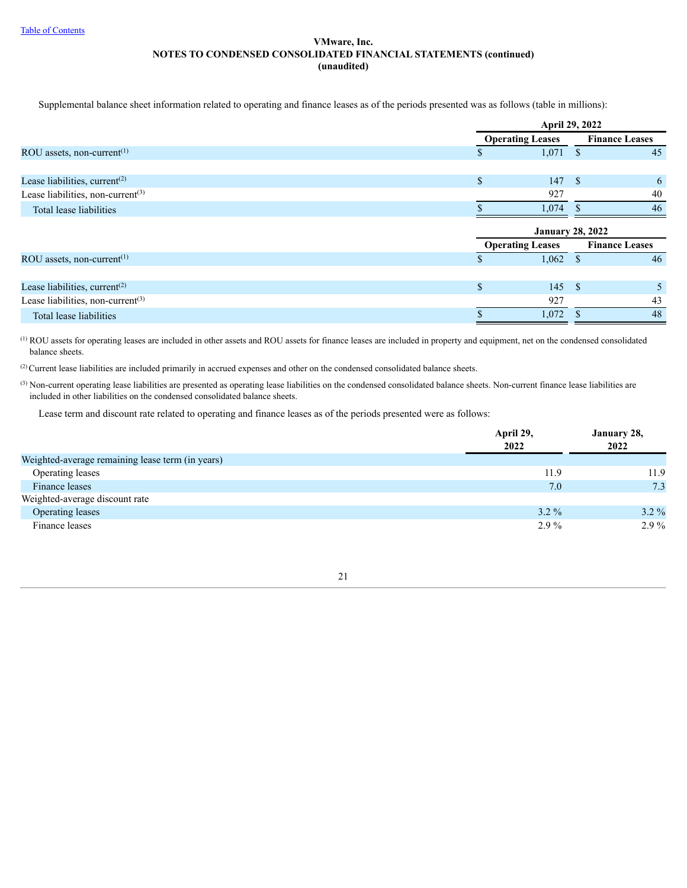Supplemental balance sheet information related to operating and finance leases as of the periods presented was as follows (table in millions):

|                                                     | April 29, 2022 |                         |      |                       |
|-----------------------------------------------------|----------------|-------------------------|------|-----------------------|
|                                                     |                | <b>Operating Leases</b> |      | <b>Finance Leases</b> |
| ROU assets, non-current <sup><math>(1)</math></sup> | \$             | 1,071                   | - \$ | 45                    |
|                                                     |                |                         |      |                       |
| Lease liabilities, current $(2)$                    | \$             | 147                     | -8   | 6                     |
| Lease liabilities, non-current $(3)$                |                | 927                     |      | 40                    |
| Total lease liabilities                             |                | 1,074                   |      | 46                    |
|                                                     |                | <b>January 28, 2022</b> |      |                       |
|                                                     |                | <b>Operating Leases</b> |      | <b>Finance Leases</b> |
| ROU assets, non-current <sup><math>(1)</math></sup> |                | $1,062$ \$              |      | 46                    |
|                                                     |                |                         |      |                       |
| Lease liabilities, current $(2)$                    | \$             | 145S                    |      | 5                     |
| Lease liabilities, non-current $(3)$                |                | 927                     |      | 43                    |
| Total lease liabilities                             |                | 1,072                   |      | 48                    |

 $\alpha$  ROU assets for operating leases are included in other assets and ROU assets for finance leases are included in property and equipment, net on the condensed consolidated balance sheets.

 $^{(2)}$  Current lease liabilities are included primarily in accrued expenses and other on the condensed consolidated balance sheets.

 $(3)$  Non-current operating lease liabilities are presented as operating lease liabilities on the condensed consolidated balance sheets. Non-current finance lease liabilities are included in other liabilities on the condensed consolidated balance sheets.

Lease term and discount rate related to operating and finance leases as of the periods presented were as follows:

|                                                  | April 29,<br>2022 | January 28,<br>2022 |
|--------------------------------------------------|-------------------|---------------------|
| Weighted-average remaining lease term (in years) |                   |                     |
| Operating leases                                 | 11.9              | 11.9                |
| Finance leases                                   | 7.0               | 7.3                 |
| Weighted-average discount rate                   |                   |                     |
| Operating leases                                 | $3.2\%$           | $3.2\%$             |
| Finance leases                                   | $2.9\%$           | $2.9\%$             |

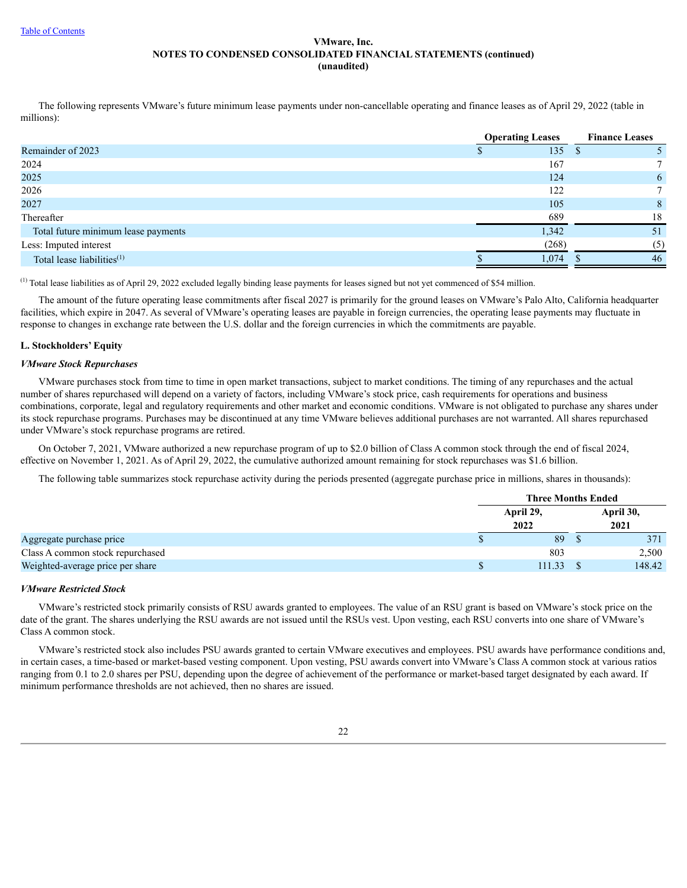The following represents VMware's future minimum lease payments under non-cancellable operating and finance leases as of April 29, 2022 (table in millions):

|                                        | <b>Operating Leases</b> | <b>Finance Leases</b> |
|----------------------------------------|-------------------------|-----------------------|
| Remainder of 2023                      | 135                     |                       |
| 2024                                   | 167                     |                       |
| 2025                                   | 124                     | 6                     |
| 2026                                   | 122                     |                       |
| 2027                                   | 105                     | 8                     |
| Thereafter                             | 689                     | 18                    |
| Total future minimum lease payments    | 1,342                   | 51                    |
| Less: Imputed interest                 | (268)                   | (5)                   |
| Total lease liabilities <sup>(1)</sup> | 1,074                   | 46                    |

 $(1)$  Total lease liabilities as of April 29, 2022 excluded legally binding lease payments for leases signed but not yet commenced of \$54 million.

The amount of the future operating lease commitments after fiscal 2027 is primarily for the ground leases on VMware's Palo Alto, California headquarter facilities, which expire in 2047. As several of VMware's operating leases are payable in foreign currencies, the operating lease payments may fluctuate in response to changes in exchange rate between the U.S. dollar and the foreign currencies in which the commitments are payable.

## **L. Stockholders' Equity**

## *VMware Stock Repurchases*

VMware purchases stock from time to time in open market transactions, subject to market conditions. The timing of any repurchases and the actual number of shares repurchased will depend on a variety of factors, including VMware's stock price, cash requirements for operations and business combinations, corporate, legal and regulatory requirements and other market and economic conditions. VMware is not obligated to purchase any shares under its stock repurchase programs. Purchases may be discontinued at any time VMware believes additional purchases are not warranted. All shares repurchased under VMware's stock repurchase programs are retired.

On October 7, 2021, VMware authorized a new repurchase program of up to \$2.0 billion of Class A common stock through the end of fiscal 2024, effective on November 1, 2021. As of April 29, 2022, the cumulative authorized amount remaining for stock repurchases was \$1.6 billion.

The following table summarizes stock repurchase activity during the periods presented (aggregate purchase price in millions, shares in thousands):

|                                  | <b>Three Months Ended</b> |  |           |  |
|----------------------------------|---------------------------|--|-----------|--|
|                                  | April 29,                 |  | April 30, |  |
|                                  | 2022                      |  | 2021      |  |
| Aggregate purchase price         | 89                        |  | 371       |  |
| Class A common stock repurchased | 803                       |  | 2,500     |  |
| Weighted-average price per share | 111.33                    |  | 148.42    |  |

## *VMware Restricted Stock*

VMware's restricted stock primarily consists of RSU awards granted to employees. The value of an RSU grant is based on VMware's stock price on the date of the grant. The shares underlying the RSU awards are not issued until the RSUs vest. Upon vesting, each RSU converts into one share of VMware's Class A common stock.

VMware's restricted stock also includes PSU awards granted to certain VMware executives and employees. PSU awards have performance conditions and, in certain cases, a time-based or market-based vesting component. Upon vesting, PSU awards convert into VMware's Class A common stock at various ratios ranging from 0.1 to 2.0 shares per PSU, depending upon the degree of achievement of the performance or market-based target designated by each award. If minimum performance thresholds are not achieved, then no shares are issued.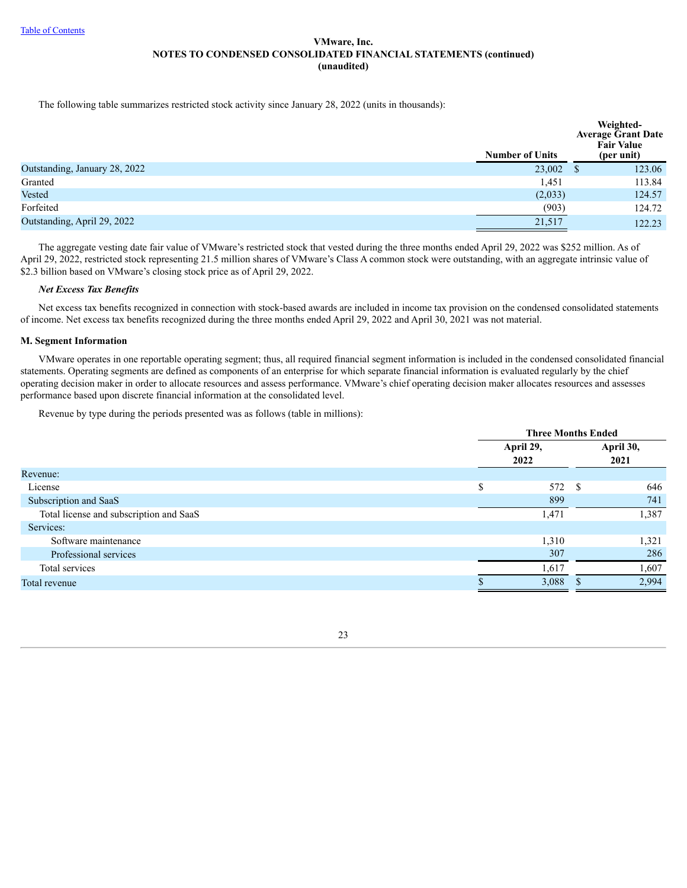The following table summarizes restricted stock activity since January 28, 2022 (units in thousands):

|                               | <b>Number of Units</b> |              | Weighted-<br><b>Average Grant Date</b><br><b>Fair Value</b><br>(per unit) |
|-------------------------------|------------------------|--------------|---------------------------------------------------------------------------|
| Outstanding, January 28, 2022 | 23,002                 | <sup>S</sup> | 123.06                                                                    |
| Granted                       | 1,451                  |              | 113.84                                                                    |
| Vested                        | (2,033)                |              | 124.57                                                                    |
| Forfeited                     | (903)                  |              | 124.72                                                                    |
| Outstanding, April 29, 2022   | 21,517                 |              | 122.23                                                                    |

The aggregate vesting date fair value of VMware's restricted stock that vested during the three months ended April 29, 2022 was \$252 million. As of April 29, 2022, restricted stock representing 21.5 million shares of VMware's Class A common stock were outstanding, with an aggregate intrinsic value of \$2.3 billion based on VMware's closing stock price as of April 29, 2022.

## *Net Excess Tax Benefits*

Net excess tax benefits recognized in connection with stock-based awards are included in income tax provision on the condensed consolidated statements of income. Net excess tax benefits recognized during the three months ended April 29, 2022 and April 30, 2021 was not material.

## **M. Segment Information**

VMware operates in one reportable operating segment; thus, all required financial segment information is included in the condensed consolidated financial statements. Operating segments are defined as components of an enterprise for which separate financial information is evaluated regularly by the chief operating decision maker in order to allocate resources and assess performance. VMware's chief operating decision maker allocates resources and assesses performance based upon discrete financial information at the consolidated level.

Revenue by type during the periods presented was as follows (table in millions):

|                                         |                   | <b>Three Months Ended</b> |  |                   |  |
|-----------------------------------------|-------------------|---------------------------|--|-------------------|--|
|                                         | April 29,<br>2022 |                           |  | April 30,<br>2021 |  |
| Revenue:                                |                   |                           |  |                   |  |
| License                                 | \$                | 572 \$                    |  | 646               |  |
| Subscription and SaaS                   |                   | 899                       |  | 741               |  |
| Total license and subscription and SaaS |                   | 1,471                     |  | 1,387             |  |
| Services:                               |                   |                           |  |                   |  |
| Software maintenance                    |                   | 1,310                     |  | 1,321             |  |
| Professional services                   |                   | 307                       |  | 286               |  |
| Total services                          |                   | 1,617                     |  | 1,607             |  |
| Total revenue                           |                   | 3,088                     |  | 2,994             |  |
|                                         |                   |                           |  |                   |  |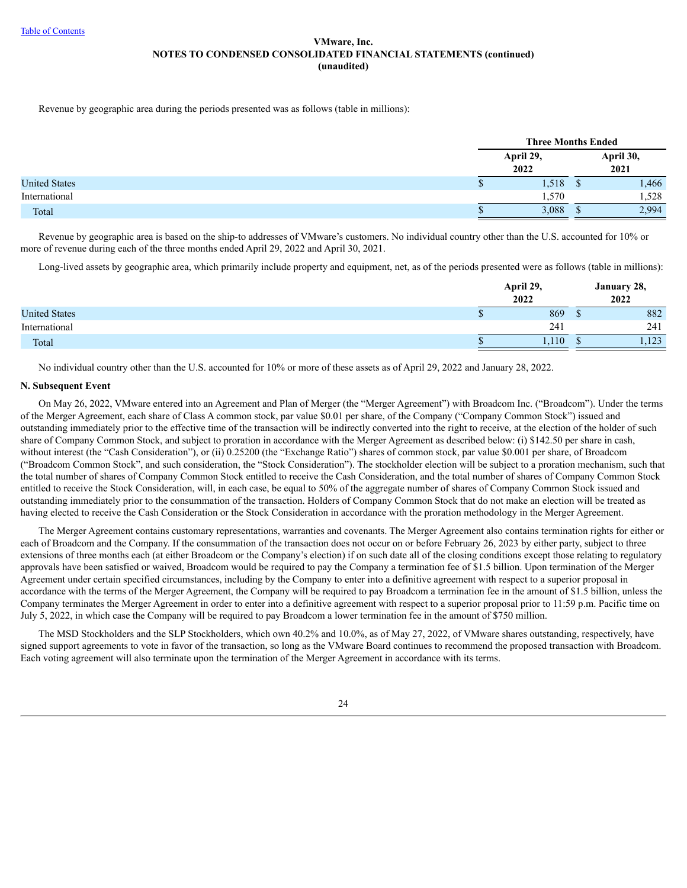Revenue by geographic area during the periods presented was as follows (table in millions):

|                      | <b>Three Months Ended</b> |  |                   |  |
|----------------------|---------------------------|--|-------------------|--|
|                      | April 29,<br>2022         |  | April 30,<br>2021 |  |
| <b>United States</b> | 1,518                     |  | 1,466             |  |
| International        | 1,570                     |  | 1,528             |  |
| Total                | 3,088                     |  | 2,994             |  |

Revenue by geographic area is based on the ship-to addresses of VMware's customers. No individual country other than the U.S. accounted for 10% or more of revenue during each of the three months ended April 29, 2022 and April 30, 2021.

Long-lived assets by geographic area, which primarily include property and equipment, net, as of the periods presented were as follows (table in millions):

|                      | April 29,<br>2022 | January 28,<br>2022 |
|----------------------|-------------------|---------------------|
| <b>United States</b> | 869               | 882                 |
| International        | 241               | 241                 |
| Total                | 1,110             | 122<br>1,123        |

No individual country other than the U.S. accounted for 10% or more of these assets as of April 29, 2022 and January 28, 2022.

## **N. Subsequent Event**

On May 26, 2022, VMware entered into an Agreement and Plan of Merger (the "Merger Agreement") with Broadcom Inc. ("Broadcom"). Under the terms of the Merger Agreement, each share of Class A common stock, par value \$0.01 per share, of the Company ("Company Common Stock") issued and outstanding immediately prior to the effective time of the transaction will be indirectly converted into the right to receive, at the election of the holder of such share of Company Common Stock, and subject to proration in accordance with the Merger Agreement as described below: (i) \$142.50 per share in cash, without interest (the "Cash Consideration"), or (ii) 0.25200 (the "Exchange Ratio") shares of common stock, par value \$0.001 per share, of Broadcom ("Broadcom Common Stock", and such consideration, the "Stock Consideration"). The stockholder election will be subject to a proration mechanism, such that the total number of shares of Company Common Stock entitled to receive the Cash Consideration, and the total number of shares of Company Common Stock entitled to receive the Stock Consideration, will, in each case, be equal to 50% of the aggregate number of shares of Company Common Stock issued and outstanding immediately prior to the consummation of the transaction. Holders of Company Common Stock that do not make an election will be treated as having elected to receive the Cash Consideration or the Stock Consideration in accordance with the proration methodology in the Merger Agreement.

The Merger Agreement contains customary representations, warranties and covenants. The Merger Agreement also contains termination rights for either or each of Broadcom and the Company. If the consummation of the transaction does not occur on or before February 26, 2023 by either party, subject to three extensions of three months each (at either Broadcom or the Company's election) if on such date all of the closing conditions except those relating to regulatory approvals have been satisfied or waived, Broadcom would be required to pay the Company a termination fee of \$1.5 billion. Upon termination of the Merger Agreement under certain specified circumstances, including by the Company to enter into a definitive agreement with respect to a superior proposal in accordance with the terms of the Merger Agreement, the Company will be required to pay Broadcom a termination fee in the amount of \$1.5 billion, unless the Company terminates the Merger Agreement in order to enter into a definitive agreement with respect to a superior proposal prior to 11:59 p.m. Pacific time on July 5, 2022, in which case the Company will be required to pay Broadcom a lower termination fee in the amount of \$750 million.

The MSD Stockholders and the SLP Stockholders, which own 40.2% and 10.0%, as of May 27, 2022, of VMware shares outstanding, respectively, have signed support agreements to vote in favor of the transaction, so long as the VMware Board continues to recommend the proposed transaction with Broadcom. Each voting agreement will also terminate upon the termination of the Merger Agreement in accordance with its terms.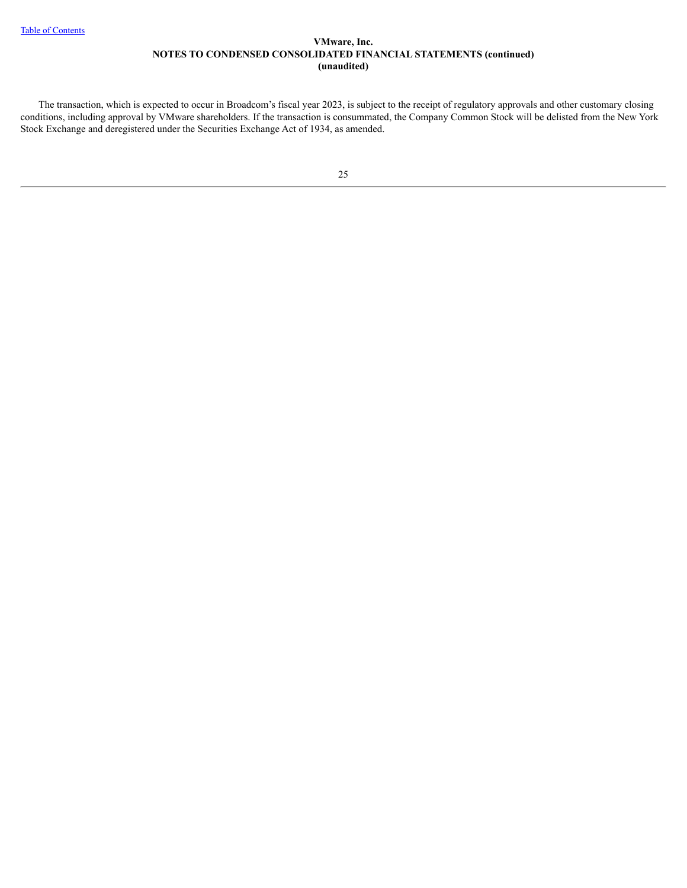<span id="page-24-0"></span>The transaction, which is expected to occur in Broadcom's fiscal year 2023, is subject to the receipt of regulatory approvals and other customary closing conditions, including approval by VMware shareholders. If the transaction is consummated, the Company Common Stock will be delisted from the New York Stock Exchange and deregistered under the Securities Exchange Act of 1934, as amended.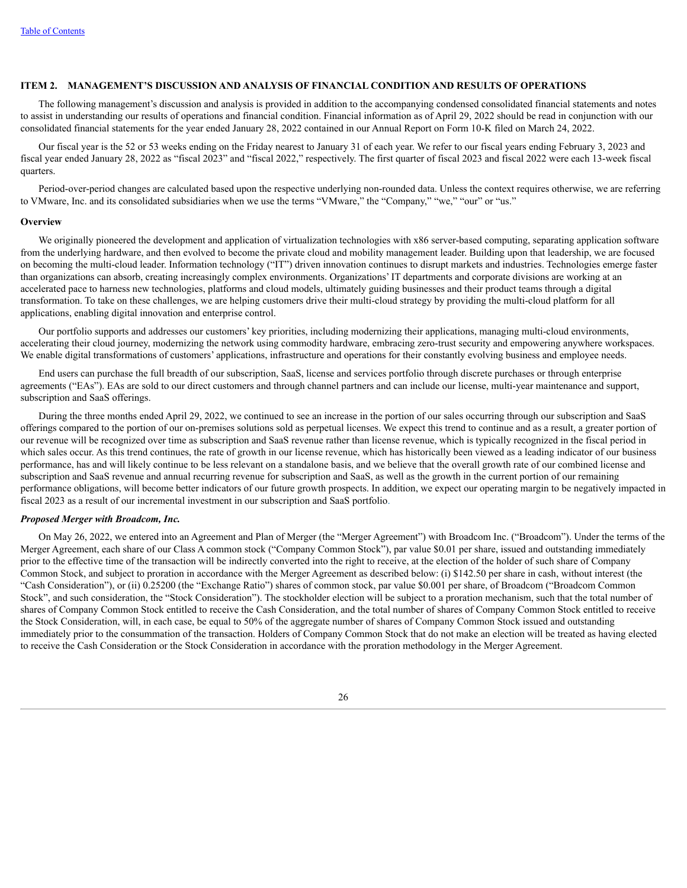#### **ITEM 2. MANAGEMENT'S DISCUSSION AND ANALYSIS OF FINANCIAL CONDITION AND RESULTS OF OPERATIONS**

The following management's discussion and analysis is provided in addition to the accompanying condensed consolidated financial statements and notes to assist in understanding our results of operations and financial condition. Financial information as of April 29, 2022 should be read in conjunction with our consolidated financial statements for the year ended January 28, 2022 contained in our Annual Report on Form 10-K filed on March 24, 2022.

Our fiscal year is the 52 or 53 weeks ending on the Friday nearest to January 31 of each year. We refer to our fiscal years ending February 3, 2023 and fiscal year ended January 28, 2022 as "fiscal 2023" and "fiscal 2022," respectively. The first quarter of fiscal 2023 and fiscal 2022 were each 13-week fiscal quarters.

Period-over-period changes are calculated based upon the respective underlying non-rounded data. Unless the context requires otherwise, we are referring to VMware, Inc. and its consolidated subsidiaries when we use the terms "VMware," the "Company," "we," "our" or "us."

## **Overview**

We originally pioneered the development and application of virtualization technologies with x86 server-based computing, separating application software from the underlying hardware, and then evolved to become the private cloud and mobility management leader. Building upon that leadership, we are focused on becoming the multi-cloud leader. Information technology ("IT") driven innovation continues to disrupt markets and industries. Technologies emerge faster than organizations can absorb, creating increasingly complex environments. Organizations' IT departments and corporate divisions are working at an accelerated pace to harness new technologies, platforms and cloud models, ultimately guiding businesses and their product teams through a digital transformation. To take on these challenges, we are helping customers drive their multi-cloud strategy by providing the multi-cloud platform for all applications, enabling digital innovation and enterprise control.

Our portfolio supports and addresses our customers' key priorities, including modernizing their applications, managing multi-cloud environments, accelerating their cloud journey, modernizing the network using commodity hardware, embracing zero-trust security and empowering anywhere workspaces. We enable digital transformations of customers' applications, infrastructure and operations for their constantly evolving business and employee needs.

End users can purchase the full breadth of our subscription, SaaS, license and services portfolio through discrete purchases or through enterprise agreements ("EAs"). EAs are sold to our direct customers and through channel partners and can include our license, multi-year maintenance and support, subscription and SaaS offerings.

During the three months ended April 29, 2022, we continued to see an increase in the portion of our sales occurring through our subscription and SaaS offerings compared to the portion of our on-premises solutions sold as perpetual licenses. We expect this trend to continue and as a result, a greater portion of our revenue will be recognized over time as subscription and SaaS revenue rather than license revenue, which is typically recognized in the fiscal period in which sales occur. As this trend continues, the rate of growth in our license revenue, which has historically been viewed as a leading indicator of our business performance, has and will likely continue to be less relevant on a standalone basis, and we believe that the overall growth rate of our combined license and subscription and SaaS revenue and annual recurring revenue for subscription and SaaS, as well as the growth in the current portion of our remaining performance obligations, will become better indicators of our future growth prospects. In addition, we expect our operating margin to be negatively impacted in fiscal 2023 as a result of our incremental investment in our subscription and SaaS portfolio.

## *Proposed Merger with Broadcom, Inc.*

On May 26, 2022, we entered into an Agreement and Plan of Merger (the "Merger Agreement") with Broadcom Inc. ("Broadcom"). Under the terms of the Merger Agreement, each share of our Class A common stock ("Company Common Stock"), par value \$0.01 per share, issued and outstanding immediately prior to the effective time of the transaction will be indirectly converted into the right to receive, at the election of the holder of such share of Company Common Stock, and subject to proration in accordance with the Merger Agreement as described below: (i) \$142.50 per share in cash, without interest (the "Cash Consideration"), or (ii) 0.25200 (the "Exchange Ratio") shares of common stock, par value \$0.001 per share, of Broadcom ("Broadcom Common Stock", and such consideration, the "Stock Consideration"). The stockholder election will be subject to a proration mechanism, such that the total number of shares of Company Common Stock entitled to receive the Cash Consideration, and the total number of shares of Company Common Stock entitled to receive the Stock Consideration, will, in each case, be equal to 50% of the aggregate number of shares of Company Common Stock issued and outstanding immediately prior to the consummation of the transaction. Holders of Company Common Stock that do not make an election will be treated as having elected to receive the Cash Consideration or the Stock Consideration in accordance with the proration methodology in the Merger Agreement.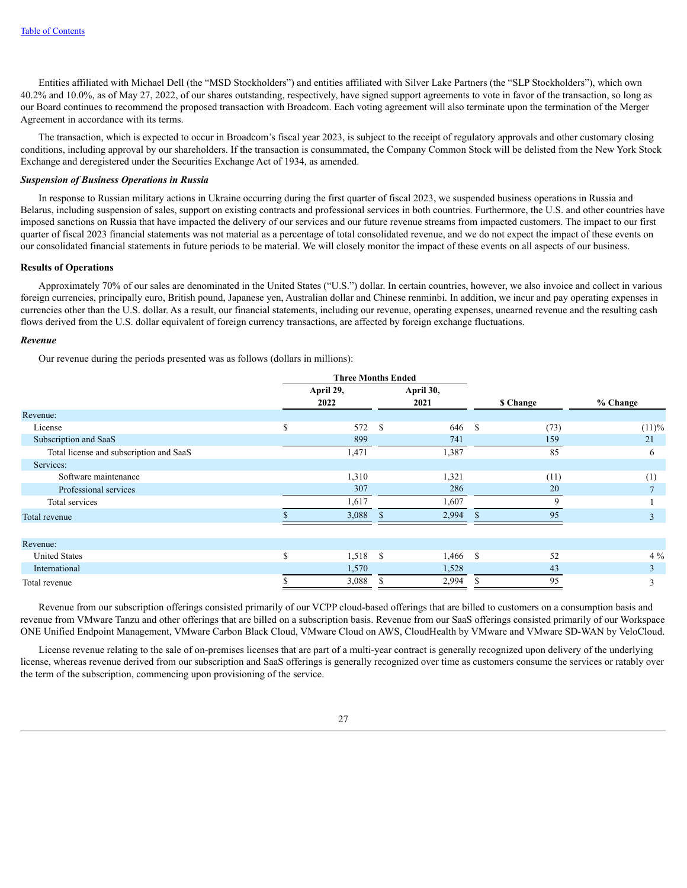Entities affiliated with Michael Dell (the "MSD Stockholders") and entities affiliated with Silver Lake Partners (the "SLP Stockholders"), which own 40.2% and 10.0%, as of May 27, 2022, of our shares outstanding, respectively, have signed support agreements to vote in favor of the transaction, so long as our Board continues to recommend the proposed transaction with Broadcom. Each voting agreement will also terminate upon the termination of the Merger Agreement in accordance with its terms.

The transaction, which is expected to occur in Broadcom's fiscal year 2023, is subject to the receipt of regulatory approvals and other customary closing conditions, including approval by our shareholders. If the transaction is consummated, the Company Common Stock will be delisted from the New York Stock Exchange and deregistered under the Securities Exchange Act of 1934, as amended.

#### *Suspension of Business Operations in Russia*

In response to Russian military actions in Ukraine occurring during the first quarter of fiscal 2023, we suspended business operations in Russia and Belarus, including suspension of sales, support on existing contracts and professional services in both countries. Furthermore, the U.S. and other countries have imposed sanctions on Russia that have impacted the delivery of our services and our future revenue streams from impacted customers. The impact to our first quarter of fiscal 2023 financial statements was not material as a percentage of total consolidated revenue, and we do not expect the impact of these events on our consolidated financial statements in future periods to be material. We will closely monitor the impact of these events on all aspects of our business.

#### **Results of Operations**

Approximately 70% of our sales are denominated in the United States ("U.S.") dollar. In certain countries, however, we also invoice and collect in various foreign currencies, principally euro, British pound, Japanese yen, Australian dollar and Chinese renminbi. In addition, we incur and pay operating expenses in currencies other than the U.S. dollar. As a result, our financial statements, including our revenue, operating expenses, unearned revenue and the resulting cash flows derived from the U.S. dollar equivalent of foreign currency transactions, are affected by foreign exchange fluctuations.

#### *Revenue*

Our revenue during the periods presented was as follows (dollars in millions):

|                                         | <b>Three Months Ended</b> |                   |      |                   |          |                 |                |
|-----------------------------------------|---------------------------|-------------------|------|-------------------|----------|-----------------|----------------|
|                                         |                           | April 29,<br>2022 |      | April 30,<br>2021 |          | <b>S</b> Change | % Change       |
| Revenue:                                |                           |                   |      |                   |          |                 |                |
| License                                 | <sup>\$</sup>             | 572               | - \$ | 646               | <b>S</b> | (73)            | (11)%          |
| Subscription and SaaS                   |                           | 899               |      | 741               |          | 159             | 21             |
| Total license and subscription and SaaS |                           | 1,471             |      | 1,387             |          | 85              | 6              |
| Services:                               |                           |                   |      |                   |          |                 |                |
| Software maintenance                    |                           | 1,310             |      | 1,321             |          | (11)            | (1)            |
| Professional services                   |                           | 307               |      | 286               |          | 20              |                |
| Total services                          |                           | 1,617             |      | 1,607             |          | 9               |                |
| Total revenue                           |                           | 3,088             |      | 2,994             |          | 95              | 3              |
| Revenue:                                |                           |                   |      |                   |          |                 |                |
| <b>United States</b>                    | $\mathcal{S}$             | $1,518$ \$        |      | $1,466$ \$        |          | 52              | $4\%$          |
| International                           |                           | 1,570             |      | 1,528             |          | 43              | 3 <sup>1</sup> |
| Total revenue                           |                           | 3,088             |      | 2,994             |          | 95              | 3              |

Revenue from our subscription offerings consisted primarily of our VCPP cloud-based offerings that are billed to customers on a consumption basis and revenue from VMware Tanzu and other offerings that are billed on a subscription basis. Revenue from our SaaS offerings consisted primarily of our Workspace ONE Unified Endpoint Management, VMware Carbon Black Cloud, VMware Cloud on AWS, CloudHealth by VMware and VMware SD-WAN by VeloCloud.

License revenue relating to the sale of on-premises licenses that are part of a multi-year contract is generally recognized upon delivery of the underlying license, whereas revenue derived from our subscription and SaaS offerings is generally recognized over time as customers consume the services or ratably over the term of the subscription, commencing upon provisioning of the service.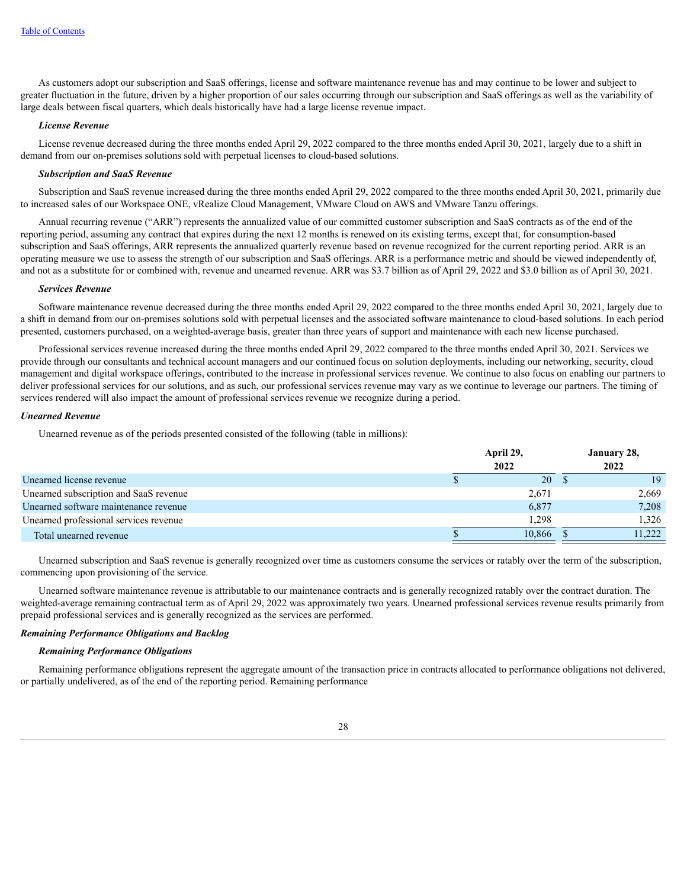As customers adopt our subscription and SaaS offerings, license and software maintenance revenue has and may continue to be lower and subject to greater fluctuation in the future, driven by a higher proportion of our sales occurring through our subscription and SaaS offerings as well as the variability of large deals between fiscal quarters, which deals historically have had a large license revenue impact.

#### *License Revenue*

License revenue decreased during the three months ended April 29, 2022 compared to the three months ended April 30, 2021, largely due to a shift in demand from our on-premises solutions sold with perpetual licenses to cloud-based solutions.

## *Subscription and SaaS Revenue*

Subscription and SaaS revenue increased during the three months ended April 29, 2022 compared to the three months ended April 30, 2021, primarily due to increased sales of our Workspace ONE, vRealize Cloud Management, VMware Cloud on AWS and VMware Tanzu offerings.

Annual recurring revenue ("ARR") represents the annualized value of our committed customer subscription and SaaS contracts as of the end of the reporting period, assuming any contract that expires during the next 12 months is renewed on its existing terms, except that, for consumption-based subscription and SaaS offerings, ARR represents the annualized quarterly revenue based on revenue recognized for the current reporting period. ARR is an operating measure we use to assess the strength of our subscription and SaaS offerings. ARR is a performance metric and should be viewed independently of, and not as a substitute for or combined with, revenue and unearned revenue. ARR was \$3.7 billion as of April 29, 2022 and \$3.0 billion as of April 30, 2021.

## *Services Revenue*

Software maintenance revenue decreased during the three months ended April 29, 2022 compared to the three months ended April 30, 2021, largely due to a shift in demand from our on-premises solutions sold with perpetual licenses and the associated software maintenance to cloud-based solutions. In each period presented, customers purchased, on a weighted-average basis, greater than three years of support and maintenance with each new license purchased.

Professional services revenue increased during the three months ended April 29, 2022 compared to the three months ended April 30, 2021. Services we provide through our consultants and technical account managers and our continued focus on solution deployments, including our networking, security, cloud management and digital workspace offerings, contributed to the increase in professional services revenue. We continue to also focus on enabling our partners to deliver professional services for our solutions, and as such, our professional services revenue may vary as we continue to leverage our partners. The timing of services rendered will also impact the amount of professional services revenue we recognize during a period.

#### *Unearned Revenue*

Unearned revenue as of the periods presented consisted of the following (table in millions):

|                                        | April 29,<br>2022 |        |  |        |  |
|----------------------------------------|-------------------|--------|--|--------|--|
| Unearned license revenue               |                   | 20     |  | 19     |  |
| Unearned subscription and SaaS revenue |                   | 2,671  |  | 2,669  |  |
| Unearned software maintenance revenue  |                   | 6,877  |  | 7,208  |  |
| Unearned professional services revenue |                   | 1,298  |  | 1,326  |  |
| Total unearned revenue                 |                   | 10,866 |  | 11.222 |  |

Unearned subscription and SaaS revenue is generally recognized over time as customers consume the services or ratably over the term of the subscription, commencing upon provisioning of the service.

Unearned software maintenance revenue is attributable to our maintenance contracts and is generally recognized ratably over the contract duration. The weighted-average remaining contractual term as of April 29, 2022 was approximately two years. Unearned professional services revenue results primarily from prepaid professional services and is generally recognized as the services are performed.

#### *Remaining Performance Obligations and Backlog*

#### *Remaining Performance Obligations*

Remaining performance obligations represent the aggregate amount of the transaction price in contracts allocated to performance obligations not delivered, or partially undelivered, as of the end of the reporting period. Remaining performance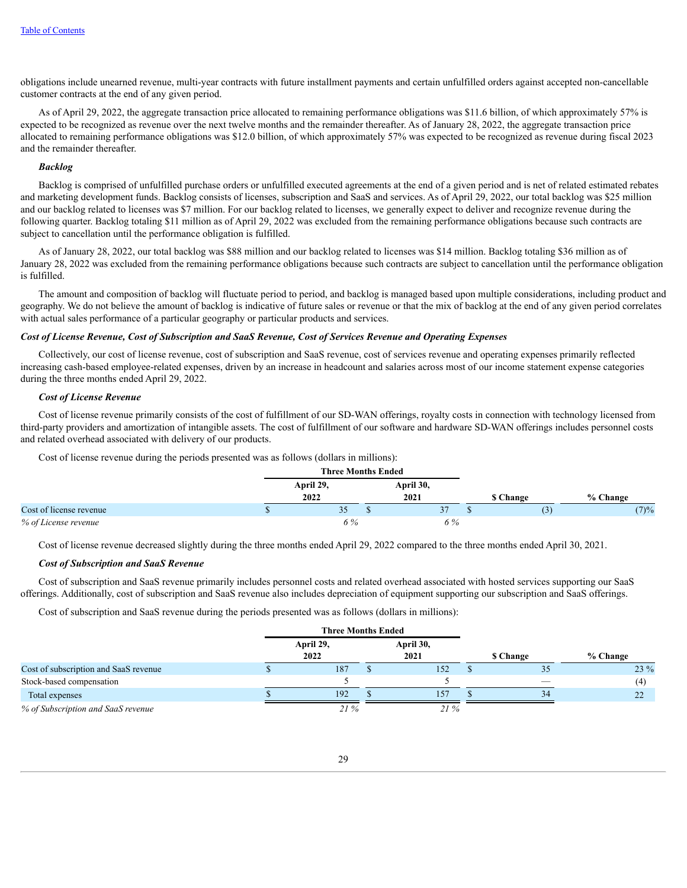obligations include unearned revenue, multi-year contracts with future installment payments and certain unfulfilled orders against accepted non-cancellable customer contracts at the end of any given period.

As of April 29, 2022, the aggregate transaction price allocated to remaining performance obligations was \$11.6 billion, of which approximately 57% is expected to be recognized as revenue over the next twelve months and the remainder thereafter. As of January 28, 2022, the aggregate transaction price allocated to remaining performance obligations was \$12.0 billion, of which approximately 57% was expected to be recognized as revenue during fiscal 2023 and the remainder thereafter.

## *Backlog*

Backlog is comprised of unfulfilled purchase orders or unfulfilled executed agreements at the end of a given period and is net of related estimated rebates and marketing development funds. Backlog consists of licenses, subscription and SaaS and services. As of April 29, 2022, our total backlog was \$25 million and our backlog related to licenses was \$7 million. For our backlog related to licenses, we generally expect to deliver and recognize revenue during the following quarter. Backlog totaling \$11 million as of April 29, 2022 was excluded from the remaining performance obligations because such contracts are subject to cancellation until the performance obligation is fulfilled.

As of January 28, 2022, our total backlog was \$88 million and our backlog related to licenses was \$14 million. Backlog totaling \$36 million as of January 28, 2022 was excluded from the remaining performance obligations because such contracts are subject to cancellation until the performance obligation is fulfilled.

The amount and composition of backlog will fluctuate period to period, and backlog is managed based upon multiple considerations, including product and geography. We do not believe the amount of backlog is indicative of future sales or revenue or that the mix of backlog at the end of any given period correlates with actual sales performance of a particular geography or particular products and services.

## Cost of License Revenue, Cost of Subscription and SaaS Revenue, Cost of Services Revenue and Operating Expenses

Collectively, our cost of license revenue, cost of subscription and SaaS revenue, cost of services revenue and operating expenses primarily reflected increasing cash-based employee-related expenses, driven by an increase in headcount and salaries across most of our income statement expense categories during the three months ended April 29, 2022.

## *Cost of License Revenue*

Cost of license revenue primarily consists of the cost of fulfillment of our SD-WAN offerings, royalty costs in connection with technology licensed from third-party providers and amortization of intangible assets. The cost of fulfillment of our software and hardware SD-WAN offerings includes personnel costs and related overhead associated with delivery of our products.

Cost of license revenue during the periods presented was as follows (dollars in millions):

|                         |  | <b>Three Months Ended</b> |  |      |     |                 |          |  |  |
|-------------------------|--|---------------------------|--|------|-----|-----------------|----------|--|--|
|                         |  | April 29,                 |  |      |     | April 30,       |          |  |  |
|                         |  | 2022                      |  | 2021 |     | <b>S</b> Change | % Change |  |  |
| Cost of license revenue |  | ر ر                       |  |      |     |                 | (7)%     |  |  |
| % of License revenue    |  | 6 %                       |  |      | 6 % |                 |          |  |  |

Cost of license revenue decreased slightly during the three months ended April 29, 2022 compared to the three months ended April 30, 2021.

#### *Cost of Subscription and SaaS Revenue*

Cost of subscription and SaaS revenue primarily includes personnel costs and related overhead associated with hosted services supporting our SaaS offerings. Additionally, cost of subscription and SaaS revenue also includes depreciation of equipment supporting our subscription and SaaS offerings.

Cost of subscription and SaaS revenue during the periods presented was as follows (dollars in millions):

|                                       | <b>Three Months Ended</b> |  |                   |  |                 |          |
|---------------------------------------|---------------------------|--|-------------------|--|-----------------|----------|
|                                       | April 29,<br>2022         |  | April 30,<br>2021 |  | <b>S</b> Change | % Change |
| Cost of subscription and SaaS revenue | 187                       |  | 152               |  | 35              | $23\%$   |
| Stock-based compensation              |                           |  |                   |  |                 | (4)      |
| Total expenses                        | 192                       |  | 157               |  | 34              | 22       |
| % of Subscription and SaaS revenue    | 21%                       |  | 21%               |  |                 |          |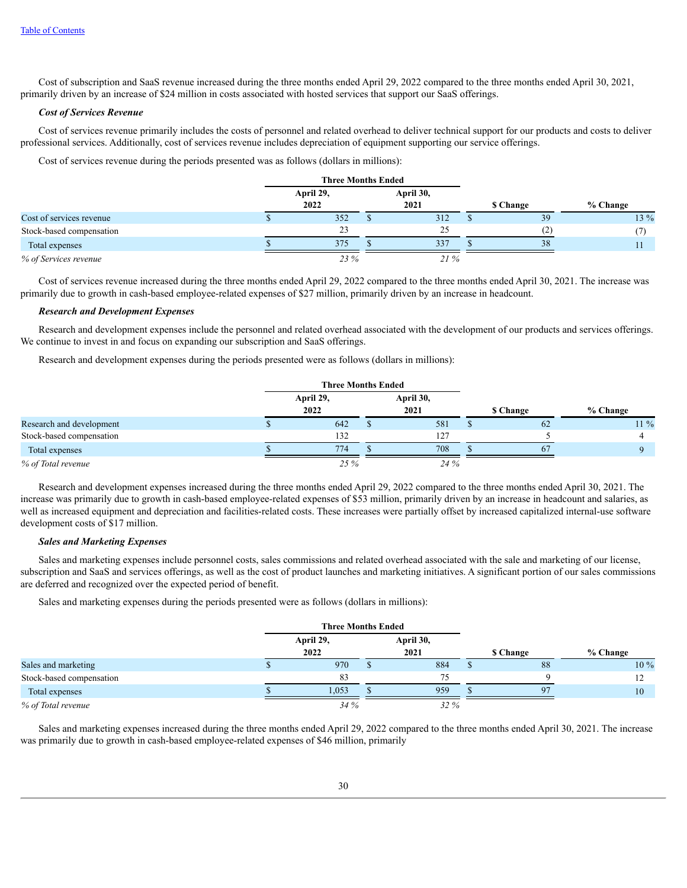Cost of subscription and SaaS revenue increased during the three months ended April 29, 2022 compared to the three months ended April 30, 2021, primarily driven by an increase of \$24 million in costs associated with hosted services that support our SaaS offerings.

## *Cost of Services Revenue*

Cost of services revenue primarily includes the costs of personnel and related overhead to deliver technical support for our products and costs to deliver professional services. Additionally, cost of services revenue includes depreciation of equipment supporting our service offerings.

Cost of services revenue during the periods presented was as follows (dollars in millions):

|                          | <b>Three Months Ended</b> |  |           |  |                  |          |
|--------------------------|---------------------------|--|-----------|--|------------------|----------|
|                          | April 29,                 |  | April 30, |  |                  |          |
|                          | 2022                      |  | 2021      |  | <b>\$</b> Change | % Change |
| Cost of services revenue | 352                       |  | 312       |  | 39               | 13 %     |
| Stock-based compensation | 23                        |  | 25        |  | (2)              |          |
| Total expenses           | 375                       |  | 337       |  | 38               |          |
| % of Services revenue    | 23 %                      |  | 21%       |  |                  |          |

Cost of services revenue increased during the three months ended April 29, 2022 compared to the three months ended April 30, 2021. The increase was primarily due to growth in cash-based employee-related expenses of \$27 million, primarily driven by an increase in headcount.

#### *Research and Development Expenses*

Research and development expenses include the personnel and related overhead associated with the development of our products and services offerings. We continue to invest in and focus on expanding our subscription and SaaS offerings.

Research and development expenses during the periods presented were as follows (dollars in millions):

|                          | <b>Three Months Ended</b> |  |                   |                 |          |
|--------------------------|---------------------------|--|-------------------|-----------------|----------|
|                          | April 29,<br>2022         |  | April 30,<br>2021 | <b>S</b> Change | % Change |
| Research and development | 642                       |  | 581               | 62              | $11\%$   |
| Stock-based compensation | 132                       |  | 127               |                 |          |
| Total expenses           | 774                       |  | 708               | 67              |          |
| % of Total revenue       | 25 %                      |  | 24 %              |                 |          |

Research and development expenses increased during the three months ended April 29, 2022 compared to the three months ended April 30, 2021. The increase was primarily due to growth in cash-based employee-related expenses of \$53 million, primarily driven by an increase in headcount and salaries, as well as increased equipment and depreciation and facilities-related costs. These increases were partially offset by increased capitalized internal-use software development costs of \$17 million.

## *Sales and Marketing Expenses*

Sales and marketing expenses include personnel costs, sales commissions and related overhead associated with the sale and marketing of our license, subscription and SaaS and services offerings, as well as the cost of product launches and marketing initiatives. A significant portion of our sales commissions are deferred and recognized over the expected period of benefit.

Sales and marketing expenses during the periods presented were as follows (dollars in millions):

|                          | <b>Three Months Ended</b> |  |                   |                 |    |          |
|--------------------------|---------------------------|--|-------------------|-----------------|----|----------|
|                          | April 29,<br>2022         |  | April 30,<br>2021 | <b>S</b> Change |    | % Change |
| Sales and marketing      | 970                       |  | 884               |                 | 88 | 10 %     |
| Stock-based compensation | 83                        |  | 75                |                 |    |          |
| Total expenses           | 1,053                     |  | 959               |                 | 97 | 10       |
| % of Total revenue       | 34%                       |  | 32 %              |                 |    |          |

Sales and marketing expenses increased during the three months ended April 29, 2022 compared to the three months ended April 30, 2021. The increase was primarily due to growth in cash-based employee-related expenses of \$46 million, primarily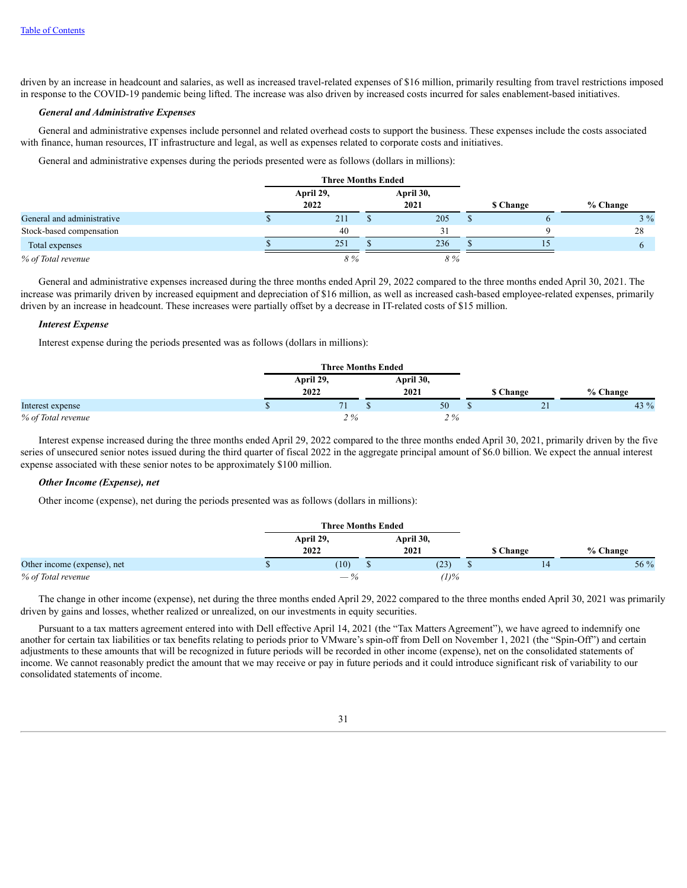driven by an increase in headcount and salaries, as well as increased travel-related expenses of \$16 million, primarily resulting from travel restrictions imposed in response to the COVID-19 pandemic being lifted. The increase was also driven by increased costs incurred for sales enablement-based initiatives.

## *General and Administrative Expenses*

General and administrative expenses include personnel and related overhead costs to support the business. These expenses include the costs associated with finance, human resources, IT infrastructure and legal, as well as expenses related to corporate costs and initiatives.

General and administrative expenses during the periods presented were as follows (dollars in millions):

|                            | <b>Three Months Ended</b> |  |           |  |                 |          |
|----------------------------|---------------------------|--|-----------|--|-----------------|----------|
|                            | April 29,                 |  | April 30, |  |                 |          |
|                            | 2022                      |  | 2021      |  | <b>S</b> Change | % Change |
| General and administrative | 211                       |  | 205       |  |                 | $3\%$    |
| Stock-based compensation   | 40                        |  | 31        |  |                 | 28       |
| Total expenses             | 251                       |  | 236       |  |                 |          |
| % of Total revenue         | 8%                        |  | 8 %       |  |                 |          |

General and administrative expenses increased during the three months ended April 29, 2022 compared to the three months ended April 30, 2021. The increase was primarily driven by increased equipment and depreciation of \$16 million, as well as increased cash-based employee-related expenses, primarily driven by an increase in headcount. These increases were partially offset by a decrease in IT-related costs of \$15 million.

#### *Interest Expense*

Interest expense during the periods presented was as follows (dollars in millions):

|                    | <b>Three Months Ended</b> |                   |                 |          |
|--------------------|---------------------------|-------------------|-----------------|----------|
|                    | April 29,<br>2022         | April 30,<br>2021 | <b>S</b> Change | % Change |
| Interest expense   |                           | 50                | $\sim$ 1<br>21  | 43 %     |
| % of Total revenue | 2%                        | 2%                |                 |          |

Interest expense increased during the three months ended April 29, 2022 compared to the three months ended April 30, 2021, primarily driven by the five series of unsecured senior notes issued during the third quarter of fiscal 2022 in the aggregate principal amount of \$6.0 billion. We expect the annual interest expense associated with these senior notes to be approximately \$100 million.

## *Other Income (Expense), net*

Other income (expense), net during the periods presented was as follows (dollars in millions):

|                             | <b>Three Months Ended</b> |                   |                 |          |
|-----------------------------|---------------------------|-------------------|-----------------|----------|
|                             | April 29,<br>2022         | April 30,<br>2021 | <b>S</b> Change | % Change |
| Other income (expense), net | (10)                      | (23)              | 14              | 56 %     |
| % of Total revenue          | $-\%$                     | $(1)\%$           |                 |          |

The change in other income (expense), net during the three months ended April 29, 2022 compared to the three months ended April 30, 2021 was primarily driven by gains and losses, whether realized or unrealized, on our investments in equity securities.

Pursuant to a tax matters agreement entered into with Dell effective April 14, 2021 (the "Tax Matters Agreement"), we have agreed to indemnify one another for certain tax liabilities or tax benefits relating to periods prior to VMware's spin-off from Dell on November 1, 2021 (the "Spin-Off") and certain adjustments to these amounts that will be recognized in future periods will be recorded in other income (expense), net on the consolidated statements of income. We cannot reasonably predict the amount that we may receive or pay in future periods and it could introduce significant risk of variability to our consolidated statements of income.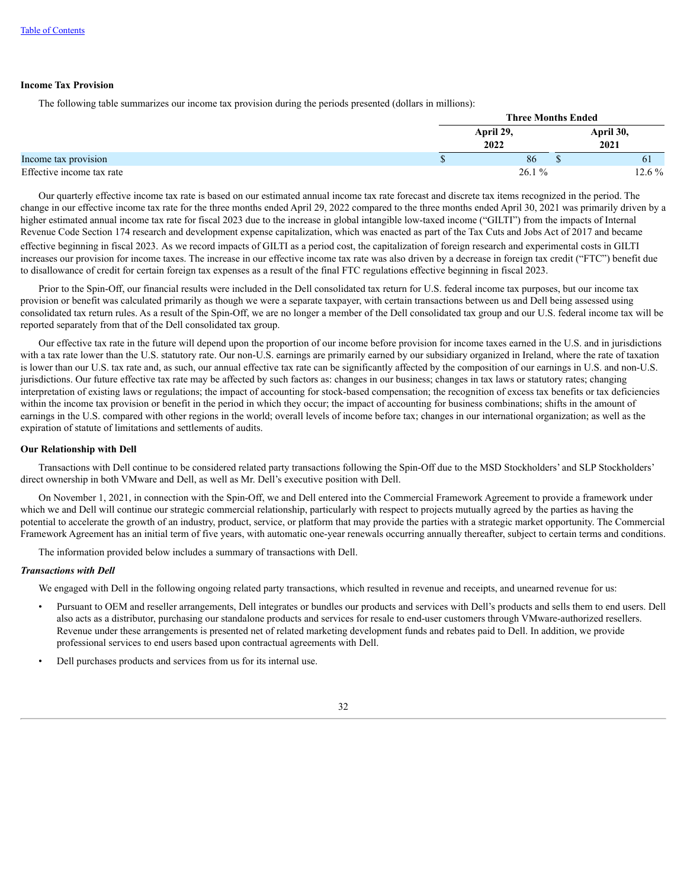#### **Income Tax Provision**

The following table summarizes our income tax provision during the periods presented (dollars in millions):

|                           |                   | <b>Three Months Ended</b> |              |
|---------------------------|-------------------|---------------------------|--------------|
|                           | April 29,<br>2022 | April 30,<br>2021         |              |
| Income tax provision      | 86                |                           | <sup>6</sup> |
| Effective income tax rate | 26.1%             |                           | $12.6\%$     |

Our quarterly effective income tax rate is based on our estimated annual income tax rate forecast and discrete tax items recognized in the period. The change in our effective income tax rate for the three months ended April 29, 2022 compared to the three months ended April 30, 2021 was primarily driven by a higher estimated annual income tax rate for fiscal 2023 due to the increase in global intangible low-taxed income ("GILTI") from the impacts of Internal Revenue Code Section 174 research and development expense capitalization, which was enacted as part of the Tax Cuts and Jobs Act of 2017 and became effective beginning in fiscal 2023. As we record impacts of GILTI as a period cost, the capitalization of foreign research and experimental costs in GILTI increases our provision for income taxes. The increase in our effective income tax rate was also driven by a decrease in foreign tax credit ("FTC") benefit due to disallowance of credit for certain foreign tax expenses as a result of the final FTC regulations effective beginning in fiscal 2023.

Prior to the Spin-Off, our financial results were included in the Dell consolidated tax return for U.S. federal income tax purposes, but our income tax provision or benefit was calculated primarily as though we were a separate taxpayer, with certain transactions between us and Dell being assessed using consolidated tax return rules. As a result of the Spin-Off, we are no longer a member of the Dell consolidated tax group and our U.S. federal income tax will be reported separately from that of the Dell consolidated tax group.

Our effective tax rate in the future will depend upon the proportion of our income before provision for income taxes earned in the U.S. and in jurisdictions with a tax rate lower than the U.S. statutory rate. Our non-U.S. earnings are primarily earned by our subsidiary organized in Ireland, where the rate of taxation is lower than our U.S. tax rate and, as such, our annual effective tax rate can be significantly affected by the composition of our earnings in U.S. and non-U.S. jurisdictions. Our future effective tax rate may be affected by such factors as: changes in our business; changes in tax laws or statutory rates; changing interpretation of existing laws or regulations; the impact of accounting for stock-based compensation; the recognition of excess tax benefits or tax deficiencies within the income tax provision or benefit in the period in which they occur; the impact of accounting for business combinations; shifts in the amount of earnings in the U.S. compared with other regions in the world; overall levels of income before tax; changes in our international organization; as well as the expiration of statute of limitations and settlements of audits.

#### **Our Relationship with Dell**

Transactions with Dell continue to be considered related party transactions following the Spin-Off due to the MSD Stockholders' and SLP Stockholders' direct ownership in both VMware and Dell, as well as Mr. Dell's executive position with Dell.

On November 1, 2021, in connection with the Spin-Off, we and Dell entered into the Commercial Framework Agreement to provide a framework under which we and Dell will continue our strategic commercial relationship, particularly with respect to projects mutually agreed by the parties as having the potential to accelerate the growth of an industry, product, service, or platform that may provide the parties with a strategic market opportunity. The Commercial Framework Agreement has an initial term of five years, with automatic one-year renewals occurring annually thereafter, subject to certain terms and conditions.

The information provided below includes a summary of transactions with Dell.

#### *Transactions with Dell*

We engaged with Dell in the following ongoing related party transactions, which resulted in revenue and receipts, and unearned revenue for us:

- Pursuant to OEM and reseller arrangements, Dell integrates or bundles our products and services with Dell's products and sells them to end users. Dell also acts as a distributor, purchasing our standalone products and services for resale to end-user customers through VMware-authorized resellers. Revenue under these arrangements is presented net of related marketing development funds and rebates paid to Dell. In addition, we provide professional services to end users based upon contractual agreements with Dell.
- Dell purchases products and services from us for its internal use.

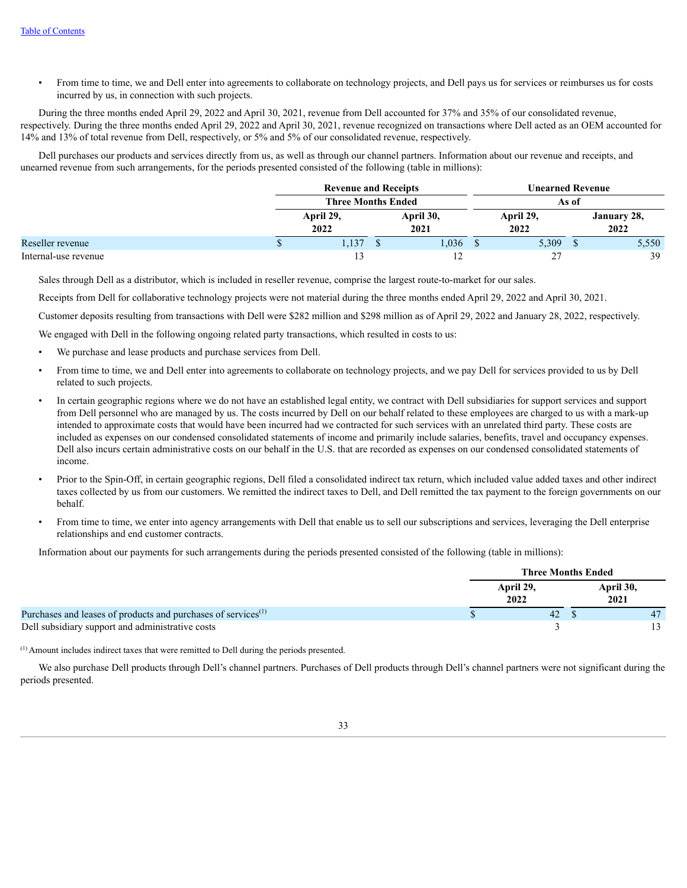• From time to time, we and Dell enter into agreements to collaborate on technology projects, and Dell pays us for services or reimburses us for costs incurred by us, in connection with such projects.

During the three months ended April 29, 2022 and April 30, 2021, revenue from Dell accounted for 37% and 35% of our consolidated revenue, respectively. During the three months ended April 29, 2022 and April 30, 2021, revenue recognized on transactions where Dell acted as an OEM accounted for 14% and 13% of total revenue from Dell, respectively, or 5% and 5% of our consolidated revenue, respectively.

Dell purchases our products and services directly from us, as well as through our channel partners. Information about our revenue and receipts, and unearned revenue from such arrangements, for the periods presented consisted of the following (table in millions):

|                      | <b>Revenue and Receipts</b> |  | Unearned Revenue  |  |                   |  |                     |  |
|----------------------|-----------------------------|--|-------------------|--|-------------------|--|---------------------|--|
|                      | <b>Three Months Ended</b>   |  |                   |  | As of             |  |                     |  |
|                      | April 29,<br>2022           |  | April 30,<br>2021 |  | April 29,<br>2022 |  | January 28,<br>2022 |  |
| Reseller revenue     | 1.137                       |  | 1,036             |  | 5,309             |  | 5,550               |  |
| Internal-use revenue |                             |  |                   |  | 27                |  | 39                  |  |

Sales through Dell as a distributor, which is included in reseller revenue, comprise the largest route-to-market for our sales.

Receipts from Dell for collaborative technology projects were not material during the three months ended April 29, 2022 and April 30, 2021.

Customer deposits resulting from transactions with Dell were \$282 million and \$298 million as of April 29, 2022 and January 28, 2022, respectively.

We engaged with Dell in the following ongoing related party transactions, which resulted in costs to us:

- We purchase and lease products and purchase services from Dell.
- From time to time, we and Dell enter into agreements to collaborate on technology projects, and we pay Dell for services provided to us by Dell related to such projects.
- In certain geographic regions where we do not have an established legal entity, we contract with Dell subsidiaries for support services and support from Dell personnel who are managed by us. The costs incurred by Dell on our behalf related to these employees are charged to us with a mark-up intended to approximate costs that would have been incurred had we contracted for such services with an unrelated third party. These costs are included as expenses on our condensed consolidated statements of income and primarily include salaries, benefits, travel and occupancy expenses. Dell also incurs certain administrative costs on our behalf in the U.S. that are recorded as expenses on our condensed consolidated statements of income.
- Prior to the Spin-Off, in certain geographic regions, Dell filed a consolidated indirect tax return, which included value added taxes and other indirect taxes collected by us from our customers. We remitted the indirect taxes to Dell, and Dell remitted the tax payment to the foreign governments on our behalf.
- From time to time, we enter into agency arrangements with Dell that enable us to sell our subscriptions and services, leveraging the Dell enterprise relationships and end customer contracts.

Information about our payments for such arrangements during the periods presented consisted of the following (table in millions):

|                                                                           |                   | <b>Three Months Ended</b> |    |
|---------------------------------------------------------------------------|-------------------|---------------------------|----|
|                                                                           | April 29,<br>2022 | April 30,<br>2021         |    |
| Purchases and leases of products and purchases of services <sup>(1)</sup> | 42                |                           | 47 |
| Dell subsidiary support and administrative costs                          |                   |                           |    |

 $<sup>(1)</sup>$  Amount includes indirect taxes that were remitted to Dell during the periods presented.</sup>

We also purchase Dell products through Dell's channel partners. Purchases of Dell products through Dell's channel partners were not significant during the periods presented.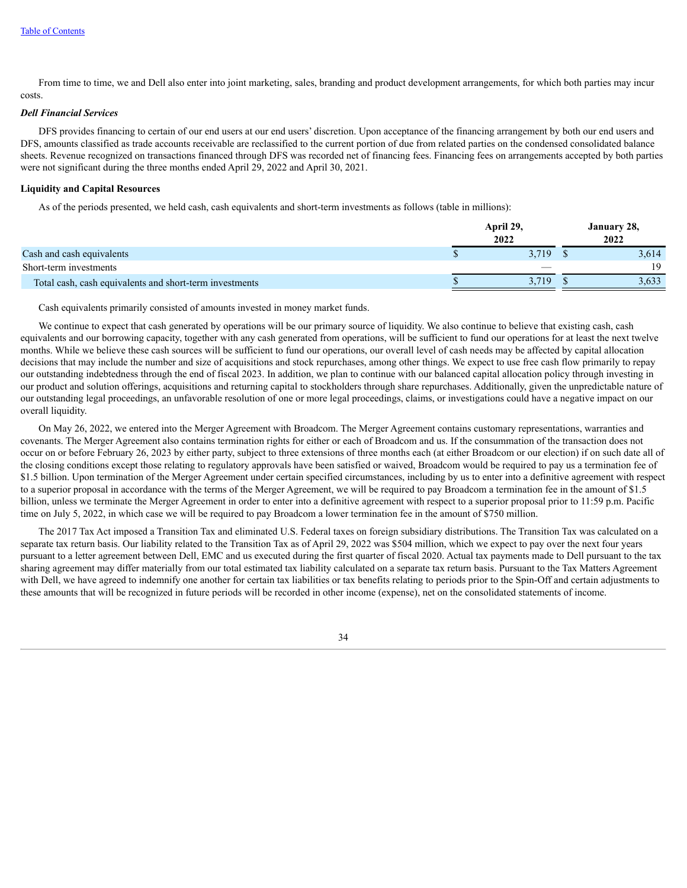From time to time, we and Dell also enter into joint marketing, sales, branding and product development arrangements, for which both parties may incur costs.

#### *Dell Financial Services*

DFS provides financing to certain of our end users at our end users' discretion. Upon acceptance of the financing arrangement by both our end users and DFS, amounts classified as trade accounts receivable are reclassified to the current portion of due from related parties on the condensed consolidated balance sheets. Revenue recognized on transactions financed through DFS was recorded net of financing fees. Financing fees on arrangements accepted by both parties were not significant during the three months ended April 29, 2022 and April 30, 2021.

#### **Liquidity and Capital Resources**

As of the periods presented, we held cash, cash equivalents and short-term investments as follows (table in millions):

|                                                         | April 29,<br>2022 | January 28,<br>2022 |
|---------------------------------------------------------|-------------------|---------------------|
| Cash and cash equivalents                               | 3.719             | 3,614               |
| Short-term investments                                  |                   | 19                  |
| Total cash, cash equivalents and short-term investments | 3.719             | 3,633               |

Cash equivalents primarily consisted of amounts invested in money market funds.

We continue to expect that cash generated by operations will be our primary source of liquidity. We also continue to believe that existing cash, cash equivalents and our borrowing capacity, together with any cash generated from operations, will be sufficient to fund our operations for at least the next twelve months. While we believe these cash sources will be sufficient to fund our operations, our overall level of cash needs may be affected by capital allocation decisions that may include the number and size of acquisitions and stock repurchases, among other things. We expect to use free cash flow primarily to repay our outstanding indebtedness through the end of fiscal 2023. In addition, we plan to continue with our balanced capital allocation policy through investing in our product and solution offerings, acquisitions and returning capital to stockholders through share repurchases. Additionally, given the unpredictable nature of our outstanding legal proceedings, an unfavorable resolution of one or more legal proceedings, claims, or investigations could have a negative impact on our overall liquidity.

On May 26, 2022, we entered into the Merger Agreement with Broadcom. The Merger Agreement contains customary representations, warranties and covenants. The Merger Agreement also contains termination rights for either or each of Broadcom and us. If the consummation of the transaction does not occur on or before February 26, 2023 by either party, subject to three extensions of three months each (at either Broadcom or our election) if on such date all of the closing conditions except those relating to regulatory approvals have been satisfied or waived, Broadcom would be required to pay us a termination fee of \$1.5 billion. Upon termination of the Merger Agreement under certain specified circumstances, including by us to enter into a definitive agreement with respect to a superior proposal in accordance with the terms of the Merger Agreement, we will be required to pay Broadcom a termination fee in the amount of \$1.5 billion, unless we terminate the Merger Agreement in order to enter into a definitive agreement with respect to a superior proposal prior to 11:59 p.m. Pacific time on July 5, 2022, in which case we will be required to pay Broadcom a lower termination fee in the amount of \$750 million.

The 2017 Tax Act imposed a Transition Tax and eliminated U.S. Federal taxes on foreign subsidiary distributions. The Transition Tax was calculated on a separate tax return basis. Our liability related to the Transition Tax as of April 29, 2022 was \$504 million, which we expect to pay over the next four years pursuant to a letter agreement between Dell, EMC and us executed during the first quarter of fiscal 2020. Actual tax payments made to Dell pursuant to the tax sharing agreement may differ materially from our total estimated tax liability calculated on a separate tax return basis. Pursuant to the Tax Matters Agreement with Dell, we have agreed to indemnify one another for certain tax liabilities or tax benefits relating to periods prior to the Spin-Off and certain adjustments to these amounts that will be recognized in future periods will be recorded in other income (expense), net on the consolidated statements of income.

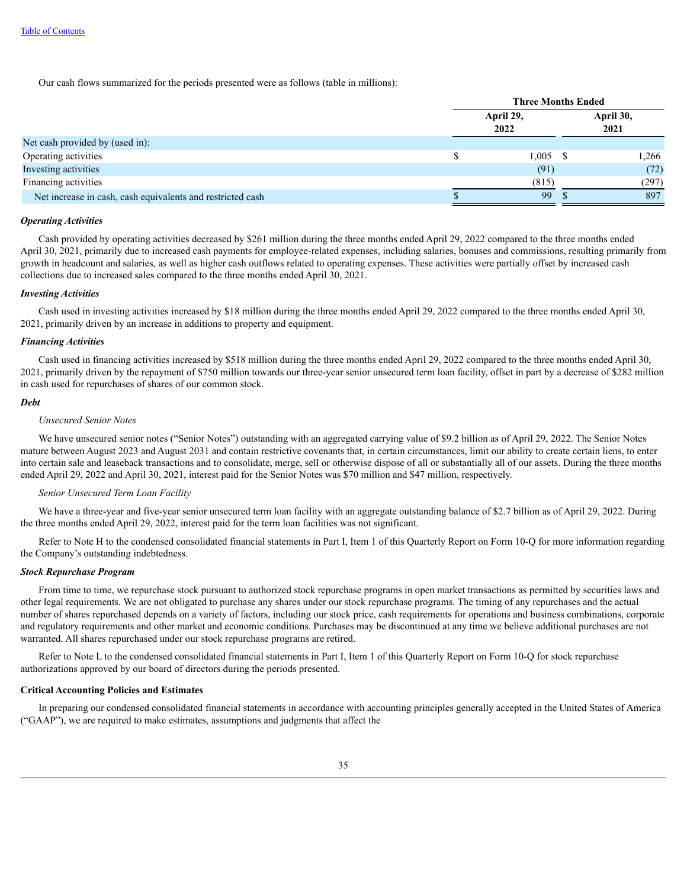Our cash flows summarized for the periods presented were as follows (table in millions):

|                                                            | <b>Three Months Ended</b> |  |                   |  |  |
|------------------------------------------------------------|---------------------------|--|-------------------|--|--|
|                                                            | April 29,<br>2022         |  | April 30,<br>2021 |  |  |
| Net cash provided by (used in):                            |                           |  |                   |  |  |
| Operating activities                                       | 1,005                     |  | 1,266             |  |  |
| Investing activities                                       | (91)                      |  | (72)              |  |  |
| Financing activities                                       | (815)                     |  | (297)             |  |  |
| Net increase in cash, cash equivalents and restricted cash | 99                        |  | 897               |  |  |

## *Operating Activities*

Cash provided by operating activities decreased by \$261 million during the three months ended April 29, 2022 compared to the three months ended April 30, 2021, primarily due to increased cash payments for employee-related expenses, including salaries, bonuses and commissions, resulting primarily from growth in headcount and salaries, as well as higher cash outflows related to operating expenses. These activities were partially offset by increased cash collections due to increased sales compared to the three months ended April 30, 2021.

#### *Investing Activities*

Cash used in investing activities increased by \$18 million during the three months ended April 29, 2022 compared to the three months ended April 30, 2021, primarily driven by an increase in additions to property and equipment.

#### *Financing Activities*

Cash used in financing activities increased by \$518 million during the three months ended April 29, 2022 compared to the three months ended April 30, 2021, primarily driven by the repayment of \$750 million towards our three-year senior unsecured term loan facility, offset in part by a decrease of \$282 million in cash used for repurchases of shares of our common stock.

#### *Debt*

## *Unsecured Senior Notes*

We have unsecured senior notes ("Senior Notes") outstanding with an aggregated carrying value of \$9.2 billion as of April 29, 2022. The Senior Notes mature between August 2023 and August 2031 and contain restrictive covenants that, in certain circumstances, limit our ability to create certain liens, to enter into certain sale and leaseback transactions and to consolidate, merge, sell or otherwise dispose of all or substantially all of our assets. During the three months ended April 29, 2022 and April 30, 2021, interest paid for the Senior Notes was \$70 million and \$47 million, respectively.

#### *Senior Unsecured Term Loan Facility*

We have a three-year and five-year senior unsecured term loan facility with an aggregate outstanding balance of \$2.7 billion as of April 29, 2022. During the three months ended April 29, 2022, interest paid for the term loan facilities was not significant.

Refer to Note H to the condensed consolidated financial statements in Part I, Item 1 of this Quarterly Report on Form 10-Q for more information regarding the Company's outstanding indebtedness.

## *Stock Repurchase Program*

From time to time, we repurchase stock pursuant to authorized stock repurchase programs in open market transactions as permitted by securities laws and other legal requirements. We are not obligated to purchase any shares under our stock repurchase programs. The timing of any repurchases and the actual number of shares repurchased depends on a variety of factors, including our stock price, cash requirements for operations and business combinations, corporate and regulatory requirements and other market and economic conditions. Purchases may be discontinued at any time we believe additional purchases are not warranted. All shares repurchased under our stock repurchase programs are retired.

Refer to Note L to the condensed consolidated financial statements in Part I, Item 1 of this Quarterly Report on Form 10-Q for stock repurchase authorizations approved by our board of directors during the periods presented.

## **Critical Accounting Policies and Estimates**

In preparing our condensed consolidated financial statements in accordance with accounting principles generally accepted in the United States of America ("GAAP"), we are required to make estimates, assumptions and judgments that affect the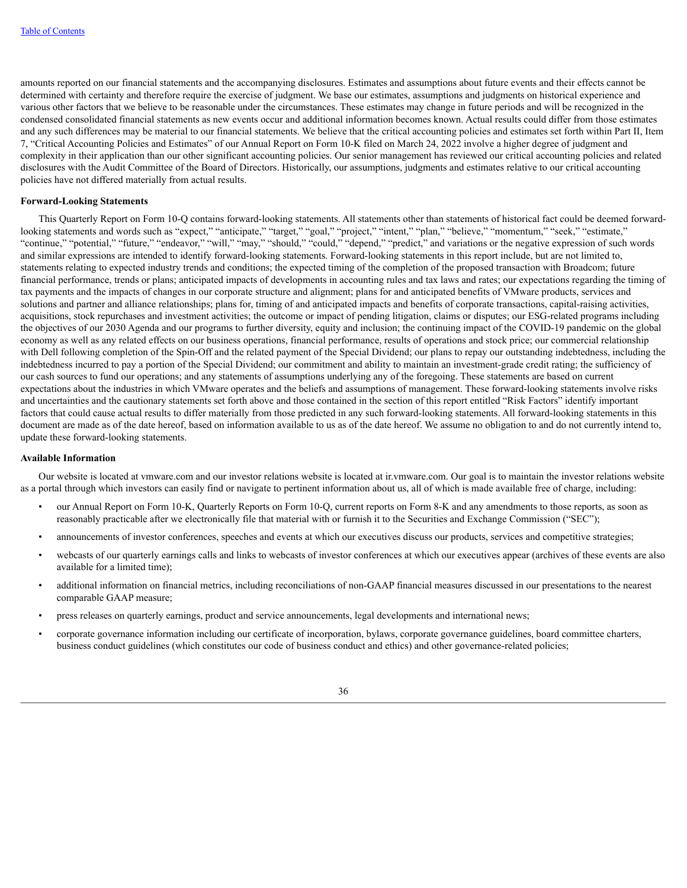amounts reported on our financial statements and the accompanying disclosures. Estimates and assumptions about future events and their effects cannot be determined with certainty and therefore require the exercise of judgment. We base our estimates, assumptions and judgments on historical experience and various other factors that we believe to be reasonable under the circumstances. These estimates may change in future periods and will be recognized in the condensed consolidated financial statements as new events occur and additional information becomes known. Actual results could differ from those estimates and any such differences may be material to our financial statements. We believe that the critical accounting policies and estimates set forth within Part II, Item 7, "Critical Accounting Policies and Estimates" of our Annual Report on Form 10-K filed on March 24, 2022 involve a higher degree of judgment and complexity in their application than our other significant accounting policies. Our senior management has reviewed our critical accounting policies and related disclosures with the Audit Committee of the Board of Directors. Historically, our assumptions, judgments and estimates relative to our critical accounting policies have not differed materially from actual results.

#### **Forward-Looking Statements**

This Quarterly Report on Form 10-Q contains forward-looking statements. All statements other than statements of historical fact could be deemed forwardlooking statements and words such as "expect," "anticipate," "target," "goal," "project," "intent," "plan," "believe," "momentum," "seek," "estimate," "continue," "potential," "future," "endeavor," "will," "may," "should," "could," "depend," "predict," and variations or the negative expression of such words and similar expressions are intended to identify forward-looking statements. Forward-looking statements in this report include, but are not limited to, statements relating to expected industry trends and conditions; the expected timing of the completion of the proposed transaction with Broadcom; future financial performance, trends or plans; anticipated impacts of developments in accounting rules and tax laws and rates; our expectations regarding the timing of tax payments and the impacts of changes in our corporate structure and alignment; plans for and anticipated benefits of VMware products, services and solutions and partner and alliance relationships; plans for, timing of and anticipated impacts and benefits of corporate transactions, capital-raising activities, acquisitions, stock repurchases and investment activities; the outcome or impact of pending litigation, claims or disputes; our ESG-related programs including the objectives of our 2030 Agenda and our programs to further diversity, equity and inclusion; the continuing impact of the COVID-19 pandemic on the global economy as well as any related effects on our business operations, financial performance, results of operations and stock price; our commercial relationship with Dell following completion of the Spin-Off and the related payment of the Special Dividend; our plans to repay our outstanding indebtedness, including the indebtedness incurred to pay a portion of the Special Dividend; our commitment and ability to maintain an investment-grade credit rating; the sufficiency of our cash sources to fund our operations; and any statements of assumptions underlying any of the foregoing. These statements are based on current expectations about the industries in which VMware operates and the beliefs and assumptions of management. These forward-looking statements involve risks and uncertainties and the cautionary statements set forth above and those contained in the section of this report entitled "Risk Factors" identify important factors that could cause actual results to differ materially from those predicted in any such forward-looking statements. All forward-looking statements in this document are made as of the date hereof, based on information available to us as of the date hereof. We assume no obligation to and do not currently intend to, update these forward-looking statements.

#### **Available Information**

Our website is located at vmware.com and our investor relations website is located at ir.vmware.com. Our goal is to maintain the investor relations website as a portal through which investors can easily find or navigate to pertinent information about us, all of which is made available free of charge, including:

- our Annual Report on Form 10-K, Quarterly Reports on Form 10-Q, current reports on Form 8-K and any amendments to those reports, as soon as reasonably practicable after we electronically file that material with or furnish it to the Securities and Exchange Commission ("SEC");
- announcements of investor conferences, speeches and events at which our executives discuss our products, services and competitive strategies;
- webcasts of our quarterly earnings calls and links to webcasts of investor conferences at which our executives appear (archives of these events are also available for a limited time);
- additional information on financial metrics, including reconciliations of non-GAAP financial measures discussed in our presentations to the nearest comparable GAAP measure;
- press releases on quarterly earnings, product and service announcements, legal developments and international news;
- corporate governance information including our certificate of incorporation, bylaws, corporate governance guidelines, board committee charters, business conduct guidelines (which constitutes our code of business conduct and ethics) and other governance-related policies;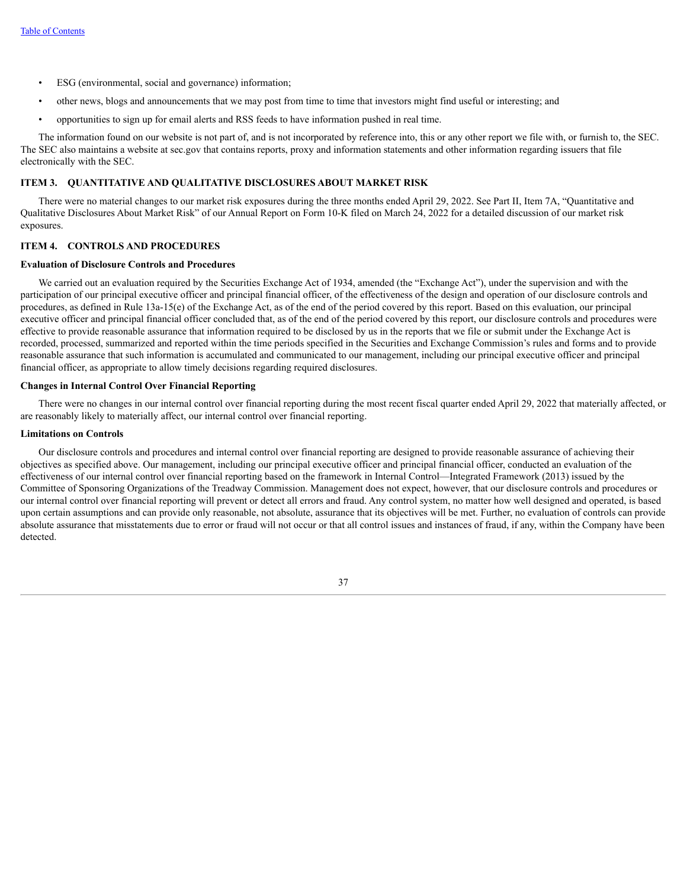- ESG (environmental, social and governance) information;
- other news, blogs and announcements that we may post from time to time that investors might find useful or interesting; and
- opportunities to sign up for email alerts and RSS feeds to have information pushed in real time.

The information found on our website is not part of, and is not incorporated by reference into, this or any other report we file with, or furnish to, the SEC. The SEC also maintains a website at sec.gov that contains reports, proxy and information statements and other information regarding issuers that file electronically with the SEC.

## **ITEM 3. QUANTITATIVE AND QUALITATIVE DISCLOSURES ABOUT MARKET RISK**

There were no material changes to our market risk exposures during the three months ended April 29, 2022. See Part II, Item 7A, "Quantitative and Qualitative Disclosures About Market Risk" of our Annual Report on Form 10-K filed on March 24, 2022 for a detailed discussion of our market risk exposures.

# **ITEM 4. CONTROLS AND PROCEDURES**

# **Evaluation of Disclosure Controls and Procedures**

We carried out an evaluation required by the Securities Exchange Act of 1934, amended (the "Exchange Act"), under the supervision and with the participation of our principal executive officer and principal financial officer, of the effectiveness of the design and operation of our disclosure controls and procedures, as defined in Rule 13a-15(e) of the Exchange Act, as of the end of the period covered by this report. Based on this evaluation, our principal executive officer and principal financial officer concluded that, as of the end of the period covered by this report, our disclosure controls and procedures were effective to provide reasonable assurance that information required to be disclosed by us in the reports that we file or submit under the Exchange Act is recorded, processed, summarized and reported within the time periods specified in the Securities and Exchange Commission's rules and forms and to provide reasonable assurance that such information is accumulated and communicated to our management, including our principal executive officer and principal financial officer, as appropriate to allow timely decisions regarding required disclosures.

#### **Changes in Internal Control Over Financial Reporting**

There were no changes in our internal control over financial reporting during the most recent fiscal quarter ended April 29, 2022 that materially affected, or are reasonably likely to materially affect, our internal control over financial reporting.

#### **Limitations on Controls**

Our disclosure controls and procedures and internal control over financial reporting are designed to provide reasonable assurance of achieving their objectives as specified above. Our management, including our principal executive officer and principal financial officer, conducted an evaluation of the effectiveness of our internal control over financial reporting based on the framework in Internal Control—Integrated Framework (2013) issued by the Committee of Sponsoring Organizations of the Treadway Commission. Management does not expect, however, that our disclosure controls and procedures or our internal control over financial reporting will prevent or detect all errors and fraud. Any control system, no matter how well designed and operated, is based upon certain assumptions and can provide only reasonable, not absolute, assurance that its objectives will be met. Further, no evaluation of controls can provide absolute assurance that misstatements due to error or fraud will not occur or that all control issues and instances of fraud, if any, within the Company have been detected.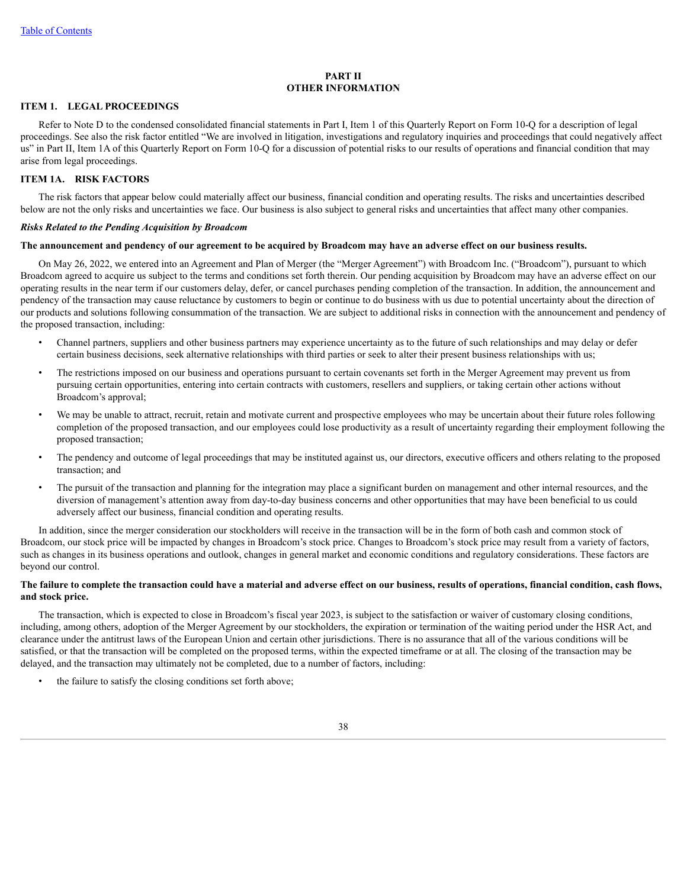#### **PART II OTHER INFORMATION**

# **ITEM 1. LEGAL PROCEEDINGS**

Refer to Note D to the condensed consolidated financial statements in Part I, Item 1 of this Quarterly Report on Form 10-Q for a description of legal proceedings. See also the risk factor entitled "We are involved in litigation, investigations and regulatory inquiries and proceedings that could negatively affect us" in Part II, Item 1A of this Quarterly Report on Form 10-Q for a discussion of potential risks to our results of operations and financial condition that may arise from legal proceedings.

# **ITEM 1A. RISK FACTORS**

The risk factors that appear below could materially affect our business, financial condition and operating results. The risks and uncertainties described below are not the only risks and uncertainties we face. Our business is also subject to general risks and uncertainties that affect many other companies.

# *Risks Related to the Pending Acquisition by Broadcom*

## The announcement and pendency of our agreement to be acquired by Broadcom may have an adverse effect on our business results.

On May 26, 2022, we entered into an Agreement and Plan of Merger (the "Merger Agreement") with Broadcom Inc. ("Broadcom"), pursuant to which Broadcom agreed to acquire us subject to the terms and conditions set forth therein. Our pending acquisition by Broadcom may have an adverse effect on our operating results in the near term if our customers delay, defer, or cancel purchases pending completion of the transaction. In addition, the announcement and pendency of the transaction may cause reluctance by customers to begin or continue to do business with us due to potential uncertainty about the direction of our products and solutions following consummation of the transaction. We are subject to additional risks in connection with the announcement and pendency of the proposed transaction, including:

- Channel partners, suppliers and other business partners may experience uncertainty as to the future of such relationships and may delay or defer certain business decisions, seek alternative relationships with third parties or seek to alter their present business relationships with us;
- The restrictions imposed on our business and operations pursuant to certain covenants set forth in the Merger Agreement may prevent us from pursuing certain opportunities, entering into certain contracts with customers, resellers and suppliers, or taking certain other actions without Broadcom's approval;
- We may be unable to attract, recruit, retain and motivate current and prospective employees who may be uncertain about their future roles following completion of the proposed transaction, and our employees could lose productivity as a result of uncertainty regarding their employment following the proposed transaction;
- The pendency and outcome of legal proceedings that may be instituted against us, our directors, executive officers and others relating to the proposed transaction; and
- The pursuit of the transaction and planning for the integration may place a significant burden on management and other internal resources, and the diversion of management's attention away from day-to-day business concerns and other opportunities that may have been beneficial to us could adversely affect our business, financial condition and operating results.

In addition, since the merger consideration our stockholders will receive in the transaction will be in the form of both cash and common stock of Broadcom, our stock price will be impacted by changes in Broadcom's stock price. Changes to Broadcom's stock price may result from a variety of factors, such as changes in its business operations and outlook, changes in general market and economic conditions and regulatory considerations. These factors are beyond our control.

# The failure to complete the transaction could have a material and adverse effect on our business, results of operations, financial condition, cash flows, **and stock price.**

The transaction, which is expected to close in Broadcom's fiscal year 2023, is subject to the satisfaction or waiver of customary closing conditions, including, among others, adoption of the Merger Agreement by our stockholders, the expiration or termination of the waiting period under the HSR Act, and clearance under the antitrust laws of the European Union and certain other jurisdictions. There is no assurance that all of the various conditions will be satisfied, or that the transaction will be completed on the proposed terms, within the expected timeframe or at all. The closing of the transaction may be delayed, and the transaction may ultimately not be completed, due to a number of factors, including:

the failure to satisfy the closing conditions set forth above;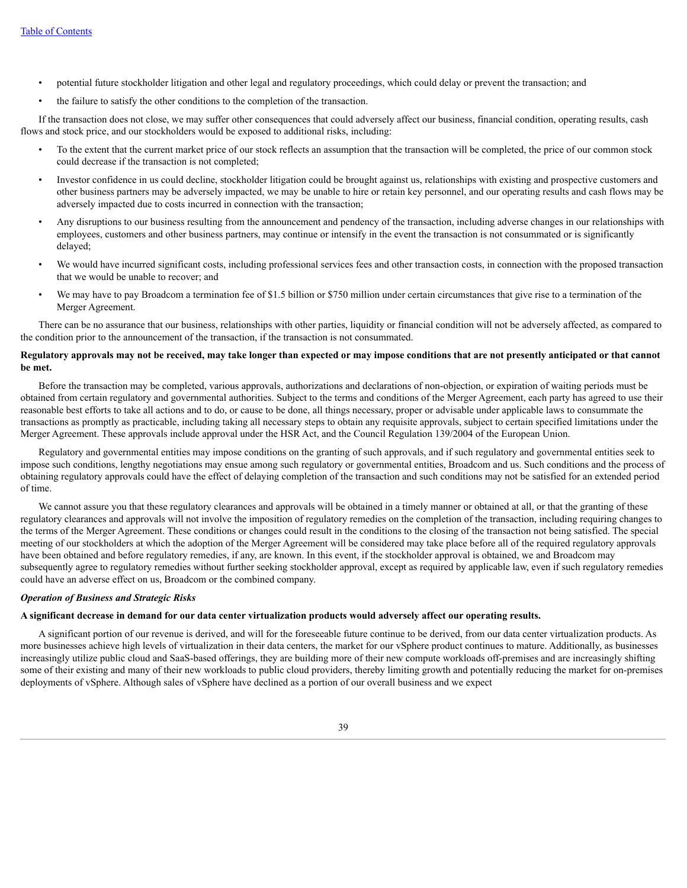- potential future stockholder litigation and other legal and regulatory proceedings, which could delay or prevent the transaction; and
- the failure to satisfy the other conditions to the completion of the transaction.

If the transaction does not close, we may suffer other consequences that could adversely affect our business, financial condition, operating results, cash flows and stock price, and our stockholders would be exposed to additional risks, including:

- To the extent that the current market price of our stock reflects an assumption that the transaction will be completed, the price of our common stock could decrease if the transaction is not completed;
- Investor confidence in us could decline, stockholder litigation could be brought against us, relationships with existing and prospective customers and other business partners may be adversely impacted, we may be unable to hire or retain key personnel, and our operating results and cash flows may be adversely impacted due to costs incurred in connection with the transaction;
- Any disruptions to our business resulting from the announcement and pendency of the transaction, including adverse changes in our relationships with employees, customers and other business partners, may continue or intensify in the event the transaction is not consummated or is significantly delayed;
- We would have incurred significant costs, including professional services fees and other transaction costs, in connection with the proposed transaction that we would be unable to recover; and
- We may have to pay Broadcom a termination fee of \$1.5 billion or \$750 million under certain circumstances that give rise to a termination of the Merger Agreement.

There can be no assurance that our business, relationships with other parties, liquidity or financial condition will not be adversely affected, as compared to the condition prior to the announcement of the transaction, if the transaction is not consummated.

# Regulatory approvals may not be received, may take longer than expected or may impose conditions that are not presently anticipated or that cannot **be met.**

Before the transaction may be completed, various approvals, authorizations and declarations of non-objection, or expiration of waiting periods must be obtained from certain regulatory and governmental authorities. Subject to the terms and conditions of the Merger Agreement, each party has agreed to use their reasonable best efforts to take all actions and to do, or cause to be done, all things necessary, proper or advisable under applicable laws to consummate the transactions as promptly as practicable, including taking all necessary steps to obtain any requisite approvals, subject to certain specified limitations under the Merger Agreement. These approvals include approval under the HSR Act, and the Council Regulation 139/2004 of the European Union.

Regulatory and governmental entities may impose conditions on the granting of such approvals, and if such regulatory and governmental entities seek to impose such conditions, lengthy negotiations may ensue among such regulatory or governmental entities, Broadcom and us. Such conditions and the process of obtaining regulatory approvals could have the effect of delaying completion of the transaction and such conditions may not be satisfied for an extended period of time.

We cannot assure you that these regulatory clearances and approvals will be obtained in a timely manner or obtained at all, or that the granting of these regulatory clearances and approvals will not involve the imposition of regulatory remedies on the completion of the transaction, including requiring changes to the terms of the Merger Agreement. These conditions or changes could result in the conditions to the closing of the transaction not being satisfied. The special meeting of our stockholders at which the adoption of the Merger Agreement will be considered may take place before all of the required regulatory approvals have been obtained and before regulatory remedies, if any, are known. In this event, if the stockholder approval is obtained, we and Broadcom may subsequently agree to regulatory remedies without further seeking stockholder approval, except as required by applicable law, even if such regulatory remedies could have an adverse effect on us, Broadcom or the combined company.

# *Operation of Business and Strategic Risks*

## A significant decrease in demand for our data center virtualization products would adversely affect our operating results.

A significant portion of our revenue is derived, and will for the foreseeable future continue to be derived, from our data center virtualization products. As more businesses achieve high levels of virtualization in their data centers, the market for our vSphere product continues to mature. Additionally, as businesses increasingly utilize public cloud and SaaS-based offerings, they are building more of their new compute workloads off-premises and are increasingly shifting some of their existing and many of their new workloads to public cloud providers, thereby limiting growth and potentially reducing the market for on-premises deployments of vSphere. Although sales of vSphere have declined as a portion of our overall business and we expect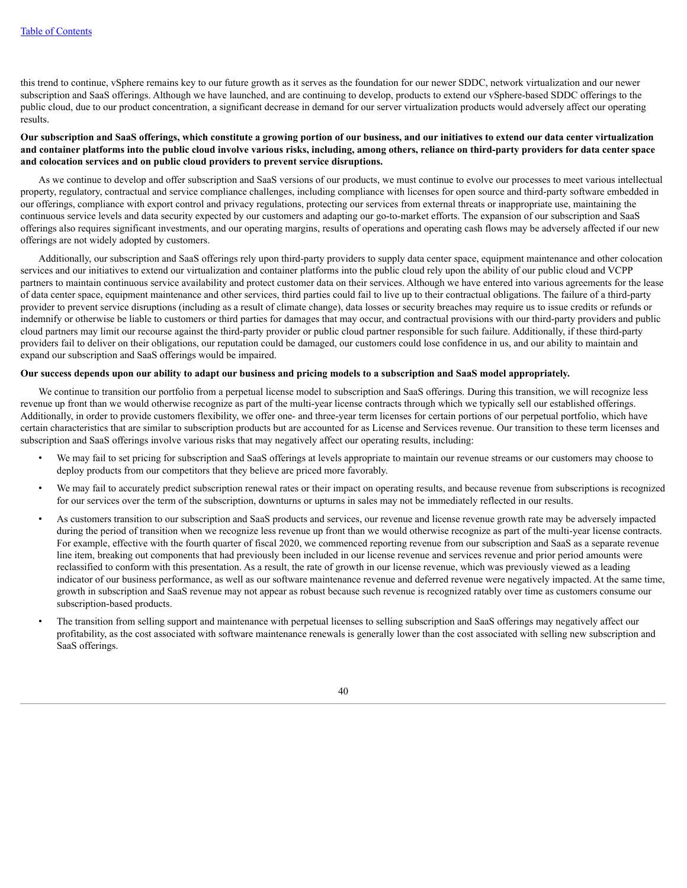this trend to continue, vSphere remains key to our future growth as it serves as the foundation for our newer SDDC, network virtualization and our newer subscription and SaaS offerings. Although we have launched, and are continuing to develop, products to extend our vSphere-based SDDC offerings to the public cloud, due to our product concentration, a significant decrease in demand for our server virtualization products would adversely affect our operating results.

# Our subscription and SaaS offerings, which constitute a growing portion of our business, and our initiatives to extend our data center virtualization and container platforms into the public cloud involve various risks, including, among others, reliance on third-party providers for data center space **and colocation services and on public cloud providers to prevent service disruptions.**

As we continue to develop and offer subscription and SaaS versions of our products, we must continue to evolve our processes to meet various intellectual property, regulatory, contractual and service compliance challenges, including compliance with licenses for open source and third-party software embedded in our offerings, compliance with export control and privacy regulations, protecting our services from external threats or inappropriate use, maintaining the continuous service levels and data security expected by our customers and adapting our go-to-market efforts. The expansion of our subscription and SaaS offerings also requires significant investments, and our operating margins, results of operations and operating cash flows may be adversely affected if our new offerings are not widely adopted by customers.

Additionally, our subscription and SaaS offerings rely upon third-party providers to supply data center space, equipment maintenance and other colocation services and our initiatives to extend our virtualization and container platforms into the public cloud rely upon the ability of our public cloud and VCPP partners to maintain continuous service availability and protect customer data on their services. Although we have entered into various agreements for the lease of data center space, equipment maintenance and other services, third parties could fail to live up to their contractual obligations. The failure of a third-party provider to prevent service disruptions (including as a result of climate change), data losses or security breaches may require us to issue credits or refunds or indemnify or otherwise be liable to customers or third parties for damages that may occur, and contractual provisions with our third-party providers and public cloud partners may limit our recourse against the third-party provider or public cloud partner responsible for such failure. Additionally, if these third-party providers fail to deliver on their obligations, our reputation could be damaged, our customers could lose confidence in us, and our ability to maintain and expand our subscription and SaaS offerings would be impaired.

# Our success depends upon our ability to adapt our business and pricing models to a subscription and SaaS model appropriately.

We continue to transition our portfolio from a perpetual license model to subscription and SaaS offerings. During this transition, we will recognize less revenue up front than we would otherwise recognize as part of the multi-year license contracts through which we typically sell our established offerings. Additionally, in order to provide customers flexibility, we offer one- and three-year term licenses for certain portions of our perpetual portfolio, which have certain characteristics that are similar to subscription products but are accounted for as License and Services revenue. Our transition to these term licenses and subscription and SaaS offerings involve various risks that may negatively affect our operating results, including:

- We may fail to set pricing for subscription and SaaS offerings at levels appropriate to maintain our revenue streams or our customers may choose to deploy products from our competitors that they believe are priced more favorably.
- We may fail to accurately predict subscription renewal rates or their impact on operating results, and because revenue from subscriptions is recognized for our services over the term of the subscription, downturns or upturns in sales may not be immediately reflected in our results.
- As customers transition to our subscription and SaaS products and services, our revenue and license revenue growth rate may be adversely impacted during the period of transition when we recognize less revenue up front than we would otherwise recognize as part of the multi-year license contracts. For example, effective with the fourth quarter of fiscal 2020, we commenced reporting revenue from our subscription and SaaS as a separate revenue line item, breaking out components that had previously been included in our license revenue and services revenue and prior period amounts were reclassified to conform with this presentation. As a result, the rate of growth in our license revenue, which was previously viewed as a leading indicator of our business performance, as well as our software maintenance revenue and deferred revenue were negatively impacted. At the same time, growth in subscription and SaaS revenue may not appear as robust because such revenue is recognized ratably over time as customers consume our subscription-based products.
- The transition from selling support and maintenance with perpetual licenses to selling subscription and SaaS offerings may negatively affect our profitability, as the cost associated with software maintenance renewals is generally lower than the cost associated with selling new subscription and SaaS offerings.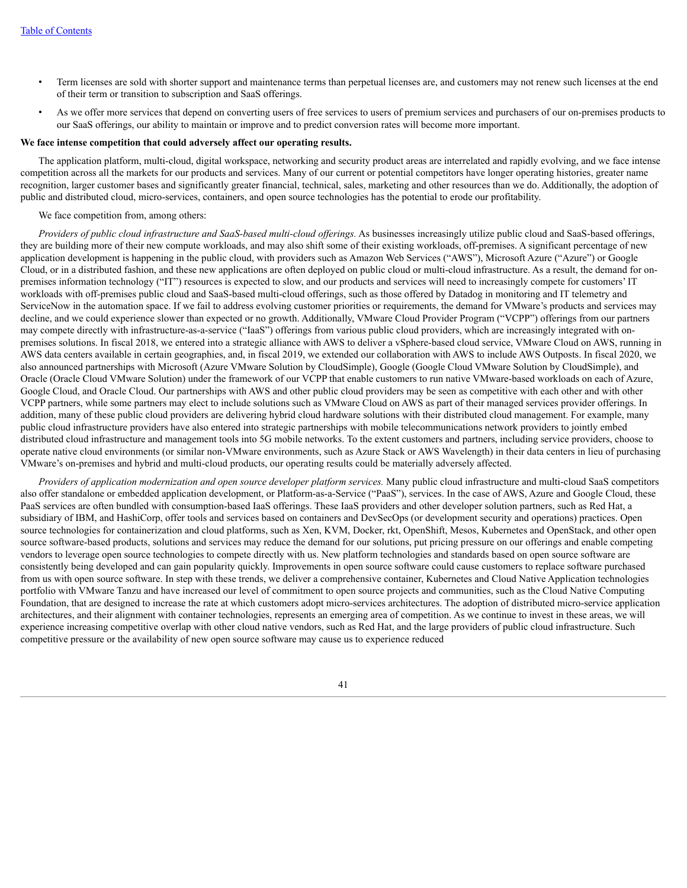- Term licenses are sold with shorter support and maintenance terms than perpetual licenses are, and customers may not renew such licenses at the end of their term or transition to subscription and SaaS offerings.
- As we offer more services that depend on converting users of free services to users of premium services and purchasers of our on-premises products to our SaaS offerings, our ability to maintain or improve and to predict conversion rates will become more important.

# **We face intense competition that could adversely affect our operating results.**

The application platform, multi-cloud, digital workspace, networking and security product areas are interrelated and rapidly evolving, and we face intense competition across all the markets for our products and services. Many of our current or potential competitors have longer operating histories, greater name recognition, larger customer bases and significantly greater financial, technical, sales, marketing and other resources than we do. Additionally, the adoption of public and distributed cloud, micro-services, containers, and open source technologies has the potential to erode our profitability.

### We face competition from, among others:

*Providers of public cloud infrastructure and SaaS-based multi-cloud of erings.* As businesses increasingly utilize public cloud and SaaS-based offerings, they are building more of their new compute workloads, and may also shift some of their existing workloads, off-premises. A significant percentage of new application development is happening in the public cloud, with providers such as Amazon Web Services ("AWS"), Microsoft Azure ("Azure") or Google Cloud, or in a distributed fashion, and these new applications are often deployed on public cloud or multi-cloud infrastructure. As a result, the demand for onpremises information technology ("IT") resources is expected to slow, and our products and services will need to increasingly compete for customers' IT workloads with off-premises public cloud and SaaS-based multi-cloud offerings, such as those offered by Datadog in monitoring and IT telemetry and ServiceNow in the automation space. If we fail to address evolving customer priorities or requirements, the demand for VMware's products and services may decline, and we could experience slower than expected or no growth. Additionally, VMware Cloud Provider Program ("VCPP") offerings from our partners may compete directly with infrastructure-as-a-service ("IaaS") offerings from various public cloud providers, which are increasingly integrated with onpremises solutions. In fiscal 2018, we entered into a strategic alliance with AWS to deliver a vSphere-based cloud service, VMware Cloud on AWS, running in AWS data centers available in certain geographies, and, in fiscal 2019, we extended our collaboration with AWS to include AWS Outposts. In fiscal 2020, we also announced partnerships with Microsoft (Azure VMware Solution by CloudSimple), Google (Google Cloud VMware Solution by CloudSimple), and Oracle (Oracle Cloud VMware Solution) under the framework of our VCPP that enable customers to run native VMware-based workloads on each of Azure, Google Cloud, and Oracle Cloud. Our partnerships with AWS and other public cloud providers may be seen as competitive with each other and with other VCPP partners, while some partners may elect to include solutions such as VMware Cloud on AWS as part of their managed services provider offerings. In addition, many of these public cloud providers are delivering hybrid cloud hardware solutions with their distributed cloud management. For example, many public cloud infrastructure providers have also entered into strategic partnerships with mobile telecommunications network providers to jointly embed distributed cloud infrastructure and management tools into 5G mobile networks. To the extent customers and partners, including service providers, choose to operate native cloud environments (or similar non-VMware environments, such as Azure Stack or AWS Wavelength) in their data centers in lieu of purchasing VMware's on-premises and hybrid and multi-cloud products, our operating results could be materially adversely affected.

*Providers of application modernization and open source developer platform services.* Many public cloud infrastructure and multi-cloud SaaS competitors also offer standalone or embedded application development, or Platform-as-a-Service ("PaaS"), services. In the case of AWS, Azure and Google Cloud, these PaaS services are often bundled with consumption-based IaaS offerings. These IaaS providers and other developer solution partners, such as Red Hat, a subsidiary of IBM, and HashiCorp, offer tools and services based on containers and DevSecOps (or development security and operations) practices. Open source technologies for containerization and cloud platforms, such as Xen, KVM, Docker, rkt, OpenShift, Mesos, Kubernetes and OpenStack, and other open source software-based products, solutions and services may reduce the demand for our solutions, put pricing pressure on our offerings and enable competing vendors to leverage open source technologies to compete directly with us. New platform technologies and standards based on open source software are consistently being developed and can gain popularity quickly. Improvements in open source software could cause customers to replace software purchased from us with open source software. In step with these trends, we deliver a comprehensive container, Kubernetes and Cloud Native Application technologies portfolio with VMware Tanzu and have increased our level of commitment to open source projects and communities, such as the Cloud Native Computing Foundation, that are designed to increase the rate at which customers adopt micro-services architectures. The adoption of distributed micro-service application architectures, and their alignment with container technologies, represents an emerging area of competition. As we continue to invest in these areas, we will experience increasing competitive overlap with other cloud native vendors, such as Red Hat, and the large providers of public cloud infrastructure. Such competitive pressure or the availability of new open source software may cause us to experience reduced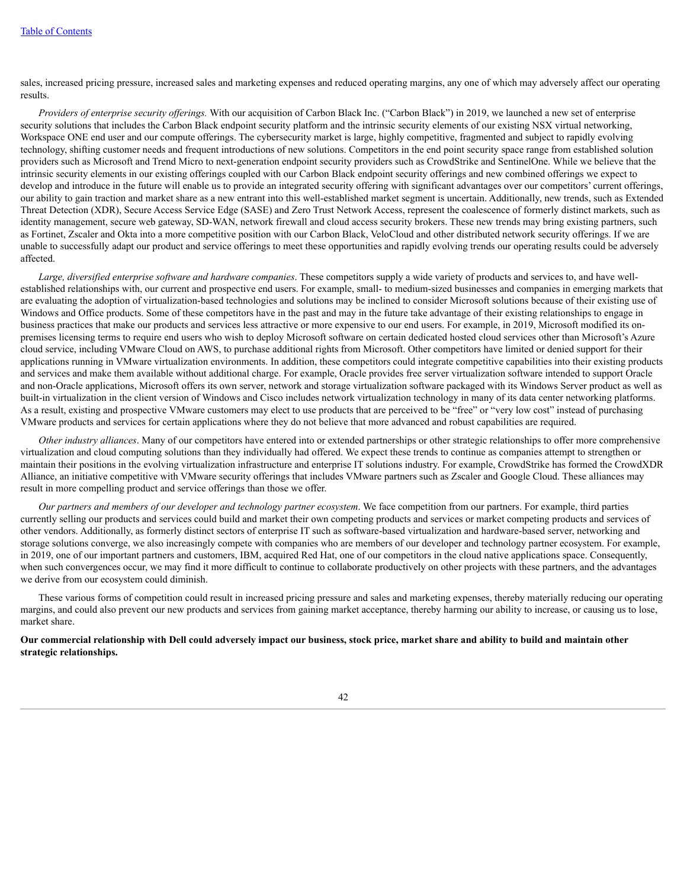sales, increased pricing pressure, increased sales and marketing expenses and reduced operating margins, any one of which may adversely affect our operating results.

*Providers of enterprise security of erings.* With our acquisition of Carbon Black Inc. ("Carbon Black") in 2019, we launched a new set of enterprise security solutions that includes the Carbon Black endpoint security platform and the intrinsic security elements of our existing NSX virtual networking, Workspace ONE end user and our compute offerings. The cybersecurity market is large, highly competitive, fragmented and subject to rapidly evolving technology, shifting customer needs and frequent introductions of new solutions. Competitors in the end point security space range from established solution providers such as Microsoft and Trend Micro to next-generation endpoint security providers such as CrowdStrike and SentinelOne. While we believe that the intrinsic security elements in our existing offerings coupled with our Carbon Black endpoint security offerings and new combined offerings we expect to develop and introduce in the future will enable us to provide an integrated security offering with significant advantages over our competitors' current offerings, our ability to gain traction and market share as a new entrant into this well-established market segment is uncertain. Additionally, new trends, such as Extended Threat Detection (XDR), Secure Access Service Edge (SASE) and Zero Trust Network Access, represent the coalescence of formerly distinct markets, such as identity management, secure web gateway, SD-WAN, network firewall and cloud access security brokers. These new trends may bring existing partners, such as Fortinet, Zscaler and Okta into a more competitive position with our Carbon Black, VeloCloud and other distributed network security offerings. If we are unable to successfully adapt our product and service offerings to meet these opportunities and rapidly evolving trends our operating results could be adversely affected.

*Large, diversified enterprise software and hardware companies*. These competitors supply a wide variety of products and services to, and have wellestablished relationships with, our current and prospective end users. For example, small- to medium-sized businesses and companies in emerging markets that are evaluating the adoption of virtualization-based technologies and solutions may be inclined to consider Microsoft solutions because of their existing use of Windows and Office products. Some of these competitors have in the past and may in the future take advantage of their existing relationships to engage in business practices that make our products and services less attractive or more expensive to our end users. For example, in 2019, Microsoft modified its onpremises licensing terms to require end users who wish to deploy Microsoft software on certain dedicated hosted cloud services other than Microsoft's Azure cloud service, including VMware Cloud on AWS, to purchase additional rights from Microsoft. Other competitors have limited or denied support for their applications running in VMware virtualization environments. In addition, these competitors could integrate competitive capabilities into their existing products and services and make them available without additional charge. For example, Oracle provides free server virtualization software intended to support Oracle and non-Oracle applications, Microsoft offers its own server, network and storage virtualization software packaged with its Windows Server product as well as built-in virtualization in the client version of Windows and Cisco includes network virtualization technology in many of its data center networking platforms. As a result, existing and prospective VMware customers may elect to use products that are perceived to be "free" or "very low cost" instead of purchasing VMware products and services for certain applications where they do not believe that more advanced and robust capabilities are required.

*Other industry alliances*. Many of our competitors have entered into or extended partnerships or other strategic relationships to offer more comprehensive virtualization and cloud computing solutions than they individually had offered. We expect these trends to continue as companies attempt to strengthen or maintain their positions in the evolving virtualization infrastructure and enterprise IT solutions industry. For example, CrowdStrike has formed the CrowdXDR Alliance, an initiative competitive with VMware security offerings that includes VMware partners such as Zscaler and Google Cloud. These alliances may result in more compelling product and service offerings than those we offer.

*Our partners and members of our developer and technology partner ecosystem*. We face competition from our partners. For example, third parties currently selling our products and services could build and market their own competing products and services or market competing products and services of other vendors. Additionally, as formerly distinct sectors of enterprise IT such as software-based virtualization and hardware-based server, networking and storage solutions converge, we also increasingly compete with companies who are members of our developer and technology partner ecosystem. For example, in 2019, one of our important partners and customers, IBM, acquired Red Hat, one of our competitors in the cloud native applications space. Consequently, when such convergences occur, we may find it more difficult to continue to collaborate productively on other projects with these partners, and the advantages we derive from our ecosystem could diminish.

These various forms of competition could result in increased pricing pressure and sales and marketing expenses, thereby materially reducing our operating margins, and could also prevent our new products and services from gaining market acceptance, thereby harming our ability to increase, or causing us to lose, market share.

# Our commercial relationship with Dell could adversely impact our business, stock price, market share and ability to build and maintain other **strategic relationships.**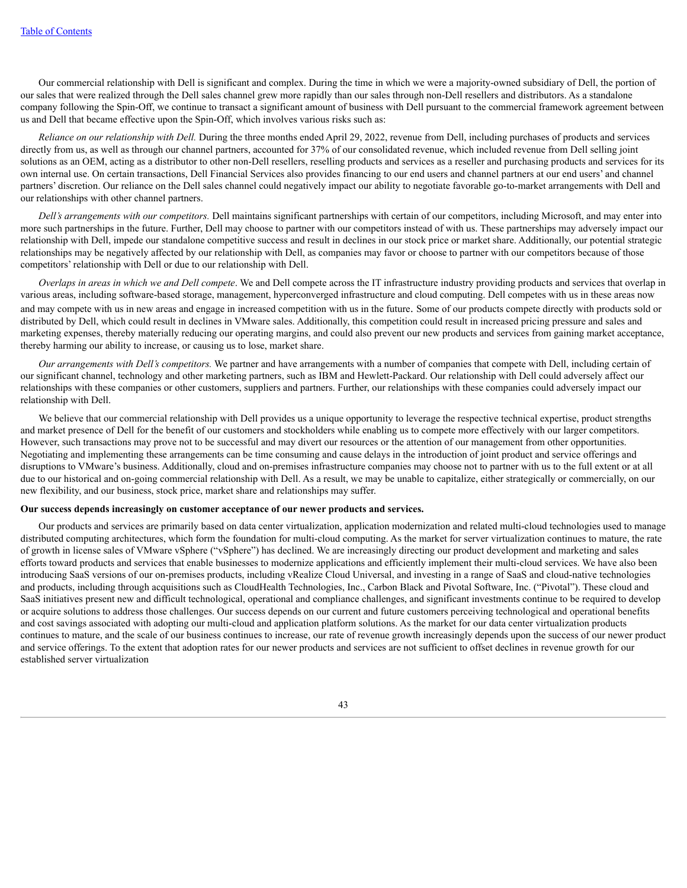Our commercial relationship with Dell is significant and complex. During the time in which we were a majority-owned subsidiary of Dell, the portion of our sales that were realized through the Dell sales channel grew more rapidly than our sales through non-Dell resellers and distributors. As a standalone company following the Spin-Off, we continue to transact a significant amount of business with Dell pursuant to the commercial framework agreement between us and Dell that became effective upon the Spin-Off, which involves various risks such as:

*Reliance on our relationship with Dell.* During the three months ended April 29, 2022, revenue from Dell, including purchases of products and services directly from us, as well as through our channel partners, accounted for 37% of our consolidated revenue, which included revenue from Dell selling joint solutions as an OEM, acting as a distributor to other non-Dell resellers, reselling products and services as a reseller and purchasing products and services for its own internal use. On certain transactions, Dell Financial Services also provides financing to our end users and channel partners at our end users' and channel partners' discretion. Our reliance on the Dell sales channel could negatively impact our ability to negotiate favorable go-to-market arrangements with Dell and our relationships with other channel partners.

*Dell's arrangements with our competitors.* Dell maintains significant partnerships with certain of our competitors, including Microsoft, and may enter into more such partnerships in the future. Further, Dell may choose to partner with our competitors instead of with us. These partnerships may adversely impact our relationship with Dell, impede our standalone competitive success and result in declines in our stock price or market share. Additionally, our potential strategic relationships may be negatively affected by our relationship with Dell, as companies may favor or choose to partner with our competitors because of those competitors' relationship with Dell or due to our relationship with Dell.

*Overlaps in areas in which we and Dell compete*. We and Dell compete across the IT infrastructure industry providing products and services that overlap in various areas, including software-based storage, management, hyperconverged infrastructure and cloud computing. Dell competes with us in these areas now and may compete with us in new areas and engage in increased competition with us in the future. Some of our products compete directly with products sold or distributed by Dell, which could result in declines in VMware sales. Additionally, this competition could result in increased pricing pressure and sales and marketing expenses, thereby materially reducing our operating margins, and could also prevent our new products and services from gaining market acceptance, thereby harming our ability to increase, or causing us to lose, market share.

*Our arrangements with Dell's competitors.* We partner and have arrangements with a number of companies that compete with Dell, including certain of our significant channel, technology and other marketing partners, such as IBM and Hewlett-Packard. Our relationship with Dell could adversely affect our relationships with these companies or other customers, suppliers and partners. Further, our relationships with these companies could adversely impact our relationship with Dell.

We believe that our commercial relationship with Dell provides us a unique opportunity to leverage the respective technical expertise, product strengths and market presence of Dell for the benefit of our customers and stockholders while enabling us to compete more effectively with our larger competitors. However, such transactions may prove not to be successful and may divert our resources or the attention of our management from other opportunities. Negotiating and implementing these arrangements can be time consuming and cause delays in the introduction of joint product and service offerings and disruptions to VMware's business. Additionally, cloud and on-premises infrastructure companies may choose not to partner with us to the full extent or at all due to our historical and on-going commercial relationship with Dell. As a result, we may be unable to capitalize, either strategically or commercially, on our new flexibility, and our business, stock price, market share and relationships may suffer.

#### **Our success depends increasingly on customer acceptance of our newer products and services.**

Our products and services are primarily based on data center virtualization, application modernization and related multi-cloud technologies used to manage distributed computing architectures, which form the foundation for multi-cloud computing. As the market for server virtualization continues to mature, the rate of growth in license sales of VMware vSphere ("vSphere") has declined. We are increasingly directing our product development and marketing and sales efforts toward products and services that enable businesses to modernize applications and efficiently implement their multi-cloud services. We have also been introducing SaaS versions of our on-premises products, including vRealize Cloud Universal, and investing in a range of SaaS and cloud-native technologies and products, including through acquisitions such as CloudHealth Technologies, Inc., Carbon Black and Pivotal Software, Inc. ("Pivotal"). These cloud and SaaS initiatives present new and difficult technological, operational and compliance challenges, and significant investments continue to be required to develop or acquire solutions to address those challenges. Our success depends on our current and future customers perceiving technological and operational benefits and cost savings associated with adopting our multi-cloud and application platform solutions. As the market for our data center virtualization products continues to mature, and the scale of our business continues to increase, our rate of revenue growth increasingly depends upon the success of our newer product and service offerings. To the extent that adoption rates for our newer products and services are not sufficient to offset declines in revenue growth for our established server virtualization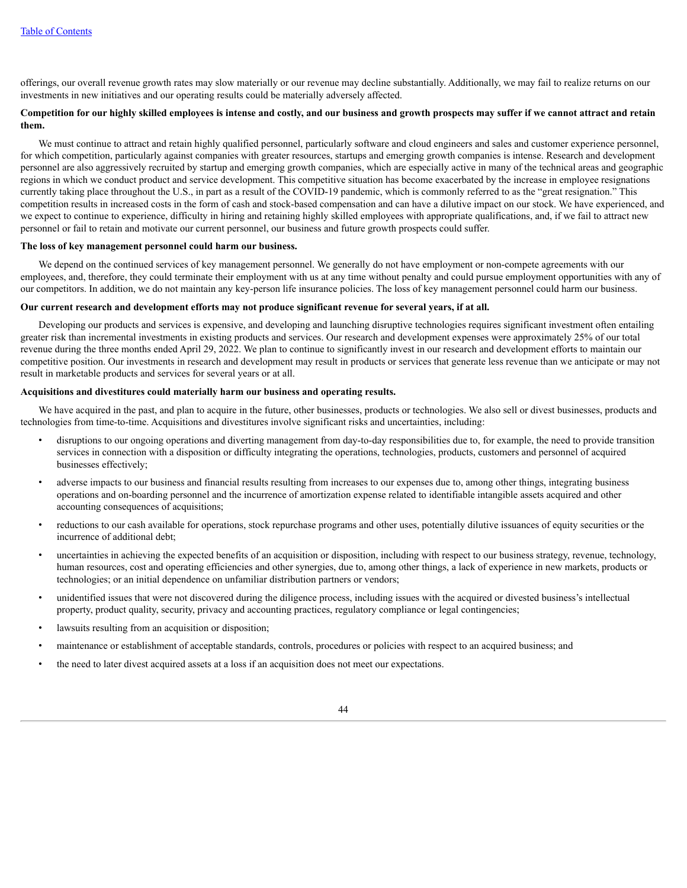offerings, our overall revenue growth rates may slow materially or our revenue may decline substantially. Additionally, we may fail to realize returns on our investments in new initiatives and our operating results could be materially adversely affected.

# Competition for our highly skilled employees is intense and costly, and our business and growth prospects may suffer if we cannot attract and retain **them.**

We must continue to attract and retain highly qualified personnel, particularly software and cloud engineers and sales and customer experience personnel, for which competition, particularly against companies with greater resources, startups and emerging growth companies is intense. Research and development personnel are also aggressively recruited by startup and emerging growth companies, which are especially active in many of the technical areas and geographic regions in which we conduct product and service development. This competitive situation has become exacerbated by the increase in employee resignations currently taking place throughout the U.S., in part as a result of the COVID-19 pandemic, which is commonly referred to as the "great resignation." This competition results in increased costs in the form of cash and stock-based compensation and can have a dilutive impact on our stock. We have experienced, and we expect to continue to experience, difficulty in hiring and retaining highly skilled employees with appropriate qualifications, and, if we fail to attract new personnel or fail to retain and motivate our current personnel, our business and future growth prospects could suffer.

## **The loss of key management personnel could harm our business.**

We depend on the continued services of key management personnel. We generally do not have employment or non-compete agreements with our employees, and, therefore, they could terminate their employment with us at any time without penalty and could pursue employment opportunities with any of our competitors. In addition, we do not maintain any key-person life insurance policies. The loss of key management personnel could harm our business.

# Our current research and development efforts may not produce significant revenue for several years, if at all.

Developing our products and services is expensive, and developing and launching disruptive technologies requires significant investment often entailing greater risk than incremental investments in existing products and services. Our research and development expenses were approximately 25% of our total revenue during the three months ended April 29, 2022. We plan to continue to significantly invest in our research and development efforts to maintain our competitive position. Our investments in research and development may result in products or services that generate less revenue than we anticipate or may not result in marketable products and services for several years or at all.

## **Acquisitions and divestitures could materially harm our business and operating results.**

We have acquired in the past, and plan to acquire in the future, other businesses, products or technologies. We also sell or divest businesses, products and technologies from time-to-time. Acquisitions and divestitures involve significant risks and uncertainties, including:

- disruptions to our ongoing operations and diverting management from day-to-day responsibilities due to, for example, the need to provide transition services in connection with a disposition or difficulty integrating the operations, technologies, products, customers and personnel of acquired businesses effectively;
- adverse impacts to our business and financial results resulting from increases to our expenses due to, among other things, integrating business operations and on-boarding personnel and the incurrence of amortization expense related to identifiable intangible assets acquired and other accounting consequences of acquisitions;
- reductions to our cash available for operations, stock repurchase programs and other uses, potentially dilutive issuances of equity securities or the incurrence of additional debt;
- uncertainties in achieving the expected benefits of an acquisition or disposition, including with respect to our business strategy, revenue, technology, human resources, cost and operating efficiencies and other synergies, due to, among other things, a lack of experience in new markets, products or technologies; or an initial dependence on unfamiliar distribution partners or vendors;
- unidentified issues that were not discovered during the diligence process, including issues with the acquired or divested business's intellectual property, product quality, security, privacy and accounting practices, regulatory compliance or legal contingencies;
- lawsuits resulting from an acquisition or disposition;
- maintenance or establishment of acceptable standards, controls, procedures or policies with respect to an acquired business; and
- the need to later divest acquired assets at a loss if an acquisition does not meet our expectations.

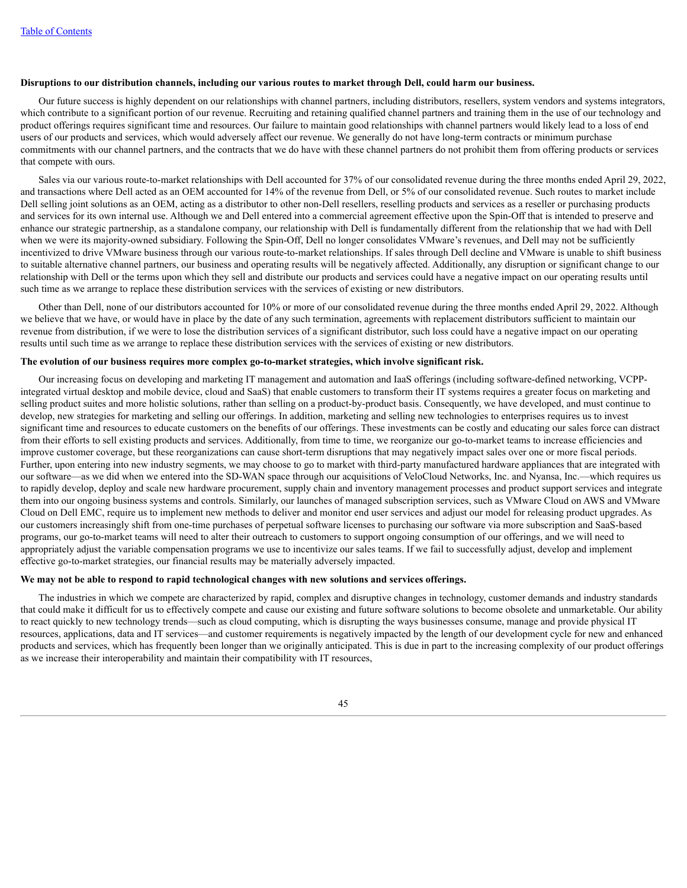#### Disruptions to our distribution channels, including our various routes to market through Dell, could harm our business.

Our future success is highly dependent on our relationships with channel partners, including distributors, resellers, system vendors and systems integrators, which contribute to a significant portion of our revenue. Recruiting and retaining qualified channel partners and training them in the use of our technology and product offerings requires significant time and resources. Our failure to maintain good relationships with channel partners would likely lead to a loss of end users of our products and services, which would adversely affect our revenue. We generally do not have long-term contracts or minimum purchase commitments with our channel partners, and the contracts that we do have with these channel partners do not prohibit them from offering products or services that compete with ours.

Sales via our various route-to-market relationships with Dell accounted for 37% of our consolidated revenue during the three months ended April 29, 2022, and transactions where Dell acted as an OEM accounted for 14% of the revenue from Dell, or 5% of our consolidated revenue. Such routes to market include Dell selling joint solutions as an OEM, acting as a distributor to other non-Dell resellers, reselling products and services as a reseller or purchasing products and services for its own internal use. Although we and Dell entered into a commercial agreement effective upon the Spin-Off that is intended to preserve and enhance our strategic partnership, as a standalone company, our relationship with Dell is fundamentally different from the relationship that we had with Dell when we were its majority-owned subsidiary. Following the Spin-Off, Dell no longer consolidates VMware's revenues, and Dell may not be sufficiently incentivized to drive VMware business through our various route-to-market relationships. If sales through Dell decline and VMware is unable to shift business to suitable alternative channel partners, our business and operating results will be negatively affected. Additionally, any disruption or significant change to our relationship with Dell or the terms upon which they sell and distribute our products and services could have a negative impact on our operating results until such time as we arrange to replace these distribution services with the services of existing or new distributors.

Other than Dell, none of our distributors accounted for 10% or more of our consolidated revenue during the three months ended April 29, 2022. Although we believe that we have, or would have in place by the date of any such termination, agreements with replacement distributors sufficient to maintain our revenue from distribution, if we were to lose the distribution services of a significant distributor, such loss could have a negative impact on our operating results until such time as we arrange to replace these distribution services with the services of existing or new distributors.

#### **The evolution of our business requires more complex go-to-market strategies, which involve significant risk.**

Our increasing focus on developing and marketing IT management and automation and IaaS offerings (including software-defined networking, VCPPintegrated virtual desktop and mobile device, cloud and SaaS) that enable customers to transform their IT systems requires a greater focus on marketing and selling product suites and more holistic solutions, rather than selling on a product-by-product basis. Consequently, we have developed, and must continue to develop, new strategies for marketing and selling our offerings. In addition, marketing and selling new technologies to enterprises requires us to invest significant time and resources to educate customers on the benefits of our offerings. These investments can be costly and educating our sales force can distract from their efforts to sell existing products and services. Additionally, from time to time, we reorganize our go-to-market teams to increase efficiencies and improve customer coverage, but these reorganizations can cause short-term disruptions that may negatively impact sales over one or more fiscal periods. Further, upon entering into new industry segments, we may choose to go to market with third-party manufactured hardware appliances that are integrated with our software—as we did when we entered into the SD-WAN space through our acquisitions of VeloCloud Networks, Inc. and Nyansa, Inc.—which requires us to rapidly develop, deploy and scale new hardware procurement, supply chain and inventory management processes and product support services and integrate them into our ongoing business systems and controls. Similarly, our launches of managed subscription services, such as VMware Cloud on AWS and VMware Cloud on Dell EMC, require us to implement new methods to deliver and monitor end user services and adjust our model for releasing product upgrades. As our customers increasingly shift from one-time purchases of perpetual software licenses to purchasing our software via more subscription and SaaS-based programs, our go-to-market teams will need to alter their outreach to customers to support ongoing consumption of our offerings, and we will need to appropriately adjust the variable compensation programs we use to incentivize our sales teams. If we fail to successfully adjust, develop and implement effective go-to-market strategies, our financial results may be materially adversely impacted.

#### **We may not be able to respond to rapid technological changes with new solutions and services offerings.**

The industries in which we compete are characterized by rapid, complex and disruptive changes in technology, customer demands and industry standards that could make it difficult for us to effectively compete and cause our existing and future software solutions to become obsolete and unmarketable. Our ability to react quickly to new technology trends—such as cloud computing, which is disrupting the ways businesses consume, manage and provide physical IT resources, applications, data and IT services—and customer requirements is negatively impacted by the length of our development cycle for new and enhanced products and services, which has frequently been longer than we originally anticipated. This is due in part to the increasing complexity of our product offerings as we increase their interoperability and maintain their compatibility with IT resources,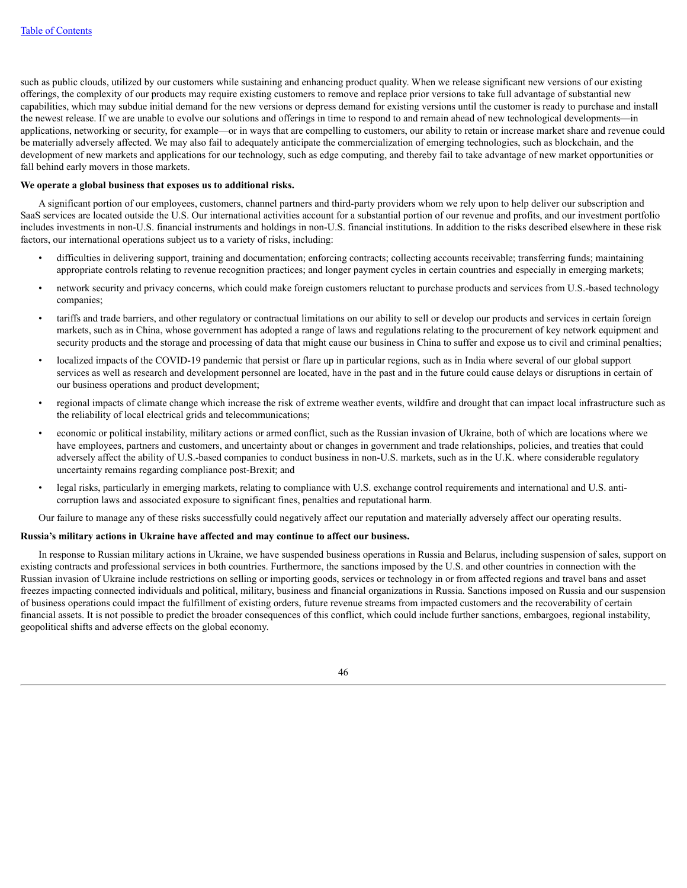such as public clouds, utilized by our customers while sustaining and enhancing product quality. When we release significant new versions of our existing offerings, the complexity of our products may require existing customers to remove and replace prior versions to take full advantage of substantial new capabilities, which may subdue initial demand for the new versions or depress demand for existing versions until the customer is ready to purchase and install the newest release. If we are unable to evolve our solutions and offerings in time to respond to and remain ahead of new technological developments—in applications, networking or security, for example—or in ways that are compelling to customers, our ability to retain or increase market share and revenue could be materially adversely affected. We may also fail to adequately anticipate the commercialization of emerging technologies, such as blockchain, and the development of new markets and applications for our technology, such as edge computing, and thereby fail to take advantage of new market opportunities or fall behind early movers in those markets.

### **We operate a global business that exposes us to additional risks.**

A significant portion of our employees, customers, channel partners and third-party providers whom we rely upon to help deliver our subscription and SaaS services are located outside the U.S. Our international activities account for a substantial portion of our revenue and profits, and our investment portfolio includes investments in non-U.S. financial instruments and holdings in non-U.S. financial institutions. In addition to the risks described elsewhere in these risk factors, our international operations subject us to a variety of risks, including:

- difficulties in delivering support, training and documentation; enforcing contracts; collecting accounts receivable; transferring funds; maintaining appropriate controls relating to revenue recognition practices; and longer payment cycles in certain countries and especially in emerging markets;
- network security and privacy concerns, which could make foreign customers reluctant to purchase products and services from U.S.-based technology companies;
- tariffs and trade barriers, and other regulatory or contractual limitations on our ability to sell or develop our products and services in certain foreign markets, such as in China, whose government has adopted a range of laws and regulations relating to the procurement of key network equipment and security products and the storage and processing of data that might cause our business in China to suffer and expose us to civil and criminal penalties;
- localized impacts of the COVID-19 pandemic that persist or flare up in particular regions, such as in India where several of our global support services as well as research and development personnel are located, have in the past and in the future could cause delays or disruptions in certain of our business operations and product development;
- regional impacts of climate change which increase the risk of extreme weather events, wildfire and drought that can impact local infrastructure such as the reliability of local electrical grids and telecommunications;
- economic or political instability, military actions or armed conflict, such as the Russian invasion of Ukraine, both of which are locations where we have employees, partners and customers, and uncertainty about or changes in government and trade relationships, policies, and treaties that could adversely affect the ability of U.S.-based companies to conduct business in non-U.S. markets, such as in the U.K. where considerable regulatory uncertainty remains regarding compliance post-Brexit; and
- legal risks, particularly in emerging markets, relating to compliance with U.S. exchange control requirements and international and U.S. anticorruption laws and associated exposure to significant fines, penalties and reputational harm.

Our failure to manage any of these risks successfully could negatively affect our reputation and materially adversely affect our operating results.

#### **Russia's military actions in Ukraine have affected and may continue to affect our business.**

In response to Russian military actions in Ukraine, we have suspended business operations in Russia and Belarus, including suspension of sales, support on existing contracts and professional services in both countries. Furthermore, the sanctions imposed by the U.S. and other countries in connection with the Russian invasion of Ukraine include restrictions on selling or importing goods, services or technology in or from affected regions and travel bans and asset freezes impacting connected individuals and political, military, business and financial organizations in Russia. Sanctions imposed on Russia and our suspension of business operations could impact the fulfillment of existing orders, future revenue streams from impacted customers and the recoverability of certain financial assets. It is not possible to predict the broader consequences of this conflict, which could include further sanctions, embargoes, regional instability, geopolitical shifts and adverse effects on the global economy.

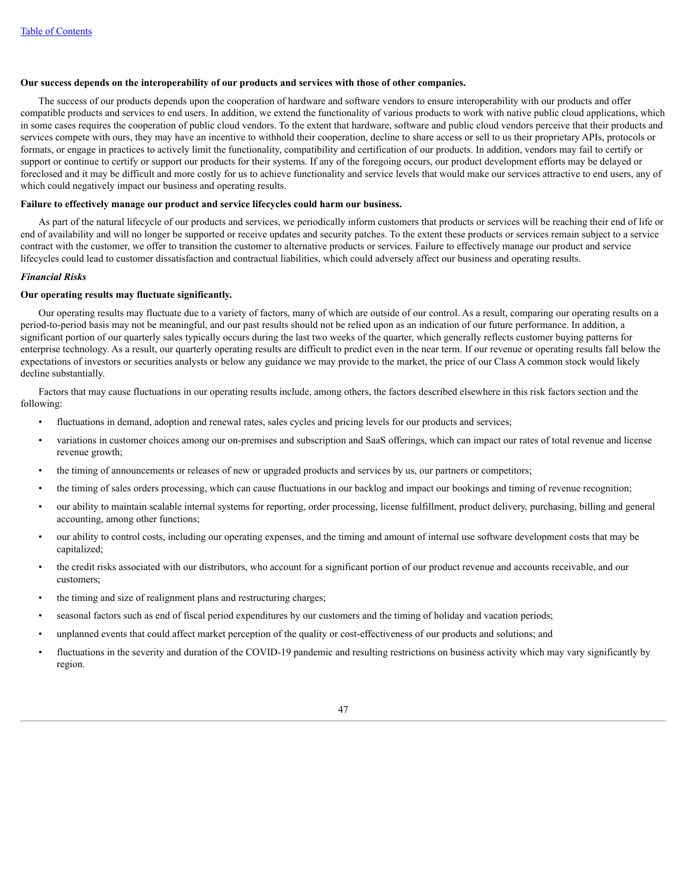# **Our success depends on the interoperability of our products and services with those of other companies.**

The success of our products depends upon the cooperation of hardware and software vendors to ensure interoperability with our products and offer compatible products and services to end users. In addition, we extend the functionality of various products to work with native public cloud applications, which in some cases requires the cooperation of public cloud vendors. To the extent that hardware, software and public cloud vendors perceive that their products and services compete with ours, they may have an incentive to withhold their cooperation, decline to share access or sell to us their proprietary APIs, protocols or formats, or engage in practices to actively limit the functionality, compatibility and certification of our products. In addition, vendors may fail to certify or support or continue to certify or support our products for their systems. If any of the foregoing occurs, our product development efforts may be delayed or foreclosed and it may be difficult and more costly for us to achieve functionality and service levels that would make our services attractive to end users, any of which could negatively impact our business and operating results.

# **Failure to effectively manage our product and service lifecycles could harm our business.**

As part of the natural lifecycle of our products and services, we periodically inform customers that products or services will be reaching their end of life or end of availability and will no longer be supported or receive updates and security patches. To the extent these products or services remain subject to a service contract with the customer, we offer to transition the customer to alternative products or services. Failure to effectively manage our product and service lifecycles could lead to customer dissatisfaction and contractual liabilities, which could adversely affect our business and operating results.

### *Financial Risks*

## **Our operating results may fluctuate significantly.**

Our operating results may fluctuate due to a variety of factors, many of which are outside of our control. As a result, comparing our operating results on a period-to-period basis may not be meaningful, and our past results should not be relied upon as an indication of our future performance. In addition, a significant portion of our quarterly sales typically occurs during the last two weeks of the quarter, which generally reflects customer buying patterns for enterprise technology. As a result, our quarterly operating results are difficult to predict even in the near term. If our revenue or operating results fall below the expectations of investors or securities analysts or below any guidance we may provide to the market, the price of our Class A common stock would likely decline substantially.

Factors that may cause fluctuations in our operating results include, among others, the factors described elsewhere in this risk factors section and the following:

- fluctuations in demand, adoption and renewal rates, sales cycles and pricing levels for our products and services;
- variations in customer choices among our on-premises and subscription and SaaS offerings, which can impact our rates of total revenue and license revenue growth;
- the timing of announcements or releases of new or upgraded products and services by us, our partners or competitors;
- the timing of sales orders processing, which can cause fluctuations in our backlog and impact our bookings and timing of revenue recognition;
- our ability to maintain scalable internal systems for reporting, order processing, license fulfillment, product delivery, purchasing, billing and general accounting, among other functions;
- our ability to control costs, including our operating expenses, and the timing and amount of internal use software development costs that may be capitalized;
- the credit risks associated with our distributors, who account for a significant portion of our product revenue and accounts receivable, and our customers;
- the timing and size of realignment plans and restructuring charges;
- seasonal factors such as end of fiscal period expenditures by our customers and the timing of holiday and vacation periods;
- unplanned events that could affect market perception of the quality or cost-effectiveness of our products and solutions; and
- fluctuations in the severity and duration of the COVID-19 pandemic and resulting restrictions on business activity which may vary significantly by region.

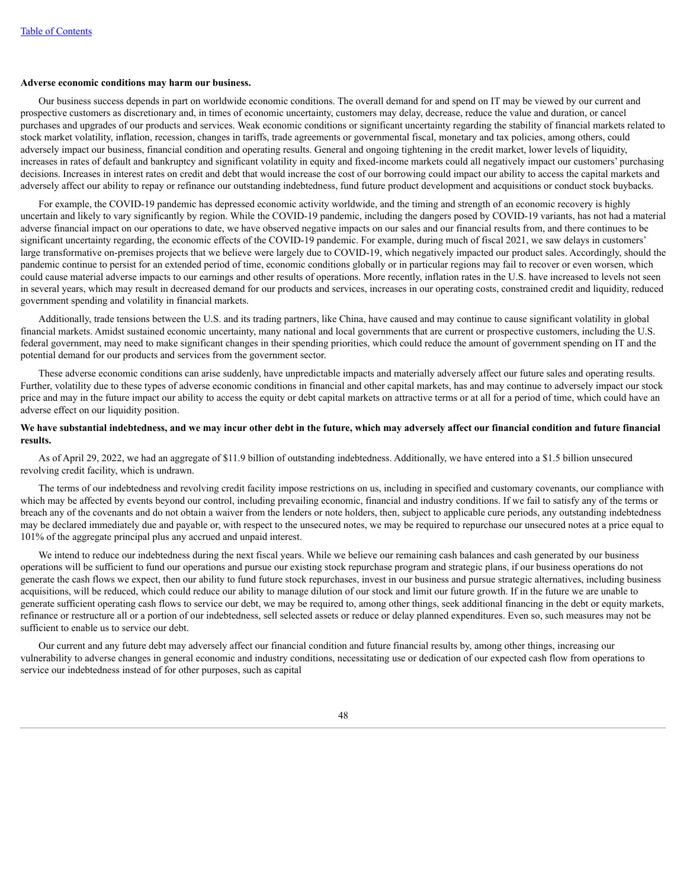#### **Adverse economic conditions may harm our business.**

Our business success depends in part on worldwide economic conditions. The overall demand for and spend on IT may be viewed by our current and prospective customers as discretionary and, in times of economic uncertainty, customers may delay, decrease, reduce the value and duration, or cancel purchases and upgrades of our products and services. Weak economic conditions or significant uncertainty regarding the stability of financial markets related to stock market volatility, inflation, recession, changes in tariffs, trade agreements or governmental fiscal, monetary and tax policies, among others, could adversely impact our business, financial condition and operating results. General and ongoing tightening in the credit market, lower levels of liquidity, increases in rates of default and bankruptcy and significant volatility in equity and fixed-income markets could all negatively impact our customers' purchasing decisions. Increases in interest rates on credit and debt that would increase the cost of our borrowing could impact our ability to access the capital markets and adversely affect our ability to repay or refinance our outstanding indebtedness, fund future product development and acquisitions or conduct stock buybacks.

For example, the COVID-19 pandemic has depressed economic activity worldwide, and the timing and strength of an economic recovery is highly uncertain and likely to vary significantly by region. While the COVID-19 pandemic, including the dangers posed by COVID-19 variants, has not had a material adverse financial impact on our operations to date, we have observed negative impacts on our sales and our financial results from, and there continues to be significant uncertainty regarding, the economic effects of the COVID-19 pandemic. For example, during much of fiscal 2021, we saw delays in customers' large transformative on-premises projects that we believe were largely due to COVID-19, which negatively impacted our product sales. Accordingly, should the pandemic continue to persist for an extended period of time, economic conditions globally or in particular regions may fail to recover or even worsen, which could cause material adverse impacts to our earnings and other results of operations. More recently, inflation rates in the U.S. have increased to levels not seen in several years, which may result in decreased demand for our products and services, increases in our operating costs, constrained credit and liquidity, reduced government spending and volatility in financial markets.

Additionally, trade tensions between the U.S. and its trading partners, like China, have caused and may continue to cause significant volatility in global financial markets. Amidst sustained economic uncertainty, many national and local governments that are current or prospective customers, including the U.S. federal government, may need to make significant changes in their spending priorities, which could reduce the amount of government spending on IT and the potential demand for our products and services from the government sector.

These adverse economic conditions can arise suddenly, have unpredictable impacts and materially adversely affect our future sales and operating results. Further, volatility due to these types of adverse economic conditions in financial and other capital markets, has and may continue to adversely impact our stock price and may in the future impact our ability to access the equity or debt capital markets on attractive terms or at all for a period of time, which could have an adverse effect on our liquidity position.

## We have substantial indebtedness, and we may incur other debt in the future, which may adversely affect our financial condition and future financial **results.**

As of April 29, 2022, we had an aggregate of \$11.9 billion of outstanding indebtedness. Additionally, we have entered into a \$1.5 billion unsecured revolving credit facility, which is undrawn.

The terms of our indebtedness and revolving credit facility impose restrictions on us, including in specified and customary covenants, our compliance with which may be affected by events beyond our control, including prevailing economic, financial and industry conditions. If we fail to satisfy any of the terms or breach any of the covenants and do not obtain a waiver from the lenders or note holders, then, subject to applicable cure periods, any outstanding indebtedness may be declared immediately due and payable or, with respect to the unsecured notes, we may be required to repurchase our unsecured notes at a price equal to 101% of the aggregate principal plus any accrued and unpaid interest.

We intend to reduce our indebtedness during the next fiscal years. While we believe our remaining cash balances and cash generated by our business operations will be sufficient to fund our operations and pursue our existing stock repurchase program and strategic plans, if our business operations do not generate the cash flows we expect, then our ability to fund future stock repurchases, invest in our business and pursue strategic alternatives, including business acquisitions, will be reduced, which could reduce our ability to manage dilution of our stock and limit our future growth. If in the future we are unable to generate sufficient operating cash flows to service our debt, we may be required to, among other things, seek additional financing in the debt or equity markets, refinance or restructure all or a portion of our indebtedness, sell selected assets or reduce or delay planned expenditures. Even so, such measures may not be sufficient to enable us to service our debt.

Our current and any future debt may adversely affect our financial condition and future financial results by, among other things, increasing our vulnerability to adverse changes in general economic and industry conditions, necessitating use or dedication of our expected cash flow from operations to service our indebtedness instead of for other purposes, such as capital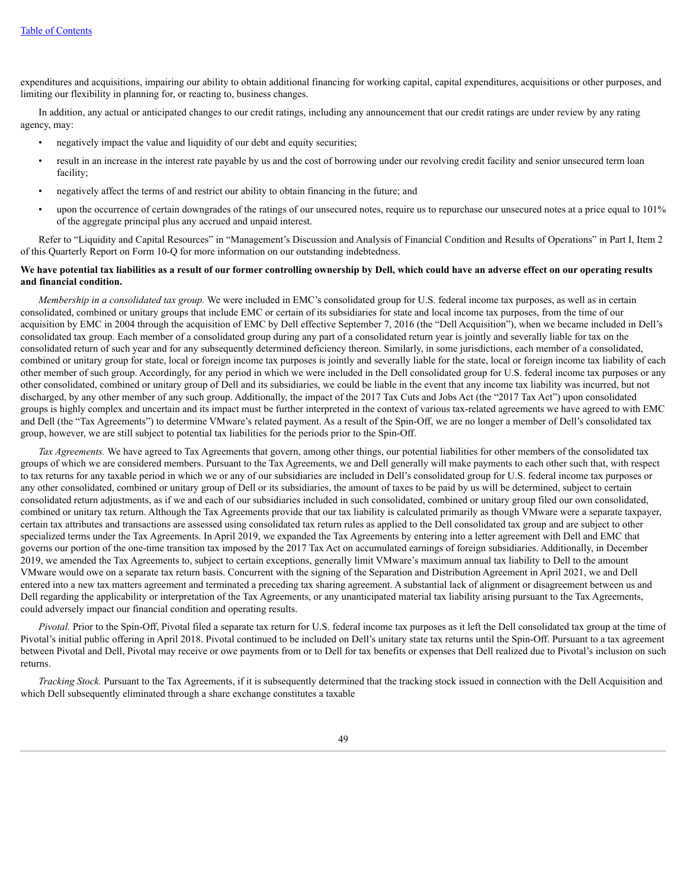expenditures and acquisitions, impairing our ability to obtain additional financing for working capital, capital expenditures, acquisitions or other purposes, and limiting our flexibility in planning for, or reacting to, business changes.

In addition, any actual or anticipated changes to our credit ratings, including any announcement that our credit ratings are under review by any rating agency, may:

- negatively impact the value and liquidity of our debt and equity securities;
- result in an increase in the interest rate payable by us and the cost of borrowing under our revolving credit facility and senior unsecured term loan facility;
- negatively affect the terms of and restrict our ability to obtain financing in the future; and
- upon the occurrence of certain downgrades of the ratings of our unsecured notes, require us to repurchase our unsecured notes at a price equal to 101% of the aggregate principal plus any accrued and unpaid interest.

Refer to "Liquidity and Capital Resources" in "Management's Discussion and Analysis of Financial Condition and Results of Operations" in Part I, Item 2 of this Quarterly Report on Form 10-Q for more information on our outstanding indebtedness.

# We have potential tax liabilities as a result of our former controlling ownership by Dell, which could have an adverse effect on our operating results **and financial condition.**

*Membership in a consolidated tax group.* We were included in EMC's consolidated group for U.S. federal income tax purposes, as well as in certain consolidated, combined or unitary groups that include EMC or certain of its subsidiaries for state and local income tax purposes, from the time of our acquisition by EMC in 2004 through the acquisition of EMC by Dell effective September 7, 2016 (the "Dell Acquisition"), when we became included in Dell's consolidated tax group. Each member of a consolidated group during any part of a consolidated return year is jointly and severally liable for tax on the consolidated return of such year and for any subsequently determined deficiency thereon. Similarly, in some jurisdictions, each member of a consolidated, combined or unitary group for state, local or foreign income tax purposes is jointly and severally liable for the state, local or foreign income tax liability of each other member of such group. Accordingly, for any period in which we were included in the Dell consolidated group for U.S. federal income tax purposes or any other consolidated, combined or unitary group of Dell and its subsidiaries, we could be liable in the event that any income tax liability was incurred, but not discharged, by any other member of any such group. Additionally, the impact of the 2017 Tax Cuts and Jobs Act (the "2017 Tax Act") upon consolidated groups is highly complex and uncertain and its impact must be further interpreted in the context of various tax-related agreements we have agreed to with EMC and Dell (the "Tax Agreements") to determine VMware's related payment. As a result of the Spin-Off, we are no longer a member of Dell's consolidated tax group, however, we are still subject to potential tax liabilities for the periods prior to the Spin-Off.

*Tax Agreements.* We have agreed to Tax Agreements that govern, among other things, our potential liabilities for other members of the consolidated tax groups of which we are considered members. Pursuant to the Tax Agreements, we and Dell generally will make payments to each other such that, with respect to tax returns for any taxable period in which we or any of our subsidiaries are included in Dell's consolidated group for U.S. federal income tax purposes or any other consolidated, combined or unitary group of Dell or its subsidiaries, the amount of taxes to be paid by us will be determined, subject to certain consolidated return adjustments, as if we and each of our subsidiaries included in such consolidated, combined or unitary group filed our own consolidated, combined or unitary tax return. Although the Tax Agreements provide that our tax liability is calculated primarily as though VMware were a separate taxpayer, certain tax attributes and transactions are assessed using consolidated tax return rules as applied to the Dell consolidated tax group and are subject to other specialized terms under the Tax Agreements. In April 2019, we expanded the Tax Agreements by entering into a letter agreement with Dell and EMC that governs our portion of the one-time transition tax imposed by the 2017 Tax Act on accumulated earnings of foreign subsidiaries. Additionally, in December 2019, we amended the Tax Agreements to, subject to certain exceptions, generally limit VMware's maximum annual tax liability to Dell to the amount VMware would owe on a separate tax return basis. Concurrent with the signing of the Separation and Distribution Agreement in April 2021, we and Dell entered into a new tax matters agreement and terminated a preceding tax sharing agreement. A substantial lack of alignment or disagreement between us and Dell regarding the applicability or interpretation of the Tax Agreements, or any unanticipated material tax liability arising pursuant to the Tax Agreements, could adversely impact our financial condition and operating results.

*Pivotal.* Prior to the Spin-Off, Pivotal filed a separate tax return for U.S. federal income tax purposes as it left the Dell consolidated tax group at the time of Pivotal's initial public offering in April 2018. Pivotal continued to be included on Dell's unitary state tax returns until the Spin-Off. Pursuant to a tax agreement between Pivotal and Dell, Pivotal may receive or owe payments from or to Dell for tax benefits or expenses that Dell realized due to Pivotal's inclusion on such returns.

*Tracking Stock.* Pursuant to the Tax Agreements, if it is subsequently determined that the tracking stock issued in connection with the Dell Acquisition and which Dell subsequently eliminated through a share exchange constitutes a taxable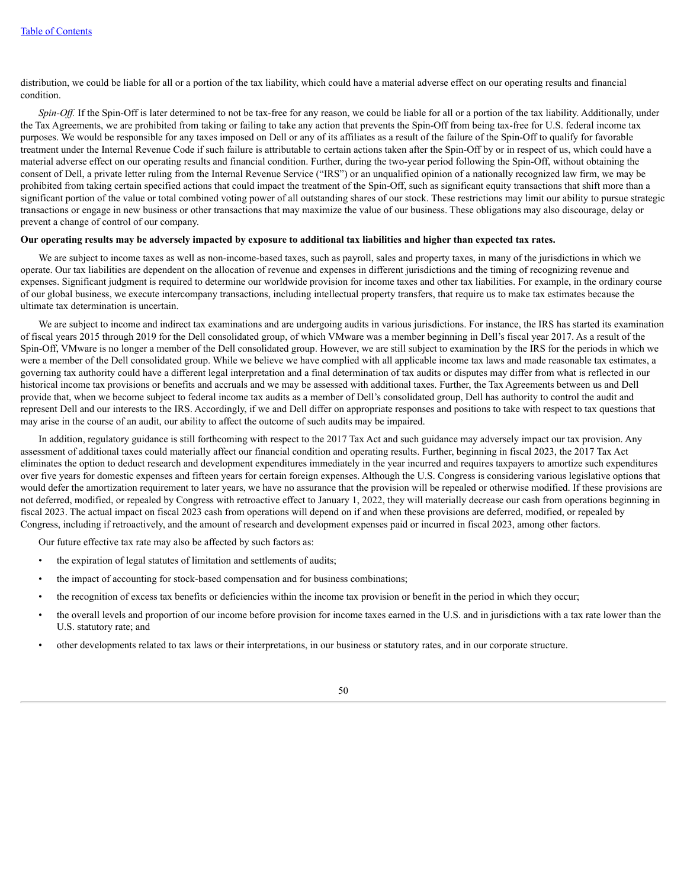distribution, we could be liable for all or a portion of the tax liability, which could have a material adverse effect on our operating results and financial condition.

*Spin-Off*. If the Spin-Off is later determined to not be tax-free for any reason, we could be liable for all or a portion of the tax liability. Additionally, under the Tax Agreements, we are prohibited from taking or failing to take any action that prevents the Spin-Off from being tax-free for U.S. federal income tax purposes. We would be responsible for any taxes imposed on Dell or any of its affiliates as a result of the failure of the Spin-Off to qualify for favorable treatment under the Internal Revenue Code if such failure is attributable to certain actions taken after the Spin-Off by or in respect of us, which could have a material adverse effect on our operating results and financial condition. Further, during the two-year period following the Spin-Off, without obtaining the consent of Dell, a private letter ruling from the Internal Revenue Service ("IRS") or an unqualified opinion of a nationally recognized law firm, we may be prohibited from taking certain specified actions that could impact the treatment of the Spin-Off, such as significant equity transactions that shift more than a significant portion of the value or total combined voting power of all outstanding shares of our stock. These restrictions may limit our ability to pursue strategic transactions or engage in new business or other transactions that may maximize the value of our business. These obligations may also discourage, delay or prevent a change of control of our company.

## Our operating results may be adversely impacted by exposure to additional tax liabilities and higher than expected tax rates.

We are subject to income taxes as well as non-income-based taxes, such as payroll, sales and property taxes, in many of the jurisdictions in which we operate. Our tax liabilities are dependent on the allocation of revenue and expenses in different jurisdictions and the timing of recognizing revenue and expenses. Significant judgment is required to determine our worldwide provision for income taxes and other tax liabilities. For example, in the ordinary course of our global business, we execute intercompany transactions, including intellectual property transfers, that require us to make tax estimates because the ultimate tax determination is uncertain.

We are subject to income and indirect tax examinations and are undergoing audits in various jurisdictions. For instance, the IRS has started its examination of fiscal years 2015 through 2019 for the Dell consolidated group, of which VMware was a member beginning in Dell's fiscal year 2017. As a result of the Spin-Off, VMware is no longer a member of the Dell consolidated group. However, we are still subject to examination by the IRS for the periods in which we were a member of the Dell consolidated group. While we believe we have complied with all applicable income tax laws and made reasonable tax estimates, a governing tax authority could have a different legal interpretation and a final determination of tax audits or disputes may differ from what is reflected in our historical income tax provisions or benefits and accruals and we may be assessed with additional taxes. Further, the Tax Agreements between us and Dell provide that, when we become subject to federal income tax audits as a member of Dell's consolidated group, Dell has authority to control the audit and represent Dell and our interests to the IRS. Accordingly, if we and Dell differ on appropriate responses and positions to take with respect to tax questions that may arise in the course of an audit, our ability to affect the outcome of such audits may be impaired.

In addition, regulatory guidance is still forthcoming with respect to the 2017 Tax Act and such guidance may adversely impact our tax provision. Any assessment of additional taxes could materially affect our financial condition and operating results. Further, beginning in fiscal 2023, the 2017 Tax Act eliminates the option to deduct research and development expenditures immediately in the year incurred and requires taxpayers to amortize such expenditures over five years for domestic expenses and fifteen years for certain foreign expenses. Although the U.S. Congress is considering various legislative options that would defer the amortization requirement to later years, we have no assurance that the provision will be repealed or otherwise modified. If these provisions are not deferred, modified, or repealed by Congress with retroactive effect to January 1, 2022, they will materially decrease our cash from operations beginning in fiscal 2023. The actual impact on fiscal 2023 cash from operations will depend on if and when these provisions are deferred, modified, or repealed by Congress, including if retroactively, and the amount of research and development expenses paid or incurred in fiscal 2023, among other factors.

Our future effective tax rate may also be affected by such factors as:

- the expiration of legal statutes of limitation and settlements of audits;
- the impact of accounting for stock-based compensation and for business combinations;
- the recognition of excess tax benefits or deficiencies within the income tax provision or benefit in the period in which they occur;
- the overall levels and proportion of our income before provision for income taxes earned in the U.S. and in jurisdictions with a tax rate lower than the U.S. statutory rate; and
- other developments related to tax laws or their interpretations, in our business or statutory rates, and in our corporate structure.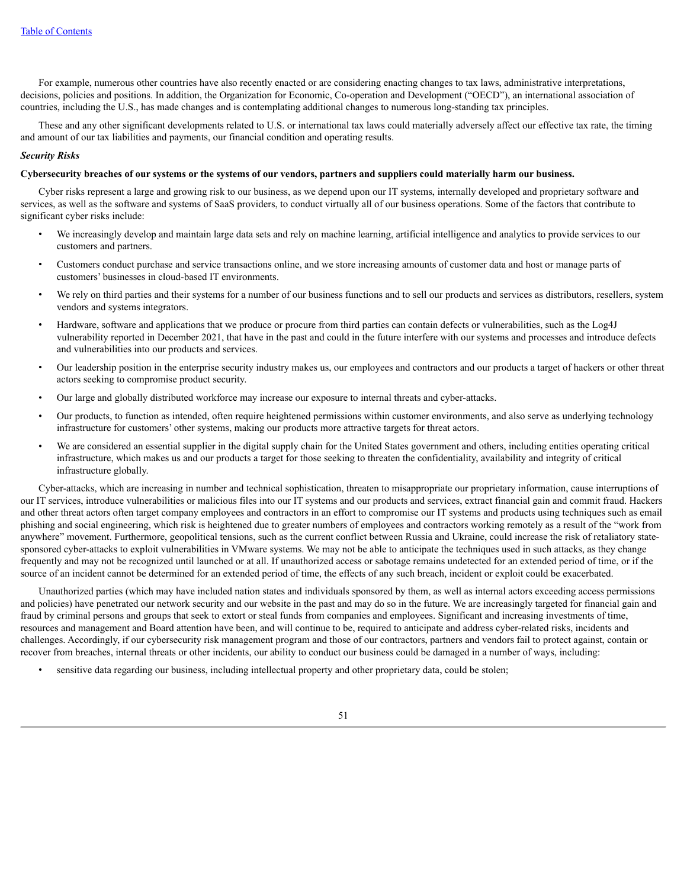For example, numerous other countries have also recently enacted or are considering enacting changes to tax laws, administrative interpretations, decisions, policies and positions. In addition, the Organization for Economic, Co-operation and Development ("OECD"), an international association of countries, including the U.S., has made changes and is contemplating additional changes to numerous long-standing tax principles.

These and any other significant developments related to U.S. or international tax laws could materially adversely affect our effective tax rate, the timing and amount of our tax liabilities and payments, our financial condition and operating results.

# *Security Risks*

#### Cybersecurity breaches of our systems or the systems of our vendors, partners and suppliers could materially harm our business.

Cyber risks represent a large and growing risk to our business, as we depend upon our IT systems, internally developed and proprietary software and services, as well as the software and systems of SaaS providers, to conduct virtually all of our business operations. Some of the factors that contribute to significant cyber risks include:

- We increasingly develop and maintain large data sets and rely on machine learning, artificial intelligence and analytics to provide services to our customers and partners.
- Customers conduct purchase and service transactions online, and we store increasing amounts of customer data and host or manage parts of customers' businesses in cloud-based IT environments.
- We rely on third parties and their systems for a number of our business functions and to sell our products and services as distributors, resellers, system vendors and systems integrators.
- Hardware, software and applications that we produce or procure from third parties can contain defects or vulnerabilities, such as the Log4J vulnerability reported in December 2021, that have in the past and could in the future interfere with our systems and processes and introduce defects and vulnerabilities into our products and services.
- Our leadership position in the enterprise security industry makes us, our employees and contractors and our products a target of hackers or other threat actors seeking to compromise product security.
- Our large and globally distributed workforce may increase our exposure to internal threats and cyber-attacks.
- Our products, to function as intended, often require heightened permissions within customer environments, and also serve as underlying technology infrastructure for customers' other systems, making our products more attractive targets for threat actors.
- We are considered an essential supplier in the digital supply chain for the United States government and others, including entities operating critical infrastructure, which makes us and our products a target for those seeking to threaten the confidentiality, availability and integrity of critical infrastructure globally.

Cyber-attacks, which are increasing in number and technical sophistication, threaten to misappropriate our proprietary information, cause interruptions of our IT services, introduce vulnerabilities or malicious files into our IT systems and our products and services, extract financial gain and commit fraud. Hackers and other threat actors often target company employees and contractors in an effort to compromise our IT systems and products using techniques such as email phishing and social engineering, which risk is heightened due to greater numbers of employees and contractors working remotely as a result of the "work from anywhere" movement. Furthermore, geopolitical tensions, such as the current conflict between Russia and Ukraine, could increase the risk of retaliatory statesponsored cyber-attacks to exploit vulnerabilities in VMware systems. We may not be able to anticipate the techniques used in such attacks, as they change frequently and may not be recognized until launched or at all. If unauthorized access or sabotage remains undetected for an extended period of time, or if the source of an incident cannot be determined for an extended period of time, the effects of any such breach, incident or exploit could be exacerbated.

Unauthorized parties (which may have included nation states and individuals sponsored by them, as well as internal actors exceeding access permissions and policies) have penetrated our network security and our website in the past and may do so in the future. We are increasingly targeted for financial gain and fraud by criminal persons and groups that seek to extort or steal funds from companies and employees. Significant and increasing investments of time, resources and management and Board attention have been, and will continue to be, required to anticipate and address cyber-related risks, incidents and challenges. Accordingly, if our cybersecurity risk management program and those of our contractors, partners and vendors fail to protect against, contain or recover from breaches, internal threats or other incidents, our ability to conduct our business could be damaged in a number of ways, including:

• sensitive data regarding our business, including intellectual property and other proprietary data, could be stolen;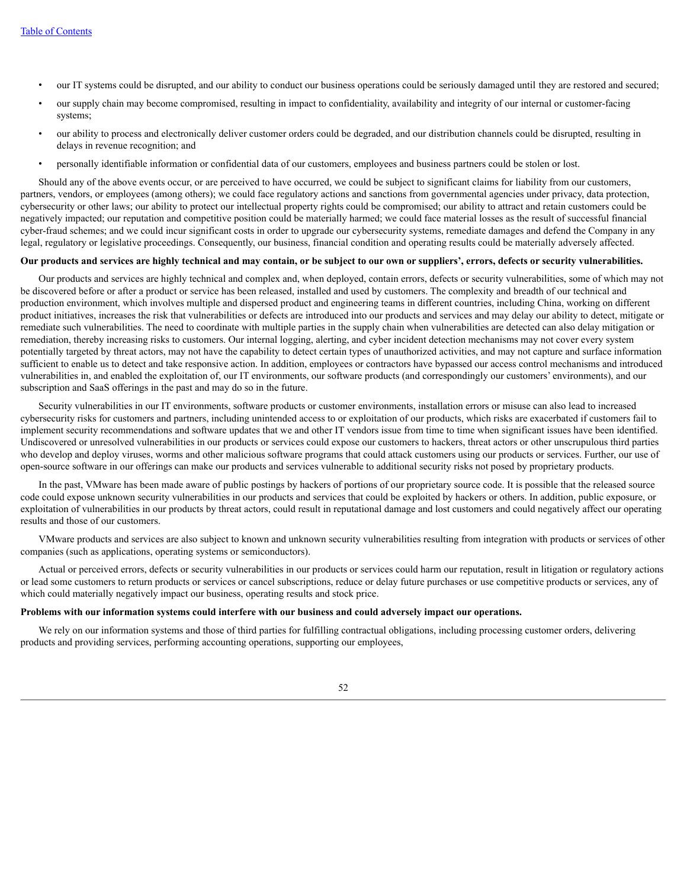- our IT systems could be disrupted, and our ability to conduct our business operations could be seriously damaged until they are restored and secured;
- our supply chain may become compromised, resulting in impact to confidentiality, availability and integrity of our internal or customer-facing systems;
- our ability to process and electronically deliver customer orders could be degraded, and our distribution channels could be disrupted, resulting in delays in revenue recognition; and
- personally identifiable information or confidential data of our customers, employees and business partners could be stolen or lost.

Should any of the above events occur, or are perceived to have occurred, we could be subject to significant claims for liability from our customers, partners, vendors, or employees (among others); we could face regulatory actions and sanctions from governmental agencies under privacy, data protection, cybersecurity or other laws; our ability to protect our intellectual property rights could be compromised; our ability to attract and retain customers could be negatively impacted; our reputation and competitive position could be materially harmed; we could face material losses as the result of successful financial cyber-fraud schemes; and we could incur significant costs in order to upgrade our cybersecurity systems, remediate damages and defend the Company in any legal, regulatory or legislative proceedings. Consequently, our business, financial condition and operating results could be materially adversely affected.

# Our products and services are highly technical and may contain, or be subject to our own or suppliers', errors, defects or security vulnerabilities.

Our products and services are highly technical and complex and, when deployed, contain errors, defects or security vulnerabilities, some of which may not be discovered before or after a product or service has been released, installed and used by customers. The complexity and breadth of our technical and production environment, which involves multiple and dispersed product and engineering teams in different countries, including China, working on different product initiatives, increases the risk that vulnerabilities or defects are introduced into our products and services and may delay our ability to detect, mitigate or remediate such vulnerabilities. The need to coordinate with multiple parties in the supply chain when vulnerabilities are detected can also delay mitigation or remediation, thereby increasing risks to customers. Our internal logging, alerting, and cyber incident detection mechanisms may not cover every system potentially targeted by threat actors, may not have the capability to detect certain types of unauthorized activities, and may not capture and surface information sufficient to enable us to detect and take responsive action. In addition, employees or contractors have bypassed our access control mechanisms and introduced vulnerabilities in, and enabled the exploitation of, our IT environments, our software products (and correspondingly our customers' environments), and our subscription and SaaS offerings in the past and may do so in the future.

Security vulnerabilities in our IT environments, software products or customer environments, installation errors or misuse can also lead to increased cybersecurity risks for customers and partners, including unintended access to or exploitation of our products, which risks are exacerbated if customers fail to implement security recommendations and software updates that we and other IT vendors issue from time to time when significant issues have been identified. Undiscovered or unresolved vulnerabilities in our products or services could expose our customers to hackers, threat actors or other unscrupulous third parties who develop and deploy viruses, worms and other malicious software programs that could attack customers using our products or services. Further, our use of open-source software in our offerings can make our products and services vulnerable to additional security risks not posed by proprietary products.

In the past, VMware has been made aware of public postings by hackers of portions of our proprietary source code. It is possible that the released source code could expose unknown security vulnerabilities in our products and services that could be exploited by hackers or others. In addition, public exposure, or exploitation of vulnerabilities in our products by threat actors, could result in reputational damage and lost customers and could negatively affect our operating results and those of our customers.

VMware products and services are also subject to known and unknown security vulnerabilities resulting from integration with products or services of other companies (such as applications, operating systems or semiconductors).

Actual or perceived errors, defects or security vulnerabilities in our products or services could harm our reputation, result in litigation or regulatory actions or lead some customers to return products or services or cancel subscriptions, reduce or delay future purchases or use competitive products or services, any of which could materially negatively impact our business, operating results and stock price.

#### Problems with our information systems could interfere with our business and could adversely impact our operations.

We rely on our information systems and those of third parties for fulfilling contractual obligations, including processing customer orders, delivering products and providing services, performing accounting operations, supporting our employees,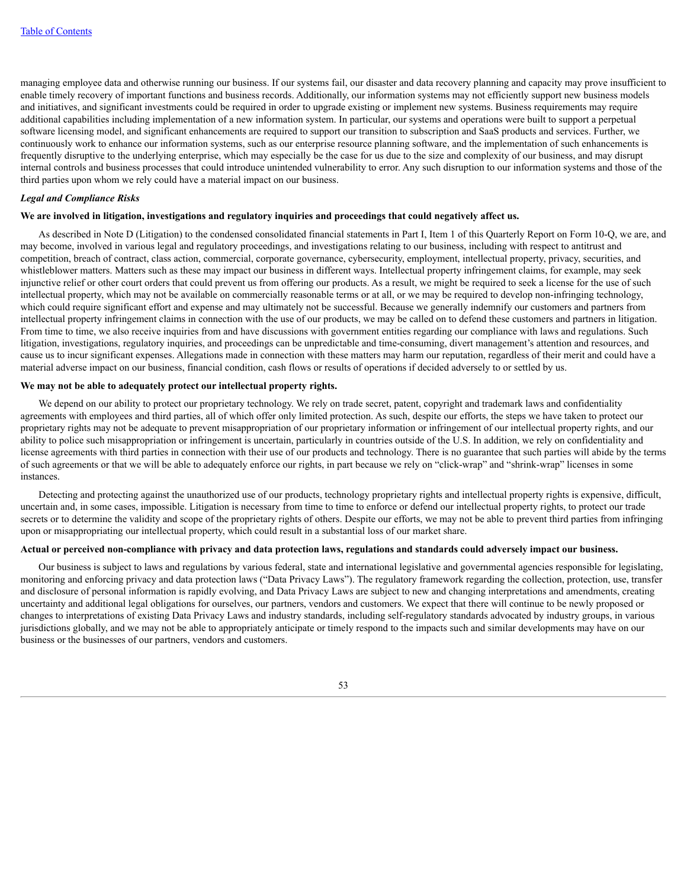managing employee data and otherwise running our business. If our systems fail, our disaster and data recovery planning and capacity may prove insufficient to enable timely recovery of important functions and business records. Additionally, our information systems may not efficiently support new business models and initiatives, and significant investments could be required in order to upgrade existing or implement new systems. Business requirements may require additional capabilities including implementation of a new information system. In particular, our systems and operations were built to support a perpetual software licensing model, and significant enhancements are required to support our transition to subscription and SaaS products and services. Further, we continuously work to enhance our information systems, such as our enterprise resource planning software, and the implementation of such enhancements is frequently disruptive to the underlying enterprise, which may especially be the case for us due to the size and complexity of our business, and may disrupt internal controls and business processes that could introduce unintended vulnerability to error. Any such disruption to our information systems and those of the third parties upon whom we rely could have a material impact on our business.

#### *Legal and Compliance Risks*

## We are involved in litigation, investigations and regulatory inquiries and proceedings that could negatively affect us.

As described in Note D (Litigation) to the condensed consolidated financial statements in Part I, Item 1 of this Quarterly Report on Form 10-Q, we are, and may become, involved in various legal and regulatory proceedings, and investigations relating to our business, including with respect to antitrust and competition, breach of contract, class action, commercial, corporate governance, cybersecurity, employment, intellectual property, privacy, securities, and whistleblower matters. Matters such as these may impact our business in different ways. Intellectual property infringement claims, for example, may seek injunctive relief or other court orders that could prevent us from offering our products. As a result, we might be required to seek a license for the use of such intellectual property, which may not be available on commercially reasonable terms or at all, or we may be required to develop non-infringing technology, which could require significant effort and expense and may ultimately not be successful. Because we generally indemnify our customers and partners from intellectual property infringement claims in connection with the use of our products, we may be called on to defend these customers and partners in litigation. From time to time, we also receive inquiries from and have discussions with government entities regarding our compliance with laws and regulations. Such litigation, investigations, regulatory inquiries, and proceedings can be unpredictable and time-consuming, divert management's attention and resources, and cause us to incur significant expenses. Allegations made in connection with these matters may harm our reputation, regardless of their merit and could have a material adverse impact on our business, financial condition, cash flows or results of operations if decided adversely to or settled by us.

## **We may not be able to adequately protect our intellectual property rights.**

We depend on our ability to protect our proprietary technology. We rely on trade secret, patent, copyright and trademark laws and confidentiality agreements with employees and third parties, all of which offer only limited protection. As such, despite our efforts, the steps we have taken to protect our proprietary rights may not be adequate to prevent misappropriation of our proprietary information or infringement of our intellectual property rights, and our ability to police such misappropriation or infringement is uncertain, particularly in countries outside of the U.S. In addition, we rely on confidentiality and license agreements with third parties in connection with their use of our products and technology. There is no guarantee that such parties will abide by the terms of such agreements or that we will be able to adequately enforce our rights, in part because we rely on "click-wrap" and "shrink-wrap" licenses in some instances.

Detecting and protecting against the unauthorized use of our products, technology proprietary rights and intellectual property rights is expensive, difficult, uncertain and, in some cases, impossible. Litigation is necessary from time to time to enforce or defend our intellectual property rights, to protect our trade secrets or to determine the validity and scope of the proprietary rights of others. Despite our efforts, we may not be able to prevent third parties from infringing upon or misappropriating our intellectual property, which could result in a substantial loss of our market share.

## Actual or perceived non-compliance with privacy and data protection laws, regulations and standards could adversely impact our business.

Our business is subject to laws and regulations by various federal, state and international legislative and governmental agencies responsible for legislating, monitoring and enforcing privacy and data protection laws ("Data Privacy Laws"). The regulatory framework regarding the collection, protection, use, transfer and disclosure of personal information is rapidly evolving, and Data Privacy Laws are subject to new and changing interpretations and amendments, creating uncertainty and additional legal obligations for ourselves, our partners, vendors and customers. We expect that there will continue to be newly proposed or changes to interpretations of existing Data Privacy Laws and industry standards, including self-regulatory standards advocated by industry groups, in various jurisdictions globally, and we may not be able to appropriately anticipate or timely respond to the impacts such and similar developments may have on our business or the businesses of our partners, vendors and customers.

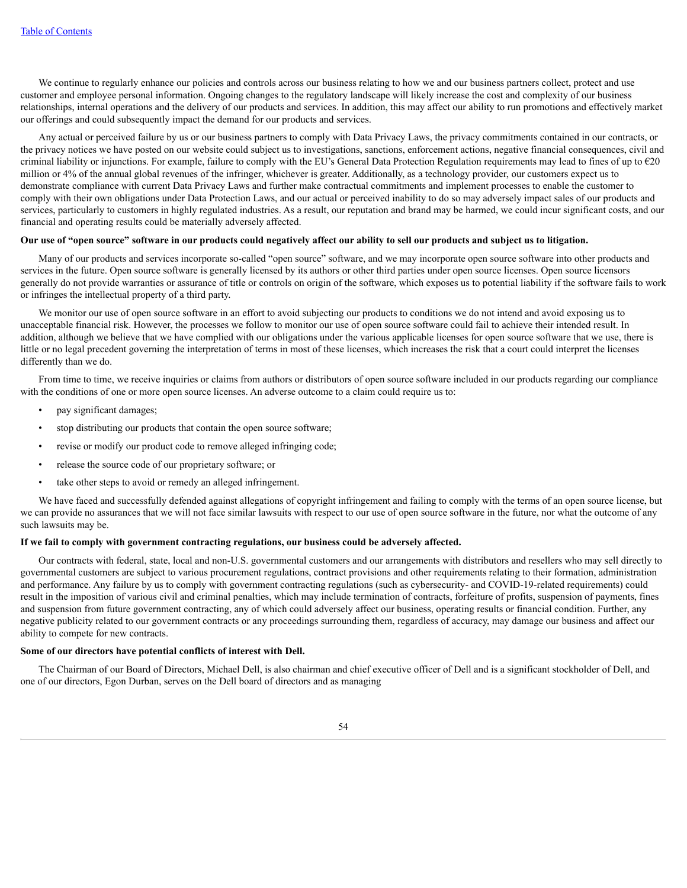We continue to regularly enhance our policies and controls across our business relating to how we and our business partners collect, protect and use customer and employee personal information. Ongoing changes to the regulatory landscape will likely increase the cost and complexity of our business relationships, internal operations and the delivery of our products and services. In addition, this may affect our ability to run promotions and effectively market our offerings and could subsequently impact the demand for our products and services.

Any actual or perceived failure by us or our business partners to comply with Data Privacy Laws, the privacy commitments contained in our contracts, or the privacy notices we have posted on our website could subject us to investigations, sanctions, enforcement actions, negative financial consequences, civil and criminal liability or injunctions. For example, failure to comply with the EU's General Data Protection Regulation requirements may lead to fines of up to  $\epsilon$ 20 million or 4% of the annual global revenues of the infringer, whichever is greater. Additionally, as a technology provider, our customers expect us to demonstrate compliance with current Data Privacy Laws and further make contractual commitments and implement processes to enable the customer to comply with their own obligations under Data Protection Laws, and our actual or perceived inability to do so may adversely impact sales of our products and services, particularly to customers in highly regulated industries. As a result, our reputation and brand may be harmed, we could incur significant costs, and our financial and operating results could be materially adversely affected.

## Our use of "open source" software in our products could negatively affect our ability to sell our products and subject us to litigation.

Many of our products and services incorporate so-called "open source" software, and we may incorporate open source software into other products and services in the future. Open source software is generally licensed by its authors or other third parties under open source licenses. Open source licensors generally do not provide warranties or assurance of title or controls on origin of the software, which exposes us to potential liability if the software fails to work or infringes the intellectual property of a third party.

We monitor our use of open source software in an effort to avoid subjecting our products to conditions we do not intend and avoid exposing us to unacceptable financial risk. However, the processes we follow to monitor our use of open source software could fail to achieve their intended result. In addition, although we believe that we have complied with our obligations under the various applicable licenses for open source software that we use, there is little or no legal precedent governing the interpretation of terms in most of these licenses, which increases the risk that a court could interpret the licenses differently than we do.

From time to time, we receive inquiries or claims from authors or distributors of open source software included in our products regarding our compliance with the conditions of one or more open source licenses. An adverse outcome to a claim could require us to:

- pay significant damages;
- stop distributing our products that contain the open source software;
- revise or modify our product code to remove alleged infringing code;
- release the source code of our proprietary software; or
- take other steps to avoid or remedy an alleged infringement.

We have faced and successfully defended against allegations of copyright infringement and failing to comply with the terms of an open source license, but we can provide no assurances that we will not face similar lawsuits with respect to our use of open source software in the future, nor what the outcome of any such lawsuits may be.

# **If we fail to comply with government contracting regulations, our business could be adversely affected.**

Our contracts with federal, state, local and non-U.S. governmental customers and our arrangements with distributors and resellers who may sell directly to governmental customers are subject to various procurement regulations, contract provisions and other requirements relating to their formation, administration and performance. Any failure by us to comply with government contracting regulations (such as cybersecurity- and COVID-19-related requirements) could result in the imposition of various civil and criminal penalties, which may include termination of contracts, forfeiture of profits, suspension of payments, fines and suspension from future government contracting, any of which could adversely affect our business, operating results or financial condition. Further, any negative publicity related to our government contracts or any proceedings surrounding them, regardless of accuracy, may damage our business and affect our ability to compete for new contracts.

#### **Some of our directors have potential conflicts of interest with Dell.**

The Chairman of our Board of Directors, Michael Dell, is also chairman and chief executive officer of Dell and is a significant stockholder of Dell, and one of our directors, Egon Durban, serves on the Dell board of directors and as managing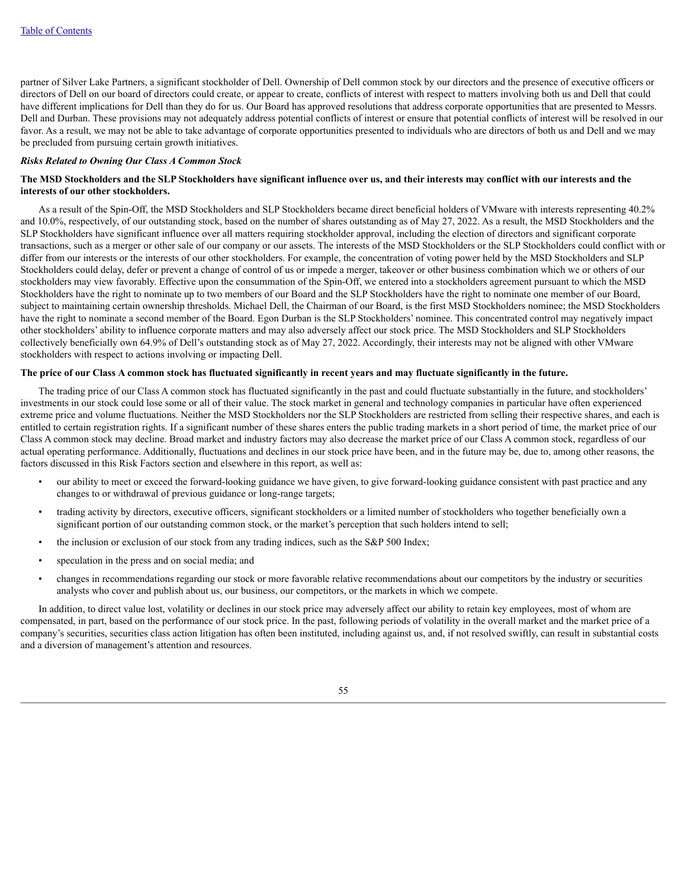partner of Silver Lake Partners, a significant stockholder of Dell. Ownership of Dell common stock by our directors and the presence of executive officers or directors of Dell on our board of directors could create, or appear to create, conflicts of interest with respect to matters involving both us and Dell that could have different implications for Dell than they do for us. Our Board has approved resolutions that address corporate opportunities that are presented to Messrs. Dell and Durban. These provisions may not adequately address potential conflicts of interest or ensure that potential conflicts of interest will be resolved in our favor. As a result, we may not be able to take advantage of corporate opportunities presented to individuals who are directors of both us and Dell and we may be precluded from pursuing certain growth initiatives.

## *Risks Related to Owning Our Class A Common Stock*

## The MSD Stockholders and the SLP Stockholders have significant influence over us, and their interests may conflict with our interests and the **interests of our other stockholders.**

As a result of the Spin-Off, the MSD Stockholders and SLP Stockholders became direct beneficial holders of VMware with interests representing 40.2% and 10.0%, respectively, of our outstanding stock, based on the number of shares outstanding as of May 27, 2022. As a result, the MSD Stockholders and the SLP Stockholders have significant influence over all matters requiring stockholder approval, including the election of directors and significant corporate transactions, such as a merger or other sale of our company or our assets. The interests of the MSD Stockholders or the SLP Stockholders could conflict with or differ from our interests or the interests of our other stockholders. For example, the concentration of voting power held by the MSD Stockholders and SLP Stockholders could delay, defer or prevent a change of control of us or impede a merger, takeover or other business combination which we or others of our stockholders may view favorably. Effective upon the consummation of the Spin-Off, we entered into a stockholders agreement pursuant to which the MSD Stockholders have the right to nominate up to two members of our Board and the SLP Stockholders have the right to nominate one member of our Board, subject to maintaining certain ownership thresholds. Michael Dell, the Chairman of our Board, is the first MSD Stockholders nominee; the MSD Stockholders have the right to nominate a second member of the Board. Egon Durban is the SLP Stockholders' nominee. This concentrated control may negatively impact other stockholders' ability to influence corporate matters and may also adversely affect our stock price. The MSD Stockholders and SLP Stockholders collectively beneficially own 64.9% of Dell's outstanding stock as of May 27, 2022. Accordingly, their interests may not be aligned with other VMware stockholders with respect to actions involving or impacting Dell.

#### The price of our Class A common stock has fluctuated significantly in recent years and may fluctuate significantly in the future.

The trading price of our Class A common stock has fluctuated significantly in the past and could fluctuate substantially in the future, and stockholders' investments in our stock could lose some or all of their value. The stock market in general and technology companies in particular have often experienced extreme price and volume fluctuations. Neither the MSD Stockholders nor the SLP Stockholders are restricted from selling their respective shares, and each is entitled to certain registration rights. If a significant number of these shares enters the public trading markets in a short period of time, the market price of our Class A common stock may decline. Broad market and industry factors may also decrease the market price of our Class A common stock, regardless of our actual operating performance. Additionally, fluctuations and declines in our stock price have been, and in the future may be, due to, among other reasons, the factors discussed in this Risk Factors section and elsewhere in this report, as well as:

- our ability to meet or exceed the forward-looking guidance we have given, to give forward-looking guidance consistent with past practice and any changes to or withdrawal of previous guidance or long-range targets;
- trading activity by directors, executive officers, significant stockholders or a limited number of stockholders who together beneficially own a significant portion of our outstanding common stock, or the market's perception that such holders intend to sell;
- the inclusion or exclusion of our stock from any trading indices, such as the S&P 500 Index;
- speculation in the press and on social media; and
- changes in recommendations regarding our stock or more favorable relative recommendations about our competitors by the industry or securities analysts who cover and publish about us, our business, our competitors, or the markets in which we compete.

In addition, to direct value lost, volatility or declines in our stock price may adversely affect our ability to retain key employees, most of whom are compensated, in part, based on the performance of our stock price. In the past, following periods of volatility in the overall market and the market price of a company's securities, securities class action litigation has often been instituted, including against us, and, if not resolved swiftly, can result in substantial costs and a diversion of management's attention and resources.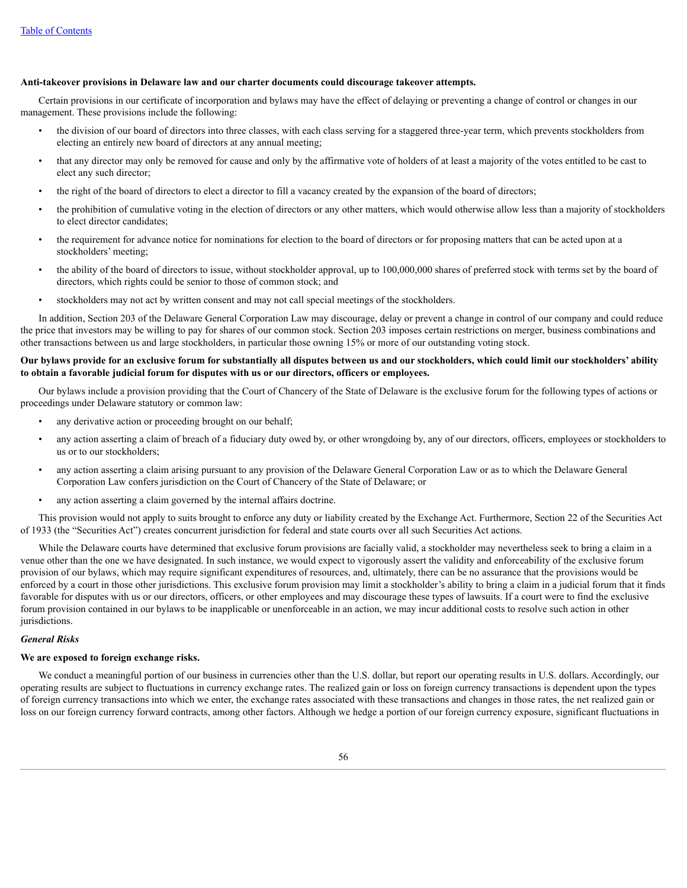#### **Anti-takeover provisions in Delaware law and our charter documents could discourage takeover attempts.**

Certain provisions in our certificate of incorporation and bylaws may have the effect of delaying or preventing a change of control or changes in our management. These provisions include the following:

- the division of our board of directors into three classes, with each class serving for a staggered three-year term, which prevents stockholders from electing an entirely new board of directors at any annual meeting;
- that any director may only be removed for cause and only by the affirmative vote of holders of at least a majority of the votes entitled to be cast to elect any such director;
- the right of the board of directors to elect a director to fill a vacancy created by the expansion of the board of directors;
- the prohibition of cumulative voting in the election of directors or any other matters, which would otherwise allow less than a majority of stockholders to elect director candidates;
- the requirement for advance notice for nominations for election to the board of directors or for proposing matters that can be acted upon at a stockholders' meeting;
- the ability of the board of directors to issue, without stockholder approval, up to 100,000,000 shares of preferred stock with terms set by the board of directors, which rights could be senior to those of common stock; and
- stockholders may not act by written consent and may not call special meetings of the stockholders.

In addition, Section 203 of the Delaware General Corporation Law may discourage, delay or prevent a change in control of our company and could reduce the price that investors may be willing to pay for shares of our common stock. Section 203 imposes certain restrictions on merger, business combinations and other transactions between us and large stockholders, in particular those owning 15% or more of our outstanding voting stock.

## Our bylaws provide for an exclusive forum for substantially all disputes between us and our stockholders, which could limit our stockholders' ability **to obtain a favorable judicial forum for disputes with us or our directors, officers or employees.**

Our bylaws include a provision providing that the Court of Chancery of the State of Delaware is the exclusive forum for the following types of actions or proceedings under Delaware statutory or common law:

- any derivative action or proceeding brought on our behalf;
- any action asserting a claim of breach of a fiduciary duty owed by, or other wrongdoing by, any of our directors, officers, employees or stockholders to us or to our stockholders;
- any action asserting a claim arising pursuant to any provision of the Delaware General Corporation Law or as to which the Delaware General Corporation Law confers jurisdiction on the Court of Chancery of the State of Delaware; or
- any action asserting a claim governed by the internal affairs doctrine.

This provision would not apply to suits brought to enforce any duty or liability created by the Exchange Act. Furthermore, Section 22 of the Securities Act of 1933 (the "Securities Act") creates concurrent jurisdiction for federal and state courts over all such Securities Act actions.

While the Delaware courts have determined that exclusive forum provisions are facially valid, a stockholder may nevertheless seek to bring a claim in a venue other than the one we have designated. In such instance, we would expect to vigorously assert the validity and enforceability of the exclusive forum provision of our bylaws, which may require significant expenditures of resources, and, ultimately, there can be no assurance that the provisions would be enforced by a court in those other jurisdictions. This exclusive forum provision may limit a stockholder's ability to bring a claim in a judicial forum that it finds favorable for disputes with us or our directors, officers, or other employees and may discourage these types of lawsuits. If a court were to find the exclusive forum provision contained in our bylaws to be inapplicable or unenforceable in an action, we may incur additional costs to resolve such action in other jurisdictions.

## *General Risks*

#### **We are exposed to foreign exchange risks.**

We conduct a meaningful portion of our business in currencies other than the U.S. dollar, but report our operating results in U.S. dollars. Accordingly, our operating results are subject to fluctuations in currency exchange rates. The realized gain or loss on foreign currency transactions is dependent upon the types of foreign currency transactions into which we enter, the exchange rates associated with these transactions and changes in those rates, the net realized gain or loss on our foreign currency forward contracts, among other factors. Although we hedge a portion of our foreign currency exposure, significant fluctuations in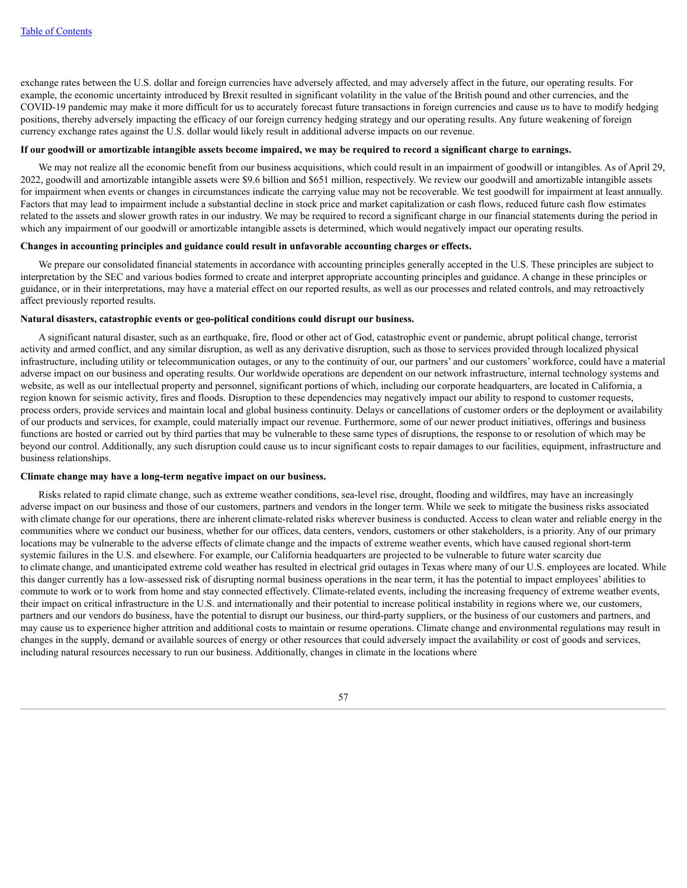exchange rates between the U.S. dollar and foreign currencies have adversely affected, and may adversely affect in the future, our operating results. For example, the economic uncertainty introduced by Brexit resulted in significant volatility in the value of the British pound and other currencies, and the COVID-19 pandemic may make it more difficult for us to accurately forecast future transactions in foreign currencies and cause us to have to modify hedging positions, thereby adversely impacting the efficacy of our foreign currency hedging strategy and our operating results. Any future weakening of foreign currency exchange rates against the U.S. dollar would likely result in additional adverse impacts on our revenue.

## If our goodwill or amortizable intangible assets become impaired, we may be required to record a significant charge to earnings.

We may not realize all the economic benefit from our business acquisitions, which could result in an impairment of goodwill or intangibles. As of April 29, 2022, goodwill and amortizable intangible assets were \$9.6 billion and \$651 million, respectively. We review our goodwill and amortizable intangible assets for impairment when events or changes in circumstances indicate the carrying value may not be recoverable. We test goodwill for impairment at least annually. Factors that may lead to impairment include a substantial decline in stock price and market capitalization or cash flows, reduced future cash flow estimates related to the assets and slower growth rates in our industry. We may be required to record a significant charge in our financial statements during the period in which any impairment of our goodwill or amortizable intangible assets is determined, which would negatively impact our operating results.

# **Changes in accounting principles and guidance could result in unfavorable accounting charges or effects.**

We prepare our consolidated financial statements in accordance with accounting principles generally accepted in the U.S. These principles are subject to interpretation by the SEC and various bodies formed to create and interpret appropriate accounting principles and guidance. A change in these principles or guidance, or in their interpretations, may have a material effect on our reported results, as well as our processes and related controls, and may retroactively affect previously reported results.

#### **Natural disasters, catastrophic events or geo-political conditions could disrupt our business.**

A significant natural disaster, such as an earthquake, fire, flood or other act of God, catastrophic event or pandemic, abrupt political change, terrorist activity and armed conflict, and any similar disruption, as well as any derivative disruption, such as those to services provided through localized physical infrastructure, including utility or telecommunication outages, or any to the continuity of our, our partners' and our customers' workforce, could have a material adverse impact on our business and operating results. Our worldwide operations are dependent on our network infrastructure, internal technology systems and website, as well as our intellectual property and personnel, significant portions of which, including our corporate headquarters, are located in California, a region known for seismic activity, fires and floods. Disruption to these dependencies may negatively impact our ability to respond to customer requests, process orders, provide services and maintain local and global business continuity. Delays or cancellations of customer orders or the deployment or availability of our products and services, for example, could materially impact our revenue. Furthermore, some of our newer product initiatives, offerings and business functions are hosted or carried out by third parties that may be vulnerable to these same types of disruptions, the response to or resolution of which may be beyond our control. Additionally, any such disruption could cause us to incur significant costs to repair damages to our facilities, equipment, infrastructure and business relationships.

## **Climate change may have a long-term negative impact on our business.**

Risks related to rapid climate change, such as extreme weather conditions, sea-level rise, drought, flooding and wildfires, may have an increasingly adverse impact on our business and those of our customers, partners and vendors in the longer term. While we seek to mitigate the business risks associated with climate change for our operations, there are inherent climate-related risks wherever business is conducted. Access to clean water and reliable energy in the communities where we conduct our business, whether for our offices, data centers, vendors, customers or other stakeholders, is a priority. Any of our primary locations may be vulnerable to the adverse effects of climate change and the impacts of extreme weather events, which have caused regional short-term systemic failures in the U.S. and elsewhere. For example, our California headquarters are projected to be vulnerable to future water scarcity due to climate change, and unanticipated extreme cold weather has resulted in electrical grid outages in Texas where many of our U.S. employees are located. While this danger currently has a low-assessed risk of disrupting normal business operations in the near term, it has the potential to impact employees' abilities to commute to work or to work from home and stay connected effectively. Climate-related events, including the increasing frequency of extreme weather events, their impact on critical infrastructure in the U.S. and internationally and their potential to increase political instability in regions where we, our customers, partners and our vendors do business, have the potential to disrupt our business, our third-party suppliers, or the business of our customers and partners, and may cause us to experience higher attrition and additional costs to maintain or resume operations. Climate change and environmental regulations may result in changes in the supply, demand or available sources of energy or other resources that could adversely impact the availability or cost of goods and services, including natural resources necessary to run our business. Additionally, changes in climate in the locations where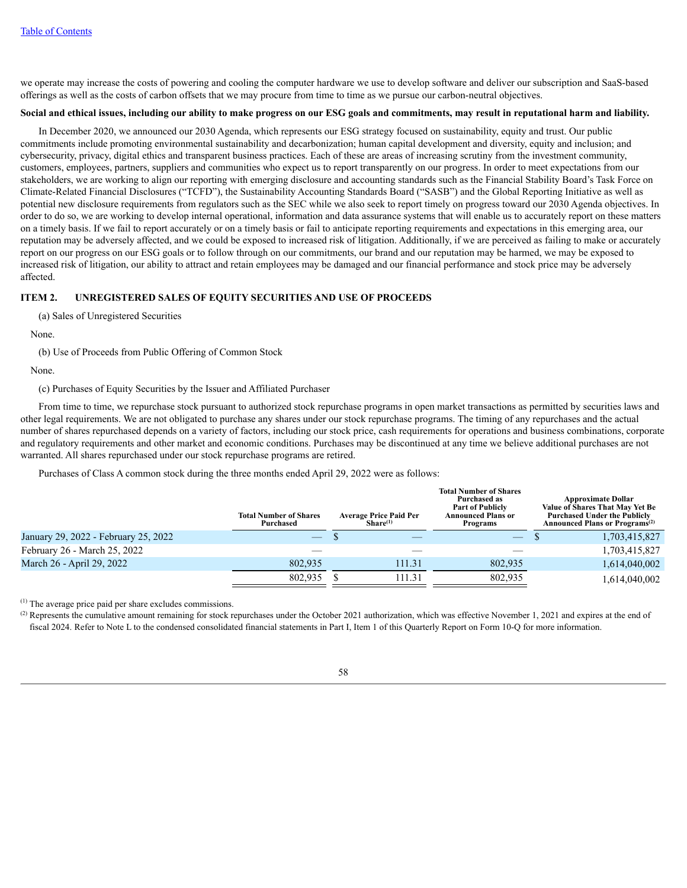we operate may increase the costs of powering and cooling the computer hardware we use to develop software and deliver our subscription and SaaS-based offerings as well as the costs of carbon offsets that we may procure from time to time as we pursue our carbon-neutral objectives.

# Social and ethical issues, including our ability to make progress on our ESG goals and commitments, may result in reputational harm and liability.

In December 2020, we announced our 2030 Agenda, which represents our ESG strategy focused on sustainability, equity and trust. Our public commitments include promoting environmental sustainability and decarbonization; human capital development and diversity, equity and inclusion; and cybersecurity, privacy, digital ethics and transparent business practices. Each of these are areas of increasing scrutiny from the investment community, customers, employees, partners, suppliers and communities who expect us to report transparently on our progress. In order to meet expectations from our stakeholders, we are working to align our reporting with emerging disclosure and accounting standards such as the Financial Stability Board's Task Force on Climate-Related Financial Disclosures ("TCFD"), the Sustainability Accounting Standards Board ("SASB") and the Global Reporting Initiative as well as potential new disclosure requirements from regulators such as the SEC while we also seek to report timely on progress toward our 2030 Agenda objectives. In order to do so, we are working to develop internal operational, information and data assurance systems that will enable us to accurately report on these matters on a timely basis. If we fail to report accurately or on a timely basis or fail to anticipate reporting requirements and expectations in this emerging area, our reputation may be adversely affected, and we could be exposed to increased risk of litigation. Additionally, if we are perceived as failing to make or accurately report on our progress on our ESG goals or to follow through on our commitments, our brand and our reputation may be harmed, we may be exposed to increased risk of litigation, our ability to attract and retain employees may be damaged and our financial performance and stock price may be adversely affected.

# **ITEM 2. UNREGISTERED SALES OF EQUITY SECURITIES AND USE OF PROCEEDS**

(a) Sales of Unregistered Securities

None.

(b) Use of Proceeds from Public Offering of Common Stock

None.

(c) Purchases of Equity Securities by the Issuer and Affiliated Purchaser

From time to time, we repurchase stock pursuant to authorized stock repurchase programs in open market transactions as permitted by securities laws and other legal requirements. We are not obligated to purchase any shares under our stock repurchase programs. The timing of any repurchases and the actual number of shares repurchased depends on a variety of factors, including our stock price, cash requirements for operations and business combinations, corporate and regulatory requirements and other market and economic conditions. Purchases may be discontinued at any time we believe additional purchases are not warranted. All shares repurchased under our stock repurchase programs are retired.

Purchases of Class A common stock during the three months ended April 29, 2022 were as follows:

|                                      | <b>Total Number of Shares</b><br>Purchased | <b>Average Price Paid Per</b><br>Share <sup>(1)</sup> |        | <b>Total Number of Shares</b><br>Purchased as<br><b>Part of Publicly</b><br>Announced Plans or<br>Programs |  | <b>Approximate Dollar</b><br>Value of Shares That May Yet Be<br><b>Purchased Under the Publicly</b><br><b>Announced Plans or Programs</b> <sup>(2)</sup> |  |
|--------------------------------------|--------------------------------------------|-------------------------------------------------------|--------|------------------------------------------------------------------------------------------------------------|--|----------------------------------------------------------------------------------------------------------------------------------------------------------|--|
| January 29, 2022 - February 25, 2022 |                                            |                                                       |        | $-$                                                                                                        |  | 1,703,415,827                                                                                                                                            |  |
| February 26 - March 25, 2022         |                                            |                                                       |        |                                                                                                            |  | 1,703,415,827                                                                                                                                            |  |
| March 26 - April 29, 2022            | 802.935                                    |                                                       | 111.31 | 802.935                                                                                                    |  | 1,614,040,002                                                                                                                                            |  |
|                                      | 802,935                                    |                                                       | 111.31 | 802.935                                                                                                    |  | 1,614,040,002                                                                                                                                            |  |

 $(1)$  The average price paid per share excludes commissions.

 $^{(2)}$  Represents the cumulative amount remaining for stock repurchases under the October 2021 authorization, which was effective November 1, 2021 and expires at the end of fiscal 2024. Refer to Note L to the condensed consolidated financial statements in Part I, Item 1 of this Quarterly Report on Form 10-Q for more information.

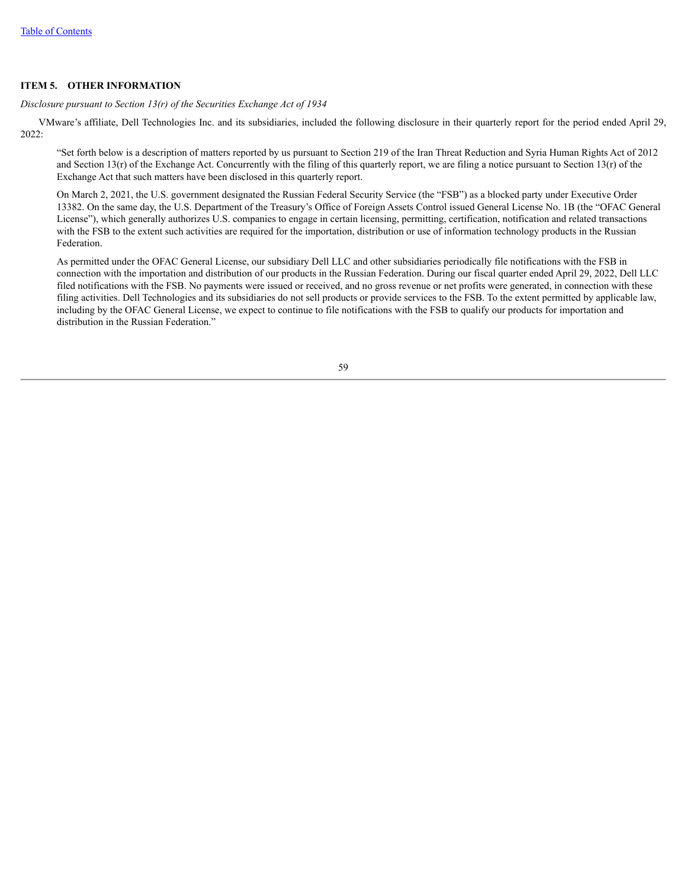## **ITEM 5. OTHER INFORMATION**

*Disclosure pursuant to Section 13(r) of the Securities Exchange Act of 1934*

VMware's affiliate, Dell Technologies Inc. and its subsidiaries, included the following disclosure in their quarterly report for the period ended April 29, 2022:

"Set forth below is a description of matters reported by us pursuant to Section 219 of the Iran Threat Reduction and Syria Human Rights Act of 2012 and Section  $13(r)$  of the Exchange Act. Concurrently with the filing of this quarterly report, we are filing a notice pursuant to Section  $13(r)$  of the Exchange Act that such matters have been disclosed in this quarterly report.

On March 2, 2021, the U.S. government designated the Russian Federal Security Service (the "FSB") as a blocked party under Executive Order 13382. On the same day, the U.S. Department of the Treasury's Office of Foreign Assets Control issued General License No. 1B (the "OFAC General License"), which generally authorizes U.S. companies to engage in certain licensing, permitting, certification, notification and related transactions with the FSB to the extent such activities are required for the importation, distribution or use of information technology products in the Russian Federation.

As permitted under the OFAC General License, our subsidiary Dell LLC and other subsidiaries periodically file notifications with the FSB in connection with the importation and distribution of our products in the Russian Federation. During our fiscal quarter ended April 29, 2022, Dell LLC filed notifications with the FSB. No payments were issued or received, and no gross revenue or net profits were generated, in connection with these filing activities. Dell Technologies and its subsidiaries do not sell products or provide services to the FSB. To the extent permitted by applicable law, including by the OFAC General License, we expect to continue to file notifications with the FSB to qualify our products for importation and distribution in the Russian Federation."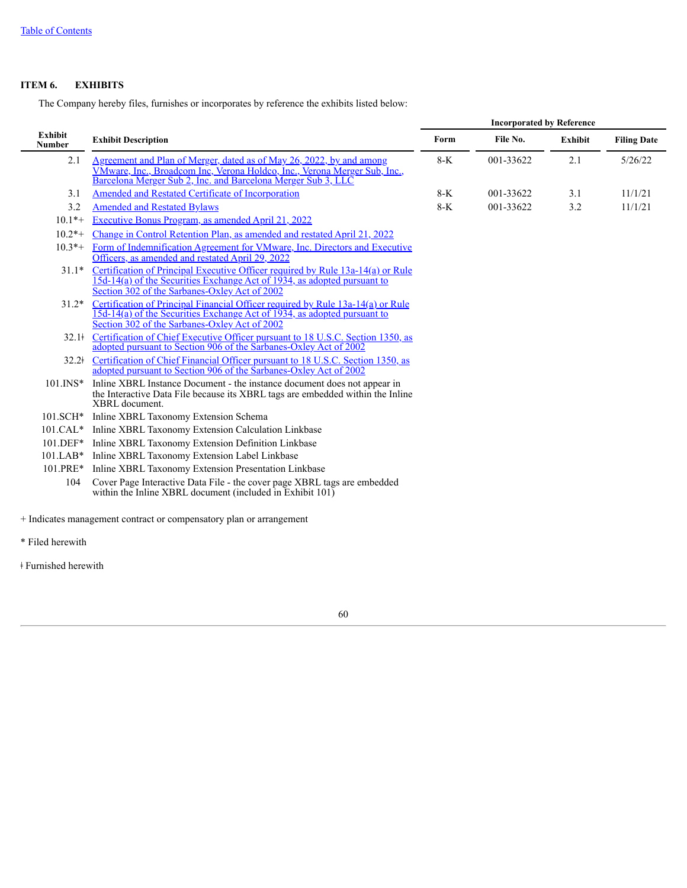# **ITEM 6. EXHIBITS**

The Company hereby files, furnishes or incorporates by reference the exhibits listed below:

|                          |                                                                                                                                                                                                                    | <b>Incorporated by Reference</b> |           |                |                    |
|--------------------------|--------------------------------------------------------------------------------------------------------------------------------------------------------------------------------------------------------------------|----------------------------------|-----------|----------------|--------------------|
| Exhibit<br><b>Number</b> | <b>Exhibit Description</b>                                                                                                                                                                                         | Form                             | File No.  | <b>Exhibit</b> | <b>Filing Date</b> |
| 2.1                      | Agreement and Plan of Merger, dated as of May 26, 2022, by and among<br>VMware, Inc., Broadcom Inc., Verona Holdco, Inc., Verona Merger Sub, Inc.,<br>Barcelona Merger Sub 2, Inc. and Barcelona Merger Sub 3, LLC | $8-K$                            | 001-33622 | 2.1            | 5/26/22            |
| 3.1                      | Amended and Restated Certificate of Incorporation                                                                                                                                                                  | 8-K                              | 001-33622 | 3.1            | 11/1/21            |
| 3.2                      | <b>Amended and Restated Bylaws</b>                                                                                                                                                                                 | $8-K$                            | 001-33622 | 3.2            | 11/1/21            |
| $10.1*+$                 | Executive Bonus Program, as amended April 21, 2022                                                                                                                                                                 |                                  |           |                |                    |
| $10.2*+$                 | Change in Control Retention Plan, as amended and restated April 21, 2022                                                                                                                                           |                                  |           |                |                    |
| $10.3*+$                 | Form of Indemnification Agreement for VMware, Inc. Directors and Executive<br>Officers, as amended and restated April 29, 2022                                                                                     |                                  |           |                |                    |
| $31.1*$                  | Certification of Principal Executive Officer required by Rule 13a-14(a) or Rule 15d-14(a) of the Securities Exchange Act of 1934, as adopted pursuant to<br>Section 302 of the Sarbanes-Oxley Act of 2002          |                                  |           |                |                    |
| $31.2*$                  | Certification of Principal Financial Officer required by Rule 13a-14(a) or Rule<br>15d-14(a) of the Securities Exchange Act of 1934, as adopted pursuant to<br>Section 302 of the Sarbanes-Oxley Act of 2002       |                                  |           |                |                    |
| 32.1 <sup>†</sup>        | Certification of Chief Executive Officer pursuant to 18 U.S.C. Section 1350, as adopted pursuant to Section 906 of the Sarbanes-Oxley Act of 2002                                                                  |                                  |           |                |                    |
| $32.2^{\dagger}$         | Certification of Chief Financial Officer pursuant to 18 U.S.C. Section 1350, as<br>adopted pursuant to Section 906 of the Sarbanes-Oxley Act of 2002                                                               |                                  |           |                |                    |
| $101$ . INS*             | Inline XBRL Instance Document - the instance document does not appear in<br>the Interactive Data File because its XBRL tags are embedded within the Inline<br>XBRL document.                                       |                                  |           |                |                    |
| 101.SCH*                 | Inline XBRL Taxonomy Extension Schema                                                                                                                                                                              |                                  |           |                |                    |
|                          | 101.CAL* Inline XBRL Taxonomy Extension Calculation Linkbase                                                                                                                                                       |                                  |           |                |                    |
|                          | 101.DEF* Inline XBRL Taxonomy Extension Definition Linkbase                                                                                                                                                        |                                  |           |                |                    |
| $101.LAB*$               | Inline XBRL Taxonomy Extension Label Linkbase                                                                                                                                                                      |                                  |           |                |                    |
| 101.PRE*                 | Inline XBRL Taxonomy Extension Presentation Linkbase                                                                                                                                                               |                                  |           |                |                    |
| 104                      | Cover Page Interactive Data File - the cover page XBRL tags are embedded<br>within the Inline XBRL document (included in Exhibit 101)                                                                              |                                  |           |                |                    |
| * Filed herewith         | + Indicates management contract or compensatory plan or arrangement                                                                                                                                                |                                  |           |                |                    |

ǂ Furnished herewith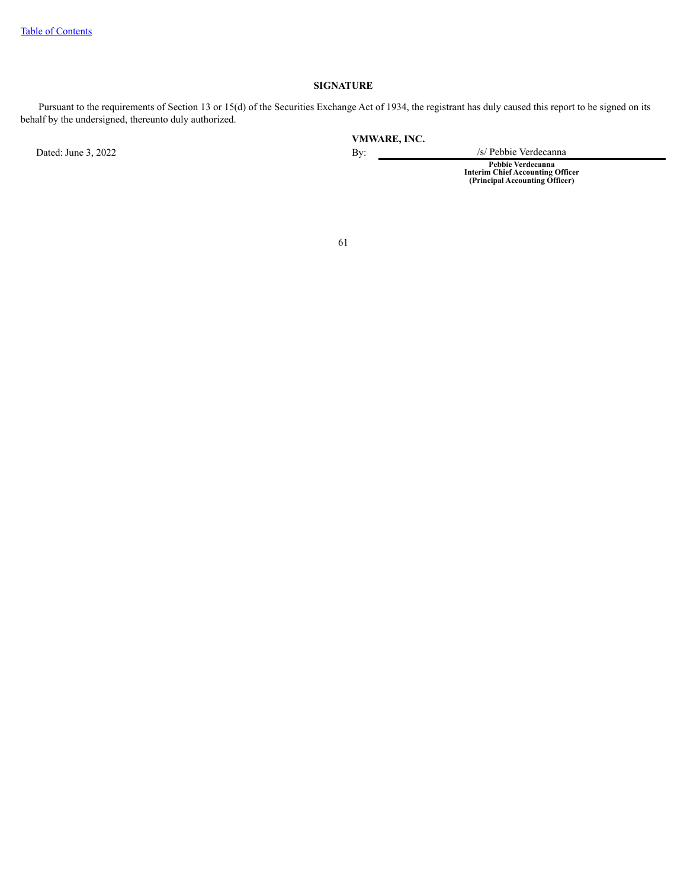# **SIGNATURE**

Pursuant to the requirements of Section 13 or 15(d) of the Securities Exchange Act of 1934, the registrant has duly caused this report to be signed on its behalf by the undersigned, thereunto duly authorized.

Dated: June 3, 2022 By: /s/ Pebbie Verdecanna

**VMWARE, INC.**

**Pebbie Verdecanna Interim Chief Accounting Officer (Principal Accounting Officer)**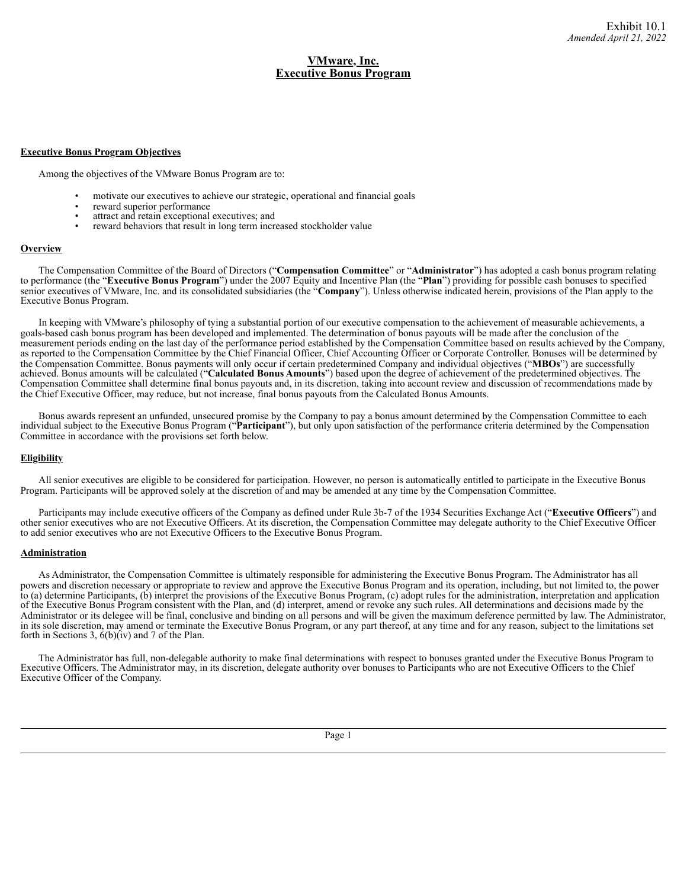# **VMware, Inc. Executive Bonus Program**

#### <span id="page-61-0"></span>**Executive Bonus Program Objectives**

Among the objectives of the VMware Bonus Program are to:

- motivate our executives to achieve our strategic, operational and financial goals
- reward superior performance
- attract and retain exceptional executives; and
- reward behaviors that result in long term increased stockholder value

### **Overview**

The Compensation Committee of the Board of Directors ("**Compensation Committee**" or "**Administrator**") has adopted a cash bonus program relating to performance (the "**Executive Bonus Program**") under the 2007 Equity and Incentive Plan (the "**Plan**") providing for possible cash bonuses to specified senior executives of VMware, Inc. and its consolidated subsidiaries (the "**Company**"). Unless otherwise indicated herein, provisions of the Plan apply to the Executive Bonus Program.

In keeping with VMware's philosophy of tying a substantial portion of our executive compensation to the achievement of measurable achievements, a goals-based cash bonus program has been developed and implemented. The determination of bonus payouts will be made after the conclusion of the measurement periods ending on the last day of the performance period established by the Compensation Committee based on results achieved by the Company, as reported to the Compensation Committee by the Chief Financial Officer, Chief Accounting Officer or Corporate Controller. Bonuses will be determined by the Compensation Committee. Bonus payments will only occur if certain predetermined Company and individual objectives ("**MBOs**") are successfully achieved. Bonus amounts will be calculated ("**Calculated Bonus Amounts**") based upon the degree of achievement of the predetermined objectives. The Compensation Committee shall determine final bonus payouts and, in its discretion, taking into account review and discussion of recommendations made by the Chief Executive Officer, may reduce, but not increase, final bonus payouts from the Calculated Bonus Amounts.

Bonus awards represent an unfunded, unsecured promise by the Company to pay a bonus amount determined by the Compensation Committee to each individual subject to the Executive Bonus Program ("**Participant**"), but only upon satisfaction of the performance criteria determined by the Compensation Committee in accordance with the provisions set forth below.

## **Eligibility**

All senior executives are eligible to be considered for participation. However, no person is automatically entitled to participate in the Executive Bonus Program. Participants will be approved solely at the discretion of and may be amended at any time by the Compensation Committee.

Participants may include executive officers of the Company as defined under Rule 3b-7 of the 1934 Securities Exchange Act ("**Executive Officers**") and other senior executives who are not Executive Officers. At its discretion, the Compensation Committee may delegate authority to the Chief Executive Officer to add senior executives who are not Executive Officers to the Executive Bonus Program.

# **Administration**

As Administrator, the Compensation Committee is ultimately responsible for administering the Executive Bonus Program. The Administrator has all powers and discretion necessary or appropriate to review and approve the Executive Bonus Program and its operation, including, but not limited to, the power to (a) determine Participants, (b) interpret the provisions of the Executive Bonus Program, (c) adopt rules for the administration, interpretation and application of the Executive Bonus Program consistent with the Plan, and (d) interpret, amend or revoke any such rules. All determinations and decisions made by the Administrator or its delegee will be final, conclusive and binding on all persons and will be given the maximum deference permitted by law. The Administrator, in its sole discretion, may amend or terminate the Executive Bonus Program, or any part thereof, at any time and for any reason, subject to the limitations set forth in Sections 3,  $6(b)(iv)$  and 7 of the Plan.

The Administrator has full, non-delegable authority to make final determinations with respect to bonuses granted under the Executive Bonus Program to Executive Officers. The Administrator may, in its discretion, delegate authority over bonuses to Participants who are not Executive Officers to the Chief Executive Officer of the Company.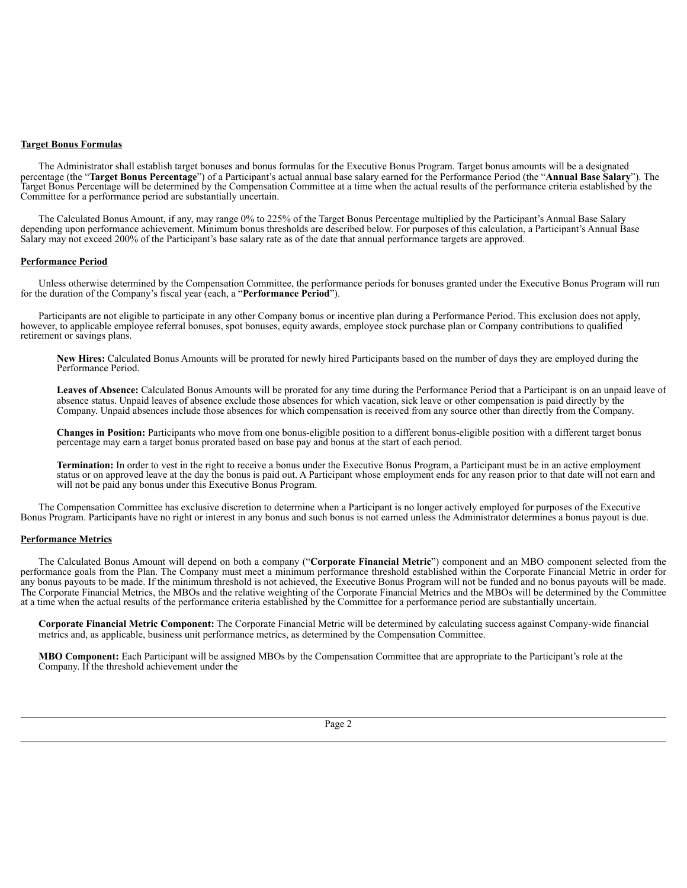#### **Target Bonus Formulas**

The Administrator shall establish target bonuses and bonus formulas for the Executive Bonus Program. Target bonus amounts will be a designated percentage (the "**Target Bonus Percentage**") of a Participant's actual annual base salary earned for the Performance Period (the "**Annual Base Salary**"). The Target Bonus Percentage will be determined by the Compensation Committee at a time when the actual results of the performance criteria established by the Committee for a performance period are substantially uncertain.

The Calculated Bonus Amount, if any, may range 0% to 225% of the Target Bonus Percentage multiplied by the Participant's Annual Base Salary depending upon performance achievement. Minimum bonus thresholds are described below. For purposes of this calculation, a Participant's Annual Base Salary may not exceed 200% of the Participant's base salary rate as of the date that annual performance targets are approved.

#### **Performance Period**

Unless otherwise determined by the Compensation Committee, the performance periods for bonuses granted under the Executive Bonus Program will run for the duration of the Company's fiscal year (each, a "**Performance Period**").

Participants are not eligible to participate in any other Company bonus or incentive plan during a Performance Period. This exclusion does not apply, however, to applicable employee referral bonuses, spot bonuses, equity awards, employee stock purchase plan or Company contributions to qualified retirement or savings plans.

**New Hires:** Calculated Bonus Amounts will be prorated for newly hired Participants based on the number of days they are employed during the Performance Period.

**Leaves of Absence:** Calculated Bonus Amounts will be prorated for any time during the Performance Period that a Participant is on an unpaid leave of absence status. Unpaid leaves of absence exclude those absences for which vacation, sick leave or other compensation is paid directly by the Company. Unpaid absences include those absences for which compensation is received from any source other than directly from the Company.

**Changes in Position:** Participants who move from one bonus-eligible position to a different bonus-eligible position with a different target bonus percentage may earn a target bonus prorated based on base pay and bonus at the start of each period.

**Termination:** In order to vest in the right to receive a bonus under the Executive Bonus Program, a Participant must be in an active employment status or on approved leave at the day the bonus is paid out. A Participant whose employment ends for any reason prior to that date will not earn and will not be paid any bonus under this Executive Bonus Program.

The Compensation Committee has exclusive discretion to determine when a Participant is no longer actively employed for purposes of the Executive Bonus Program. Participants have no right or interest in any bonus and such bonus is not earned unless the Administrator determines a bonus payout is due.

#### **Performance Metrics**

The Calculated Bonus Amount will depend on both a company ("**Corporate Financial Metric**") component and an MBO component selected from the performance goals from the Plan. The Company must meet a minimum performance threshold established within the Corporate Financial Metric in order for any bonus payouts to be made. If the minimum threshold is not achieved, the Executive Bonus Program will not be funded and no bonus payouts will be made. The Corporate Financial Metrics, the MBOs and the relative weighting of the Corporate Financial Metrics and the MBOs will be determined by the Committee at a time when the actual results of the performance criteria established by the Committee for a performance period are substantially uncertain.

**Corporate Financial Metric Component:** The Corporate Financial Metric will be determined by calculating success against Company-wide financial metrics and, as applicable, business unit performance metrics, as determined by the Compensation Committee.

**MBO Component:** Each Participant will be assigned MBOs by the Compensation Committee that are appropriate to the Participant's role at the Company. If the threshold achievement under the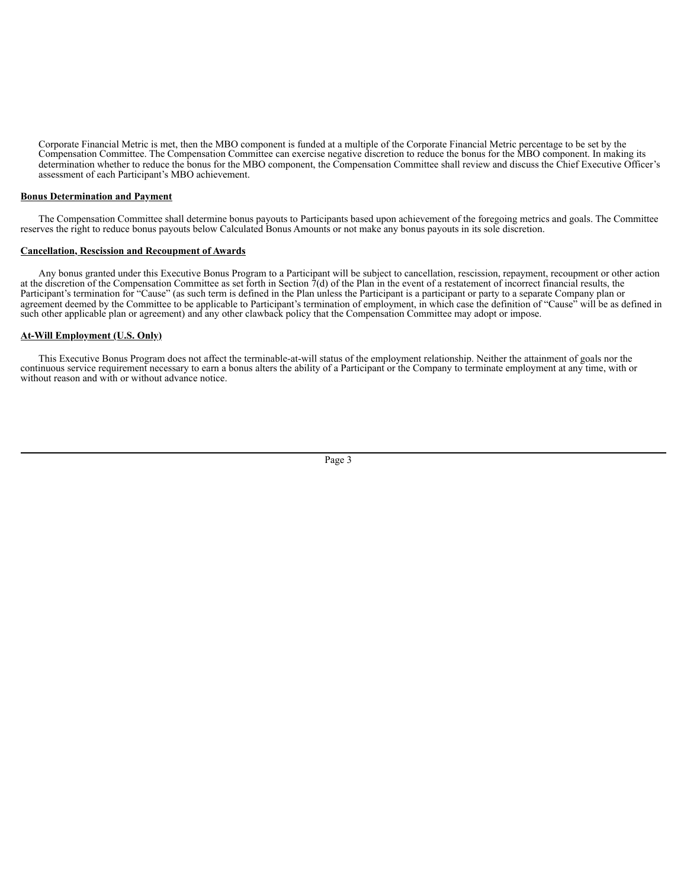Corporate Financial Metric is met, then the MBO component is funded at a multiple of the Corporate Financial Metric percentage to be set by the Compensation Committee. The Compensation Committee can exercise negative discretion to reduce the bonus for the MBO component. In making its determination whether to reduce the bonus for the MBO component, the Compensation Committee shall review and discuss the Chief Executive Officer's assessment of each Participant's MBO achievement.

## **Bonus Determination and Payment**

The Compensation Committee shall determine bonus payouts to Participants based upon achievement of the foregoing metrics and goals. The Committee reserves the right to reduce bonus payouts below Calculated Bonus Amounts or not make any bonus payouts in its sole discretion.

#### **Cancellation, Rescission and Recoupment of Awards**

Any bonus granted under this Executive Bonus Program to a Participant will be subject to cancellation, rescission, repayment, recoupment or other action at the discretion of the Compensation Committee as set forth in Section  $\tilde{7}(d)$  of the Plan in the event of a restatement of incorrect financial results, the Participant's termination for "Cause" (as such term is defined in the Plan unless the Participant is a participant or party to a separate Company plan or agreement deemed by the Committee to be applicable to Participant's termination of employment, in which case the definition of "Cause" will be as defined in such other applicable plan or agreement) and any other clawback policy that the Compensation Committee may adopt or impose.

#### **At-Will Employment (U.S. Only)**

This Executive Bonus Program does not affect the terminable-at-will status of the employment relationship. Neither the attainment of goals nor the continuous service requirement necessary to earn a bonus alters the ability of a Participant or the Company to terminate employment at any time, with or without reason and with or without advance notice.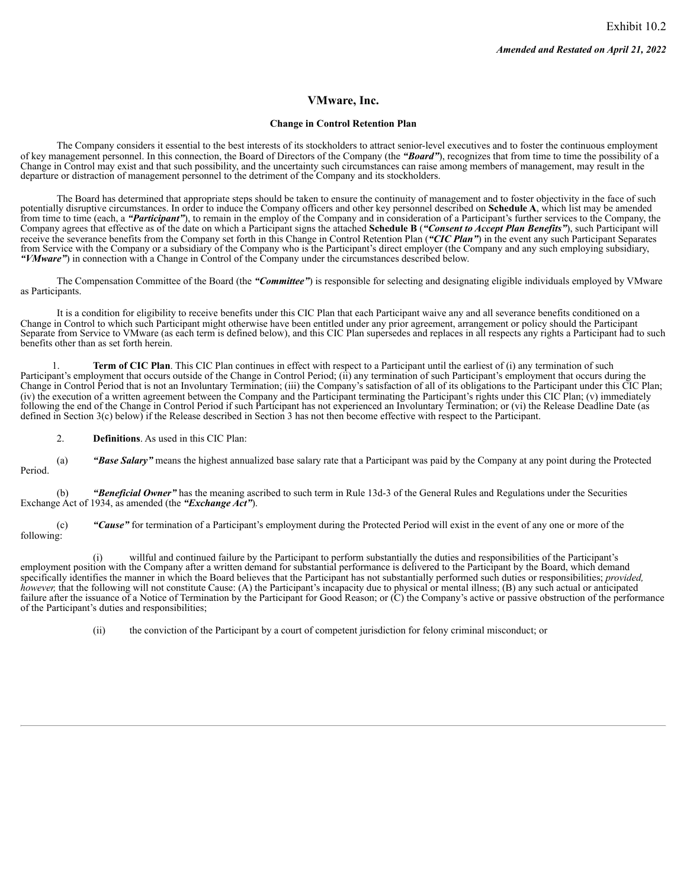# **VMware, Inc.**

### **Change in Control Retention Plan**

<span id="page-64-0"></span>The Company considers it essential to the best interests of its stockholders to attract senior-level executives and to foster the continuous employment of key management personnel. In this connection, the Board of Directors of the Company (the *"Board"*), recognizes that from time to time the possibility of a Change in Control may exist and that such possibility, and the uncertainty such circumstances can raise among members of management, may result in the departure or distraction of management personnel to the detriment of the Company and its stockholders.

The Board has determined that appropriate steps should be taken to ensure the continuity of management and to foster objectivity in the face of such potentially disruptive circumstances. In order to induce the Company officers and other key personnel described on **Schedule A**, which list may be amended from time to time (each, a "*Participant"*), to remain in the employ of the Company and in consideration of a Participant's further services to the Company, the Company agrees that effective as of the date on which a Participant signs the attached **Schedule B** (*"Consent to Accept Plan Benefits"*), such Participant will receive the severance benefits from the Company set forth in this Change in Control Retention Plan (*"CIC Plan"*) in the event any such Participant Separates from Service with the Company or a subsidiary of the Company who is the Participant's direct employer (the Company and any such employing subsidiary, *"VMware"*) in connection with a Change in Control of the Company under the circumstances described below.

The Compensation Committee of the Board (the *"Committee"*) is responsible for selecting and designating eligible individuals employed by VMware as Participants.

It is a condition for eligibility to receive benefits under this CIC Plan that each Participant waive any and all severance benefits conditioned on a Change in Control to which such Participant might otherwise have been entitled under any prior agreement, arrangement or policy should the Participant Separate from Service to VMware (as each term is defined below), and this CIC Plan supersedes and replaces in all respects any rights a Participant had to such benefits other than as set forth herein.

1. **Term of CIC Plan**. This CIC Plan continues in effect with respect to a Participant until the earliest of (i) any termination of such Participant's employment that occurs outside of the Change in Control Period; (ii) any termination of such Participant's employment that occurs during the Change in Control Period that is not an Involuntary Termination; (iii) the Company's satisfaction of all of its obligations to the Participant under this CIC Plan; (iv) the execution of a written agreement between the Company and the Participant terminating the Participant's rights under this CIC Plan; (v) immediately following the end of the Change in Control Period if such Participant has not experienced an Involuntary Termination; or (vi) the Release Deadline Date (as defined in Section 3(c) below) if the Release described in Section 3 has not then become effective with respect to the Participant.

2. **Definitions**. As used in this CIC Plan:

(a) *"Base Salary"* means the highest annualized base salary rate that a Participant was paid by the Company at any point during the Protected Period.

(b) *"Beneficial Owner"* has the meaning ascribed to such term in Rule 13d-3 of the General Rules and Regulations under the Securities Exchange Act of 1934, as amended (the *"Exchange Act"*).

(c) *"Cause"* for termination of a Participant's employment during the Protected Period will exist in the event of any one or more of the following:

(i) willful and continued failure by the Participant to perform substantially the duties and responsibilities of the Participant's employment position with the Company after a written demand for substantial performance is delivered to the Participant by the Board, which demand specifically identifies the manner in which the Board believes that the Participant has not substantially performed such duties or responsibilities; *provided, however*, that the following will not constitute Cause: (A) the Participant's incapacity due to physical or mental illness; (B) any such actual or anticipated failure after the issuance of a Notice of Termination by the Participant for Good Reason; or (C) the Company's active or passive obstruction of the performance of the Participant's duties and responsibilities;

(ii) the conviction of the Participant by a court of competent jurisdiction for felony criminal misconduct; or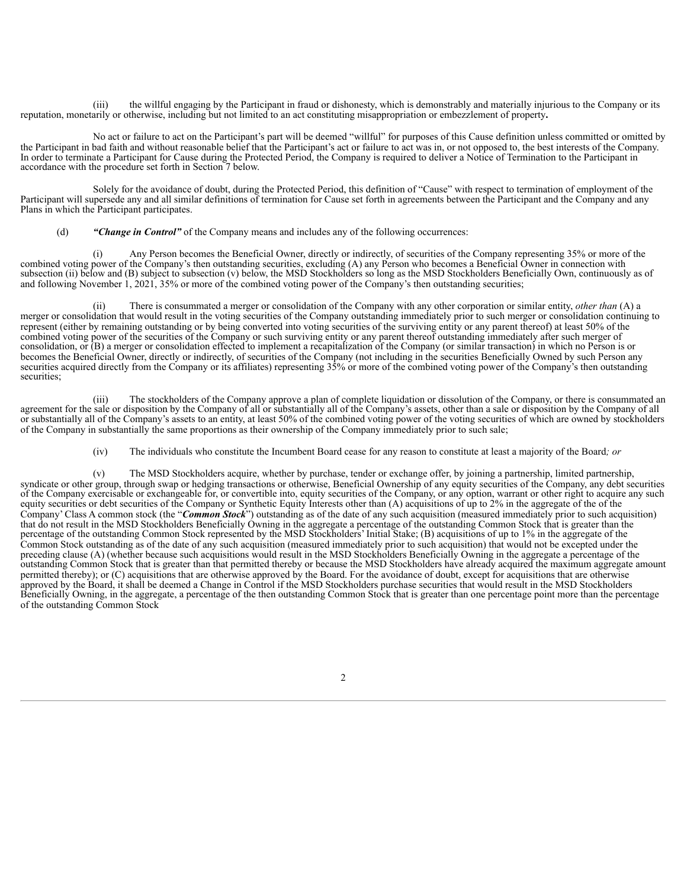(iii) the willful engaging by the Participant in fraud or dishonesty, which is demonstrably and materially injurious to the Company or its reputation, monetarily or otherwise, including but not limited to an act constituting misappropriation or embezzlement of property**.**

No act or failure to act on the Participant's part will be deemed "willful" for purposes of this Cause definition unless committed or omitted by the Participant in bad faith and without reasonable belief that the Participant's act or failure to act was in, or not opposed to, the best interests of the Company. In order to terminate a Participant for Cause during the Protected Period, the Company is required to deliver a Notice of Termination to the Participant in accordance with the procedure set forth in Section 7 below.

Solely for the avoidance of doubt, during the Protected Period, this definition of "Cause" with respect to termination of employment of the Participant will supersede any and all similar definitions of termination for Cause set forth in agreements between the Participant and the Company and any Plans in which the Participant participates.

(d) *"Change in Control"* of the Company means and includes any of the following occurrences:

Any Person becomes the Beneficial Owner, directly or indirectly, of securities of the Company representing 35% or more of the combined voting power of the Company's then outstanding securities, excluding (A) any Person who becomes a Beneficial Owner in connection with subsection (ii) below and (B) subject to subsection (v) below, the MSD Stockholders so long as the MSD Stockholders Beneficially Own, continuously as of and following November 1, 2021, 35% or more of the combined voting power of the Company's then outstanding securities;

(ii) There is consummated a merger or consolidation of the Company with any other corporation or similar entity, *other than* (A) a merger or consolidation that would result in the voting securities of the Company outstanding immediately prior to such merger or consolidation continuing to represent (either by remaining outstanding or by being converted into voting securities of the surviving entity or any parent thereof) at least 50% of the combined voting power of the securities of the Company or such surviving entity or any parent thereof outstanding immediately after such merger of consolidation, or (B) a merger or consolidation effected to implement a recapitalization of the Company (or similar transaction) in which no Person is or becomes the Beneficial Owner, directly or indirectly, of securities of the Company (not including in the securities Beneficially Owned by such Person any securities acquired directly from the Company or its affiliates) representing 35% or more of the combined voting power of the Company's then outstanding securities;

(iii) The stockholders of the Company approve a plan of complete liquidation or dissolution of the Company, or there is consummated an agreement for the sale or disposition by the Company of all or substantially all of the Company's assets, other than a sale or disposition by the Company of all or substantially all of the Company's assets to an entity, at least 50% of the combined voting power of the voting securities of which are owned by stockholders of the Company in substantially the same proportions as their ownership of the Company immediately prior to such sale;

(iv) The individuals who constitute the Incumbent Board cease for any reason to constitute at least a majority of the Board*; or*

(v) The MSD Stockholders acquire, whether by purchase, tender or exchange offer, by joining a partnership, limited partnership, syndicate or other group, through swap or hedging transactions or otherwise, Beneficial Ownership of any equity securities of the Company, any debt securities of the Company exercisable or exchangeable for, or convertible into, equity securities of the Company, or any option, warrant or other right to acquire any such equity securities or debt securities of the Company or Synthetic Equity Interests other than (A) acquisitions of up to 2% in the aggregate of the of the Company' Class A common stock (the "*Common Stock*") outstanding as of the date of any such acquisition (measured immediately prior to such acquisition) that do not result in the MSD Stockholders Beneficially Owning in the aggregate a percentage of the outstanding Common Stock that is greater than the percentage of the outstanding Common Stock represented by the MSD Stockholders' Initial Stake; (B) acquisitions of up to 1% in the aggregate of the Common Stock outstanding as of the date of any such acquisition (measured immediately prior to such acquisition) that would not be excepted under the preceding clause (A) (whether because such acquisitions would result in the MSD Stockholders Beneficially Owning in the aggregate a percentage of the outstanding Common Stock that is greater than that permitted thereby or because the MSD Stockholders have already acquired the maximum aggregate amount permitted thereby); or (C) acquisitions that are otherwise approved by the Board. For the avoidance of doubt, except for acquisitions that are otherwise approved by the Board, it shall be deemed a Change in Control if the MSD Stockholders purchase securities that would result in the MSD Stockholders Beneficially Owning, in the aggregate, a percentage of the then outstanding Common Stock that is greater than one percentage point more than the percentage of the outstanding Common Stock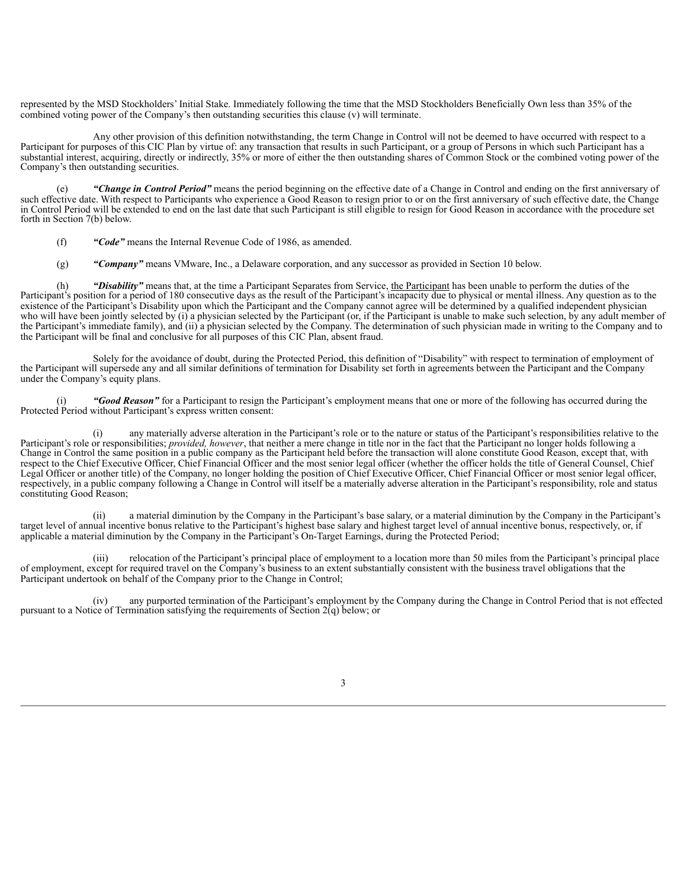represented by the MSD Stockholders' Initial Stake. Immediately following the time that the MSD Stockholders Beneficially Own less than 35% of the combined voting power of the Company's then outstanding securities this clause (v) will terminate.

Any other provision of this definition notwithstanding, the term Change in Control will not be deemed to have occurred with respect to a Participant for purposes of this CIC Plan by virtue of: any transaction that results in such Participant, or a group of Persons in which such Participant has a substantial interest, acquiring, directly or indirectly, 35% or more of either the then outstanding shares of Common Stock or the combined voting power of the Company's then outstanding securities.

(e) *"Change in Control Period"* means the period beginning on the effective date of a Change in Control and ending on the first anniversary of such effective date. With respect to Participants who experience a Good Reason to resign prior to or on the first anniversary of such effective date, the Change in Control Period will be extended to end on the last date that such Participant is still eligible to resign for Good Reason in accordance with the procedure set forth in Section 7(b) below.

- (f) *"Code"* means the Internal Revenue Code of 1986, as amended.
- (g) *"Company"* means VMware, Inc., a Delaware corporation, and any successor as provided in Section 10 below.

(h) *"Disability"* means that, at the time a Participant Separates from Service, the Participant has been unable to perform the duties of the Participant's position for a period of 180 consecutive days as the result of the Participant's incapacity due to physical or mental illness. Any question as to the existence of the Participant's Disability upon which the Participant and the Company cannot agree will be determined by a qualified independent physician who will have been jointly selected by (i) a physician selected by the Participant (or, if the Participant is unable to make such selection, by any adult member of the Participant's immediate family), and (ii) a physician selected by the Company. The determination of such physician made in writing to the Company and to the Participant will be final and conclusive for all purposes of this CIC Plan, absent fraud.

Solely for the avoidance of doubt, during the Protected Period, this definition of "Disability" with respect to termination of employment of the Participant will supersede any and all similar definitions of termination for Disability set forth in agreements between the Participant and the Company under the Company's equity plans.

"Good Reason" for a Participant to resign the Participant's employment means that one or more of the following has occurred during the Protected Period without Participant's express written consent:

(i) any materially adverse alteration in the Participant's role or to the nature or status of the Participant's responsibilities relative to the Participant's role or responsibilities; *provided, however*, that neither a mere change in title nor in the fact that the Participant no longer holds following a Change in Control the same position in a public company as the Participant held before the transaction will alone constitute Good Reason, except that, with respect to the Chief Executive Officer, Chief Financial Officer and the most senior legal officer (whether the officer holds the title of General Counsel, Chief Legal Officer or another title) of the Company, no longer holding the position of Chief Executive Officer, Chief Financial Officer or most senior legal officer, respectively, in a public company following a Change in Control will itself be a materially adverse alteration in the Participant's responsibility, role and status constituting Good Reason;

(ii) a material diminution by the Company in the Participant's base salary, or a material diminution by the Company in the Participant's target level of annual incentive bonus relative to the Participant's highest base salary and highest target level of annual incentive bonus, respectively, or, if applicable a material diminution by the Company in the Participant's On-Target Earnings, during the Protected Period;

(iii) relocation of the Participant's principal place of employment to a location more than 50 miles from the Participant's principal place of employment, except for required travel on the Company's business to an extent substantially consistent with the business travel obligations that the Participant undertook on behalf of the Company prior to the Change in Control;

(iv) any purported termination of the Participant's employment by the Company during the Change in Control Period that is not effected pursuant to a Notice of Termination satisfying the requirements of Section  $2(q)$  below; or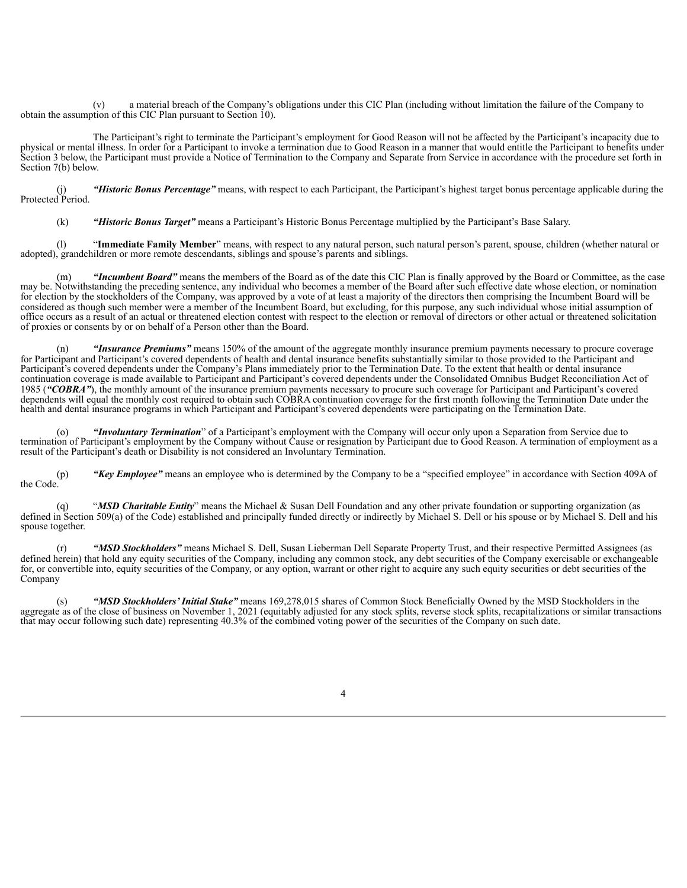(v) a material breach of the Company's obligations under this CIC Plan (including without limitation the failure of the Company to obtain the assumption of this CIC Plan pursuant to Section 10).

The Participant's right to terminate the Participant's employment for Good Reason will not be affected by the Participant's incapacity due to physical or mental illness. In order for a Participant to invoke a termination due to Good Reason in a manner that would entitle the Participant to benefits under Section 3 below, the Participant must provide a Notice of Termination to the Company and Separate from Service in accordance with the procedure set forth in Section 7(b) below.

"Historic Bonus Percentage" means, with respect to each Participant, the Participant's highest target bonus percentage applicable during the (1)<br>Protected Period.

(k) *"Historic Bonus Target"* means a Participant's Historic Bonus Percentage multiplied by the Participant's Base Salary.

(l) "**Immediate Family Member**" means, with respect to any natural person, such natural person's parent, spouse, children (whether natural or adopted), grandchildren or more remote descendants, siblings and spouse's parents and siblings.

(m) *"Incumbent Board"* means the members of the Board as of the date this CIC Plan is finally approved by the Board or Committee, as the case may be. Notwithstanding the preceding sentence, any individual who becomes a member of the Board after such effective date whose election, or nomination for election by the stockholders of the Company, was approved by a vote of at least a majority of the directors then comprising the Incumbent Board will be considered as though such member were a member of the Incumbent Board, but excluding, for this purpose, any such individual whose initial assumption of office occurs as a result of an actual or threatened election contest with respect to the election or removal of directors or other actual or threatened solicitation of proxies or consents by or on behalf of a Person other than the Board.

(n) *"Insurance Premiums"* means 150% of the amount of the aggregate monthly insurance premium payments necessary to procure coverage for Participant and Participant's covered dependents of health and dental insurance benefits substantially similar to those provided to the Participant and Participant's covered dependents under the Company's Plans immediately prior to the Termination Date. To the extent that health or dental insurance continuation coverage is made available to Participant and Participant's covered dependents under the Consolidated Omnibus Budget Reconciliation Act of 1985 (*"COBRA"*), the monthly amount of the insurance premium payments necessary to procure such coverage for Participant and Participant's covered dependents will equal the monthly cost required to obtain such COBRA continuation coverage for the first month following the Termination Date under the health and dental insurance programs in which Participant and Participant's covered dependents were participating on the Termination Date.

(o) *"Involuntary Termination*" of a Participant's employment with the Company will occur only upon a Separation from Service due to termination of Participant's employment by the Company without Cause or resignation by Participant due to Good Reason. A termination of employment as a result of the Participant's death or Disability is not considered an Involuntary Termination.

(p) *"Key Employee"* means an employee who is determined by the Company to be a "specified employee" in accordance with Section 409A of the Code.

(q) "*MSD Charitable Entity*" means the Michael & Susan Dell Foundation and any other private foundation or supporting organization (as defined in Section 509(a) of the Code) established and principally funded directly or indirectly by Michael S. Dell or his spouse or by Michael S. Dell and his spouse together.

(r) *"MSD Stockholders"* means Michael S. Dell, Susan Lieberman Dell Separate Property Trust, and their respective Permitted Assignees (as defined herein) that hold any equity securities of the Company, including any common stock, any debt securities of the Company exercisable or exchangeable for, or convertible into, equity securities of the Company, or any option, warrant or other right to acquire any such equity securities or debt securities of the Company

(s) *"MSD Stockholders'Initial Stake"* means 169,278,015 shares of Common Stock Beneficially Owned by the MSD Stockholders in the aggregate as of the close of business on November 1, 2021 (equitably adjusted for any stock splits, reverse stock splits, recapitalizations or similar transactions that may occur following such date) representing 40.3% of the combined voting power of the securities of the Company on such date.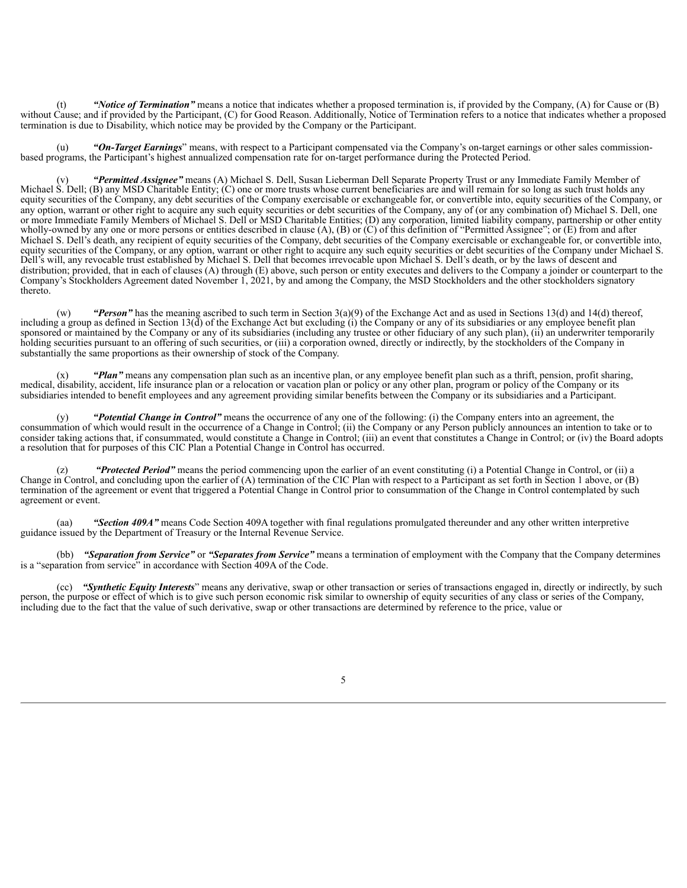(t) *"Notice of Termination"* means a notice that indicates whether a proposed termination is, if provided by the Company, (A) for Cause or (B) without Cause; and if provided by the Participant, (C) for Good Reason. Additionally, Notice of Termination refers to a notice that indicates whether a proposed termination is due to Disability, which notice may be provided by the Company or the Participant.

"On-Target Earnings" means, with respect to a Participant compensated via the Company's on-target earnings or other sales commissionbased programs, the Participant's highest annualized compensation rate for on-target performance during the Protected Period.

"Permitted Assignee" means (A) Michael S. Dell, Susan Lieberman Dell Separate Property Trust or any Immediate Family Member of Michael S. Dell; (B) any MSD Charitable Entity; (C) one or more trusts whose current beneficiaries are and will remain for so long as such trust holds any equity securities of the Company, any debt securities of the Company exercisable or exchangeable for, or convertible into, equity securities of the Company, or any option, warrant or other right to acquire any such equity securities or debt securities of the Company, any of (or any combination of) Michael S. Dell, one or more Immediate Family Members of Michael S. Dell or MSD Charitable Entities; (D) any corporation, limited liability company, partnership or other entity wholly-owned by any one or more persons or entities described in clause (A), (B) or (C) of this definition of "Permitted Assignee"; or (E) from and after Michael S. Dell's death, any recipient of equity securities of the Company, debt securities of the Company exercisable or exchangeable for, or convertible into, equity securities of the Company, or any option, warrant or other right to acquire any such equity securities or debt securities of the Company under Michael S. Dell's will, any revocable trust established by Michael S. Dell that becomes irrevocable upon Michael S. Dell's death, or by the laws of descent and distribution; provided, that in each of clauses (A) through (E) above, such person or entity executes and delivers to the Company a joinder or counterpart to the Company's Stockholders Agreement dated November 1, 2021, by and among the Company, the MSD Stockholders and the other stockholders signatory thereto.

(w) *"Person"* has the meaning ascribed to such term in Section 3(a)(9) of the Exchange Act and as used in Sections 13(d) and 14(d) thereof, including a group as defined in Section 13(d) of the Exchange Act but excluding (i) the Company or any of its subsidiaries or any employee benefit plan sponsored or maintained by the Company or any of its subsidiaries (including any trustee or other fiduciary of any such plan), (ii) an underwriter temporarily holding securities pursuant to an offering of such securities, or (iii) a corporation owned, directly or indirectly, by the stockholders of the Company in substantially the same proportions as their ownership of stock of the Company.

"Plan" means any compensation plan such as an incentive plan, or any employee benefit plan such as a thrift, pension, profit sharing, medical, disability, accident, life insurance plan or a relocation or vacation plan or policy or any other plan, program or policy of the Company or its subsidiaries intended to benefit employees and any agreement providing similar benefits between the Company or its subsidiaries and a Participant.

(y) *"Potential Change in Control"* means the occurrence of any one of the following: (i) the Company enters into an agreement, the consummation of which would result in the occurrence of a Change in Control; (ii) the Company or any Person publicly announces an intention to take or to consider taking actions that, if consummated, would constitute a Change in Control; (iii) an event that constitutes a Change in Control; or (iv) the Board adopts a resolution that for purposes of this CIC Plan a Potential Change in Control has occurred.

"Protected Period" means the period commencing upon the earlier of an event constituting (i) a Potential Change in Control, or (ii) a Change in Control, and concluding upon the earlier of (A) termination of the CIC Plan with respect to a Participant as set forth in Section 1 above, or (B) termination of the agreement or event that triggered a Potential Change in Control prior to consummation of the Change in Control contemplated by such agreement or event.

(aa) *"Section 409A"* means Code Section 409A together with final regulations promulgated thereunder and any other written interpretive guidance issued by the Department of Treasury or the Internal Revenue Service.

(bb) *"Separation from Service"* or *"Separates from Service"* means a termination of employment with the Company that the Company determines is a "separation from service" in accordance with Section 409A of the Code.

(cc) *"Synthetic Equity Interests*" means any derivative, swap or other transaction or series of transactions engaged in, directly or indirectly, by such person, the purpose or effect of which is to give such person economic risk similar to ownership of equity securities of any class or series of the Company, including due to the fact that the value of such derivative, swap or other transactions are determined by reference to the price, value or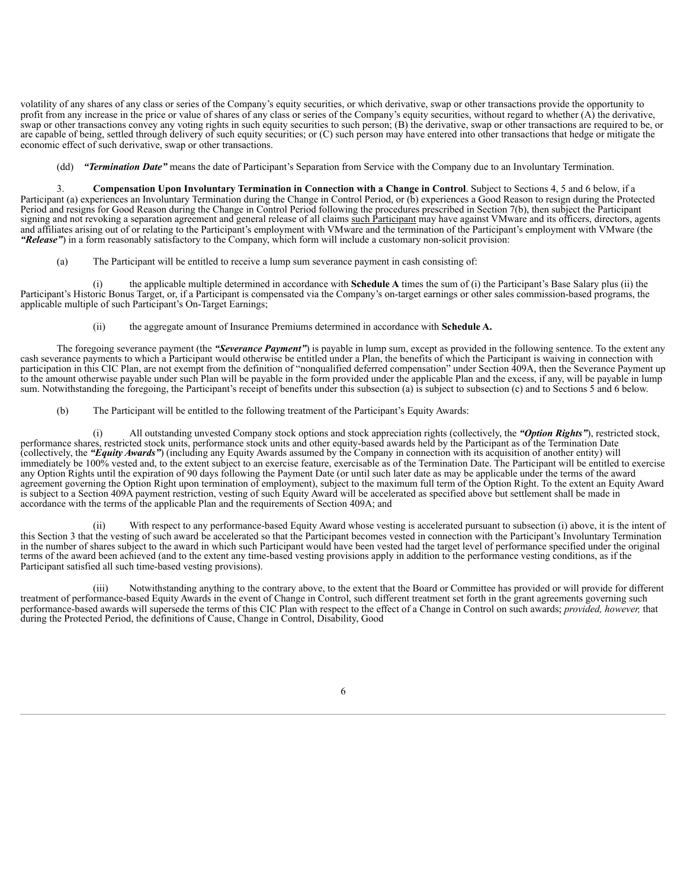volatility of any shares of any class or series of the Company's equity securities, or which derivative, swap or other transactions provide the opportunity to profit from any increase in the price or value of shares of any class or series of the Company's equity securities, without regard to whether (A) the derivative, swap or other transactions convey any voting rights in such equity securities to such person; (B) the derivative, swap or other transactions are required to be, or are capable of being, settled through delivery of such equity securities; or (C) such person may have entered into other transactions that hedge or mitigate the economic effect of such derivative, swap or other transactions.

(dd) *"Termination Date"* means the date of Participant's Separation from Service with the Company due to an Involuntary Termination.

3. **Compensation Upon Involuntary Termination in Connection with a Change in Control**. Subject to Sections 4, 5 and 6 below, if a Participant (a) experiences an Involuntary Termination during the Change in Control Period, or (b) experiences a Good Reason to resign during the Protected Period and resigns for Good Reason during the Change in Control Period following the procedures prescribed in Section 7(b), then subject the Participant signing and not revoking a separation agreement and general release of all claims such Participant may have against VMware and its officers, directors, agents and affiliates arising out of or relating to the Participant's employment with VMware and the termination of the Participant's employment with VMware (the *"Release"*) in a form reasonably satisfactory to the Company, which form will include a customary non-solicit provision:

(a) The Participant will be entitled to receive a lump sum severance payment in cash consisting of:

(i) the applicable multiple determined in accordance with **Schedule A** times the sum of (i) the Participant's Base Salary plus (ii) the Participant's Historic Bonus Target, or, if a Participant is compensated via the Company's on-target earnings or other sales commission-based programs, the applicable multiple of such Participant's On-Target Earnings;

(ii) the aggregate amount of Insurance Premiums determined in accordance with **Schedule A.**

The foregoing severance payment (the *"Severance Payment"*) is payable in lump sum, except as provided in the following sentence. To the extent any cash severance payments to which a Participant would otherwise be entitled under a Plan, the benefits of which the Participant is waiving in connection with participation in this CIC Plan, are not exempt from the definition of "nonqualified deferred compensation" under Section 409A, then the Severance Payment up to the amount otherwise payable under such Plan will be payable in the form provided under the applicable Plan and the excess, if any, will be payable in lump sum. Notwithstanding the foregoing, the Participant's receipt of benefits under this subsection (a) is subject to subsection (c) and to Sections 5 and 6 below.

(b) The Participant will be entitled to the following treatment of the Participant's Equity Awards:

(i) All outstanding unvested Company stock options and stock appreciation rights (collectively, the *"Option Rights"*), restricted stock, performance shares, restricted stock units, performance stock units and other equity-based awards held by the Participant as of the Termination Date (collectively, the *"Equity Awards"*) (including any Equity Awards assumed by the Company in connection with its acquisition of another entity) will immediately be 100% vested and, to the extent subject to an exercise feature, exercisable as of the Termination Date. The Participant will be entitled to exercise any Option Rights until the expiration of 90 days following the Payment Date (or until such later date as may be applicable under the terms of the award agreement governing the Option Right upon termination of employment), subject to the maximum full term of the Option Right. To the extent an Equity Award is subject to a Section 409A payment restriction, vesting of such Equity Award will be accelerated as specified above but settlement shall be made in accordance with the terms of the applicable Plan and the requirements of Section 409A; and

(ii) With respect to any performance-based Equity Award whose vesting is accelerated pursuant to subsection (i) above, it is the intent of this Section 3 that the vesting of such award be accelerated so that the Participant becomes vested in connection with the Participant's Involuntary Termination in the number of shares subject to the award in which such Participant would have been vested had the target level of performance specified under the original terms of the award been achieved (and to the extent any time-based vesting provisions apply in addition to the performance vesting conditions, as if the Participant satisfied all such time-based vesting provisions).

Notwithstanding anything to the contrary above, to the extent that the Board or Committee has provided or will provide for different treatment of performance-based Equity Awards in the event of Change in Control, such different treatment set forth in the grant agreements governing such performance-based awards will supersede the terms of this CIC Plan with respect to the effect of a Change in Control on such awards; *provided, however,* that during the Protected Period, the definitions of Cause, Change in Control, Disability, Good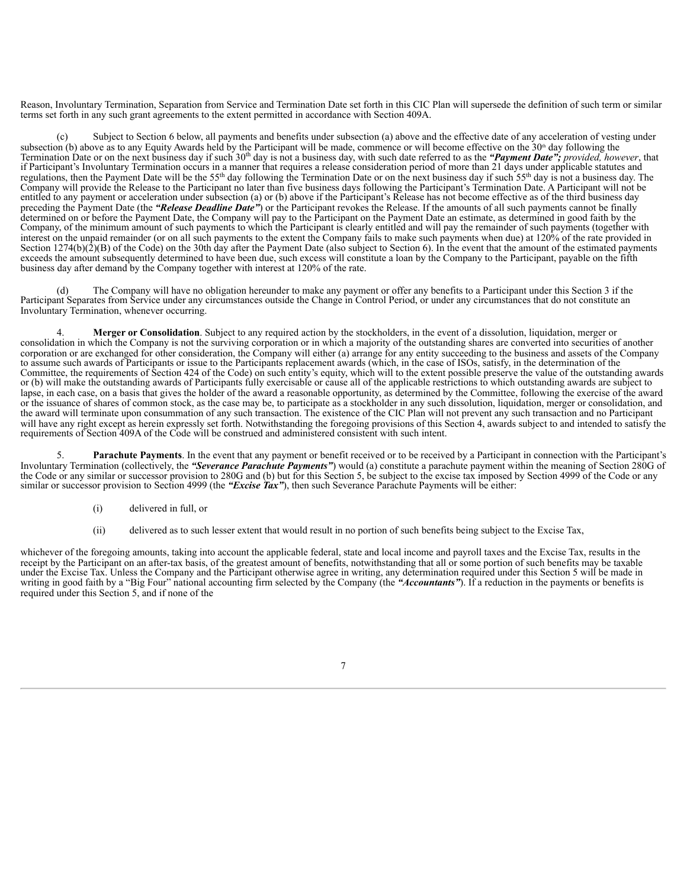Reason, Involuntary Termination, Separation from Service and Termination Date set forth in this CIC Plan will supersede the definition of such term or similar terms set forth in any such grant agreements to the extent permitted in accordance with Section 409A.

(c) Subject to Section 6 below, all payments and benefits under subsection (a) above and the effective date of any acceleration of vesting under subsection (b) above as to any Equity Awards held by the Participant will be made, commence or will become effective on the  $30<sup>th</sup>$  day following the Termination Date or on the next business day if such 30<sup>th</sup> day is not a business day, with such date referred to as the "Payment Date"; *provided*, *however*, that if Participant's Involuntary Termination occurs in a manner that requires a release consideration period of more than 21 days under applicable statutes and regulations, then the Payment Date will be the 55<sup>th</sup> day following the Termination Date or on the next business day if such  $55<sup>th</sup>$  day is not a business day. The Company will provide the Release to the Participant no later than five business days following the Participant's Termination Date. A Participant will not be entitled to any payment or acceleration under subsection (a) or (b) above if the Participant's Release has not become effective as of the third business day preceding the Payment Date (the *"Release Deadline Date"*) or the Participant revokes the Release. If the amounts of all such payments cannot be finally determined on or before the Payment Date, the Company will pay to the Participant on the Payment Date an estimate, as determined in good faith by the Company, of the minimum amount of such payments to which the Participant is clearly entitled and will pay the remainder of such payments (together with interest on the unpaid remainder (or on all such payments to the extent the Company fails to make such payments when due) at 120% of the rate provided in Section  $1274(b)(2)(B)$  of the Code) on the 30th day after the Payment Date (also subject to Section 6). In the event that the amount of the estimated payments exceeds the amount subsequently determined to have been due, such excess will constitute a loan by the Company to the Participant, payable on the fifth business day after demand by the Company together with interest at 120% of the rate.

(d) The Company will have no obligation hereunder to make any payment or offer any benefits to a Participant under this Section 3 if the Participant Separates from Service under any circumstances outside the Change in Control Period, or under any circumstances that do not constitute an Involuntary Termination, whenever occurring.

4. **Merger or Consolidation**. Subject to any required action by the stockholders, in the event of a dissolution, liquidation, merger or consolidation in which the Company is not the surviving corporation or in which a majority of the outstanding shares are converted into securities of another corporation or are exchanged for other consideration, the Company will either (a) arrange for any entity succeeding to the business and assets of the Company to assume such awards of Participants or issue to the Participants replacement awards (which, in the case of ISOs, satisfy, in the determination of the Committee, the requirements of Section 424 of the Code) on such entity's equity, which will to the extent possible preserve the value of the outstanding awards or (b) will make the outstanding awards of Participants fully exercisable or cause all of the applicable restrictions to which outstanding awards are subject to lapse, in each case, on a basis that gives the holder of the award a reasonable opportunity, as determined by the Committee, following the exercise of the award or the issuance of shares of common stock, as the case may be, to participate as a stockholder in any such dissolution, liquidation, merger or consolidation, and the award will terminate upon consummation of any such transaction. The existence of the CIC Plan will not prevent any such transaction and no Participant will have any right except as herein expressly set forth. Notwithstanding the foregoing provisions of this Section 4, awards subject to and intended to satisfy the requirements of Section 409A of the Code will be construed and administered consistent with such intent.

5. **Parachute Payments**. In the event that any payment or benefit received or to be received by a Participant in connection with the Participant's Involuntary Termination (collectively, the *"Severance Parachute Payments"*) would (a) constitute a parachute payment within the meaning of Section 280G of the Code or any similar or successor provision to 280G and (b) but for this Section 5, be subject to the excise tax imposed by Section 4999 of the Code or any similar or successor provision to Section 4999 (the *"Excise Tax"*), then such Severance Parachute Payments will be either:

- (i) delivered in full, or
- (ii) delivered as to such lesser extent that would result in no portion of such benefits being subject to the Excise Tax,

whichever of the foregoing amounts, taking into account the applicable federal, state and local income and payroll taxes and the Excise Tax, results in the receipt by the Participant on an after-tax basis, of the greatest amount of benefits, notwithstanding that all or some portion of such benefits may be taxable under the Excise Tax. Unless the Company and the Participant otherwise agree in writing, any determination required under this Section 5 will be made in writing in good faith by a "Big Four" national accounting firm selected by the Company (the *"Accountants"*). If a reduction in the payments or benefits is required under this Section 5, and if none of the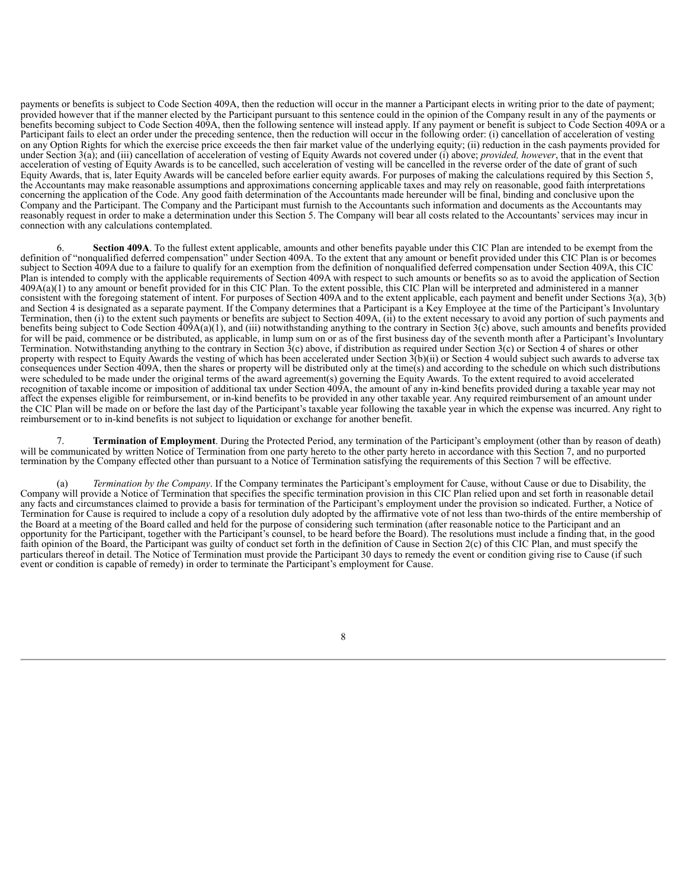payments or benefits is subject to Code Section 409A, then the reduction will occur in the manner a Participant elects in writing prior to the date of payment; provided however that if the manner elected by the Participant pursuant to this sentence could in the opinion of the Company result in any of the payments or benefits becoming subject to Code Section 409A, then the following sentence will instead apply. If any payment or benefit is subject to Code Section 409A or a Participant fails to elect an order under the preceding sentence, then the reduction will occur in the following order: (i) cancellation of acceleration of vesting on any Option Rights for which the exercise price exceeds the then fair market value of the underlying equity; (ii) reduction in the cash payments provided for under Section 3(a); and (iii) cancellation of acceleration of vesting of Equity Awards not covered under (i) above; *provided, however*, that in the event that acceleration of vesting of Equity Awards is to be cancelled, such acceleration of vesting will be cancelled in the reverse order of the date of grant of such Equity Awards, that is, later Equity Awards will be canceled before earlier equity awards. For purposes of making the calculations required by this Section 5, the Accountants may make reasonable assumptions and approximations concerning applicable taxes and may rely on reasonable, good faith interpretations concerning the application of the Code. Any good faith determination of the Accountants made hereunder will be final, binding and conclusive upon the Company and the Participant. The Company and the Participant must furnish to the Accountants such information and documents as the Accountants may reasonably request in order to make a determination under this Section 5. The Company will bear all costs related to the Accountants'services may incur in connection with any calculations contemplated.

6. **Section 409A**. To the fullest extent applicable, amounts and other benefits payable under this CIC Plan are intended to be exempt from the definition of "nonqualified deferred compensation" under Section 409A. To the extent that any amount or benefit provided under this CIC Plan is or becomes subject to Section 409A due to a failure to qualify for an exemption from the definition of nonqualified deferred compensation under Section 409A, this CIC Plan is intended to comply with the applicable requirements of Section 409A with respect to such amounts or benefits so as to avoid the application of Section 409A(a)(1) to any amount or benefit provided for in this CIC Plan. To the extent possible, this CIC Plan will be interpreted and administered in a manner consistent with the foregoing statement of intent. For purposes of Section 409A and to the extent applicable, each payment and benefit under Sections 3(a), 3(b) and Section 4 is designated as a separate payment. If the Company determines that a Participant is a Key Employee at the time of the Participant's Involuntary Termination, then (i) to the extent such payments or benefits are subject to Section 409A, (ii) to the extent necessary to avoid any portion of such payments and benefits being subject to Code Section  $409A(a)(1)$ , and (iii) notwithstanding anything to the contrary in Section  $3(c)$  above, such amounts and benefits provided for will be paid, commence or be distributed, as applicable, in lump sum on or as of the first business day of the seventh month after a Participant's Involuntary Termination. Notwithstanding anything to the contrary in Section  $3(c)$  above, if distribution as required under Section  $3(c)$  or Section 4 of shares or other property with respect to Equity Awards the vesting of which has been accelerated under Section 3(b)(ii) or Section 4 would subject such awards to adverse tax consequences under Section 409A, then the shares or property will be distributed only at the time(s) and according to the schedule on which such distributions were scheduled to be made under the original terms of the award agreement(s) governing the Equity Awards. To the extent required to avoid accelerated recognition of taxable income or imposition of additional tax under Section 409A, the amount of any in-kind benefits provided during a taxable year may not affect the expenses eligible for reimbursement, or in-kind benefits to be provided in any other taxable year. Any required reimbursement of an amount under the CIC Plan will be made on or before the last day of the Participant's taxable year following the taxable year in which the expense was incurred. Any right to reimbursement or to in-kind benefits is not subject to liquidation or exchange for another benefit.

7. **Termination of Employment**. During the Protected Period, any termination of the Participant's employment (other than by reason of death) will be communicated by written Notice of Termination from one party hereto to the other party hereto in accordance with this Section 7, and no purported termination by the Company effected other than pursuant to a Notice of Termination satisfying the requirements of this Section 7 will be effective.

(a) *Termination by the Company*. If the Company terminates the Participant's employment for Cause, without Cause or due to Disability, the Company will provide a Notice of Termination that specifies the specific termination provision in this CIC Plan relied upon and set forth in reasonable detail any facts and circumstances claimed to provide a basis for termination of the Participant's employment under the provision so indicated. Further, a Notice of Termination for Cause is required to include a copy of a resolution duly adopted by the affirmative vote of not less than two-thirds of the entire membership of the Board at a meeting of the Board called and held for the purpose of considering such termination (after reasonable notice to the Participant and an opportunity for the Participant, together with the Participant's counsel, to be heard before the Board). The resolutions must include a finding that, in the good faith opinion of the Board, the Participant was guilty of conduct set forth in the definition of Cause in Section 2(c) of this CIC Plan, and must specify the particulars thereof in detail. The Notice of Termination must provide the Participant 30 days to remedy the event or condition giving rise to Cause (if such event or condition is capable of remedy) in order to terminate the Participant's employment for Cause.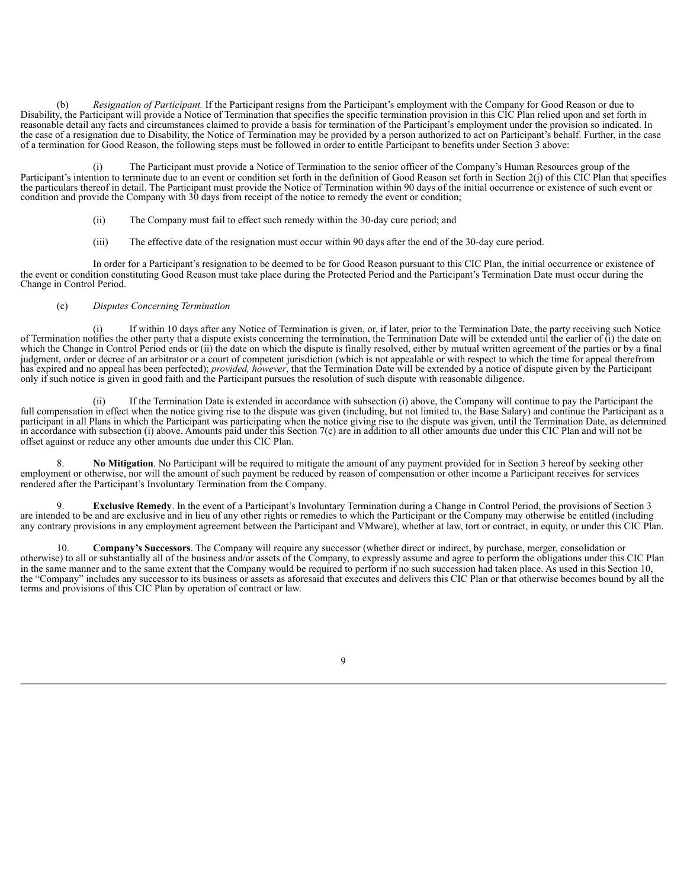(b) *Resignation of Participant.* If the Participant resigns from the Participant's employment with the Company for Good Reason or due to Disability, the Participant will provide a Notice of Termination that specifies the specific termination provision in this CIC Plan relied upon and set forth in reasonable detail any facts and circumstances claimed to provide a basis for termination of the Participant's employment under the provision so indicated. In the case of a resignation due to Disability, the Notice of Termination may be provided by a person authorized to act on Participant's behalf. Further, in the case of a termination for Good Reason, the following steps must be followed in order to entitle Participant to benefits under Section 3 above:

(i) The Participant must provide a Notice of Termination to the senior officer of the Company's Human Resources group of the Participant's intention to terminate due to an event or condition set forth in the definition of Good Reason set forth in Section 2(j) of this CIC Plan that specifies the particulars thereof in detail. The Participant must provide the Notice of Termination within 90 days of the initial occurrence or existence of such event or condition and provide the Company with 30 days from receipt of the notice to remedy the event or condition;

- (ii) The Company must fail to effect such remedy within the 30-day cure period; and
- (iii) The effective date of the resignation must occur within 90 days after the end of the 30-day cure period.

In order for a Participant's resignation to be deemed to be for Good Reason pursuant to this CIC Plan, the initial occurrence or existence of the event or condition constituting Good Reason must take place during the Protected Period and the Participant's Termination Date must occur during the Change in Control Period.

#### (c) *Disputes Concerning Termination*

(i) If within 10 days after any Notice of Termination is given, or, if later, prior to the Termination Date, the party receiving such Notice of Termination notifies the other party that a dispute exists concerning the termination, the Termination Date will be extended until the earlier of (i) the date on which the Change in Control Period ends or (ii) the date on which the dispute is finally resolved, either by mutual written agreement of the parties or by a final judgment, order or decree of an arbitrator or a court of competent jurisdiction (which is not appealable or with respect to which the time for appeal therefrom has expired and no appeal has been perfected); *provided, however*, that the Termination Date will be extended by a notice of dispute given by the Participant only if such notice is given in good faith and the Participant pursues the resolution of such dispute with reasonable diligence.

If the Termination Date is extended in accordance with subsection (i) above, the Company will continue to pay the Participant the full compensation in effect when the notice giving rise to the dispute was given (including, but not limited to, the Base Salary) and continue the Participant as a participant in all Plans in which the Participant was participating when the notice giving rise to the dispute was given, until the Termination Date, as determined in accordance with subsection (i) above. Amounts paid under this Section 7(c) are in addition to all other amounts due under this CIC Plan and will not be offset against or reduce any other amounts due under this CIC Plan.

8. **No Mitigation**. No Participant will be required to mitigate the amount of any payment provided for in Section 3 hereof by seeking other employment or otherwise, nor will the amount of such payment be reduced by reason of compensation or other income a Participant receives for services rendered after the Participant's Involuntary Termination from the Company.

9. **Exclusive Remedy**. In the event of a Participant's Involuntary Termination during a Change in Control Period, the provisions of Section 3 are intended to be and are exclusive and in lieu of any other rights or remedies to which the Participant or the Company may otherwise be entitled (including any contrary provisions in any employment agreement between the Participant and VMware), whether at law, tort or contract, in equity, or under this CIC Plan.

10. **Company's Successors**. The Company will require any successor (whether direct or indirect, by purchase, merger, consolidation or otherwise) to all or substantially all of the business and/or assets of the Company, to expressly assume and agree to perform the obligations under this CIC Plan in the same manner and to the same extent that the Company would be required to perform if no such succession had taken place. As used in this Section 10, the "Company" includes any successor to its business or assets as aforesaid that executes and delivers this CIC Plan or that otherwise becomes bound by all the terms and provisions of this CIC Plan by operation of contract or law.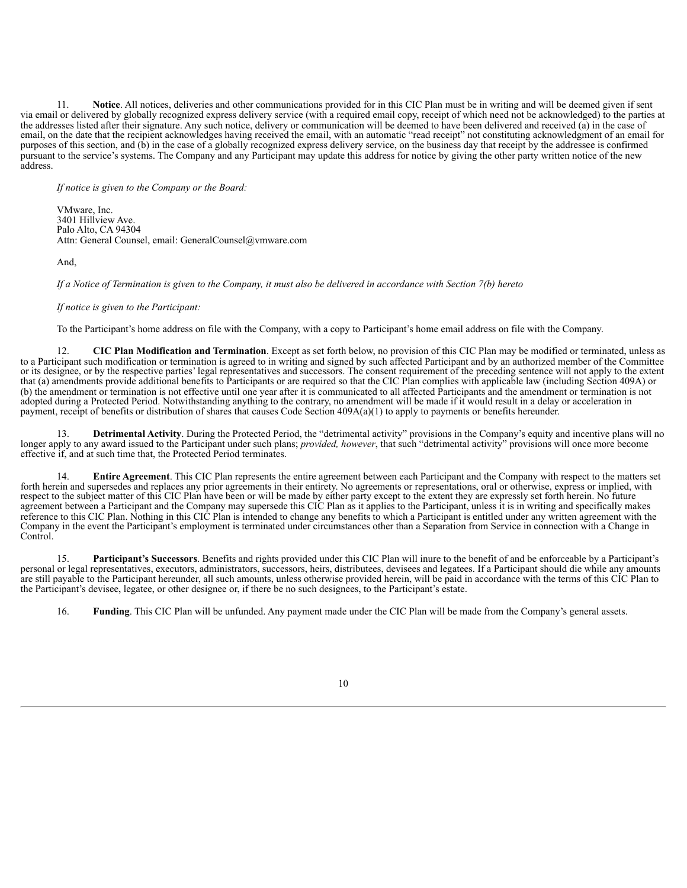11. **Notice**. All notices, deliveries and other communications provided for in this CIC Plan must be in writing and will be deemed given if sent via email or delivered by globally recognized express delivery service (with a required email copy, receipt of which need not be acknowledged) to the parties at the addresses listed after their signature. Any such notice, delivery or communication will be deemed to have been delivered and received (a) in the case of email, on the date that the recipient acknowledges having received the email, with an automatic "read receipt" not constituting acknowledgment of an email for purposes of this section, and (b) in the case of a globally recognized express delivery service, on the business day that receipt by the addressee is confirmed pursuant to the service's systems. The Company and any Participant may update this address for notice by giving the other party written notice of the new address.

*If notice is given to the Company or the Board:*

VMware, Inc. 3401 Hillview Ave. Palo Alto, CA 94304 Attn: General Counsel, email: GeneralCounsel@vmware.com

And,

If a Notice of Termination is given to the Company, it must also be delivered in accordance with Section 7(b) hereto

#### *If notice is given to the Participant:*

To the Participant's home address on file with the Company, with a copy to Participant's home email address on file with the Company.

12. **CIC Plan Modification and Termination**. Except as set forth below, no provision of this CIC Plan may be modified or terminated, unless as to a Participant such modification or termination is agreed to in writing and signed by such affected Participant and by an authorized member of the Committee or its designee, or by the respective parties' legal representatives and successors. The consent requirement of the preceding sentence will not apply to the extent that (a) amendments provide additional benefits to Participants or are required so that the CIC Plan complies with applicable law (including Section 409A) or (b) the amendment or termination is not effective until one year after it is communicated to all affected Participants and the amendment or termination is not adopted during a Protected Period. Notwithstanding anything to the contrary, no amendment will be made if it would result in a delay or acceleration in payment, receipt of benefits or distribution of shares that causes Code Section 409A(a)(1) to apply to payments or benefits hereunder.

13. **Detrimental Activity**. During the Protected Period, the "detrimental activity" provisions in the Company's equity and incentive plans will no longer apply to any award issued to the Participant under such plans; *provided, however*, that such "detrimental activity" provisions will once more become effective if, and at such time that, the Protected Period terminates.

14. **Entire Agreement**. This CIC Plan represents the entire agreement between each Participant and the Company with respect to the matters set forth herein and supersedes and replaces any prior agreements in their entirety. No agreements or representations, oral or otherwise, express or implied, with respect to the subject matter of this CIC Plan have been or will be made by either party except to the extent they are expressly set forth herein. No future agreement between a Participant and the Company may supersede this CIC Plan as it applies to the Participant, unless it is in writing and specifically makes reference to this CIC Plan. Nothing in this CIC Plan is intended to change any benefits to which a Participant is entitled under any written agreement with the Company in the event the Participant's employment is terminated under circumstances other than a Separation from Service in connection with a Change in Control.

15. **Participant's Successors**. Benefits and rights provided under this CIC Plan will inure to the benefit of and be enforceable by a Participant's personal or legal representatives, executors, administrators, successors, heirs, distributees, devisees and legatees. If a Participant should die while any amounts are still payable to the Participant hereunder, all such amounts, unless otherwise provided herein, will be paid in accordance with the terms of this CIC Plan to the Participant's devisee, legatee, or other designee or, if there be no such designees, to the Participant's estate.

16. **Funding**. This CIC Plan will be unfunded. Any payment made under the CIC Plan will be made from the Company's general assets.

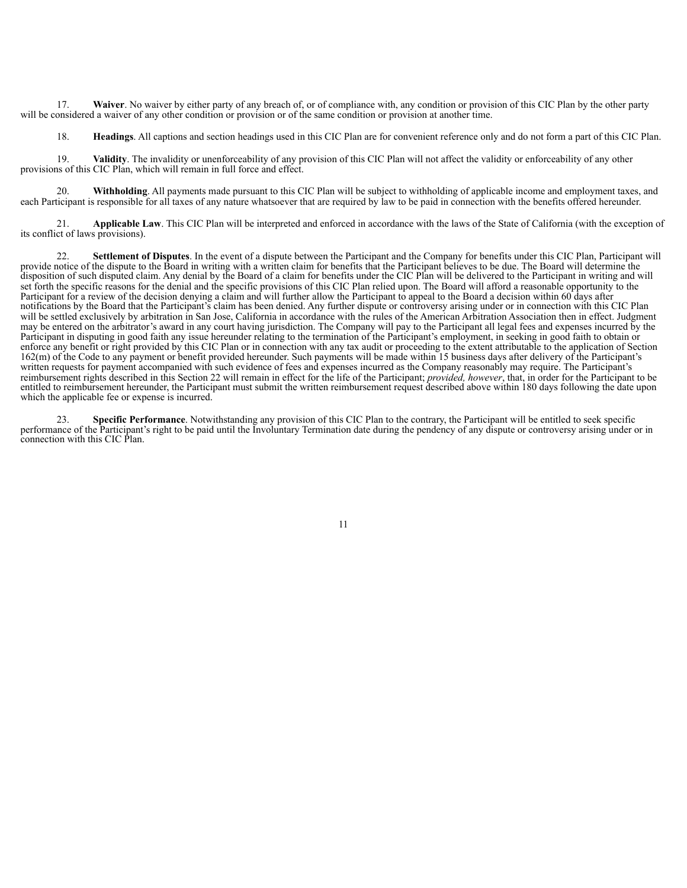17. **Waiver**. No waiver by either party of any breach of, or of compliance with, any condition or provision of this CIC Plan by the other party will be considered a waiver of any other condition or provision or of the same condition or provision at another time.

18. **Headings**. All captions and section headings used in this CIC Plan are for convenient reference only and do not form a part of this CIC Plan.

19. **Validity**. The invalidity or unenforceability of any provision of this CIC Plan will not affect the validity or enforceability of any other provisions of this CIC Plan, which will remain in full force and effect.

20. **Withholding**. All payments made pursuant to this CIC Plan will be subject to withholding of applicable income and employment taxes, and each Participant is responsible for all taxes of any nature whatsoever that are required by law to be paid in connection with the benefits offered hereunder.

21. **Applicable Law**. This CIC Plan will be interpreted and enforced in accordance with the laws of the State of California (with the exception of its conflict of laws provisions).

22. **Settlement of Disputes**. In the event of a dispute between the Participant and the Company for benefits under this CIC Plan, Participant will provide notice of the dispute to the Board in writing with a written claim for benefits that the Participant believes to be due. The Board will determine the disposition of such disputed claim. Any denial by the Board of a claim for benefits under the CIC Plan will be delivered to the Participant in writing and will set forth the specific reasons for the denial and the specific provisions of this CIC Plan relied upon. The Board will afford a reasonable opportunity to the Participant for a review of the decision denying a claim and will further allow the Participant to appeal to the Board a decision within 60 days after notifications by the Board that the Participant's claim has been denied. Any further dispute or controversy arising under or in connection with this CIC Plan will be settled exclusively by arbitration in San Jose, California in accordance with the rules of the American Arbitration Association then in effect. Judgment may be entered on the arbitrator's award in any court having jurisdiction. The Company will pay to the Participant all legal fees and expenses incurred by the Participant in disputing in good faith any issue hereunder relating to the termination of the Participant's employment, in seeking in good faith to obtain or enforce any benefit or right provided by this CIC Plan or in connection with any tax audit or proceeding to the extent attributable to the application of Section 162(m) of the Code to any payment or benefit provided hereunder. Such payments will be made within 15 business days after delivery of the Participant's written requests for payment accompanied with such evidence of fees and expenses incurred as the Company reasonably may require. The Participant's reimbursement rights described in this Section 22 will remain in effect for the life of the Participant; *provided, however*, that, in order for the Participant to be entitled to reimbursement hereunder, the Participant must submit the written reimbursement request described above within 180 days following the date upon which the applicable fee or expense is incurred.

23. **Specific Performance**. Notwithstanding any provision of this CIC Plan to the contrary, the Participant will be entitled to seek specific performance of the Participant's right to be paid until the Involuntary Termination date during the pendency of any dispute or controversy arising under or in connection with this CIC Plan.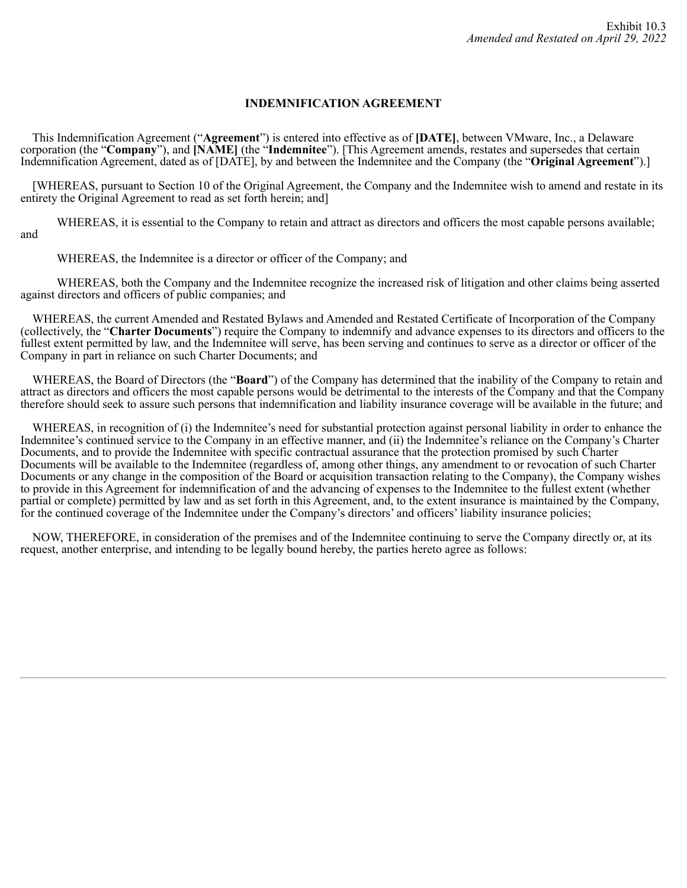# **INDEMNIFICATION AGREEMENT**

This Indemnification Agreement ("**Agreement**") is entered into effective as of **[DATE]**, between VMware, Inc., a Delaware corporation (the "**Company**"), and **[NAME]** (the "**Indemnitee**"). [This Agreement amends, restates and supersedes that certain Indemnification Agreement, dated as of [DATE], by and between the Indemnitee and the Company (the "**Original Agreement**").]

[WHEREAS, pursuant to Section 10 of the Original Agreement, the Company and the Indemnitee wish to amend and restate in its entirety the Original Agreement to read as set forth herein; and]

WHEREAS, it is essential to the Company to retain and attract as directors and officers the most capable persons available; and

WHEREAS, the Indemnitee is a director or officer of the Company; and

WHEREAS, both the Company and the Indemnitee recognize the increased risk of litigation and other claims being asserted against directors and officers of public companies; and

WHEREAS, the current Amended and Restated Bylaws and Amended and Restated Certificate of Incorporation of the Company (collectively, the "**Charter Documents**") require the Company to indemnify and advance expenses to its directors and officers to the fullest extent permitted by law, and the Indemnitee will serve, has been serving and continues to serve as a director or officer of the Company in part in reliance on such Charter Documents; and

WHEREAS, the Board of Directors (the "**Board**") of the Company has determined that the inability of the Company to retain and attract as directors and officers the most capable persons would be detrimental to the interests of the Company and that the Company therefore should seek to assure such persons that indemnification and liability insurance coverage will be available in the future; and

WHEREAS, in recognition of (i) the Indemnitee's need for substantial protection against personal liability in order to enhance the Indemnitee's continued service to the Company in an effective manner, and (ii) the Indemnitee's reliance on the Company's Charter Documents, and to provide the Indemnitee with specific contractual assurance that the protection promised by such Charter Documents will be available to the Indemnitee (regardless of, among other things, any amendment to or revocation of such Charter Documents or any change in the composition of the Board or acquisition transaction relating to the Company), the Company wishes to provide in this Agreement for indemnification of and the advancing of expenses to the Indemnitee to the fullest extent (whether partial or complete) permitted by law and as set forth in this Agreement, and, to the extent insurance is maintained by the Company, for the continued coverage of the Indemnitee under the Company's directors' and officers' liability insurance policies;

NOW, THEREFORE, in consideration of the premises and of the Indemnitee continuing to serve the Company directly or, at its request, another enterprise, and intending to be legally bound hereby, the parties hereto agree as follows: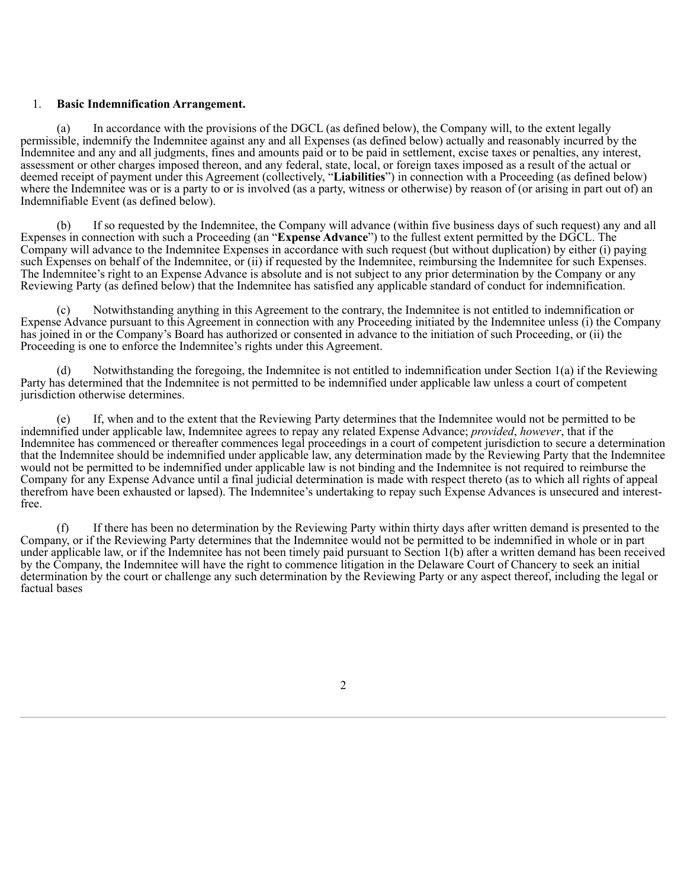## 1. **Basic Indemnification Arrangement.**

(a) In accordance with the provisions of the DGCL (as defined below), the Company will, to the extent legally permissible, indemnify the Indemnitee against any and all Expenses (as defined below) actually and reasonably incurred by the Indemnitee and any and all judgments, fines and amounts paid or to be paid in settlement, excise taxes or penalties, any interest, assessment or other charges imposed thereon, and any federal, state, local, or foreign taxes imposed as a result of the actual or deemed receipt of payment under this Agreement (collectively, "**Liabilities**") in connection with a Proceeding (as defined below) where the Indemnitee was or is a party to or is involved (as a party, witness or otherwise) by reason of (or arising in part out of) an Indemnifiable Event (as defined below).

(b) If so requested by the Indemnitee, the Company will advance (within five business days of such request) any and all Expenses in connection with such a Proceeding (an "**Expense Advance**") to the fullest extent permitted by the DGCL. The Company will advance to the Indemnitee Expenses in accordance with such request (but without duplication) by either (i) paying such Expenses on behalf of the Indemnitee, or (ii) if requested by the Indemnitee, reimbursing the Indemnitee for such Expenses. The Indemnitee's right to an Expense Advance is absolute and is not subject to any prior determination by the Company or any Reviewing Party (as defined below) that the Indemnitee has satisfied any applicable standard of conduct for indemnification.

(c) Notwithstanding anything in this Agreement to the contrary, the Indemnitee is not entitled to indemnification or Expense Advance pursuant to this Agreement in connection with any Proceeding initiated by the Indemnitee unless (i) the Company has joined in or the Company's Board has authorized or consented in advance to the initiation of such Proceeding, or (ii) the Proceeding is one to enforce the Indemnitee's rights under this Agreement.

(d) Notwithstanding the foregoing, the Indemnitee is not entitled to indemnification under Section 1(a) if the Reviewing Party has determined that the Indemnitee is not permitted to be indemnified under applicable law unless a court of competent jurisdiction otherwise determines.

(e) If, when and to the extent that the Reviewing Party determines that the Indemnitee would not be permitted to be indemnified under applicable law, Indemnitee agrees to repay any related Expense Advance; *provided*, *however*, that if the Indemnitee has commenced or thereafter commences legal proceedings in a court of competent jurisdiction to secure a determination that the Indemnitee should be indemnified under applicable law, any determination made by the Reviewing Party that the Indemnitee would not be permitted to be indemnified under applicable law is not binding and the Indemnitee is not required to reimburse the Company for any Expense Advance until a final judicial determination is made with respect thereto (as to which all rights of appeal therefrom have been exhausted or lapsed). The Indemnitee's undertaking to repay such Expense Advances is unsecured and interestfree.

(f) If there has been no determination by the Reviewing Party within thirty days after written demand is presented to the Company, or if the Reviewing Party determines that the Indemnitee would not be permitted to be indemnified in whole or in part under applicable law, or if the Indemnitee has not been timely paid pursuant to Section 1(b) after a written demand has been received by the Company, the Indemnitee will have the right to commence litigation in the Delaware Court of Chancery to seek an initial determination by the court or challenge any such determination by the Reviewing Party or any aspect thereof, including the legal or factual bases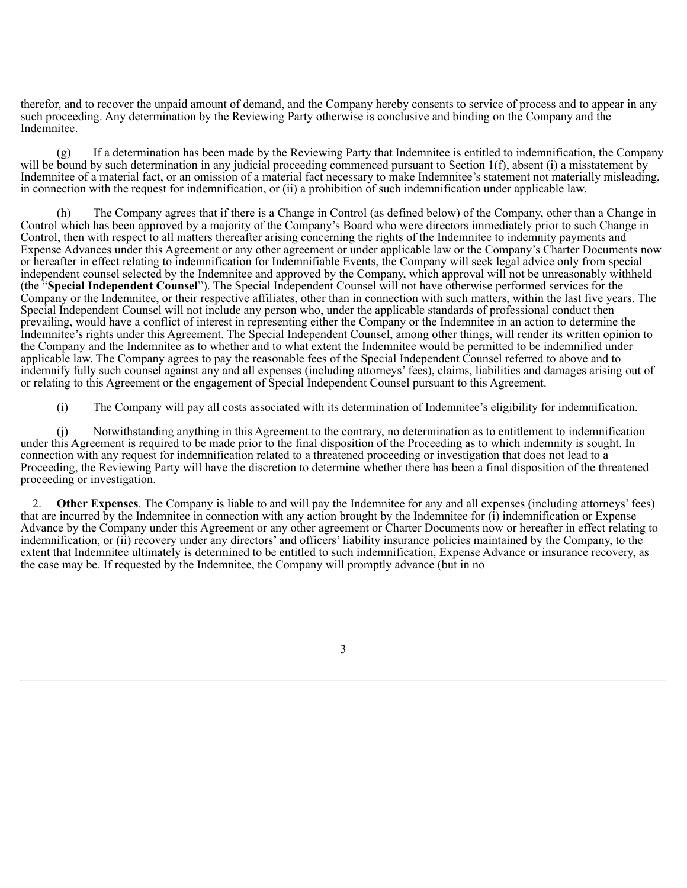therefor, and to recover the unpaid amount of demand, and the Company hereby consents to service of process and to appear in any such proceeding. Any determination by the Reviewing Party otherwise is conclusive and binding on the Company and the Indemnitee.

(g) If a determination has been made by the Reviewing Party that Indemnitee is entitled to indemnification, the Company will be bound by such determination in any judicial proceeding commenced pursuant to Section 1(f), absent (i) a misstatement by Indemnitee of a material fact, or an omission of a material fact necessary to make Indemnitee's statement not materially misleading, in connection with the request for indemnification, or (ii) a prohibition of such indemnification under applicable law.

(h) The Company agrees that if there is a Change in Control (as defined below) of the Company, other than a Change in Control which has been approved by a majority of the Company's Board who were directors immediately prior to such Change in Control, then with respect to all matters thereafter arising concerning the rights of the Indemnitee to indemnity payments and Expense Advances under this Agreement or any other agreement or under applicable law or the Company's Charter Documents now or hereafter in effect relating to indemnification for Indemnifiable Events, the Company will seek legal advice only from special independent counsel selected by the Indemnitee and approved by the Company, which approval will not be unreasonably withheld (the "**Special Independent Counsel**"). The Special Independent Counsel will not have otherwise performed services for the Company or the Indemnitee, or their respective affiliates, other than in connection with such matters, within the last five years. The Special Independent Counsel will not include any person who, under the applicable standards of professional conduct then prevailing, would have a conflict of interest in representing either the Company or the Indemnitee in an action to determine the Indemnitee's rights under this Agreement. The Special Independent Counsel, among other things, will render its written opinion to the Company and the Indemnitee as to whether and to what extent the Indemnitee would be permitted to be indemnified under applicable law. The Company agrees to pay the reasonable fees of the Special Independent Counsel referred to above and to indemnify fully such counsel against any and all expenses (including attorneys' fees), claims, liabilities and damages arising out of or relating to this Agreement or the engagement of Special Independent Counsel pursuant to this Agreement.

(i) The Company will pay all costs associated with its determination of Indemnitee's eligibility for indemnification.

(j) Notwithstanding anything in this Agreement to the contrary, no determination as to entitlement to indemnification under this Agreement is required to be made prior to the final disposition of the Proceeding as to which indemnity is sought. In connection with any request for indemnification related to a threatened proceeding or investigation that does not lead to a Proceeding, the Reviewing Party will have the discretion to determine whether there has been a final disposition of the threatened proceeding or investigation.

2. **Other Expenses**. The Company is liable to and will pay the Indemnitee for any and all expenses (including attorneys' fees) that are incurred by the Indemnitee in connection with any action brought by the Indemnitee for (i) indemnification or Expense Advance by the Company under this Agreement or any other agreement or Charter Documents now or hereafter in effect relating to indemnification, or (ii) recovery under any directors' and officers' liability insurance policies maintained by the Company, to the extent that Indemnitee ultimately is determined to be entitled to such indemnification, Expense Advance or insurance recovery, as the case may be. If requested by the Indemnitee, the Company will promptly advance (but in no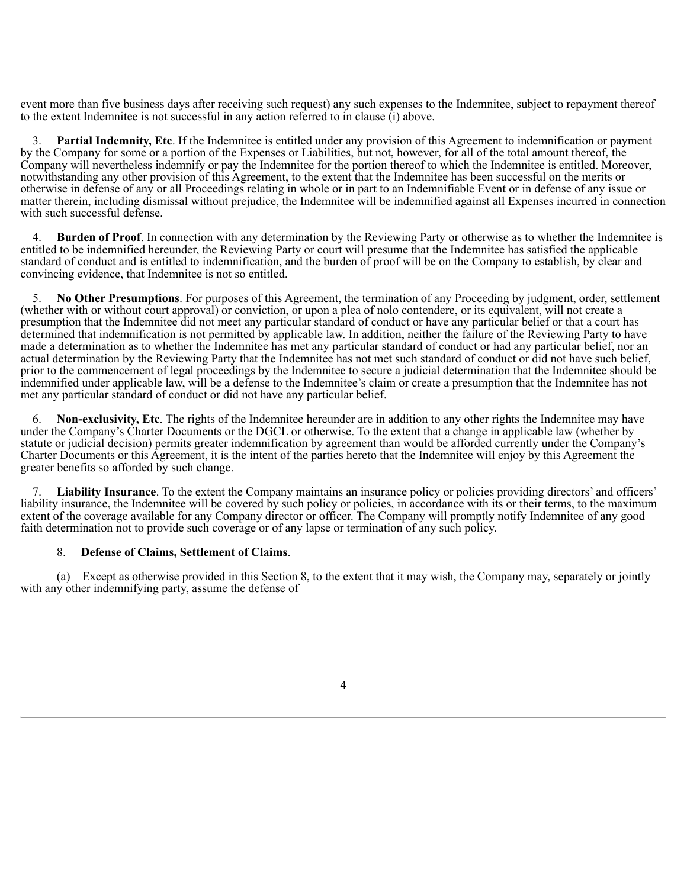event more than five business days after receiving such request) any such expenses to the Indemnitee, subject to repayment thereof to the extent Indemnitee is not successful in any action referred to in clause (i) above.

**Partial Indemnity, Etc**. If the Indemnitee is entitled under any provision of this Agreement to indemnification or payment by the Company for some or a portion of the Expenses or Liabilities, but not, however, for all of the total amount thereof, the Company will nevertheless indemnify or pay the Indemnitee for the portion thereof to which the Indemnitee is entitled. Moreover, notwithstanding any other provision of this Agreement, to the extent that the Indemnitee has been successful on the merits or otherwise in defense of any or all Proceedings relating in whole or in part to an Indemnifiable Event or in defense of any issue or matter therein, including dismissal without prejudice, the Indemnitee will be indemnified against all Expenses incurred in connection with such successful defense.

4. **Burden of Proof**. In connection with any determination by the Reviewing Party or otherwise as to whether the Indemnitee is entitled to be indemnified hereunder, the Reviewing Party or court will presume that the Indemnitee has satisfied the applicable standard of conduct and is entitled to indemnification, and the burden of proof will be on the Company to establish, by clear and convincing evidence, that Indemnitee is not so entitled.

5. **No Other Presumptions**. For purposes of this Agreement, the termination of any Proceeding by judgment, order, settlement (whether with or without court approval) or conviction, or upon a plea of nolo contendere, or its equivalent, will not create a presumption that the Indemnitee did not meet any particular standard of conduct or have any particular belief or that a court has determined that indemnification is not permitted by applicable law. In addition, neither the failure of the Reviewing Party to have made a determination as to whether the Indemnitee has met any particular standard of conduct or had any particular belief, nor an actual determination by the Reviewing Party that the Indemnitee has not met such standard of conduct or did not have such belief, prior to the commencement of legal proceedings by the Indemnitee to secure a judicial determination that the Indemnitee should be indemnified under applicable law, will be a defense to the Indemnitee's claim or create a presumption that the Indemnitee has not met any particular standard of conduct or did not have any particular belief.

6. **Non-exclusivity, Etc**. The rights of the Indemnitee hereunder are in addition to any other rights the Indemnitee may have under the Company's Charter Documents or the DGCL or otherwise. To the extent that a change in applicable law (whether by statute or judicial decision) permits greater indemnification by agreement than would be afforded currently under the Company's Charter Documents or this Agreement, it is the intent of the parties hereto that the Indemnitee will enjoy by this Agreement the greater benefits so afforded by such change.

7. **Liability Insurance**. To the extent the Company maintains an insurance policy or policies providing directors' and officers' liability insurance, the Indemnitee will be covered by such policy or policies, in accordance with its or their terms, to the maximum extent of the coverage available for any Company director or officer. The Company will promptly notify Indemnitee of any good faith determination not to provide such coverage or of any lapse or termination of any such policy.

#### 8. **Defense of Claims, Settlement of Claims**.

(a) Except as otherwise provided in this Section 8, to the extent that it may wish, the Company may, separately or jointly with any other indemnifying party, assume the defense of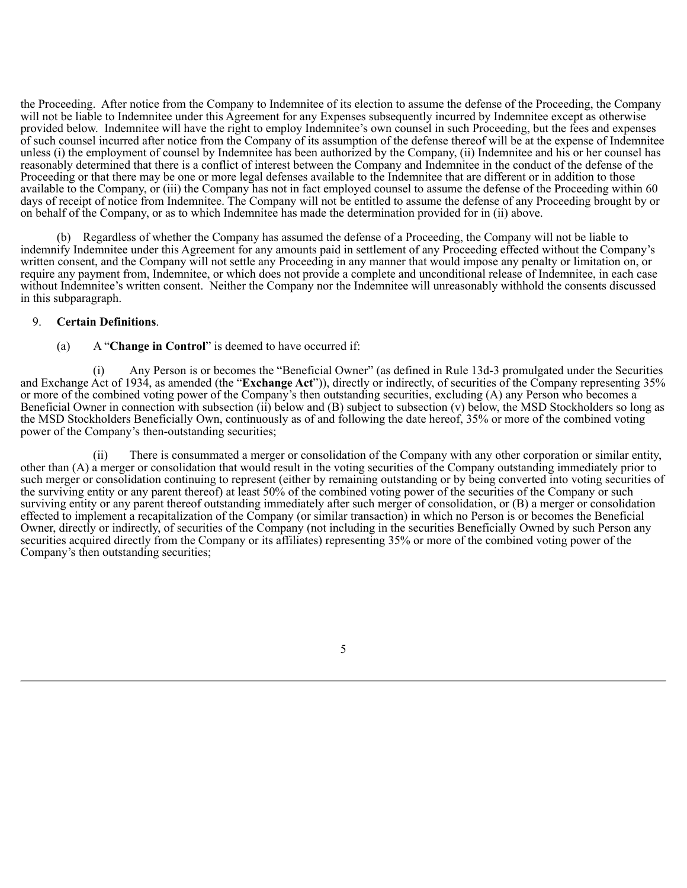the Proceeding. After notice from the Company to Indemnitee of its election to assume the defense of the Proceeding, the Company will not be liable to Indemnitee under this Agreement for any Expenses subsequently incurred by Indemnitee except as otherwise provided below. Indemnitee will have the right to employ Indemnitee's own counsel in such Proceeding, but the fees and expenses of such counsel incurred after notice from the Company of its assumption of the defense thereof will be at the expense of Indemnitee unless (i) the employment of counsel by Indemnitee has been authorized by the Company, (ii) Indemnitee and his or her counsel has reasonably determined that there is a conflict of interest between the Company and Indemnitee in the conduct of the defense of the Proceeding or that there may be one or more legal defenses available to the Indemnitee that are different or in addition to those available to the Company, or (iii) the Company has not in fact employed counsel to assume the defense of the Proceeding within 60 days of receipt of notice from Indemnitee. The Company will not be entitled to assume the defense of any Proceeding brought by or on behalf of the Company, or as to which Indemnitee has made the determination provided for in (ii) above.

(b) Regardless of whether the Company has assumed the defense of a Proceeding, the Company will not be liable to indemnify Indemnitee under this Agreement for any amounts paid in settlement of any Proceeding effected without the Company's written consent, and the Company will not settle any Proceeding in any manner that would impose any penalty or limitation on, or require any payment from, Indemnitee, or which does not provide a complete and unconditional release of Indemnitee, in each case without Indemnitee's written consent. Neither the Company nor the Indemnitee will unreasonably withhold the consents discussed in this subparagraph.

# 9. **Certain Definitions**.

(a) A "**Change in Control**" is deemed to have occurred if:

(i) Any Person is or becomes the "Beneficial Owner" (as defined in Rule 13d-3 promulgated under the Securities and Exchange Act of 1934, as amended (the "**Exchange Act**")), directly or indirectly, of securities of the Company representing 35% or more of the combined voting power of the Company's then outstanding securities, excluding (A) any Person who becomes a Beneficial Owner in connection with subsection (ii) below and (B) subject to subsection (v) below, the MSD Stockholders so long as the MSD Stockholders Beneficially Own, continuously as of and following the date hereof, 35% or more of the combined voting power of the Company's then-outstanding securities;

(ii) There is consummated a merger or consolidation of the Company with any other corporation or similar entity, other than (A) a merger or consolidation that would result in the voting securities of the Company outstanding immediately prior to such merger or consolidation continuing to represent (either by remaining outstanding or by being converted into voting securities of the surviving entity or any parent thereof) at least 50% of the combined voting power of the securities of the Company or such surviving entity or any parent thereof outstanding immediately after such merger of consolidation, or (B) a merger or consolidation effected to implement a recapitalization of the Company (or similar transaction) in which no Person is or becomes the Beneficial Owner, directly or indirectly, of securities of the Company (not including in the securities Beneficially Owned by such Person any securities acquired directly from the Company or its affiliates) representing 35% or more of the combined voting power of the Company's then outstanding securities;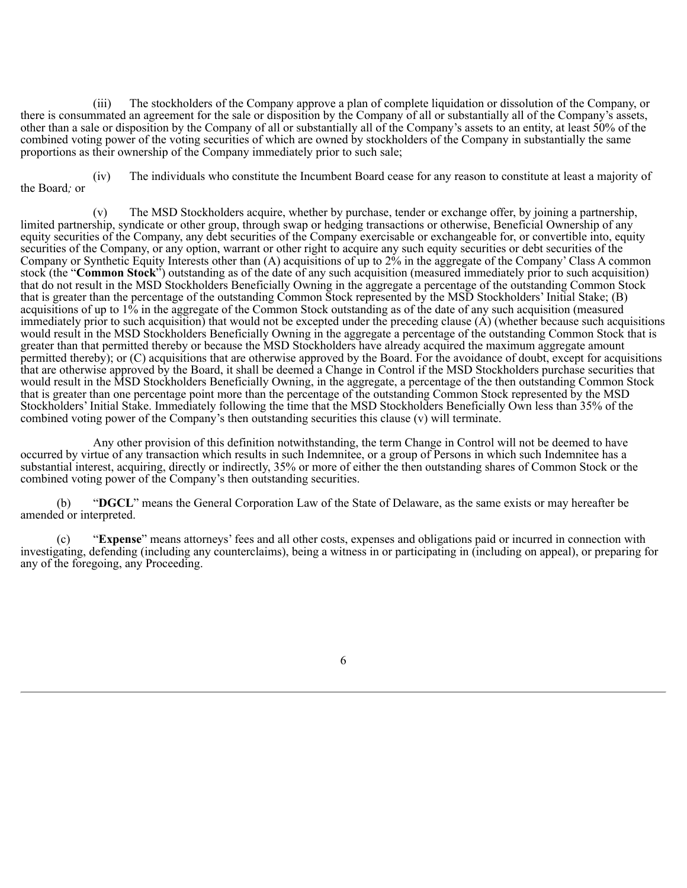(iii) The stockholders of the Company approve a plan of complete liquidation or dissolution of the Company, or there is consummated an agreement for the sale or disposition by the Company of all or substantially all of the Company's assets, other than a sale or disposition by the Company of all or substantially all of the Company's assets to an entity, at least 50% of the combined voting power of the voting securities of which are owned by stockholders of the Company in substantially the same proportions as their ownership of the Company immediately prior to such sale;

(iv) The individuals who constitute the Incumbent Board cease for any reason to constitute at least a majority of the Board*;* or

(v) The MSD Stockholders acquire, whether by purchase, tender or exchange offer, by joining a partnership, limited partnership, syndicate or other group, through swap or hedging transactions or otherwise, Beneficial Ownership of any equity securities of the Company, any debt securities of the Company exercisable or exchangeable for, or convertible into, equity securities of the Company, or any option, warrant or other right to acquire any such equity securities or debt securities of the Company or Synthetic Equity Interests other than  $(A)$  acquisitions of up to  $2\%$  in the aggregate of the Company' Class A common stock (the "**Common Stock**") outstanding as of the date of any such acquisition (measured immediately prior to such acquisition) that do not result in the MSD Stockholders Beneficially Owning in the aggregate a percentage of the outstanding Common Stock that is greater than the percentage of the outstanding Common Stock represented by the MSD Stockholders' Initial Stake; (B) acquisitions of up to 1% in the aggregate of the Common Stock outstanding as of the date of any such acquisition (measured immediately prior to such acquisition) that would not be excepted under the preceding clause  $(\vec{A})$  (whether because such acquisitions would result in the MSD Stockholders Beneficially Owning in the aggregate a percentage of the outstanding Common Stock that is greater than that permitted thereby or because the MSD Stockholders have already acquired the maximum aggregate amount permitted thereby); or (C) acquisitions that are otherwise approved by the Board. For the avoidance of doubt, except for acquisitions that are otherwise approved by the Board, it shall be deemed a Change in Control if the MSD Stockholders purchase securities that would result in the MSD Stockholders Beneficially Owning, in the aggregate, a percentage of the then outstanding Common Stock that is greater than one percentage point more than the percentage of the outstanding Common Stock represented by the MSD Stockholders' Initial Stake. Immediately following the time that the MSD Stockholders Beneficially Own less than 35% of the combined voting power of the Company's then outstanding securities this clause (v) will terminate.

Any other provision of this definition notwithstanding, the term Change in Control will not be deemed to have occurred by virtue of any transaction which results in such Indemnitee, or a group of Persons in which such Indemnitee has a substantial interest, acquiring, directly or indirectly, 35% or more of either the then outstanding shares of Common Stock or the combined voting power of the Company's then outstanding securities.

(b) "**DGCL**" means the General Corporation Law of the State of Delaware, as the same exists or may hereafter be amended or interpreted.

(c) "**Expense**" means attorneys' fees and all other costs, expenses and obligations paid or incurred in connection with investigating, defending (including any counterclaims), being a witness in or participating in (including on appeal), or preparing for any of the foregoing, any Proceeding.

<sup>6</sup>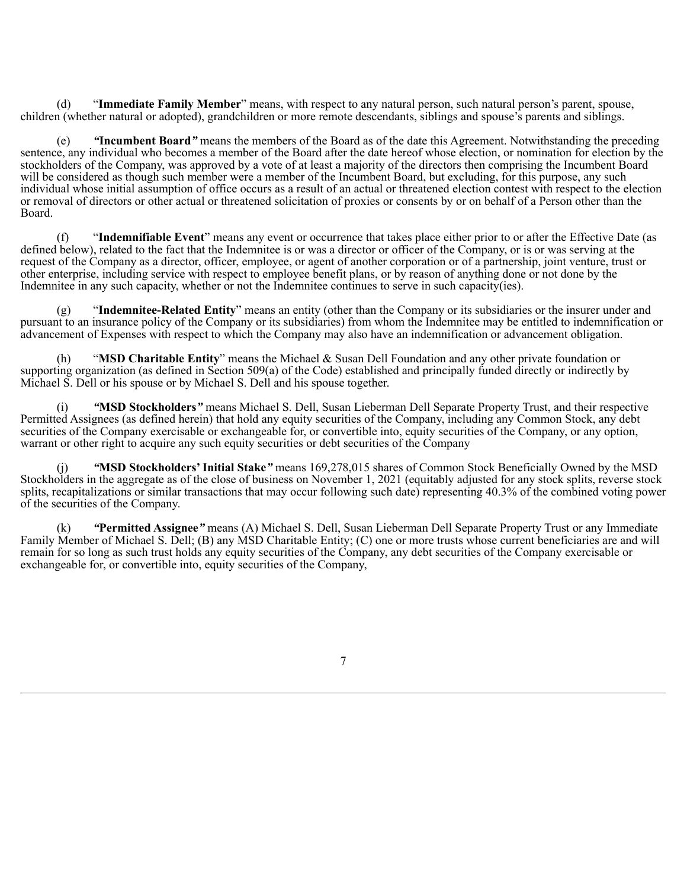(d) "**Immediate Family Member**" means, with respect to any natural person, such natural person's parent, spouse, children (whether natural or adopted), grandchildren or more remote descendants, siblings and spouse's parents and siblings.

(e) *"***Incumbent Board***"* means the members of the Board as of the date this Agreement. Notwithstanding the preceding sentence, any individual who becomes a member of the Board after the date hereof whose election, or nomination for election by the stockholders of the Company, was approved by a vote of at least a majority of the directors then comprising the Incumbent Board will be considered as though such member were a member of the Incumbent Board, but excluding, for this purpose, any such individual whose initial assumption of office occurs as a result of an actual or threatened election contest with respect to the election or removal of directors or other actual or threatened solicitation of proxies or consents by or on behalf of a Person other than the Board.

(f) "**Indemnifiable Event**" means any event or occurrence that takes place either prior to or after the Effective Date (as defined below), related to the fact that the Indemnitee is or was a director or officer of the Company, or is or was serving at the request of the Company as a director, officer, employee, or agent of another corporation or of a partnership, joint venture, trust or other enterprise, including service with respect to employee benefit plans, or by reason of anything done or not done by the Indemnitee in any such capacity, whether or not the Indemnitee continues to serve in such capacity(ies).

(g) "**Indemnitee-Related Entity**" means an entity (other than the Company or its subsidiaries or the insurer under and pursuant to an insurance policy of the Company or its subsidiaries) from whom the Indemnitee may be entitled to indemnification or advancement of Expenses with respect to which the Company may also have an indemnification or advancement obligation.

(h) "**MSD Charitable Entity**" means the Michael & Susan Dell Foundation and any other private foundation or supporting organization (as defined in Section 509(a) of the Code) established and principally funded directly or indirectly by Michael S. Dell or his spouse or by Michael S. Dell and his spouse together.

(i) *"***MSD Stockholders***"* means Michael S. Dell, Susan Lieberman Dell Separate Property Trust, and their respective Permitted Assignees (as defined herein) that hold any equity securities of the Company, including any Common Stock, any debt securities of the Company exercisable or exchangeable for, or convertible into, equity securities of the Company, or any option, warrant or other right to acquire any such equity securities or debt securities of the Company

(j) *"***MSD Stockholders' Initial Stake***"* means 169,278,015 shares of Common Stock Beneficially Owned by the MSD Stockholders in the aggregate as of the close of business on November 1, 2021 (equitably adjusted for any stock splits, reverse stock splits, recapitalizations or similar transactions that may occur following such date) representing 40.3% of the combined voting power of the securities of the Company.

(k) *"***Permitted Assignee***"* means (A) Michael S. Dell, Susan Lieberman Dell Separate Property Trust or any Immediate Family Member of Michael S. Dell; (B) any MSD Charitable Entity; (C) one or more trusts whose current beneficiaries are and will remain for so long as such trust holds any equity securities of the Company, any debt securities of the Company exercisable or exchangeable for, or convertible into, equity securities of the Company,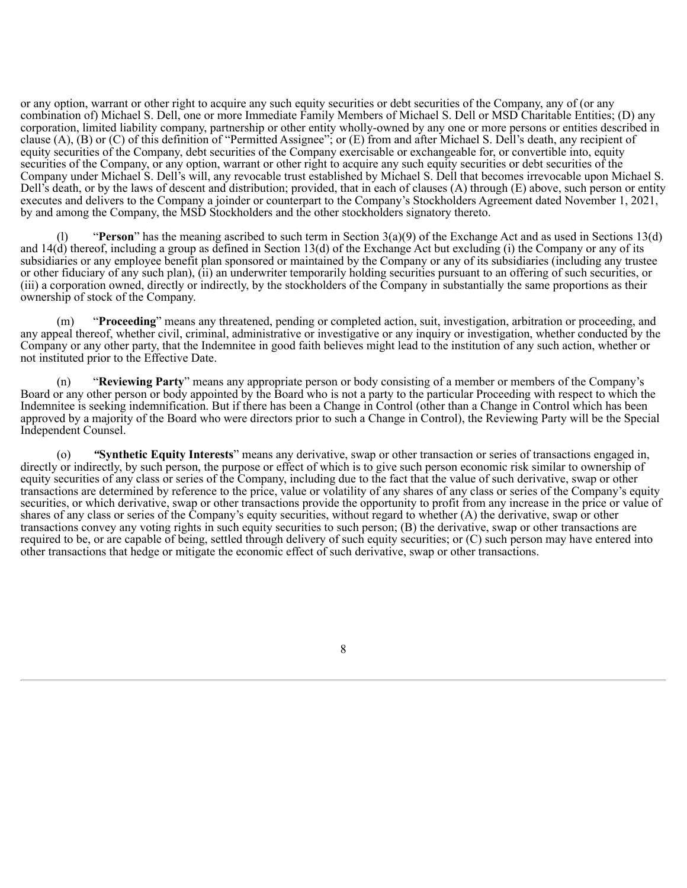or any option, warrant or other right to acquire any such equity securities or debt securities of the Company, any of (or any combination of) Michael S. Dell, one or more Immediate Family Members of Michael S. Dell or MSD Charitable Entities; (D) any corporation, limited liability company, partnership or other entity wholly-owned by any one or more persons or entities described in clause (A), (B) or (C) of this definition of "Permitted Assignee"; or (E) from and after Michael S. Dell's death, any recipient of equity securities of the Company, debt securities of the Company exercisable or exchangeable for, or convertible into, equity securities of the Company, or any option, warrant or other right to acquire any such equity securities or debt securities of the Company under Michael S. Dell's will, any revocable trust established by Michael S. Dell that becomes irrevocable upon Michael S. Dell's death, or by the laws of descent and distribution; provided, that in each of clauses (A) through (E) above, such person or entity executes and delivers to the Company a joinder or counterpart to the Company's Stockholders Agreement dated November 1, 2021, by and among the Company, the MSD Stockholders and the other stockholders signatory thereto.

(l) "**Person**" has the meaning ascribed to such term in Section 3(a)(9) of the Exchange Act and as used in Sections 13(d) and 14(d) thereof, including a group as defined in Section 13(d) of the Exchange Act but excluding (i) the Company or any of its subsidiaries or any employee benefit plan sponsored or maintained by the Company or any of its subsidiaries (including any trustee or other fiduciary of any such plan), (ii) an underwriter temporarily holding securities pursuant to an offering of such securities, or (iii) a corporation owned, directly or indirectly, by the stockholders of the Company in substantially the same proportions as their ownership of stock of the Company.

(m) "**Proceeding**" means any threatened, pending or completed action, suit, investigation, arbitration or proceeding, and any appeal thereof, whether civil, criminal, administrative or investigative or any inquiry or investigation, whether conducted by the Company or any other party, that the Indemnitee in good faith believes might lead to the institution of any such action, whether or not instituted prior to the Effective Date.

(n) "**Reviewing Party**" means any appropriate person or body consisting of a member or members of the Company's Board or any other person or body appointed by the Board who is not a party to the particular Proceeding with respect to which the Indemnitee is seeking indemnification. But if there has been a Change in Control (other than a Change in Control which has been approved by a majority of the Board who were directors prior to such a Change in Control), the Reviewing Party will be the Special Independent Counsel.

(o) *"***Synthetic Equity Interests**" means any derivative, swap or other transaction or series of transactions engaged in, directly or indirectly, by such person, the purpose or effect of which is to give such person economic risk similar to ownership of equity securities of any class or series of the Company, including due to the fact that the value of such derivative, swap or other transactions are determined by reference to the price, value or volatility of any shares of any class or series of the Company's equity securities, or which derivative, swap or other transactions provide the opportunity to profit from any increase in the price or value of shares of any class or series of the Company's equity securities, without regard to whether (A) the derivative, swap or other transactions convey any voting rights in such equity securities to such person; (B) the derivative, swap or other transactions are required to be, or are capable of being, settled through delivery of such equity securities; or (C) such person may have entered into other transactions that hedge or mitigate the economic effect of such derivative, swap or other transactions.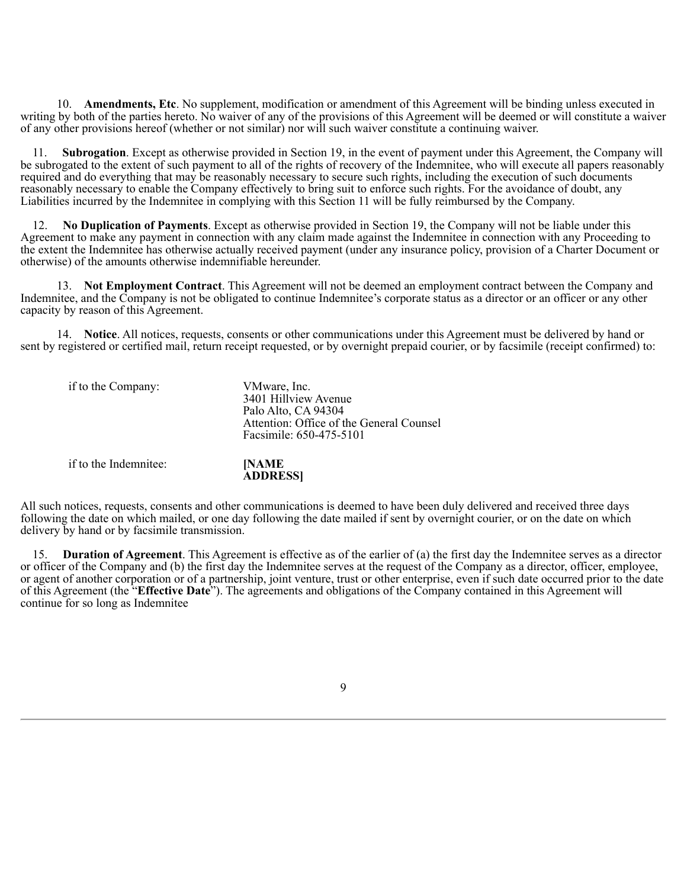10. **Amendments, Etc**. No supplement, modification or amendment of this Agreement will be binding unless executed in writing by both of the parties hereto. No waiver of any of the provisions of this Agreement will be deemed or will constitute a waiver of any other provisions hereof (whether or not similar) nor will such waiver constitute a continuing waiver.

11. **Subrogation**. Except as otherwise provided in Section 19, in the event of payment under this Agreement, the Company will be subrogated to the extent of such payment to all of the rights of recovery of the Indemnitee, who will execute all papers reasonably required and do everything that may be reasonably necessary to secure such rights, including the execution of such documents reasonably necessary to enable the Company effectively to bring suit to enforce such rights. For the avoidance of doubt, any Liabilities incurred by the Indemnitee in complying with this Section 11 will be fully reimbursed by the Company.

12. **No Duplication of Payments**. Except as otherwise provided in Section 19, the Company will not be liable under this Agreement to make any payment in connection with any claim made against the Indemnitee in connection with any Proceeding to the extent the Indemnitee has otherwise actually received payment (under any insurance policy, provision of a Charter Document or otherwise) of the amounts otherwise indemnifiable hereunder.

13. **Not Employment Contract**. This Agreement will not be deemed an employment contract between the Company and Indemnitee, and the Company is not be obligated to continue Indemnitee's corporate status as a director or an officer or any other capacity by reason of this Agreement.

14. **Notice**. All notices, requests, consents or other communications under this Agreement must be delivered by hand or sent by registered or certified mail, return receipt requested, or by overnight prepaid courier, or by facsimile (receipt confirmed) to:

| if to the Company:    | VMware, Inc.<br>3401 Hillview Avenue<br>Palo Alto, CA 94304<br>Attention: Office of the General Counsel<br>Facsimile: 650-475-5101 |
|-----------------------|------------------------------------------------------------------------------------------------------------------------------------|
| if to the Indemnitee: | [NAME<br>ADDRESSI                                                                                                                  |

All such notices, requests, consents and other communications is deemed to have been duly delivered and received three days following the date on which mailed, or one day following the date mailed if sent by overnight courier, or on the date on which delivery by hand or by facsimile transmission.

15. **Duration of Agreement**. This Agreement is effective as of the earlier of (a) the first day the Indemnitee serves as a director or officer of the Company and (b) the first day the Indemnitee serves at the request of the Company as a director, officer, employee, or agent of another corporation or of a partnership, joint venture, trust or other enterprise, even if such date occurred prior to the date of this Agreement (the "**Effective Date**"). The agreements and obligations of the Company contained in this Agreement will continue for so long as Indemnitee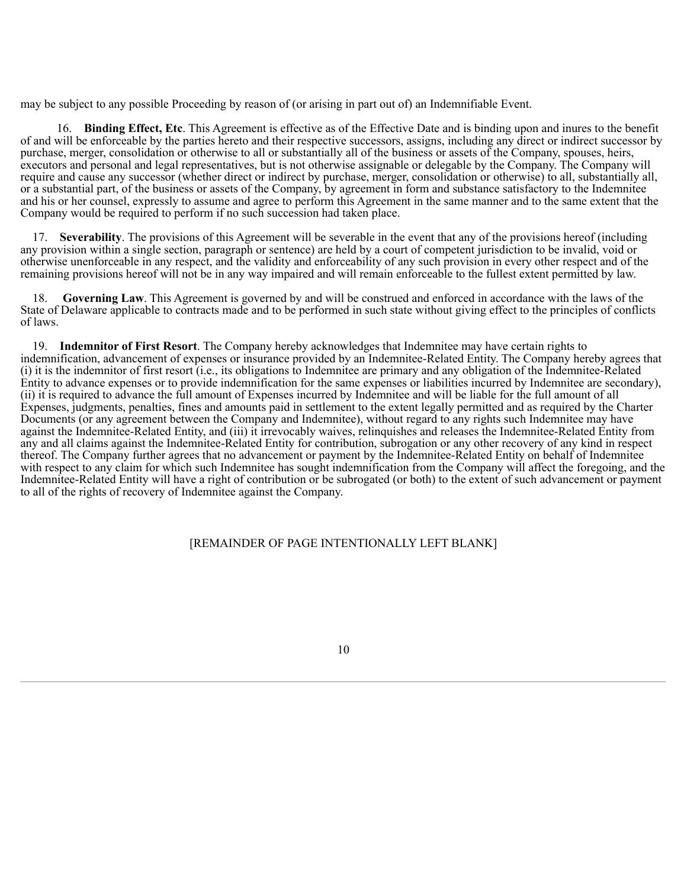may be subject to any possible Proceeding by reason of (or arising in part out of) an Indemnifiable Event.

16. **Binding Effect, Etc**. This Agreement is effective as of the Effective Date and is binding upon and inures to the benefit of and will be enforceable by the parties hereto and their respective successors, assigns, including any direct or indirect successor by purchase, merger, consolidation or otherwise to all or substantially all of the business or assets of the Company, spouses, heirs, executors and personal and legal representatives, but is not otherwise assignable or delegable by the Company. The Company will require and cause any successor (whether direct or indirect by purchase, merger, consolidation or otherwise) to all, substantially all, or a substantial part, of the business or assets of the Company, by agreement in form and substance satisfactory to the Indemnitee and his or her counsel, expressly to assume and agree to perform this Agreement in the same manner and to the same extent that the Company would be required to perform if no such succession had taken place.

17. **Severability**. The provisions of this Agreement will be severable in the event that any of the provisions hereof (including any provision within a single section, paragraph or sentence) are held by a court of competent jurisdiction to be invalid, void or otherwise unenforceable in any respect, and the validity and enforceability of any such provision in every other respect and of the remaining provisions hereof will not be in any way impaired and will remain enforceable to the fullest extent permitted by law.

18. **Governing Law**. This Agreement is governed by and will be construed and enforced in accordance with the laws of the State of Delaware applicable to contracts made and to be performed in such state without giving effect to the principles of conflicts of laws.

19. **Indemnitor of First Resort**. The Company hereby acknowledges that Indemnitee may have certain rights to indemnification, advancement of expenses or insurance provided by an Indemnitee-Related Entity. The Company hereby agrees that (i) it is the indemnitor of first resort (i.e., its obligations to Indemnitee are primary and any obligation of the Indemnitee-Related Entity to advance expenses or to provide indemnification for the same expenses or liabilities incurred by Indemnitee are secondary), (ii) it is required to advance the full amount of Expenses incurred by Indemnitee and will be liable for the full amount of all Expenses, judgments, penalties, fines and amounts paid in settlement to the extent legally permitted and as required by the Charter Documents (or any agreement between the Company and Indemnitee), without regard to any rights such Indemnitee may have against the Indemnitee-Related Entity, and (iii) it irrevocably waives, relinquishes and releases the Indemnitee-Related Entity from any and all claims against the Indemnitee-Related Entity for contribution, subrogation or any other recovery of any kind in respect thereof. The Company further agrees that no advancement or payment by the Indemnitee-Related Entity on behalf of Indemnitee with respect to any claim for which such Indemnitee has sought indemnification from the Company will affect the foregoing, and the Indemnitee-Related Entity will have a right of contribution or be subrogated (or both) to the extent of such advancement or payment to all of the rights of recovery of Indemnitee against the Company.

# [REMAINDER OF PAGE INTENTIONALLY LEFT BLANK]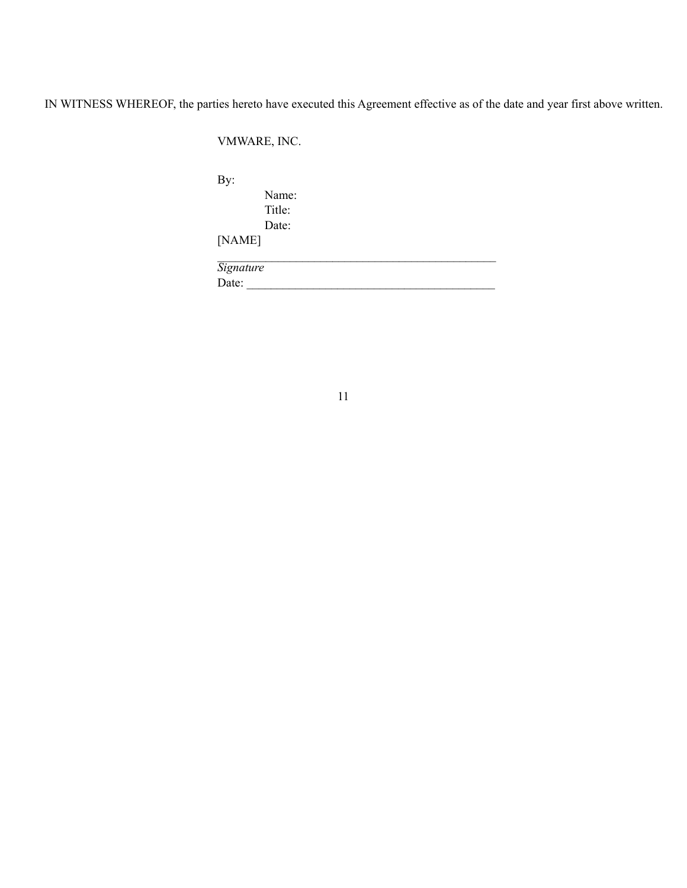IN WITNESS WHEREOF, the parties hereto have executed this Agreement effective as of the date and year first above written.

VMWARE, INC.

By:

Name: Title: Date:

[NAME] \_\_\_\_\_\_\_\_\_\_\_\_\_\_\_\_\_\_\_\_\_\_\_\_\_\_\_\_\_\_\_\_\_\_\_\_\_\_\_\_\_\_\_\_\_\_

*Signature* Date: \_\_\_\_\_\_\_\_\_\_\_\_\_\_\_\_\_\_\_\_\_\_\_\_\_\_\_\_\_\_\_\_\_\_\_\_\_\_\_\_\_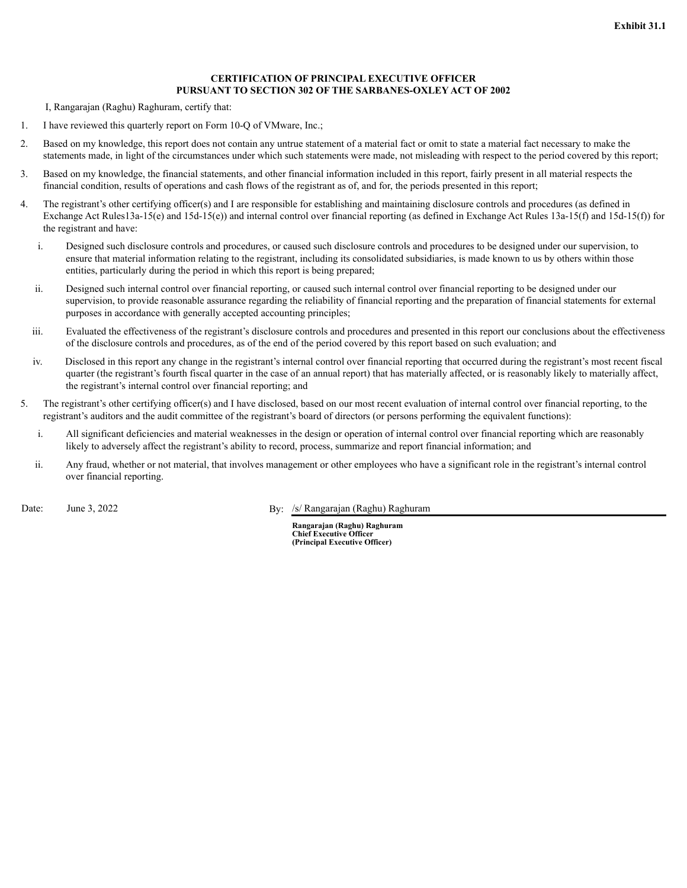## **CERTIFICATION OF PRINCIPAL EXECUTIVE OFFICER PURSUANT TO SECTION 302 OF THE SARBANES-OXLEY ACT OF 2002**

I, Rangarajan (Raghu) Raghuram, certify that:

- 1. I have reviewed this quarterly report on Form 10-Q of VMware, Inc.;
- 2. Based on my knowledge, this report does not contain any untrue statement of a material fact or omit to state a material fact necessary to make the statements made, in light of the circumstances under which such statements were made, not misleading with respect to the period covered by this report;
- 3. Based on my knowledge, the financial statements, and other financial information included in this report, fairly present in all material respects the financial condition, results of operations and cash flows of the registrant as of, and for, the periods presented in this report;
- 4. The registrant's other certifying officer(s) and I are responsible for establishing and maintaining disclosure controls and procedures (as defined in Exchange Act Rules13a-15(e) and 15d-15(e)) and internal control over financial reporting (as defined in Exchange Act Rules 13a-15(f) and 15d-15(f)) for the registrant and have:
	- i. Designed such disclosure controls and procedures, or caused such disclosure controls and procedures to be designed under our supervision, to ensure that material information relating to the registrant, including its consolidated subsidiaries, is made known to us by others within those entities, particularly during the period in which this report is being prepared;
	- ii. Designed such internal control over financial reporting, or caused such internal control over financial reporting to be designed under our supervision, to provide reasonable assurance regarding the reliability of financial reporting and the preparation of financial statements for external purposes in accordance with generally accepted accounting principles;
	- iii. Evaluated the effectiveness of the registrant's disclosure controls and procedures and presented in this report our conclusions about the effectiveness of the disclosure controls and procedures, as of the end of the period covered by this report based on such evaluation; and
	- iv. Disclosed in this report any change in the registrant's internal control over financial reporting that occurred during the registrant's most recent fiscal quarter (the registrant's fourth fiscal quarter in the case of an annual report) that has materially affected, or is reasonably likely to materially affect, the registrant's internal control over financial reporting; and
- 5. The registrant's other certifying officer(s) and I have disclosed, based on our most recent evaluation of internal control over financial reporting, to the registrant's auditors and the audit committee of the registrant's board of directors (or persons performing the equivalent functions):
	- i. All significant deficiencies and material weaknesses in the design or operation of internal control over financial reporting which are reasonably likely to adversely affect the registrant's ability to record, process, summarize and report financial information; and
	- ii. Any fraud, whether or not material, that involves management or other employees who have a significant role in the registrant's internal control over financial reporting.

Date: June 3, 2022 By: /s/ Rangarajan (Raghu) Raghuram

**Rangarajan (Raghu) Raghuram Chief Executive Officer (Principal Executive Officer)**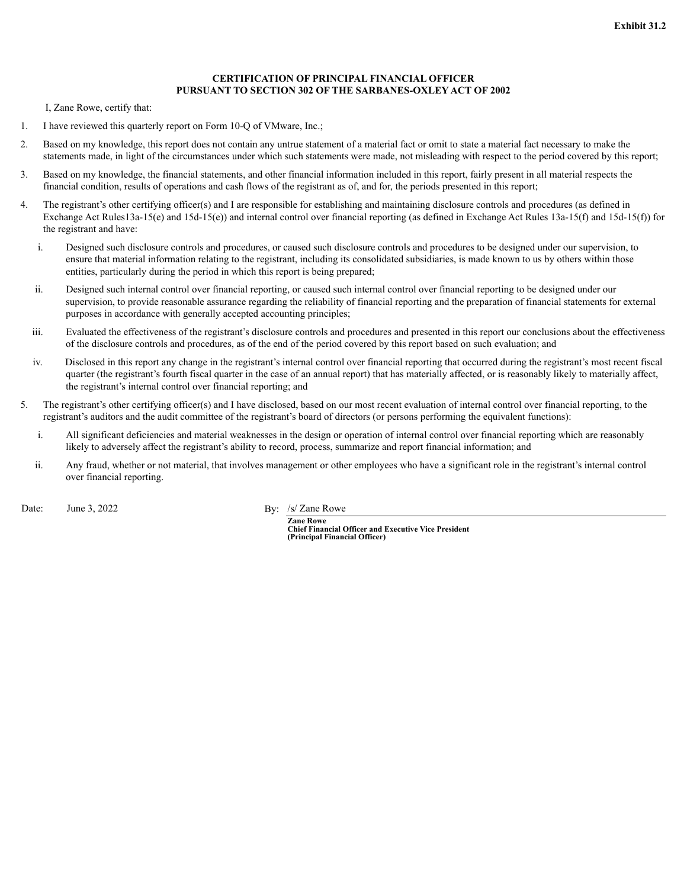## **CERTIFICATION OF PRINCIPAL FINANCIAL OFFICER PURSUANT TO SECTION 302 OF THE SARBANES-OXLEY ACT OF 2002**

I, Zane Rowe, certify that:

- 1. I have reviewed this quarterly report on Form 10-Q of VMware, Inc.;
- 2. Based on my knowledge, this report does not contain any untrue statement of a material fact or omit to state a material fact necessary to make the statements made, in light of the circumstances under which such statements were made, not misleading with respect to the period covered by this report;
- 3. Based on my knowledge, the financial statements, and other financial information included in this report, fairly present in all material respects the financial condition, results of operations and cash flows of the registrant as of, and for, the periods presented in this report;
- 4. The registrant's other certifying officer(s) and I are responsible for establishing and maintaining disclosure controls and procedures (as defined in Exchange Act Rules13a-15(e) and 15d-15(e)) and internal control over financial reporting (as defined in Exchange Act Rules 13a-15(f) and 15d-15(f)) for the registrant and have:
	- i. Designed such disclosure controls and procedures, or caused such disclosure controls and procedures to be designed under our supervision, to ensure that material information relating to the registrant, including its consolidated subsidiaries, is made known to us by others within those entities, particularly during the period in which this report is being prepared;
	- ii. Designed such internal control over financial reporting, or caused such internal control over financial reporting to be designed under our supervision, to provide reasonable assurance regarding the reliability of financial reporting and the preparation of financial statements for external purposes in accordance with generally accepted accounting principles;
	- iii. Evaluated the effectiveness of the registrant's disclosure controls and procedures and presented in this report our conclusions about the effectiveness of the disclosure controls and procedures, as of the end of the period covered by this report based on such evaluation; and
	- iv. Disclosed in this report any change in the registrant's internal control over financial reporting that occurred during the registrant's most recent fiscal quarter (the registrant's fourth fiscal quarter in the case of an annual report) that has materially affected, or is reasonably likely to materially affect, the registrant's internal control over financial reporting; and
- 5. The registrant's other certifying officer(s) and I have disclosed, based on our most recent evaluation of internal control over financial reporting, to the registrant's auditors and the audit committee of the registrant's board of directors (or persons performing the equivalent functions):
	- i. All significant deficiencies and material weaknesses in the design or operation of internal control over financial reporting which are reasonably likely to adversely affect the registrant's ability to record, process, summarize and report financial information; and
	- ii. Any fraud, whether or not material, that involves management or other employees who have a significant role in the registrant's internal control over financial reporting.

Date: June 3, 2022 By: /s/ Zane Rowe

**Zane Rowe Chief Financial Officer and Executive Vice President (Principal Financial Officer)**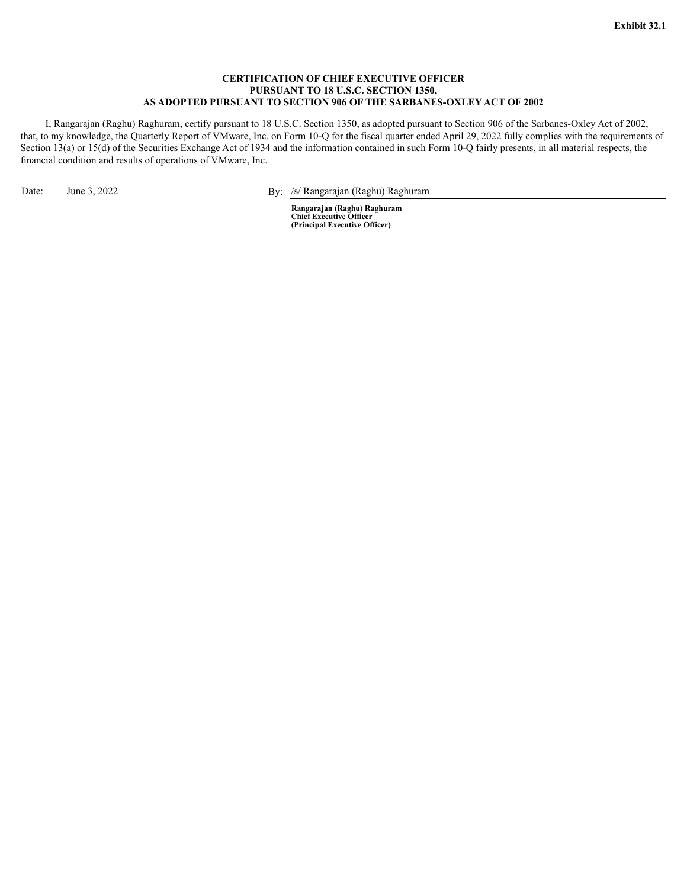#### **CERTIFICATION OF CHIEF EXECUTIVE OFFICER PURSUANT TO 18 U.S.C. SECTION 1350, AS ADOPTED PURSUANT TO SECTION 906 OF THE SARBANES-OXLEY ACT OF 2002**

I, Rangarajan (Raghu) Raghuram, certify pursuant to 18 U.S.C. Section 1350, as adopted pursuant to Section 906 of the Sarbanes-Oxley Act of 2002, that, to my knowledge, the Quarterly Report of VMware, Inc. on Form 10-Q for the fiscal quarter ended April 29, 2022 fully complies with the requirements of Section 13(a) or 15(d) of the Securities Exchange Act of 1934 and the information contained in such Form 10-Q fairly presents, in all material respects, the financial condition and results of operations of VMware, Inc.

Date: June 3, 2022 By: /s/ Rangarajan (Raghu) Raghuram

**Rangarajan (Raghu) Raghuram Chief Executive Officer (Principal Executive Officer)**